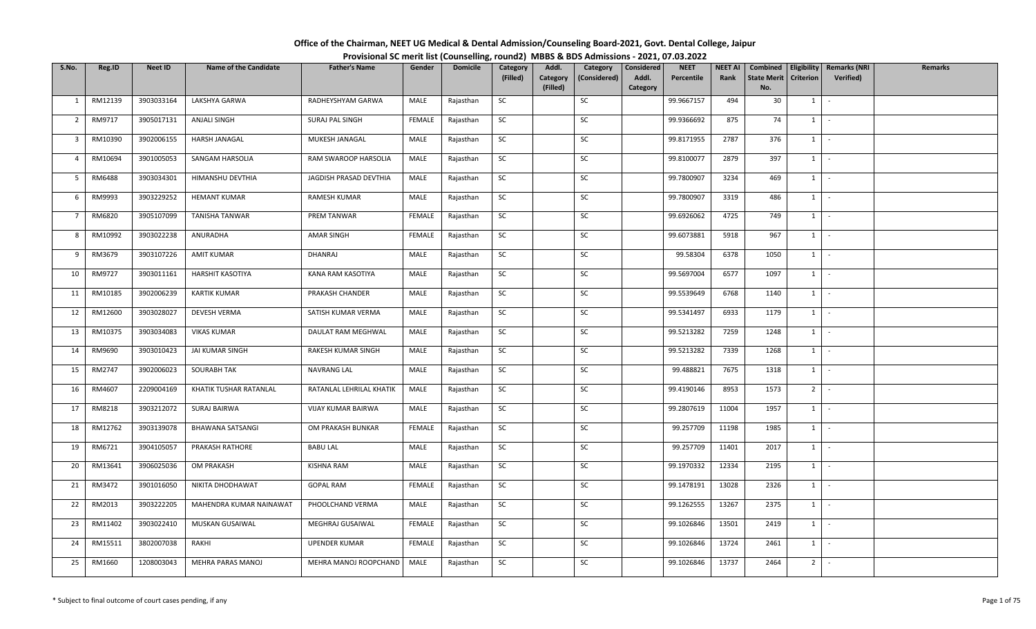| Office of the Chairman, NEET UG Medical & Dental Admission/Counseling Board-2021, Govt. Dental College, Jaipur |                                                                                          |
|----------------------------------------------------------------------------------------------------------------|------------------------------------------------------------------------------------------|
|                                                                                                                | Provisional SC merit list (Counselling, round2) MBBS & BDS Admissions - 2021, 07.03.2022 |

| S.No.          | Reg.ID  | <b>Neet ID</b> | <b>Name of the Candidate</b> | <b>Father's Name</b>     | Gender        | <b>Domicile</b> | Category  | Addl.                | Category     | Considered        | <b>NEET</b> | <b>NEET AI</b> | Combined                  |                | Eligibility   Remarks (NRI | <b>Remarks</b> |
|----------------|---------|----------------|------------------------------|--------------------------|---------------|-----------------|-----------|----------------------|--------------|-------------------|-------------|----------------|---------------------------|----------------|----------------------------|----------------|
|                |         |                |                              |                          |               |                 | (Filled)  | Category<br>(Filled) | (Considered) | Addl.<br>Category | Percentile  | Rank           | <b>State Merit</b><br>No. | Criterion      | Verified)                  |                |
| 1              | RM12139 | 3903033164     | LAKSHYA GARWA                | RADHEYSHYAM GARWA        | MALE          | Rajasthan       | SC        |                      | SC           |                   | 99.9667157  | 494            | 30                        | 1              | $\sim$                     |                |
|                |         |                |                              |                          |               |                 |           |                      |              |                   |             |                |                           |                |                            |                |
| $\overline{2}$ | RM9717  | 3905017131     | <b>ANJALI SINGH</b>          | SURAJ PAL SINGH          | <b>FEMALE</b> | Rajasthan       | <b>SC</b> |                      | SC           |                   | 99.9366692  | 875            | 74                        | $1 \quad$      | $\sim$                     |                |
| 3              | RM10390 | 3902006155     | HARSH JANAGAL                | MUKESH JANAGAL           | MALE          | Rajasthan       | SC        |                      | SC           |                   | 99.8171955  | 2787           | 376                       | $1 \quad$      | $\sim$                     |                |
| $\overline{4}$ | RM10694 | 3901005053     | SANGAM HARSOLIA              | RAM SWAROOP HARSOLIA     | MALE          | Rajasthan       | <b>SC</b> |                      | SC           |                   | 99.8100077  | 2879           | 397                       | $1 \vert -$    |                            |                |
| 5              | RM6488  | 3903034301     | HIMANSHU DEVTHIA             | JAGDISH PRASAD DEVTHIA   | MALE          | Rajasthan       | SC        |                      | SC           |                   | 99.7800907  | 3234           | 469                       | 1              | $\sim$                     |                |
| 6              | RM9993  | 3903229252     | <b>HEMANT KUMAR</b>          | RAMESH KUMAR             | MALE          | Rajasthan       | SC        |                      | SC           |                   | 99.7800907  | 3319           | 486                       |                | $1 \mid -$                 |                |
| $\overline{7}$ | RM6820  | 3905107099     | <b>TANISHA TANWAR</b>        | PREM TANWAR              | FEMALE        | Rajasthan       | <b>SC</b> |                      | <b>SC</b>    |                   | 99.6926062  | 4725           | 749                       | 1              | $\sim$                     |                |
| 8              | RM10992 | 3903022238     | ANURADHA                     | AMAR SINGH               | <b>FEMALE</b> | Rajasthan       | SC        |                      | SC           |                   | 99.6073881  | 5918           | 967                       | 1              | $\sim$                     |                |
| 9              | RM3679  | 3903107226     | AMIT KUMAR                   | DHANRAJ                  | MALE          | Rajasthan       | SC        |                      | SC           |                   | 99.58304    | 6378           | 1050                      | $1 \quad$      | $\sim$                     |                |
| 10             | RM9727  | 3903011161     | <b>HARSHIT KASOTIYA</b>      | KANA RAM KASOTIYA        | MALE          | Rajasthan       | SC        |                      | SC           |                   | 99.5697004  | 6577           | 1097                      | $1 \quad$      | $\sim$                     |                |
| 11             | RM10185 | 3902006239     | <b>KARTIK KUMAR</b>          | PRAKASH CHANDER          | MALE          | Rajasthan       | <b>SC</b> |                      | SC           |                   | 99.5539649  | 6768           | 1140                      | $1 \mid$       | $\sim$                     |                |
| 12             | RM12600 | 3903028027     | <b>DEVESH VERMA</b>          | SATISH KUMAR VERMA       | MALE          | Rajasthan       | $\sf SC$  |                      | SC           |                   | 99.5341497  | 6933           | 1179                      | 1              | $\sim$                     |                |
| 13             | RM10375 | 3903034083     | <b>VIKAS KUMAR</b>           | DAULAT RAM MEGHWAL       | MALE          | Rajasthan       | SC        |                      | SC           |                   | 99.5213282  | 7259           | 1248                      | 1              | $\sim$                     |                |
| 14             | RM9690  | 3903010423     | JAI KUMAR SINGH              | RAKESH KUMAR SINGH       | MALE          | Rajasthan       | SC        |                      | SC           |                   | 99.5213282  | 7339           | 1268                      | $1 \quad$      | $\sim$                     |                |
| 15             | RM2747  | 3902006023     | SOURABH TAK                  | NAVRANG LAL              | MALE          | Rajasthan       | SC        |                      | SC           |                   | 99.488821   | 7675           | 1318                      | 1              | $\sim$                     |                |
| 16             | RM4607  | 2209004169     | KHATIK TUSHAR RATANLAL       | RATANLAL LEHRILAL KHATIK | MALE          | Rajasthan       | SC        |                      | SC           |                   | 99.4190146  | 8953           | 1573                      | 2              | $\sim$                     |                |
| 17             | RM8218  | 3903212072     | SURAJ BAIRWA                 | VIJAY KUMAR BAIRWA       | MALE          | Rajasthan       | SC        |                      | SC           |                   | 99.2807619  | 11004          | 1957                      | 1              | $\sim$                     |                |
| 18             | RM12762 | 3903139078     | <b>BHAWANA SATSANGI</b>      | OM PRAKASH BUNKAR        | <b>FEMALE</b> | Rajasthan       | <b>SC</b> |                      | SC           |                   | 99.257709   | 11198          | 1985                      | $1$ $-$        |                            |                |
| 19             | RM6721  | 3904105057     | PRAKASH RATHORE              | <b>BABU LAL</b>          | MALE          | Rajasthan       | SC        |                      | SC           |                   | 99.257709   | 11401          | 2017                      | $1$ $-$        |                            |                |
| 20             | RM13641 | 3906025036     | OM PRAKASH                   | KISHNA RAM               | MALE          | Rajasthan       | SC        |                      | SC           |                   | 99.1970332  | 12334          | 2195                      | 1              | $\sim$                     |                |
| 21             | RM3472  | 3901016050     | NIKITA DHODHAWAT             | <b>GOPAL RAM</b>         | <b>FEMALE</b> | Rajasthan       | <b>SC</b> |                      | SC           |                   | 99.1478191  | 13028          | 2326                      | 1              | $\sim$                     |                |
| 22             | RM2013  | 3903222205     | MAHENDRA KUMAR NAINAWAT      | PHOOLCHAND VERMA         | MALE          | Rajasthan       | SC        |                      | SC           |                   | 99.1262555  | 13267          | 2375                      | $1$ $-$        |                            |                |
| 23             | RM11402 | 3903022410     | MUSKAN GUSAIWAL              | MEGHRAJ GUSAIWAL         | FEMALE        | Rajasthan       | SC        |                      | SC           |                   | 99.1026846  | 13501          | 2419                      | 1              | $\sim$                     |                |
| 24             | RM15511 | 3802007038     | RAKHI                        | UPENDER KUMAR            | FEMALE        | Rajasthan       | SC        |                      | SC           |                   | 99.1026846  | 13724          | 2461                      | $1 \quad$      | $\sim$                     |                |
| 25             | RM1660  | 1208003043     | MEHRA PARAS MANOJ            | MEHRA MANOJ ROOPCHAND    | MALE          | Rajasthan       | <b>SC</b> |                      | SC           |                   | 99.1026846  | 13737          | 2464                      | 2 <sup>1</sup> | $\sim$                     |                |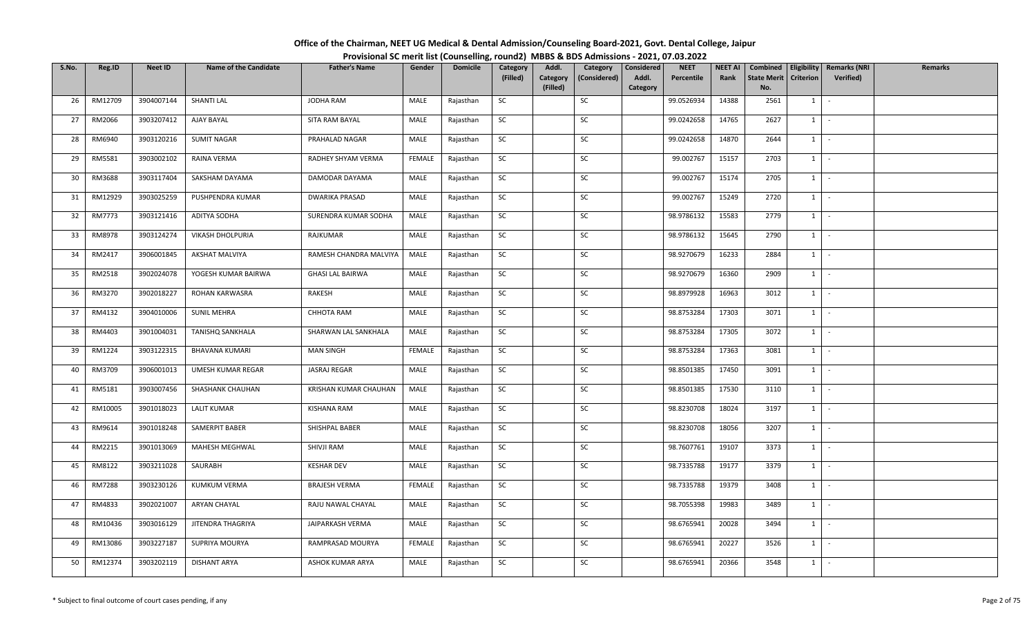| Office of the Chairman, NEET UG Medical & Dental Admission/Counseling Board-2021, Govt. Dental College, Jaipur |                                                                                          |
|----------------------------------------------------------------------------------------------------------------|------------------------------------------------------------------------------------------|
|                                                                                                                | Provisional SC merit list (Counselling, round2) MBBS & BDS Admissions - 2021, 07.03.2022 |

| S.No. | Reg.ID        | Neet ID    | <b>Name of the Candidate</b> | <b>Father's Name</b>    | Gender | <b>Domicile</b> | Category  | Addl.                | Category     | Considered        | <b>NEET</b> | <b>NEET AI</b> | Combined                  |                  | <b>Eligibility   Remarks (NRI</b> | Remarks |
|-------|---------------|------------|------------------------------|-------------------------|--------|-----------------|-----------|----------------------|--------------|-------------------|-------------|----------------|---------------------------|------------------|-----------------------------------|---------|
|       |               |            |                              |                         |        |                 | (Filled)  | Category<br>(Filled) | (Considered) | Addl.<br>Category | Percentile  | Rank           | <b>State Merit</b><br>No. | <b>Criterion</b> | Verified)                         |         |
| 26    | RM12709       | 3904007144 | SHANTI LAL                   | JODHA RAM               | MALE   | Rajasthan       | SC        |                      | SC           |                   | 99.0526934  | 14388          | 2561                      | 1                | $\sim$                            |         |
| 27    | RM2066        | 3903207412 | AJAY BAYAL                   | SITA RAM BAYAL          | MALE   | Rajasthan       | SC        |                      | SC           |                   | 99.0242658  | 14765          | 2627                      | $1 \quad$        | $\sim$                            |         |
|       |               |            |                              |                         |        |                 |           |                      |              |                   |             |                |                           |                  |                                   |         |
| 28    | RM6940        | 3903120216 | <b>SUMIT NAGAR</b>           | PRAHALAD NAGAR          | MALE   | Rajasthan       | <b>SC</b> |                      | SC           |                   | 99.0242658  | 14870          | 2644                      |                  | $1 \cdot$                         |         |
| 29    | RM5581        | 3903002102 | RAINA VERMA                  | RADHEY SHYAM VERMA      | FEMALE | Rajasthan       | SC        |                      | SC           |                   | 99.002767   | 15157          | 2703                      |                  | $1$ $-$                           |         |
| 30    | RM3688        | 3903117404 | SAKSHAM DAYAMA               | DAMODAR DAYAMA          | MALE   | Rajasthan       | SC        |                      | SC           |                   | 99.002767   | 15174          | 2705                      |                  | $1 \mid -$                        |         |
| 31    | RM12929       | 3903025259 | PUSHPENDRA KUMAR             | <b>DWARIKA PRASAD</b>   | MALE   | Rajasthan       | SC        |                      | SC           |                   | 99.002767   | 15249          | 2720                      |                  | $1 \cdot$                         |         |
| 32    | RM7773        | 3903121416 | ADITYA SODHA                 | SURENDRA KUMAR SODHA    | MALE   | Rajasthan       | SC        |                      | SC           |                   | 98.9786132  | 15583          | 2779                      | $1 \quad$        | $\sim$                            |         |
| 33    | RM8978        | 3903124274 | VIKASH DHOLPURIA             | RAJKUMAR                | MALE   | Rajasthan       | SC        |                      | SC           |                   | 98.9786132  | 15645          | 2790                      | 1                | $\sim$                            |         |
| 34    | RM2417        | 3906001845 | AKSHAT MALVIYA               | RAMESH CHANDRA MALVIYA  | MALE   | Rajasthan       | SC        |                      | SC           |                   | 98.9270679  | 16233          | 2884                      |                  | $1$ $-$                           |         |
| 35    | RM2518        | 3902024078 | YOGESH KUMAR BAIRWA          | <b>GHASI LAL BAIRWA</b> | MALE   | Rajasthan       | SC        |                      | SC           |                   | 98.9270679  | 16360          | 2909                      | $1 \quad$        | $\sim$ $-$                        |         |
| 36    | RM3270        | 3902018227 | ROHAN KARWASRA               | RAKESH                  | MALE   | Rajasthan       | SC        |                      | SC           |                   | 98.8979928  | 16963          | 3012                      |                  | $1 \cdot$                         |         |
| 37    | RM4132        | 3904010006 | <b>SUNIL MEHRA</b>           | CHHOTA RAM              | MALE   | Rajasthan       | SC        |                      | SC           |                   | 98.8753284  | 17303          | 3071                      |                  | $1$ $\vert$ $\vert$               |         |
| 38    | RM4403        | 3901004031 | <b>TANISHQ SANKHALA</b>      | SHARWAN LAL SANKHALA    | MALE   | Rajasthan       | SC        |                      | SC           |                   | 98.8753284  | 17305          | 3072                      | 1                | $\sim$                            |         |
| 39    | RM1224        | 3903122315 | <b>BHAVANA KUMARI</b>        | <b>MAN SINGH</b>        | FEMALE | Rajasthan       | SC        |                      | SC           |                   | 98.8753284  | 17363          | 3081                      | $1 \quad$        | $\sim$                            |         |
| 40    | RM3709        | 3906001013 | UMESH KUMAR REGAR            | JASRAJ REGAR            | MALE   | Rajasthan       | SC        |                      | SC           |                   | 98.8501385  | 17450          | 3091                      | 1                | $\sim$                            |         |
| 41    | RM5181        | 3903007456 | SHASHANK CHAUHAN             | KRISHAN KUMAR CHAUHAN   | MALE   | Rajasthan       | <b>SC</b> |                      | SC           |                   | 98.8501385  | 17530          | 3110                      | $1 \mid$         | $\sim$                            |         |
| 42    | RM10005       | 3901018023 | <b>LALIT KUMAR</b>           | KISHANA RAM             | MALE   | Rajasthan       | SC        |                      | SC           |                   | 98.8230708  | 18024          | 3197                      | $1 \mid$         | $\sim$                            |         |
| 43    | RM9614        | 3901018248 | SAMERPIT BABER               | SHISHPAL BABER          | MALE   | Rajasthan       | SC        |                      | SC           |                   | 98.8230708  | 18056          | 3207                      | 1                | $\sim$                            |         |
| 44    | RM2215        | 3901013069 | MAHESH MEGHWAL               | SHIVJI RAM              | MALE   | Rajasthan       | SC        |                      | SC           |                   | 98.7607761  | 19107          | 3373                      |                  | $1 \cdot$                         |         |
| 45    | RM8122        | 3903211028 | SAURABH                      | <b>KESHAR DEV</b>       | MALE   | Rajasthan       | SC        |                      | SC           |                   | 98.7335788  | 19177          | 3379                      | 1                | $\sim$                            |         |
| 46    | <b>RM7288</b> | 3903230126 | <b>KUMKUM VERMA</b>          | <b>BRAJESH VERMA</b>    | FEMALE | Rajasthan       | SC        |                      | SC           |                   | 98.7335788  | 19379          | 3408                      |                  | $1 \mid -$                        |         |
| 47    | RM4833        | 3902021007 | <b>ARYAN CHAYAL</b>          | RAJU NAWAL CHAYAL       | MALE   | Rajasthan       | SC        |                      | SC           |                   | 98.7055398  | 19983          | 3489                      |                  | $1$ $-$                           |         |
| 48    | RM10436       | 3903016129 | JITENDRA THAGRIYA            | JAIPARKASH VERMA        | MALE   | Rajasthan       | SC        |                      | SC           |                   | 98.6765941  | 20028          | 3494                      | $1 \quad$        | $\sim$                            |         |
| 49    | RM13086       | 3903227187 | SUPRIYA MOURYA               | RAMPRASAD MOURYA        | FEMALE | Rajasthan       | SC        |                      | SC           |                   | 98.6765941  | 20227          | 3526                      | $1 \quad$        | $\sim$                            |         |
| 50    | RM12374       | 3903202119 | DISHANT ARYA                 | ASHOK KUMAR ARYA        | MALE   | Rajasthan       | SC        |                      | SC           |                   | 98.6765941  | 20366          | 3548                      | $1 \quad$        | $\sim$                            |         |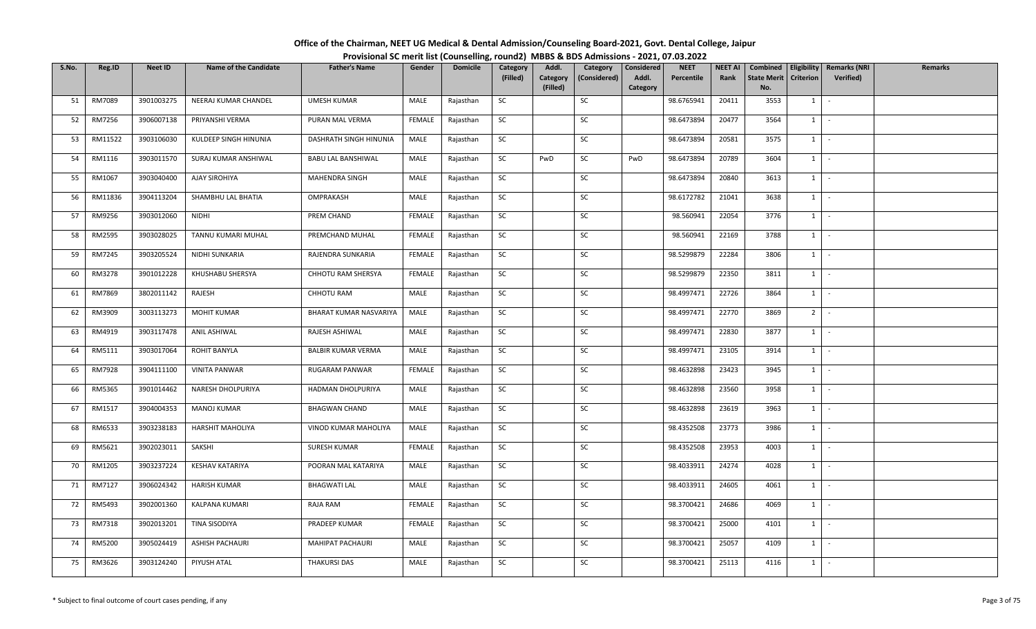| Office of the Chairman, NEET UG Medical & Dental Admission/Counseling Board-2021, Govt. Dental College, Jaipur |                                                                                          |
|----------------------------------------------------------------------------------------------------------------|------------------------------------------------------------------------------------------|
|                                                                                                                | Provisional SC merit list (Counselling, round2) MBBS & BDS Admissions - 2021, 07.03.2022 |

| S.No. | Reg.ID  | Neet ID    | <b>Name of the Candidate</b> | <b>Father's Name</b>      | Gender        | <b>Domicile</b> | Category  | Addl.                | Category     | Considered        | <b>NEET</b> | <b>NEET AI</b> | Combined                  |                  | <b>Eligibility   Remarks (NRI</b> | Remarks |
|-------|---------|------------|------------------------------|---------------------------|---------------|-----------------|-----------|----------------------|--------------|-------------------|-------------|----------------|---------------------------|------------------|-----------------------------------|---------|
|       |         |            |                              |                           |               |                 | (Filled)  | Category<br>(Filled) | (Considered) | Addl.<br>Category | Percentile  | Rank           | <b>State Merit</b><br>No. | <b>Criterion</b> | Verified)                         |         |
| 51    | RM7089  | 3901003275 | NEERAJ KUMAR CHANDEL         | <b>UMESH KUMAR</b>        | MALE          | Rajasthan       | SC        |                      | SC           |                   | 98.6765941  | 20411          | 3553                      | 1                | $\sim$                            |         |
| 52    | RM7256  | 3906007138 | PRIYANSHI VERMA              | PURAN MAL VERMA           | FEMALE        | Rajasthan       | SC        |                      | SC           |                   | 98.6473894  | 20477          | 3564                      | $1 \quad$        | $\sim$                            |         |
| 53    | RM11522 | 3903106030 | KULDEEP SINGH HINUNIA        | DASHRATH SINGH HINUNIA    | MALE          | Rajasthan       | SC        |                      | SC           |                   | 98.6473894  | 20581          | 3575                      |                  | $1 \cdot$                         |         |
| 54    | RM1116  | 3903011570 | SURAJ KUMAR ANSHIWAL         | <b>BABU LAL BANSHIWAL</b> | MALE          | Rajasthan       | SC        | PwD                  | SC           | PwD               | 98.6473894  | 20789          | 3604                      | $1$ $-$          |                                   |         |
| 55    | RM1067  | 3903040400 | AJAY SIROHIYA                | MAHENDRA SINGH            | MALE          | Rajasthan       | SC        |                      | SC           |                   | 98.6473894  | 20840          | 3613                      |                  | $1 \mid -$                        |         |
| 56    | RM11836 | 3904113204 | SHAMBHU LAL BHATIA           | OMPRAKASH                 | MALE          | Rajasthan       | SC        |                      | SC           |                   | 98.6172782  | 21041          | 3638                      |                  | $1 \cdot$                         |         |
| 57    | RM9256  | 3903012060 | NIDHI                        | PREM CHAND                | <b>FEMALE</b> | Rajasthan       | SC        |                      | SC           |                   | 98.560941   | 22054          | 3776                      | $1 \quad$        | $\sim$                            |         |
| 58    | RM2595  | 3903028025 | TANNU KUMARI MUHAL           | PREMCHAND MUHAL           | <b>FEMALE</b> | Rajasthan       | SC        |                      | SC           |                   | 98.560941   | 22169          | 3788                      | 1                | $\sim$                            |         |
| 59    | RM7245  | 3903205524 | NIDHI SUNKARIA               | RAJENDRA SUNKARIA         | <b>FEMALE</b> | Rajasthan       | SC        |                      | SC           |                   | 98.5299879  | 22284          | 3806                      | $1$ $-$          |                                   |         |
| 60    | RM3278  | 3901012228 | KHUSHABU SHERSYA             | CHHOTU RAM SHERSYA        | FEMALE        | Rajasthan       | SC        |                      | SC           |                   | 98.5299879  | 22350          | 3811                      | $1 \quad$        | $\sim$                            |         |
| 61    | RM7869  | 3802011142 | RAJESH                       | CHHOTU RAM                | MALE          | Rajasthan       | SC        |                      | SC           |                   | 98.4997471  | 22726          | 3864                      |                  | $1 \cdot$                         |         |
| 62    | RM3909  | 3003113273 | <b>MOHIT KUMAR</b>           | BHARAT KUMAR NASVARIYA    | MALE          | Rajasthan       | SC        |                      | SC           |                   | 98.4997471  | 22770          | 3869                      | $2^{\circ}$      | $\sim$                            |         |
| 63    | RM4919  | 3903117478 | ANIL ASHIWAL                 | RAJESH ASHIWAL            | MALE          | Rajasthan       | SC        |                      | SC           |                   | 98.4997471  | 22830          | 3877                      | 1                | $\sim$                            |         |
| 64    | RM5111  | 3903017064 | ROHIT BANYLA                 | <b>BALBIR KUMAR VERMA</b> | MALE          | Rajasthan       | SC        |                      | SC           |                   | 98.4997471  | 23105          | 3914                      | $1 \quad$        | $\sim$                            |         |
| 65    | RM7928  | 3904111100 | <b>VINITA PANWAR</b>         | RUGARAM PANWAR            | FEMALE        | Rajasthan       | SC        |                      | SC           |                   | 98.4632898  | 23423          | 3945                      | $1 \quad$        | $\sim$                            |         |
| 66    | RM5365  | 3901014462 | NARESH DHOLPURIYA            | HADMAN DHOLPURIYA         | MALE          | Rajasthan       | <b>SC</b> |                      | SC           |                   | 98.4632898  | 23560          | 3958                      | $1 \mid$         | $\sim$                            |         |
| 67    | RM1517  | 3904004353 | <b>MANOJ KUMAR</b>           | <b>BHAGWAN CHAND</b>      | MALE          | Rajasthan       | SC        |                      | SC           |                   | 98.4632898  | 23619          | 3963                      | $1 \mid$         | $\sim$                            |         |
| 68    | RM6533  | 3903238183 | <b>HARSHIT MAHOLIYA</b>      | VINOD KUMAR MAHOLIYA      | MALE          | Rajasthan       | SC        |                      | SC           |                   | 98.4352508  | 23773          | 3986                      | 1                | $\sim$                            |         |
| 69    | RM5621  | 3902023011 | SAKSHI                       | SURESH KUMAR              | FEMALE        | Rajasthan       | SC        |                      | SC           |                   | 98.4352508  | 23953          | 4003                      |                  | $1 \cdot$                         |         |
| 70    | RM1205  | 3903237224 | <b>KESHAV KATARIYA</b>       | POORAN MAL KATARIYA       | MALE          | Rajasthan       | SC        |                      | SC           |                   | 98.4033911  | 24274          | 4028                      | 1                | $\sim$                            |         |
| 71    | RM7127  | 3906024342 | <b>HARISH KUMAR</b>          | <b>BHAGWATI LAL</b>       | MALE          | Rajasthan       | SC        |                      | SC           |                   | 98.4033911  | 24605          | 4061                      |                  | $1 \mid -$                        |         |
| 72    | RM5493  | 3902001360 | KALPANA KUMARI               | RAJA RAM                  | FEMALE        | Rajasthan       | SC        |                      | SC           |                   | 98.3700421  | 24686          | 4069                      | $1$ $-$          |                                   |         |
| 73    | RM7318  | 3902013201 | TINA SISODIYA                | PRADEEP KUMAR             | <b>FEMALE</b> | Rajasthan       | SC        |                      | SC           |                   | 98.3700421  | 25000          | 4101                      | $1 \quad$        | $\sim$                            |         |
| 74    | RM5200  | 3905024419 | <b>ASHISH PACHAURI</b>       | MAHIPAT PACHAURI          | MALE          | Rajasthan       | SC        |                      | SC           |                   | 98.3700421  | 25057          | 4109                      | 1                | $\sim$                            |         |
| 75    | RM3626  | 3903124240 | PIYUSH ATAL                  | <b>THAKURSI DAS</b>       | MALE          | Rajasthan       | SC        |                      | SC           |                   | 98.3700421  | 25113          | 4116                      | $1 \quad$        | $\sim$                            |         |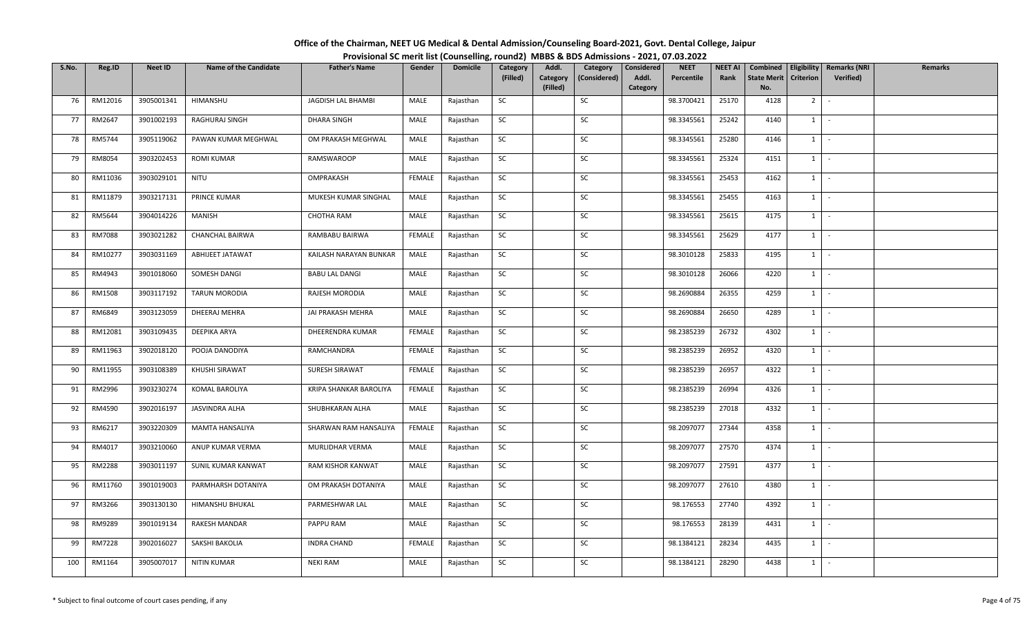| Office of the Chairman, NEET UG Medical & Dental Admission/Counseling Board-2021, Govt. Dental College, Jaipur |                                                                                          |
|----------------------------------------------------------------------------------------------------------------|------------------------------------------------------------------------------------------|
|                                                                                                                | Provisional SC merit list (Counselling, round2) MBBS & BDS Admissions - 2021, 07.03.2022 |

| S.No. | Reg.ID        | Neet ID    | <b>Name of the Candidate</b> | <b>Father's Name</b>   | Gender        | <b>Domicile</b> | Category  | Addl.                | Category     | Considered        | <b>NEET</b> | <b>NEET AI</b> | Combined                  |                  | Eligibility   Remarks (NRI | <b>Remarks</b> |
|-------|---------------|------------|------------------------------|------------------------|---------------|-----------------|-----------|----------------------|--------------|-------------------|-------------|----------------|---------------------------|------------------|----------------------------|----------------|
|       |               |            |                              |                        |               |                 | (Filled)  | Category<br>(Filled) | (Considered) | Addl.<br>Category | Percentile  | Rank           | <b>State Merit</b><br>No. | <b>Criterion</b> | <b>Verified</b> )          |                |
| 76    | RM12016       | 3905001341 | HIMANSHU                     | JAGDISH LAL BHAMBI     | MALE          | Rajasthan       | SC        |                      | SC           |                   | 98.3700421  | 25170          | 4128                      | 2 <sup>1</sup>   | $\sim$                     |                |
|       |               |            |                              |                        |               |                 |           |                      |              |                   |             |                |                           |                  |                            |                |
| 77    | RM2647        | 3901002193 | RAGHURAJ SINGH               | DHARA SINGH            | MALE          | Rajasthan       | SC        |                      | SC           |                   | 98.3345561  | 25242          | 4140                      | 1                | $\sim$                     |                |
| 78    | RM5744        | 3905119062 | PAWAN KUMAR MEGHWAL          | OM PRAKASH MEGHWAL     | MALE          | Rajasthan       | <b>SC</b> |                      | SC           |                   | 98.3345561  | 25280          | 4146                      |                  | $1 \cdot$                  |                |
| 79    | RM8054        | 3903202453 | <b>ROMI KUMAR</b>            | RAMSWAROOP             | MALE          | Rajasthan       | SC        |                      | SC           |                   | 98.3345561  | 25324          | 4151                      | $1$ $-$          |                            |                |
| 80    | RM11036       | 3903029101 | NITU                         | OMPRAKASH              | FEMALE        | Rajasthan       | SC        |                      | SC           |                   | 98.3345561  | 25453          | 4162                      | $1 \mid$         | $\sim$                     |                |
| 81    | RM11879       | 3903217131 | <b>PRINCE KUMAR</b>          | MUKESH KUMAR SINGHAL   | MALE          | Rajasthan       | <b>SC</b> |                      | SC           |                   | 98.3345561  | 25455          | 4163                      | 1                | $\sim$                     |                |
| 82    | RM5644        | 3904014226 | <b>MANISH</b>                | <b>CHOTHA RAM</b>      | MALE          | Rajasthan       | SC        |                      | SC           |                   | 98.3345561  | 25615          | 4175                      | $1 \quad$        | $\sim$                     |                |
| 83    | <b>RM7088</b> | 3903021282 | CHANCHAL BAIRWA              | RAMBABU BAIRWA         | <b>FEMALE</b> | Rajasthan       | SC        |                      | SC           |                   | 98.3345561  | 25629          | 4177                      | 1                | $\sim$                     |                |
| 84    | RM10277       | 3903031169 | <b>ABHIJEET JATAWAT</b>      | KAILASH NARAYAN BUNKAR | MALE          | Rajasthan       | SC        |                      | SC           |                   | 98.3010128  | 25833          | 4195                      | 1                | $\sim$                     |                |
| 85    | RM4943        | 3901018060 | SOMESH DANGI                 | <b>BABU LAL DANGI</b>  | MALE          | Rajasthan       | SC        |                      | SC           |                   | 98.3010128  | 26066          | 4220                      | 1                | $\sim$ $-$                 |                |
| 86    | RM1508        | 3903117192 | TARUN MORODIA                | RAJESH MORODIA         | MALE          | Rajasthan       | <b>SC</b> |                      | SC           |                   | 98.2690884  | 26355          | 4259                      | $1$ $-$          |                            |                |
| 87    | RM6849        | 3903123059 | DHEERAJ MEHRA                | JAI PRAKASH MEHRA      | MALE          | Rajasthan       | SC        |                      | SC           |                   | 98.2690884  | 26650          | 4289                      | 1                | $\sim$                     |                |
| 88    | RM12081       | 3903109435 | DEEPIKA ARYA                 | DHEERENDRA KUMAR       | FEMALE        | Rajasthan       | <b>SC</b> |                      | SC           |                   | 98.2385239  | 26732          | 4302                      | 1                | $\sim$                     |                |
| 89    | RM11963       | 3902018120 | POOJA DANODIYA               | RAMCHANDRA             | FEMALE        | Rajasthan       | SC        |                      | SC           |                   | 98.2385239  | 26952          | 4320                      | $1 \quad$        | $\sim$                     |                |
| 90    | RM11955       | 3903108389 | KHUSHI SIRAWAT               | SURESH SIRAWAT         | FEMALE        | Rajasthan       | SC        |                      | SC           |                   | 98.2385239  | 26957          | 4322                      | $1 \quad$        | $\sim$                     |                |
| 91    | RM2996        | 3903230274 | KOMAL BAROLIYA               | KRIPA SHANKAR BAROLIYA | FEMALE        | Rajasthan       | <b>SC</b> |                      | SC           |                   | 98.2385239  | 26994          | 4326                      | $1 \mid$         | $\sim$                     |                |
| 92    | RM4590        | 3902016197 | JASVINDRA ALHA               | SHUBHKARAN ALHA        | MALE          | Rajasthan       | <b>SC</b> |                      | SC           |                   | 98.2385239  | 27018          | 4332                      | 1                | $\sim$                     |                |
| 93    | RM6217        | 3903220309 | <b>MAMTA HANSALIYA</b>       | SHARWAN RAM HANSALIYA  | FEMALE        | Rajasthan       | SC        |                      | SC           |                   | 98.2097077  | 27344          | 4358                      | 1                | $\sim$                     |                |
| 94    | RM4017        | 3903210060 | ANUP KUMAR VERMA             | MURLIDHAR VERMA        | MALE          | Rajasthan       | SC        |                      | SC           |                   | 98.2097077  | 27570          | 4374                      |                  | $1 \cdot$                  |                |
| 95    | <b>RM2288</b> | 3903011197 | SUNIL KUMAR KANWAT           | RAM KISHOR KANWAT      | MALE          | Rajasthan       | SC        |                      | SC           |                   | 98.2097077  | 27591          | 4377                      | $1 \vert$        | $\sim$                     |                |
| 96    | RM11760       | 3901019003 | PARMHARSH DOTANIYA           | OM PRAKASH DOTANIYA    | MALE          | Rajasthan       | SC        |                      | SC           |                   | 98.2097077  | 27610          | 4380                      | 1                | $\sim$                     |                |
| 97    | RM3266        | 3903130130 | HIMANSHU BHUKAL              | PARMESHWAR LAL         | MALE          | Rajasthan       | SC        |                      | SC           |                   | 98.176553   | 27740          | 4392                      | 1                | $\sim$                     |                |
| 98    | RM9289        | 3901019134 | <b>RAKESH MANDAR</b>         | PAPPU RAM              | MALE          | Rajasthan       | SC        |                      | SC           |                   | 98.176553   | 28139          | 4431                      | $1 \quad$        | $\sim$                     |                |
| 99    | <b>RM7228</b> | 3902016027 | SAKSHI BAKOLIA               | <b>INDRA CHAND</b>     | FEMALE        | Rajasthan       | SC        |                      | SC           |                   | 98.1384121  | 28234          | 4435                      | 1                | $\sim$                     |                |
| 100   | RM1164        | 3905007017 | NITIN KUMAR                  | <b>NEKI RAM</b>        | MALE          | Rajasthan       | SC        |                      | SC           |                   | 98.1384121  | 28290          | 4438                      | $1 \quad$        | $\sim$                     |                |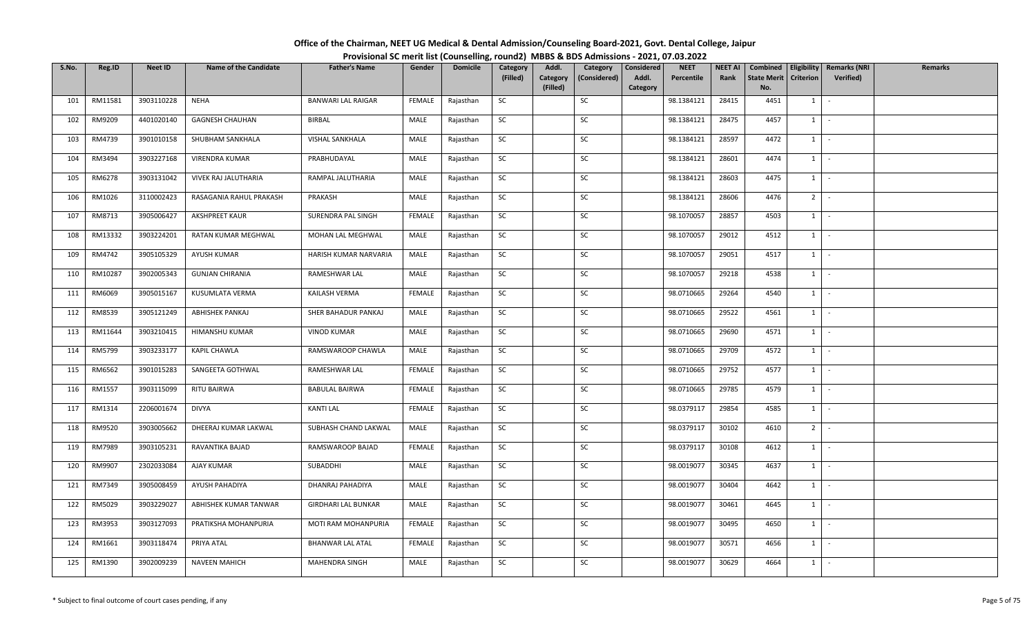| Office of the Chairman, NEET UG Medical & Dental Admission/Counseling Board-2021, Govt. Dental College, Jaipur |  |
|----------------------------------------------------------------------------------------------------------------|--|
| Provisional SC merit list (Counselling, round2) MBBS & BDS Admissions - 2021, 07.03.2022                       |  |

| S.No. | Reg.ID  | <b>Neet ID</b> | <b>Name of the Candidate</b> | <b>Father's Name</b>       | Gender        | <b>Domicile</b> | Category  | Addl.                | Category     | Considered        | <b>NEET</b> | <b>NEET AI</b> | Combined                  | Eligibility                  | <b>Remarks (NRI</b> | <b>Remarks</b> |
|-------|---------|----------------|------------------------------|----------------------------|---------------|-----------------|-----------|----------------------|--------------|-------------------|-------------|----------------|---------------------------|------------------------------|---------------------|----------------|
|       |         |                |                              |                            |               |                 | (Filled)  | Category<br>(Filled) | (Considered) | Addl.<br>Category | Percentile  | Rank           | <b>State Merit</b><br>No. | Criterion                    | Verified)           |                |
| 101   | RM11581 | 3903110228     | <b>NEHA</b>                  | <b>BANWARI LAL RAIGAR</b>  | FEMALE        | Rajasthan       | SC        |                      | SC           |                   | 98.1384121  | 28415          | 4451                      | $1 \quad$                    | $\sim$              |                |
|       |         |                |                              |                            |               |                 |           |                      |              |                   |             |                |                           |                              |                     |                |
| 102   | RM9209  | 4401020140     | <b>GAGNESH CHAUHAN</b>       | <b>BIRBAL</b>              | MALE          | Rajasthan       | <b>SC</b> |                      | SC           |                   | 98.1384121  | 28475          | 4457                      | $1 \quad$                    | $\sim$              |                |
| 103   | RM4739  | 3901010158     | SHUBHAM SANKHALA             | VISHAL SANKHALA            | MALE          | Rajasthan       | SC        |                      | SC           |                   | 98.1384121  | 28597          | 4472                      | $1 \quad$                    | $\sim$              |                |
| 104   | RM3494  | 3903227168     | VIRENDRA KUMAR               | PRABHUDAYAL                | MALE          | Rajasthan       | <b>SC</b> |                      | SC           |                   | 98.1384121  | 28601          | 4474                      | $1 \mid$                     | $\sim$              |                |
| 105   | RM6278  | 3903131042     | VIVEK RAJ JALUTHARIA         | RAMPAL JALUTHARIA          | MALE          | Rajasthan       | SC        |                      | SC           |                   | 98.1384121  | 28603          | 4475                      | 1                            | $\sim$              |                |
| 106   | RM1026  | 3110002423     | RASAGANIA RAHUL PRAKASH      | PRAKASH                    | MALE          | Rajasthan       | SC        |                      | SC           |                   | 98.1384121  | 28606          | 4476                      | $2$ $\overline{\phantom{0}}$ |                     |                |
| 107   | RM8713  | 3905006427     | <b>AKSHPREET KAUR</b>        | SURENDRA PAL SINGH         | FEMALE        | Rajasthan       | <b>SC</b> |                      | SC           |                   | 98.1070057  | 28857          | 4503                      | 1                            | $\sim$              |                |
| 108   | RM13332 | 3903224201     | RATAN KUMAR MEGHWAL          | MOHAN LAL MEGHWAL          | MALE          | Rajasthan       | SC        |                      | SC           |                   | 98.1070057  | 29012          | 4512                      | 1                            | $\sim$              |                |
| 109   | RM4742  | 3905105329     | AYUSH KUMAR                  | HARISH KUMAR NARVARIA      | MALE          | Rajasthan       | SC        |                      | SC           |                   | 98.1070057  | 29051          | 4517                      | $1 \quad$                    | $\sim$              |                |
| 110   | RM10287 | 3902005343     | <b>GUNJAN CHIRANIA</b>       | RAMESHWAR LAL              | MALE          | Rajasthan       | SC        |                      | SC           |                   | 98.1070057  | 29218          | 4538                      | $1 \quad$                    | $\sim$              |                |
| 111   | RM6069  | 3905015167     | KUSUMLATA VERMA              | KAILASH VERMA              | <b>FEMALE</b> | Rajasthan       | <b>SC</b> |                      | SC           |                   | 98.0710665  | 29264          | 4540                      | $1 \mid$                     | $\sim$              |                |
| 112   | RM8539  | 3905121249     | <b>ABHISHEK PANKAJ</b>       | SHER BAHADUR PANKAJ        | MALE          | Rajasthan       | SC        |                      | <b>SC</b>    |                   | 98.0710665  | 29522          | 4561                      | $1\phantom{0}$               | $\sim$              |                |
| 113   | RM11644 | 3903210415     | HIMANSHU KUMAR               | <b>VINOD KUMAR</b>         | MALE          | Rajasthan       | SC        |                      | SC           |                   | 98.0710665  | 29690          | 4571                      | 1                            | $\sim$              |                |
| 114   | RM5799  | 3903233177     | KAPIL CHAWLA                 | RAMSWAROOP CHAWLA          | MALE          | Rajasthan       | SC        |                      | SC           |                   | 98.0710665  | 29709          | 4572                      | $1 \quad$                    | $\sim$              |                |
| 115   | RM6562  | 3901015283     | SANGEETA GOTHWAL             | RAMESHWAR LAL              | FEMALE        | Rajasthan       | SC        |                      | SC           |                   | 98.0710665  | 29752          | 4577                      | 1                            | $\sim$              |                |
| 116   | RM1557  | 3903115099     | RITU BAIRWA                  | <b>BABULAL BAIRWA</b>      | FEMALE        | Rajasthan       | SC        |                      | SC           |                   | 98.0710665  | 29785          | 4579                      | 1                            | $\sim$              |                |
| 117   | RM1314  | 2206001674     | <b>DIVYA</b>                 | <b>KANTI LAL</b>           | FEMALE        | Rajasthan       | SC        |                      | SC           |                   | 98.0379117  | 29854          | 4585                      | 1                            | $\sim$              |                |
| 118   | RM9520  | 3903005662     | DHEERAJ KUMAR LAKWAL         | SUBHASH CHAND LAKWAL       | MALE          | Rajasthan       | <b>SC</b> |                      | SC           |                   | 98.0379117  | 30102          | 4610                      | $2$ -                        |                     |                |
| 119   | RM7989  | 3903105231     | RAVANTIKA BAJAD              | RAMSWAROOP BAJAD           | FEMALE        | Rajasthan       | SC        |                      | SC           |                   | 98.0379117  | 30108          | 4612                      | $1 \vert$                    | $\sim$              |                |
| 120   | RM9907  | 2302033084     | AJAY KUMAR                   | SUBADDHI                   | MALE          | Rajasthan       | SC        |                      | SC           |                   | 98.0019077  | 30345          | 4637                      | $1 \quad$                    | $\sim$              |                |
| 121   | RM7349  | 3905008459     | AYUSH PAHADIYA               | DHANRAJ PAHADIYA           | MALE          | Rajasthan       | <b>SC</b> |                      | SC           |                   | 98.0019077  | 30404          | 4642                      | $1 \quad$                    | $\sim$              |                |
| 122   | RM5029  | 3903229027     | ABHISHEK KUMAR TANWAR        | <b>GIRDHARI LAL BUNKAR</b> | MALE          | Rajasthan       | SC        |                      | SC           |                   | 98.0019077  | 30461          | 4645                      | $1 \cdot$                    |                     |                |
| 123   | RM3953  | 3903127093     | PRATIKSHA MOHANPURIA         | MOTI RAM MOHANPURIA        | FEMALE        | Rajasthan       | SC        |                      | SC           |                   | 98.0019077  | 30495          | 4650                      | 1                            | $\sim$              |                |
| 124   | RM1661  | 3903118474     | PRIYA ATAL                   | <b>BHANWAR LAL ATAL</b>    | FEMALE        | Rajasthan       | SC        |                      | SC           |                   | 98.0019077  | 30571          | 4656                      | $1 \quad$                    | $\sim$              |                |
| 125   | RM1390  | 3902009239     | <b>NAVEEN MAHICH</b>         | <b>MAHENDRA SINGH</b>      | MALE          | Rajasthan       | <b>SC</b> |                      | SC           |                   | 98.0019077  | 30629          | 4664                      | $1 \quad$                    | $\sim$              |                |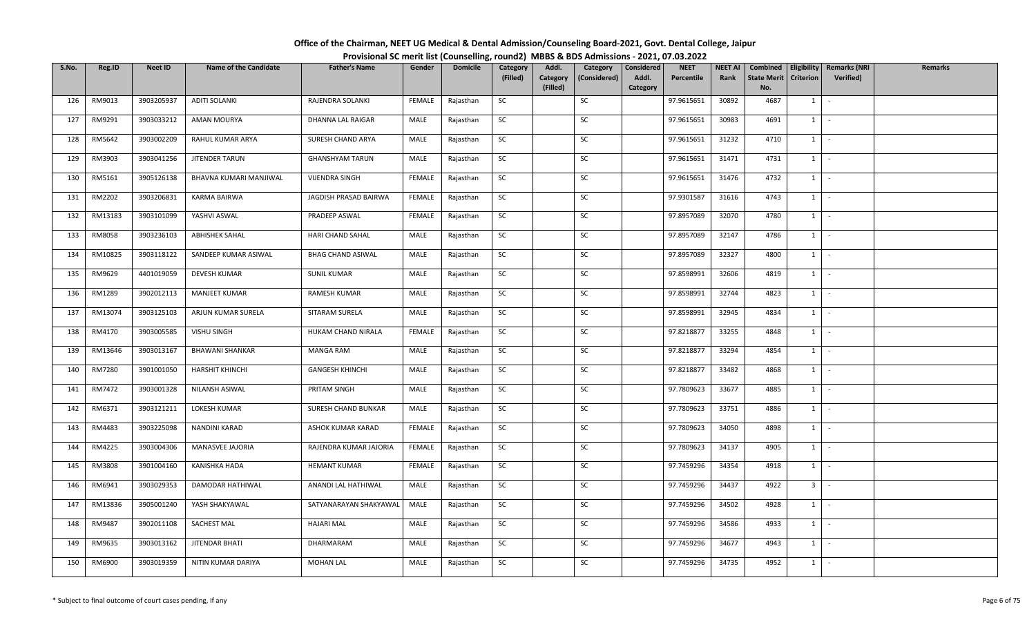| Office of the Chairman, NEET UG Medical & Dental Admission/Counseling Board-2021, Govt. Dental College, Jaipur |  |
|----------------------------------------------------------------------------------------------------------------|--|
| Provisional SC merit list (Counselling, round2) MBBS & BDS Admissions - 2021, 07.03.2022                       |  |

| S.No. | Reg.ID  | <b>Neet ID</b> | <b>Name of the Candidate</b> | <b>Father's Name</b>     | Gender        | <b>Domicile</b> | Category  | Addl.                | Category     | Considered        | <b>NEET</b> | <b>NEET AI</b> | Combined                  |                  | Eligibility   Remarks (NRI | Remarks |
|-------|---------|----------------|------------------------------|--------------------------|---------------|-----------------|-----------|----------------------|--------------|-------------------|-------------|----------------|---------------------------|------------------|----------------------------|---------|
|       |         |                |                              |                          |               |                 | (Filled)  | Category<br>(Filled) | (Considered) | Addl.<br>Category | Percentile  | Rank           | <b>State Merit</b><br>No. | <b>Criterion</b> | Verified)                  |         |
| 126   | RM9013  | 3903205937     | <b>ADITI SOLANKI</b>         | RAJENDRA SOLANKI         | FEMALE        | Rajasthan       | SC        |                      | SC           |                   | 97.9615651  | 30892          | 4687                      | 1                | $\sim$                     |         |
| 127   | RM9291  | 3903033212     | AMAN MOURYA                  | DHANNA LAL RAIGAR        | MALE          | Rajasthan       | SC        |                      | SC           |                   | 97.9615651  | 30983          | 4691                      | $1 \quad$        | $\sim$                     |         |
| 128   | RM5642  | 3903002209     | RAHUL KUMAR ARYA             | SURESH CHAND ARYA        | MALE          | Rajasthan       | SC        |                      | SC           |                   | 97.9615651  | 31232          | 4710                      |                  | $1 \cdot$                  |         |
| 129   | RM3903  | 3903041256     | JITENDER TARUN               | <b>GHANSHYAM TARUN</b>   | MALE          | Rajasthan       | SC        |                      | SC           |                   | 97.9615651  | 31471          | 4731                      |                  | $1$ $-$                    |         |
| 130   | RM5161  | 3905126138     | BHAVNA KUMARI MANJIWAL       | VIJENDRA SINGH           | <b>FEMALE</b> | Rajasthan       | SC        |                      | SC           |                   | 97.9615651  | 31476          | 4732                      |                  | $1 \mid -$                 |         |
| 131   | RM2202  | 3903206831     | KARMA BAIRWA                 | JAGDISH PRASAD BAIRWA    | FEMALE        | Rajasthan       | SC        |                      | SC           |                   | 97.9301587  | 31616          | 4743                      |                  | $1 \cdot$                  |         |
| 132   | RM13183 | 3903101099     | YASHVI ASWAL                 | PRADEEP ASWAL            | FEMALE        | Rajasthan       | SC        |                      | SC           |                   | 97.8957089  | 32070          | 4780                      | $1 \quad$        | $\sim$                     |         |
| 133   | RM8058  | 3903236103     | <b>ABHISHEK SAHAL</b>        | HARI CHAND SAHAL         | MALE          | Rajasthan       | SC        |                      | SC           |                   | 97.8957089  | 32147          | 4786                      | 1                | $\sim$ $-$                 |         |
| 134   | RM10825 | 3903118122     | SANDEEP KUMAR ASIWAL         | <b>BHAG CHAND ASIWAL</b> | MALE          | Rajasthan       | SC        |                      | SC           |                   | 97.8957089  | 32327          | 4800                      |                  | $1$ $-$                    |         |
| 135   | RM9629  | 4401019059     | DEVESH KUMAR                 | <b>SUNIL KUMAR</b>       | MALE          | Rajasthan       | SC        |                      | SC           |                   | 97.8598991  | 32606          | 4819                      | $1 \quad$        | $\sim$ $-$                 |         |
| 136   | RM1289  | 3902012113     | MANJEET KUMAR                | RAMESH KUMAR             | MALE          | Rajasthan       | SC        |                      | SC           |                   | 97.8598991  | 32744          | 4823                      |                  | $1 \cdot$                  |         |
| 137   | RM13074 | 3903125103     | ARJUN KUMAR SURELA           | SITARAM SURELA           | MALE          | Rajasthan       | SC        |                      | SC           |                   | 97.8598991  | 32945          | 4834                      | $1 \vert$        | $\sim$                     |         |
| 138   | RM4170  | 3903005585     | VISHU SINGH                  | HUKAM CHAND NIRALA       | <b>FEMALE</b> | Rajasthan       | SC        |                      | SC           |                   | 97.8218877  | 33255          | 4848                      | 1                | $\sim$                     |         |
| 139   | RM13646 | 3903013167     | <b>BHAWANI SHANKAR</b>       | <b>MANGA RAM</b>         | MALE          | Rajasthan       | SC        |                      | SC           |                   | 97.8218877  | 33294          | 4854                      | $1 \quad$        | $\sim$                     |         |
| 140   | RM7280  | 3901001050     | <b>HARSHIT KHINCHI</b>       | <b>GANGESH KHINCHI</b>   | MALE          | Rajasthan       | SC        |                      | SC           |                   | 97.8218877  | 33482          | 4868                      | $1 \quad$        | $\sim$                     |         |
| 141   | RM7472  | 3903001328     | NILANSH ASIWAL               | PRITAM SINGH             | MALE          | Rajasthan       | <b>SC</b> |                      | SC           |                   | 97.7809623  | 33677          | 4885                      | $1 \mid$         | $\sim$ $-$                 |         |
| 142   | RM6371  | 3903121211     | LOKESH KUMAR                 | SURESH CHAND BUNKAR      | MALE          | Rajasthan       | SC        |                      | SC           |                   | 97.7809623  | 33751          | 4886                      | 1                | $\sim$                     |         |
| 143   | RM4483  | 3903225098     | NANDINI KARAD                | ASHOK KUMAR KARAD        | <b>FEMALE</b> | Rajasthan       | SC        |                      | SC           |                   | 97.7809623  | 34050          | 4898                      | 1                | $\sim$                     |         |
| 144   | RM4225  | 3903004306     | MANASVEE JAJORIA             | RAJENDRA KUMAR JAJORIA   | FEMALE        | Rajasthan       | SC        |                      | SC           |                   | 97.7809623  | 34137          | 4905                      |                  | $1 \cdot$                  |         |
| 145   | RM3808  | 3901004160     | KANISHKA HADA                | <b>HEMANT KUMAR</b>      | FEMALE        | Rajasthan       | SC        |                      | SC           |                   | 97.7459296  | 34354          | 4918                      | $1 \quad$        | $\sim$                     |         |
| 146   | RM6941  | 3903029353     | DAMODAR HATHIWAL             | ANANDI LAL HATHIWAL      | MALE          | Rajasthan       | SC        |                      | SC           |                   | 97.7459296  | 34437          | 4922                      | 3 <sup>1</sup>   | $\sim$                     |         |
| 147   | RM13836 | 3905001240     | YASH SHAKYAWAL               | SATYANARAYAN SHAKYAWAL   | MALE          | Rajasthan       | SC        |                      | SC           |                   | 97.7459296  | 34502          | 4928                      |                  | $1$ $-$                    |         |
| 148   | RM9487  | 3902011108     | <b>SACHEST MAL</b>           | <b>HAJARI MAL</b>        | MALE          | Rajasthan       | SC        |                      | SC           |                   | 97.7459296  | 34586          | 4933                      | $1 \quad$        | $\sim$                     |         |
| 149   | RM9635  | 3903013162     | JITENDAR BHATI               | DHARMARAM                | MALE          | Rajasthan       | SC        |                      | SC           |                   | 97.7459296  | 34677          | 4943                      | $1 \quad$        | $\sim$                     |         |
| 150   | RM6900  | 3903019359     | NITIN KUMAR DARIYA           | <b>MOHAN LAL</b>         | MALE          | Rajasthan       | SC        |                      | SC           |                   | 97.7459296  | 34735          | 4952                      | $1 \quad$        | $\sim$                     |         |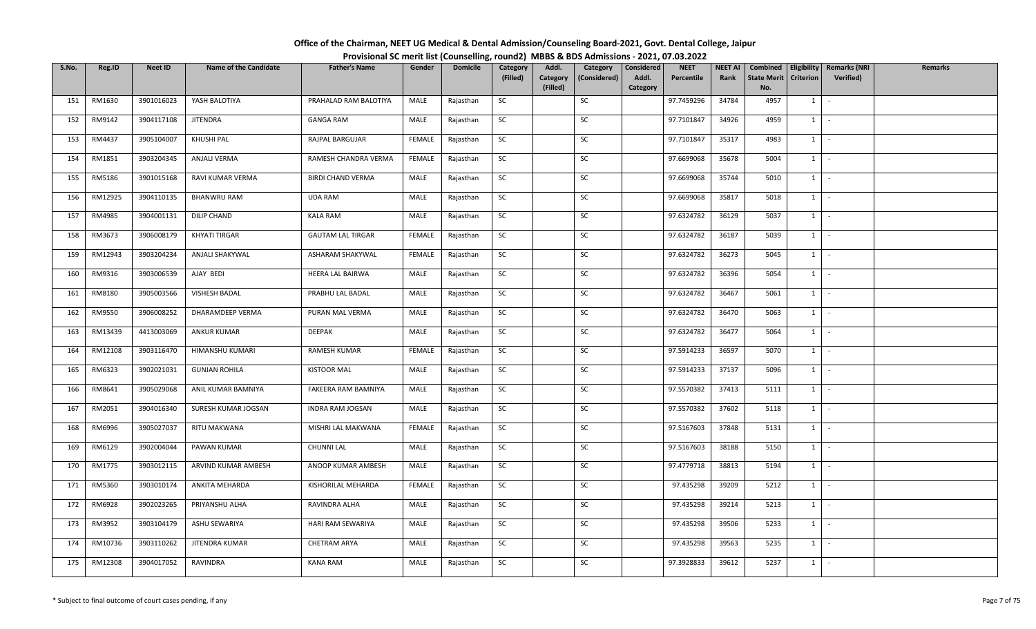| Office of the Chairman, NEET UG Medical & Dental Admission/Counseling Board-2021, Govt. Dental College, Jaipur |                                                                                          |
|----------------------------------------------------------------------------------------------------------------|------------------------------------------------------------------------------------------|
|                                                                                                                | Provisional SC merit list (Counselling, round2) MBBS & BDS Admissions - 2021, 07.03.2022 |

| S.No. | Reg.ID  | Neet ID    | <b>Name of the Candidate</b> | <b>Father's Name</b>     | Gender        | <b>Domicile</b> | Category  | Addl.                | Category     | Considered        | <b>NEET</b> | <b>NEET AI</b> | Combined                  | Eligibility      | <b>Remarks (NRI</b> | <b>Remarks</b> |
|-------|---------|------------|------------------------------|--------------------------|---------------|-----------------|-----------|----------------------|--------------|-------------------|-------------|----------------|---------------------------|------------------|---------------------|----------------|
|       |         |            |                              |                          |               |                 | (Filled)  | Category<br>(Filled) | (Considered) | Addl.<br>Category | Percentile  | Rank           | <b>State Merit</b><br>No. | <b>Criterion</b> | Verified)           |                |
| 151   | RM1630  | 3901016023 | YASH BALOTIYA                | PRAHALAD RAM BALOTIYA    | MALE          | Rajasthan       | SC        |                      | SC           |                   | 97.7459296  | 34784          | 4957                      | $1 \quad$        | $\sim$              |                |
|       |         |            |                              |                          |               |                 |           |                      |              |                   |             |                |                           |                  |                     |                |
| 152   | RM9142  | 3904117108 | <b>JITENDRA</b>              | <b>GANGA RAM</b>         | MALE          | Rajasthan       | <b>SC</b> |                      | SC           |                   | 97.7101847  | 34926          | 4959                      | $1 \quad$        | $\sim$              |                |
| 153   | RM4437  | 3905104007 | KHUSHI PAL                   | RAJPAL BARGUJAR          | FEMALE        | Rajasthan       | SC        |                      | SC           |                   | 97.7101847  | 35317          | 4983                      | $1 \quad$        | $\sim$              |                |
| 154   | RM1851  | 3903204345 | ANJALI VERMA                 | RAMESH CHANDRA VERMA     | FEMALE        | Rajasthan       | <b>SC</b> |                      | SC           |                   | 97.6699068  | 35678          | 5004                      | $1 \mid$         | $\sim$              |                |
| 155   | RM5186  | 3901015168 | RAVI KUMAR VERMA             | <b>BIRDI CHAND VERMA</b> | MALE          | Rajasthan       | SC        |                      | SC           |                   | 97.6699068  | 35744          | 5010                      | 1                | $\sim$              |                |
| 156   | RM12925 | 3904110135 | <b>BHANWRU RAM</b>           | <b>UDA RAM</b>           | MALE          | Rajasthan       | <b>SC</b> |                      | SC           |                   | 97.6699068  | 35817          | 5018                      | $1 \mid -$       |                     |                |
| 157   | RM4985  | 3904001131 | DILIP CHAND                  | <b>KALA RAM</b>          | MALE          | Rajasthan       | <b>SC</b> |                      | SC           |                   | 97.6324782  | 36129          | 5037                      | 1                | $\sim$              |                |
| 158   | RM3673  | 3906008179 | KHYATI TIRGAR                | <b>GAUTAM LAL TIRGAR</b> | <b>FEMALE</b> | Rajasthan       | SC        |                      | SC           |                   | 97.6324782  | 36187          | 5039                      | 1                | $\sim$              |                |
| 159   | RM12943 | 3903204234 | ANJALI SHAKYWAL              | ASHARAM SHAKYWAL         | FEMALE        | Rajasthan       | SC        |                      | SC           |                   | 97.6324782  | 36273          | 5045                      | $1 \quad$        | $\sim$              |                |
| 160   | RM9316  | 3903006539 | AJAY BEDI                    | HEERA LAL BAIRWA         | MALE          | Rajasthan       | SC        |                      | SC           |                   | 97.6324782  | 36396          | 5054                      | $1 \quad$        | $\sim$              |                |
| 161   | RM8180  | 3905003566 | VISHESH BADAL                | PRABHU LAL BADAL         | MALE          | Rajasthan       | <b>SC</b> |                      | SC           |                   | 97.6324782  | 36467          | 5061                      | $1 \mid$         | $\sim$              |                |
| 162   | RM9550  | 3906008252 | <b>DHARAMDEEP VERMA</b>      | PURAN MAL VERMA          | MALE          | Rajasthan       | SC        |                      | SC           |                   | 97.6324782  | 36470          | 5063                      | $1\phantom{0}$   | $\sim$              |                |
| 163   | RM13439 | 4413003069 | <b>ANKUR KUMAR</b>           | DEEPAK                   | MALE          | Rajasthan       | SC        |                      | SC           |                   | 97.6324782  | 36477          | 5064                      | 1                | $\sim$              |                |
| 164   | RM12108 | 3903116470 | HIMANSHU KUMARI              | RAMESH KUMAR             | <b>FEMALE</b> | Rajasthan       | SC        |                      | SC           |                   | 97.5914233  | 36597          | 5070                      | $1 \quad$        | $\sim$              |                |
| 165   | RM6323  | 3902021031 | <b>GUNJAN ROHILA</b>         | <b>KISTOOR MAL</b>       | MALE          | Rajasthan       | <b>SC</b> |                      | SC           |                   | 97.5914233  | 37137          | 5096                      | 1                | $\sim$              |                |
| 166   | RM8641  | 3905029068 | ANIL KUMAR BAMNIYA           | FAKEERA RAM BAMNIYA      | MALE          | Rajasthan       | SC        |                      | SC           |                   | 97.5570382  | 37413          | 5111                      | 1                | $\sim$              |                |
| 167   | RM2051  | 3904016340 | SURESH KUMAR JOGSAN          | <b>INDRA RAM JOGSAN</b>  | MALE          | Rajasthan       | SC        |                      | SC           |                   | 97.5570382  | 37602          | 5118                      | 1                | $\sim$              |                |
| 168   | RM6996  | 3905027037 | RITU MAKWANA                 | MISHRI LAL MAKWANA       | <b>FEMALE</b> | Rajasthan       | <b>SC</b> |                      | SC           |                   | 97.5167603  | 37848          | 5131                      | $1$ $\cdot$      |                     |                |
| 169   | RM6129  | 3902004044 | PAWAN KUMAR                  | <b>CHUNNI LAL</b>        | MALE          | Rajasthan       | SC        |                      | SC           |                   | 97.5167603  | 38188          | 5150                      | $1 \vert$        | $\sim$              |                |
| 170   | RM1775  | 3903012115 | ARVIND KUMAR AMBESH          | ANOOP KUMAR AMBESH       | MALE          | Rajasthan       | SC        |                      | SC           |                   | 97.4779718  | 38813          | 5194                      | $1 \quad$        | $\sim$              |                |
| 171   | RM5360  | 3903010174 | ANKITA MEHARDA               | KISHORILAL MEHARDA       | <b>FEMALE</b> | Rajasthan       | <b>SC</b> |                      | SC           |                   | 97.435298   | 39209          | 5212                      | 1                | $\sim$              |                |
| 172   | RM6928  | 3902023265 | PRIYANSHU ALHA               | RAVINDRA ALHA            | MALE          | Rajasthan       | SC        |                      | SC           |                   | 97.435298   | 39214          | 5213                      | $1 \cdot$        |                     |                |
| 173   | RM3952  | 3903104179 | ASHU SEWARIYA                | HARI RAM SEWARIYA        | MALE          | Rajasthan       | SC        |                      | SC           |                   | 97.435298   | 39506          | 5233                      | 1                | $\sim$              |                |
| 174   | RM10736 | 3903110262 | JITENDRA KUMAR               | CHETRAM ARYA             | MALE          | Rajasthan       | SC        |                      | SC           |                   | 97.435298   | 39563          | 5235                      | $1 \quad$        | $\sim$              |                |
| 175   | RM12308 | 3904017052 | RAVINDRA                     | <b>KANA RAM</b>          | MALE          | Rajasthan       | <b>SC</b> |                      | SC           |                   | 97.3928833  | 39612          | 5237                      | $1 \quad$        | $\sim$              |                |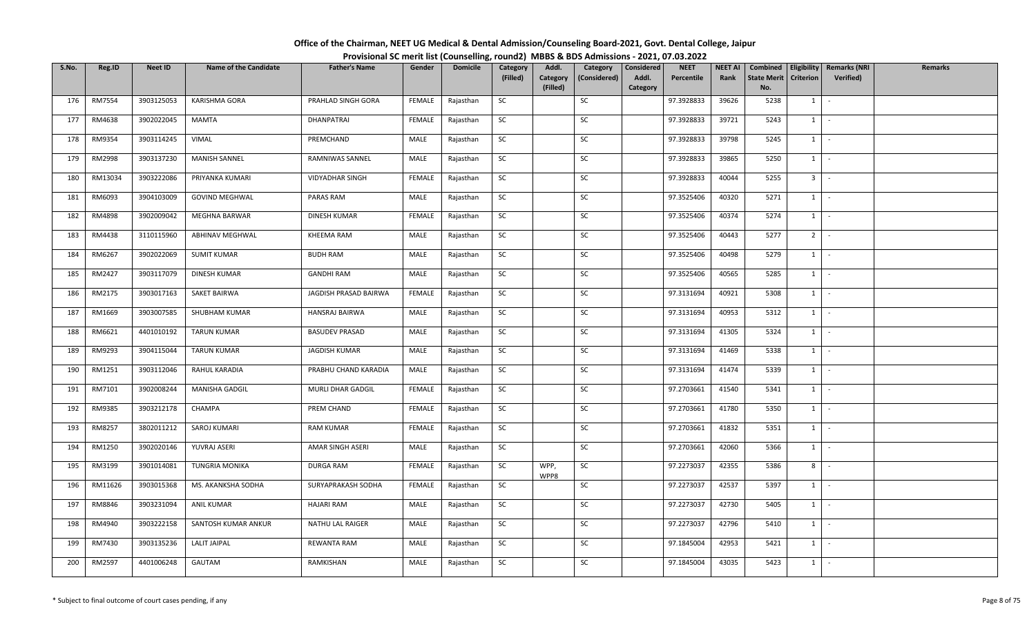| Office of the Chairman, NEET UG Medical & Dental Admission/Counseling Board-2021, Govt. Dental College, Jaipur |                                                                                          |
|----------------------------------------------------------------------------------------------------------------|------------------------------------------------------------------------------------------|
|                                                                                                                | Provisional SC merit list (Counselling, round2) MBBS & BDS Admissions - 2021, 07.03.2022 |

| S.No. | Reg.ID  | <b>Neet ID</b> | <b>Name of the Candidate</b> | <b>Father's Name</b>   | Gender        | <b>Domicile</b> | Category<br>(Filled) | Addl.<br>Category<br>(Filled) | Category<br>(Considered) | Considered<br>Addl.<br>Category | <b>NEET</b><br>Percentile | <b>NEET AI</b><br>Rank | Combined<br><b>State Merit</b><br>No. | <b>Criterion</b> | Eligibility   Remarks (NRI<br><b>Verified)</b> | Remarks |
|-------|---------|----------------|------------------------------|------------------------|---------------|-----------------|----------------------|-------------------------------|--------------------------|---------------------------------|---------------------------|------------------------|---------------------------------------|------------------|------------------------------------------------|---------|
| 176   | RM7554  | 3903125053     | KARISHMA GORA                | PRAHLAD SINGH GORA     | FEMALE        | Rajasthan       | SC                   |                               | SC                       |                                 | 97.3928833                | 39626                  | 5238                                  | $1\vert$         | $\sim$                                         |         |
| 177   | RM4638  | 3902022045     | <b>MAMTA</b>                 | DHANPATRAI             | <b>FEMALE</b> | Rajasthan       | SC                   |                               | SC                       |                                 | 97.3928833                | 39721                  | 5243                                  | $1 \quad$        | $\sim$                                         |         |
| 178   | RM9354  | 3903114245     | VIMAL                        | PREMCHAND              | MALE          | Rajasthan       | <b>SC</b>            |                               | SC                       |                                 | 97.3928833                | 39798                  | 5245                                  | $1 \mid -$       |                                                |         |
| 179   | RM2998  | 3903137230     | MANISH SANNEL                | RAMNIWAS SANNEL        | MALE          | Rajasthan       | SC                   |                               | SC                       |                                 | 97.3928833                | 39865                  | 5250                                  | 1                | $\sim$                                         |         |
| 180   | RM13034 | 3903222086     | PRIYANKA KUMARI              | <b>VIDYADHAR SINGH</b> | <b>FEMALE</b> | Rajasthan       | SC                   |                               | SC                       |                                 | 97.3928833                | 40044                  | 5255                                  | 3 <sup>1</sup>   | $\sim$                                         |         |
| 181   | RM6093  | 3904103009     | <b>GOVIND MEGHWAL</b>        | PARAS RAM              | MALE          | Rajasthan       | <b>SC</b>            |                               | SC                       |                                 | 97.3525406                | 40320                  | 5271                                  | $1 \quad$        | $\sim$                                         |         |
| 182   | RM4898  | 3902009042     | MEGHNA BARWAR                | <b>DINESH KUMAR</b>    | <b>FEMALE</b> | Rajasthan       | SC                   |                               | SC                       |                                 | 97.3525406                | 40374                  | 5274                                  | 1                | $\sim$                                         |         |
| 183   | RM4438  | 3110115960     | ABHINAV MEGHWAL              | KHEEMA RAM             | MALE          | Rajasthan       | SC                   |                               | ${\sf SC}$               |                                 | 97.3525406                | 40443                  | 5277                                  | 2 <sup>1</sup>   | $\sim$                                         |         |
| 184   | RM6267  | 3902022069     | <b>SUMIT KUMAR</b>           | <b>BUDH RAM</b>        | MALE          | Rajasthan       | <b>SC</b>            |                               | SC                       |                                 | 97.3525406                | 40498                  | 5279                                  | $1 \vert$        | $\sim$                                         |         |
| 185   | RM2427  | 3903117079     | DINESH KUMAR                 | <b>GANDHI RAM</b>      | MALE          | Rajasthan       | SC                   |                               | SC                       |                                 | 97.3525406                | 40565                  | 5285                                  | $1 \quad$        | $\sim$                                         |         |
| 186   | RM2175  | 3903017163     | SAKET BAIRWA                 | JAGDISH PRASAD BAIRWA  | FEMALE        | Rajasthan       | <b>SC</b>            |                               | SC                       |                                 | 97.3131694                | 40921                  | 5308                                  | $1 \quad$        | $\sim$                                         |         |
| 187   | RM1669  | 3903007585     | SHUBHAM KUMAR                | HANSRAJ BAIRWA         | MALE          | Rajasthan       | SC                   |                               | SC                       |                                 | 97.3131694                | 40953                  | 5312                                  | $1 \vert$        | $\sim$                                         |         |
| 188   | RM6621  | 4401010192     | <b>TARUN KUMAR</b>           | <b>BASUDEV PRASAD</b>  | MALE          | Rajasthan       | SC                   |                               | SC                       |                                 | 97.3131694                | 41305                  | 5324                                  | 1                | $\sim$                                         |         |
| 189   | RM9293  | 3904115044     | <b>TARUN KUMAR</b>           | JAGDISH KUMAR          | MALE          | Rajasthan       | SC                   |                               | SC                       |                                 | 97.3131694                | 41469                  | 5338                                  | 1                | $\sim$                                         |         |
| 190   | RM1251  | 3903112046     | RAHUL KARADIA                | PRABHU CHAND KARADIA   | MALE          | Rajasthan       | SC                   |                               | SC                       |                                 | 97.3131694                | 41474                  | 5339                                  | $1 \quad$        | $\sim$                                         |         |
| 191   | RM7101  | 3902008244     | MANISHA GADGIL               | MURLI DHAR GADGIL      | FEMALE        | Rajasthan       | <b>SC</b>            |                               | SC                       |                                 | 97.2703661                | 41540                  | 5341                                  | $1 \mid -$       |                                                |         |
| 192   | RM9385  | 3903212178     | CHAMPA                       | PREM CHAND             | FEMALE        | Rajasthan       | <b>SC</b>            |                               | SC                       |                                 | 97.2703661                | 41780                  | 5350                                  | 1                | $\sim$                                         |         |
| 193   | RM8257  | 3802011212     | SAROJ KUMARI                 | <b>RAM KUMAR</b>       | <b>FEMALE</b> | Rajasthan       | SC                   |                               | SC                       |                                 | 97.2703661                | 41832                  | 5351                                  | $1 \quad$        | $\sim$                                         |         |
| 194   | RM1250  | 3902020146     | YUVRAJ ASERI                 | AMAR SINGH ASERI       | MALE          | Rajasthan       | SC                   |                               | SC                       |                                 | 97.2703661                | 42060                  | 5366                                  | $1 \mid -$       |                                                |         |
| 195   | RM3199  | 3901014081     | <b>TUNGRIA MONIKA</b>        | <b>DURGA RAM</b>       | <b>FEMALE</b> | Rajasthan       | SC                   | WPP,<br>WPP8                  | SC                       |                                 | 97.2273037                | 42355                  | 5386                                  | 8                | $\sim$                                         |         |
| 196   | RM11626 | 3903015368     | MS. AKANKSHA SODHA           | SURYAPRAKASH SODHA     | FEMALE        | Rajasthan       | <b>SC</b>            |                               | SC                       |                                 | 97.2273037                | 42537                  | 5397                                  | $1 \cdot$        |                                                |         |
| 197   | RM8846  | 3903231094     | <b>ANIL KUMAR</b>            | <b>HAJARI RAM</b>      | MALE          | Rajasthan       | <b>SC</b>            |                               | SC                       |                                 | 97.2273037                | 42730                  | 5405                                  | $1 \mid$         | $\sim$                                         |         |
| 198   | RM4940  | 3903222158     | SANTOSH KUMAR ANKUR          | NATHU LAL RAIGER       | MALE          | Rajasthan       | SC                   |                               | SC                       |                                 | 97.2273037                | 42796                  | 5410                                  | $1 \quad$        | $\sim$ $-$                                     |         |
| 199   | RM7430  | 3903135236     | <b>LALIT JAIPAL</b>          | REWANTA RAM            | MALE          | Rajasthan       | <b>SC</b>            |                               | SC                       |                                 | 97.1845004                | 42953                  | 5421                                  | $1 \quad$        | $\sim$                                         |         |
| 200   | RM2597  | 4401006248     | GAUTAM                       | RAMKISHAN              | MALE          | Rajasthan       | SC                   |                               | SC                       |                                 | 97.1845004                | 43035                  | 5423                                  | $1 \quad$        | $\sim$                                         |         |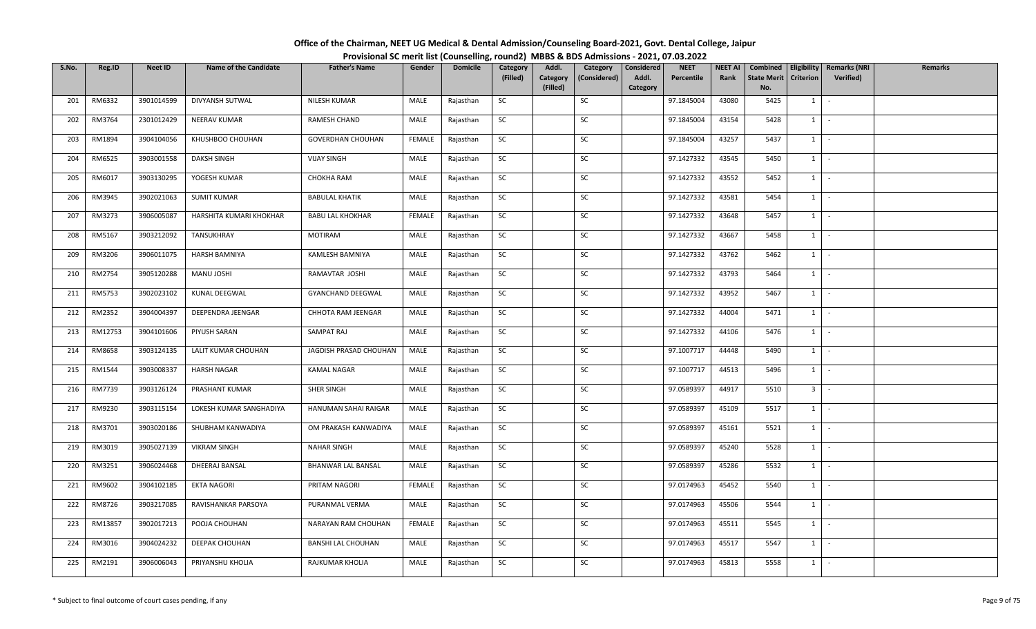| Office of the Chairman, NEET UG Medical & Dental Admission/Counseling Board-2021, Govt. Dental College, Jaipur |                                                                                          |
|----------------------------------------------------------------------------------------------------------------|------------------------------------------------------------------------------------------|
|                                                                                                                | Provisional SC merit list (Counselling, round2) MBBS & BDS Admissions - 2021, 07.03.2022 |

| S.No. | Reg.ID  | <b>Neet ID</b> | <b>Name of the Candidate</b> | <b>Father's Name</b>      | Gender        | <b>Domicile</b> | Category  | Addl.                | Category     | Considered        | <b>NEET</b> | <b>NEET AI</b> | Combined                  |                  | <b>Eligibility   Remarks (NRI</b> | Remarks |
|-------|---------|----------------|------------------------------|---------------------------|---------------|-----------------|-----------|----------------------|--------------|-------------------|-------------|----------------|---------------------------|------------------|-----------------------------------|---------|
|       |         |                |                              |                           |               |                 | (Filled)  | Category<br>(Filled) | (Considered) | Addl.<br>Category | Percentile  | Rank           | <b>State Merit</b><br>No. | <b>Criterion</b> | Verified)                         |         |
| 201   | RM6332  | 3901014599     | DIVYANSH SUTWAL              | NILESH KUMAR              | MALE          | Rajasthan       | SC        |                      | SC           |                   | 97.1845004  | 43080          | 5425                      | 1                | $\sim$                            |         |
| 202   | RM3764  | 2301012429     | NEERAV KUMAR                 | RAMESH CHAND              | MALE          | Rajasthan       | SC        |                      | SC           |                   | 97.1845004  | 43154          | 5428                      | $1 \quad$        | $\sim$                            |         |
| 203   | RM1894  | 3904104056     | KHUSHBOO CHOUHAN             | <b>GOVERDHAN CHOUHAN</b>  | <b>FEMALE</b> | Rajasthan       | SC        |                      | SC           |                   | 97.1845004  | 43257          | 5437                      |                  | $1 \cdot$                         |         |
| 204   | RM6525  | 3903001558     | <b>DAKSH SINGH</b>           | <b>VIJAY SINGH</b>        | MALE          | Rajasthan       | SC        |                      | SC           |                   | 97.1427332  | 43545          | 5450                      |                  | $1$ $-$                           |         |
| 205   | RM6017  | 3903130295     | YOGESH KUMAR                 | CHOKHA RAM                | MALE          | Rajasthan       | SC        |                      | SC           |                   | 97.1427332  | 43552          | 5452                      |                  | $1 \mid -$                        |         |
| 206   | RM3945  | 3902021063     | <b>SUMIT KUMAR</b>           | <b>BABULAL KHATIK</b>     | MALE          | Rajasthan       | SC        |                      | SC           |                   | 97.1427332  | 43581          | 5454                      |                  | $1 \cdot$                         |         |
| 207   | RM3273  | 3906005087     | HARSHITA KUMARI KHOKHAR      | <b>BABU LAL KHOKHAR</b>   | FEMALE        | Rajasthan       | SC        |                      | SC           |                   | 97.1427332  | 43648          | 5457                      | $1 \quad$        | $\sim$                            |         |
| 208   | RM5167  | 3903212092     | TANSUKHRAY                   | <b>MOTIRAM</b>            | MALE          | Rajasthan       | SC        |                      | SC           |                   | 97.1427332  | 43667          | 5458                      | 1                | $\sim$ $-$                        |         |
| 209   | RM3206  | 3906011075     | <b>HARSH BAMNIYA</b>         | KAMLESH BAMNIYA           | MALE          | Rajasthan       | SC        |                      | SC           |                   | 97.1427332  | 43762          | 5462                      |                  | $1$ $-$                           |         |
| 210   | RM2754  | 3905120288     | MANU JOSHI                   | RAMAVTAR JOSHI            | MALE          | Rajasthan       | SC        |                      | SC           |                   | 97.1427332  | 43793          | 5464                      | $1 \quad$        | $\sim$ $-$                        |         |
| 211   | RM5753  | 3902023102     | KUNAL DEEGWAL                | GYANCHAND DEEGWAL         | MALE          | Rajasthan       | SC        |                      | SC           |                   | 97.1427332  | 43952          | 5467                      |                  | $1 \cdot$                         |         |
| 212   | RM2352  | 3904004397     | DEEPENDRA JEENGAR            | CHHOTA RAM JEENGAR        | MALE          | Rajasthan       | SC        |                      | SC           |                   | 97.1427332  | 44004          | 5471                      |                  | $1$ $\vert$ $\vert$               |         |
| 213   | RM12753 | 3904101606     | PIYUSH SARAN                 | SAMPAT RAJ                | MALE          | Rajasthan       | SC        |                      | SC           |                   | 97.1427332  | 44106          | 5476                      | 1                | $\sim$                            |         |
| 214   | RM8658  | 3903124135     | LALIT KUMAR CHOUHAN          | JAGDISH PRASAD CHOUHAN    | MALE          | Rajasthan       | SC        |                      | SC           |                   | 97.1007717  | 44448          | 5490                      | $1 \quad$        | $\sim$                            |         |
| 215   | RM1544  | 3903008337     | HARSH NAGAR                  | KAMAL NAGAR               | MALE          | Rajasthan       | SC        |                      | SC           |                   | 97.1007717  | 44513          | 5496                      | 1                | $\sim$ $-$                        |         |
| 216   | RM7739  | 3903126124     | PRASHANT KUMAR               | SHER SINGH                | MALE          | Rajasthan       | <b>SC</b> |                      | SC           |                   | 97.0589397  | 44917          | 5510                      | 3 <sup>1</sup>   | $\sim$                            |         |
| 217   | RM9230  | 3903115154     | LOKESH KUMAR SANGHADIYA      | HANUMAN SAHAI RAIGAR      | MALE          | Rajasthan       | SC        |                      | SC           |                   | 97.0589397  | 45109          | 5517                      | $1 \mid$         | $\sim$                            |         |
| 218   | RM3701  | 3903020186     | SHUBHAM KANWADIYA            | OM PRAKASH KANWADIYA      | MALE          | Rajasthan       | SC        |                      | SC           |                   | 97.0589397  | 45161          | 5521                      | $1 \mid$         | $\sim$                            |         |
| 219   | RM3019  | 3905027139     | <b>VIKRAM SINGH</b>          | <b>NAHAR SINGH</b>        | MALE          | Rajasthan       | SC        |                      | SC           |                   | 97.0589397  | 45240          | 5528                      |                  | $1 \cdot$                         |         |
| 220   | RM3251  | 3906024468     | DHEERAJ BANSAL               | <b>BHANWAR LAL BANSAL</b> | MALE          | Rajasthan       | SC        |                      | SC           |                   | 97.0589397  | 45286          | 5532                      | 1                | $\sim$                            |         |
| 221   | RM9602  | 3904102185     | EKTA NAGORI                  | PRITAM NAGORI             | FEMALE        | Rajasthan       | SC        |                      | SC           |                   | 97.0174963  | 45452          | 5540                      |                  | $1 \mid -$                        |         |
| 222   | RM8726  | 3903217085     | RAVISHANKAR PARSOYA          | PURANMAL VERMA            | MALE          | Rajasthan       | SC        |                      | SC           |                   | 97.0174963  | 45506          | 5544                      |                  | $1$ $-$                           |         |
| 223   | RM13857 | 3902017213     | POOJA CHOUHAN                | NARAYAN RAM CHOUHAN       | FEMALE        | Rajasthan       | SC        |                      | SC           |                   | 97.0174963  | 45511          | 5545                      | $1 \quad$        | $\sim$                            |         |
| 224   | RM3016  | 3904024232     | DEEPAK CHOUHAN               | <b>BANSHI LAL CHOUHAN</b> | MALE          | Rajasthan       | SC        |                      | SC           |                   | 97.0174963  | 45517          | 5547                      | $1 \quad$        | $\sim$                            |         |
| 225   | RM2191  | 3906006043     | PRIYANSHU KHOLIA             | RAJKUMAR KHOLIA           | MALE          | Rajasthan       | SC        |                      | SC           |                   | 97.0174963  | 45813          | 5558                      | $1 \quad$        | $\sim$                            |         |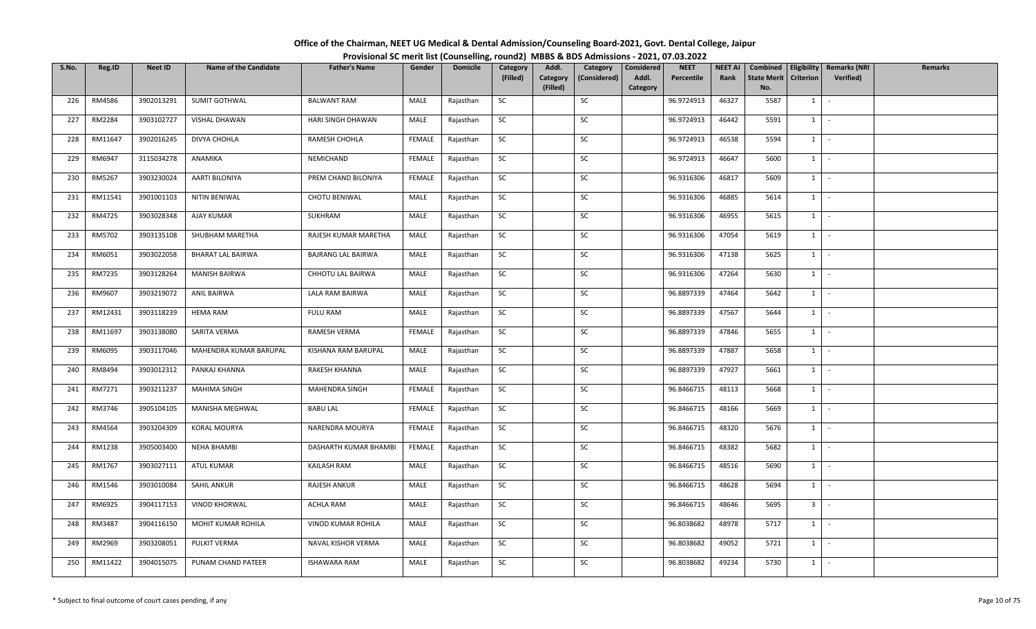| Office of the Chairman, NEET UG Medical & Dental Admission/Counseling Board-2021, Govt. Dental College, Jaipur |                                                                                          |
|----------------------------------------------------------------------------------------------------------------|------------------------------------------------------------------------------------------|
|                                                                                                                | Provisional SC merit list (Counselling, round2) MBBS & BDS Admissions - 2021, 07.03.2022 |

| S.No. | Reg.ID  | Neet ID    | <b>Name of the Candidate</b> | <b>Father's Name</b>  | Gender        | <b>Domicile</b> | Category  | Addl.                | Category     | Considered        | <b>NEET</b> | <b>NEET AI</b> | Combined                  |                  | <b>Eligibility   Remarks (NRI</b> | Remarks |
|-------|---------|------------|------------------------------|-----------------------|---------------|-----------------|-----------|----------------------|--------------|-------------------|-------------|----------------|---------------------------|------------------|-----------------------------------|---------|
|       |         |            |                              |                       |               |                 | (Filled)  | Category<br>(Filled) | (Considered) | Addl.<br>Category | Percentile  | Rank           | <b>State Merit</b><br>No. | <b>Criterion</b> | Verified)                         |         |
| 226   | RM4586  | 3902013291 | SUMIT GOTHWAL                | <b>BALWANT RAM</b>    | MALE          | Rajasthan       | SC        |                      | SC           |                   | 96.9724913  | 46327          | 5587                      | 1                | $\sim$                            |         |
| 227   | RM2284  | 3903102727 | VISHAL DHAWAN                | HARI SINGH DHAWAN     | MALE          | Rajasthan       | SC        |                      | SC           |                   | 96.9724913  | 46442          | 5591                      | $1 \quad$        | $\sim$                            |         |
|       |         |            |                              |                       |               |                 |           |                      |              |                   |             |                |                           |                  |                                   |         |
| 228   | RM11647 | 3902016245 | DIVYA CHOHLA                 | RAMESH CHOHLA         | FEMALE        | Rajasthan       | SC        |                      | SC           |                   | 96.9724913  | 46538          | 5594                      |                  | $1 \cdot$                         |         |
| 229   | RM6947  | 3115034278 | ANAMIKA                      | NEMICHAND             | FEMALE        | Rajasthan       | SC        |                      | SC           |                   | 96.9724913  | 46647          | 5600                      |                  | $1$ $-$                           |         |
| 230   | RM5267  | 3903230024 | AARTI BILONIYA               | PREM CHAND BILONIYA   | <b>FEMALE</b> | Rajasthan       | SC        |                      | SC           |                   | 96.9316306  | 46817          | 5609                      | $1 \mid$         | $\sim$ $-$                        |         |
| 231   | RM11541 | 3901001103 | NITIN BENIWAL                | CHOTU BENIWAL         | MALE          | Rajasthan       | SC        |                      | SC           |                   | 96.9316306  | 46885          | 5614                      |                  | $1 \cdot$                         |         |
| 232   | RM4725  | 3903028348 | AJAY KUMAR                   | SUKHRAM               | MALE          | Rajasthan       | SC        |                      | SC           |                   | 96.9316306  | 46955          | 5615                      | $1 \quad$        | $\sim$                            |         |
| 233   | RM5702  | 3903135108 | SHUBHAM MARETHA              | RAJESH KUMAR MARETHA  | MALE          | Rajasthan       | SC        |                      | SC           |                   | 96.9316306  | 47054          | 5619                      | 1                | $\sim$                            |         |
| 234   | RM6051  | 3903022058 | <b>BHARAT LAL BAIRWA</b>     | BAJRANG LAL BAIRWA    | MALE          | Rajasthan       | SC        |                      | SC           |                   | 96.9316306  | 47138          | 5625                      |                  | $1$ $-$                           |         |
| 235   | RM7235  | 3903128264 | <b>MANISH BAIRWA</b>         | CHHOTU LAL BAIRWA     | MALE          | Rajasthan       | SC        |                      | SC           |                   | 96.9316306  | 47264          | 5630                      | $1 \quad$        | $\sim$ $-$                        |         |
| 236   | RM9607  | 3903219072 | <b>ANIL BAIRWA</b>           | LALA RAM BAIRWA       | MALE          | Rajasthan       | SC        |                      | SC           |                   | 96.8897339  | 47464          | 5642                      |                  | $1 \cdot$                         |         |
| 237   | RM12431 | 3903118239 | <b>HEMA RAM</b>              | <b>FULU RAM</b>       | MALE          | Rajasthan       | SC        |                      | SC           |                   | 96.8897339  | 47567          | 5644                      | $1 \vert$        | $\sim$                            |         |
| 238   | RM11697 | 3903138080 | SARITA VERMA                 | RAMESH VERMA          | <b>FEMALE</b> | Rajasthan       | SC        |                      | SC           |                   | 96.8897339  | 47846          | 5655                      | 1                | $\sim$                            |         |
| 239   | RM6095  | 3903117046 | MAHENDRA KUMAR BARUPAL       | KISHANA RAM BARUPAL   | MALE          | Rajasthan       | SC        |                      | SC           |                   | 96.8897339  | 47887          | 5658                      | $1 \quad$        | $\sim$                            |         |
| 240   | RM8494  | 3903012312 | PANKAJ KHANNA                | RAKESH KHANNA         | MALE          | Rajasthan       | SC        |                      | SC           |                   | 96.8897339  | 47927          | 5661                      | $1 \quad$        | $\sim$ $-$                        |         |
| 241   | RM7271  | 3903211237 | <b>MAHIMA SINGH</b>          | MAHENDRA SINGH        | FEMALE        | Rajasthan       | <b>SC</b> |                      | SC           |                   | 96.8466715  | 48113          | 5668                      | $1 \mid$         | $\sim$ $-$                        |         |
| 242   | RM3746  | 3905104105 | MANISHA MEGHWAL              | <b>BABU LAL</b>       | FEMALE        | Rajasthan       | SC        |                      | SC           |                   | 96.8466715  | 48166          | 5669                      | $1 \mid$         | $\sim$                            |         |
| 243   | RM4564  | 3903204309 | KORAL MOURYA                 | NARENDRA MOURYA       | <b>FEMALE</b> | Rajasthan       | SC        |                      | SC           |                   | 96.8466715  | 48320          | 5676                      | 1                | $\sim$                            |         |
| 244   | RM1238  | 3905003400 | <b>NEHA BHAMBI</b>           | DASHARTH KUMAR BHAMBI | FEMALE        | Rajasthan       | SC        |                      | SC           |                   | 96.8466715  | 48382          | 5682                      |                  | $1 \cdot$                         |         |
| 245   | RM1767  | 3903027111 | ATUL KUMAR                   | KAILASH RAM           | MALE          | Rajasthan       | SC        |                      | SC           |                   | 96.8466715  | 48516          | 5690                      | 1                | $\sim$                            |         |
| 246   | RM1546  | 3903010084 | <b>SAHIL ANKUR</b>           | RAJESH ANKUR          | MALE          | Rajasthan       | SC        |                      | SC           |                   | 96.8466715  | 48628          | 5694                      |                  | $1 \mid -$                        |         |
| 247   | RM6925  | 3904117153 | <b>VINOD KHORWAL</b>         | <b>ACHLA RAM</b>      | MALE          | Rajasthan       | SC        |                      | SC           |                   | 96.8466715  | 48646          | 5695                      |                  | $3$ $-$                           |         |
| 248   | RM3487  | 3904116150 | MOHIT KUMAR ROHILA           | VINOD KUMAR ROHILA    | MALE          | Rajasthan       | SC        |                      | SC           |                   | 96.8038682  | 48978          | 5717                      | $1 \quad$        | $\sim$                            |         |
| 249   | RM2969  | 3903208051 | PULKIT VERMA                 | NAVAL KISHOR VERMA    | MALE          | Rajasthan       | SC        |                      | SC           |                   | 96.8038682  | 49052          | 5721                      | $1 \quad$        | $\sim$                            |         |
| 250   | RM11422 | 3904015075 | PUNAM CHAND PATEER           | <b>ISHAWARA RAM</b>   | MALE          | Rajasthan       | SC        |                      | SC           |                   | 96.8038682  | 49234          | 5730                      | $1 \quad$        | $\sim$                            |         |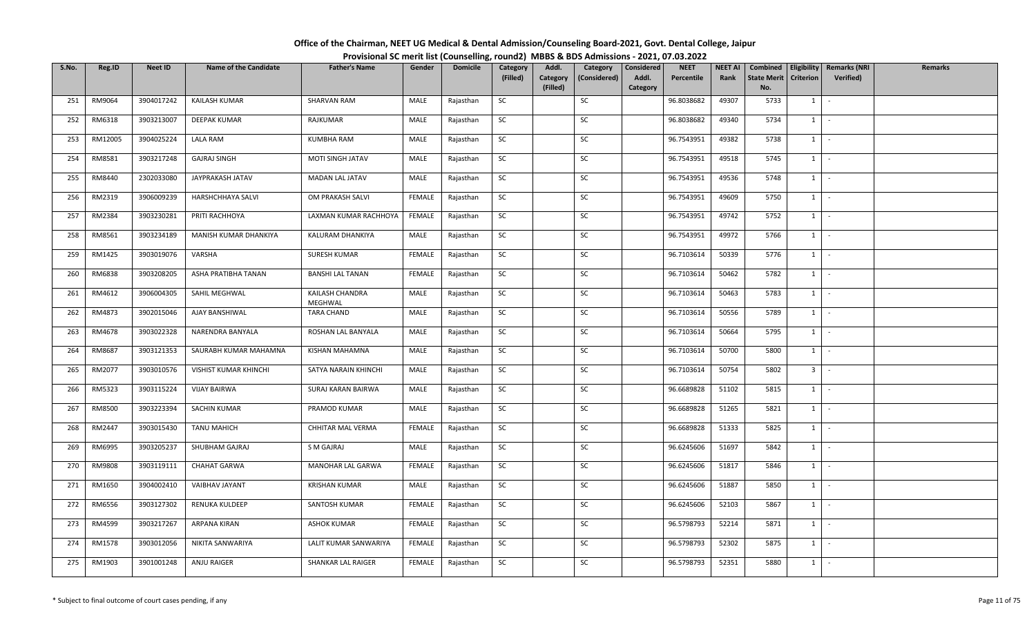| Office of the Chairman, NEET UG Medical & Dental Admission/Counseling Board-2021, Govt. Dental College, Jaipur |                                                                                          |
|----------------------------------------------------------------------------------------------------------------|------------------------------------------------------------------------------------------|
|                                                                                                                | Provisional SC merit list (Counselling, round2) MBBS & BDS Admissions - 2021, 07.03.2022 |

| S.No. | Reg.ID  | Neet ID    | <b>Name of the Candidate</b> | <b>Father's Name</b>       | Gender        | <b>Domicile</b> | Category  | Addl.                | Category     | Considered        | <b>NEET</b> | <b>NEET AI</b> | Combined                  |                  | <b>Eligibility   Remarks (NRI</b> | Remarks |
|-------|---------|------------|------------------------------|----------------------------|---------------|-----------------|-----------|----------------------|--------------|-------------------|-------------|----------------|---------------------------|------------------|-----------------------------------|---------|
|       |         |            |                              |                            |               |                 | (Filled)  | Category<br>(Filled) | (Considered) | Addl.<br>Category | Percentile  | Rank           | <b>State Merit</b><br>No. | <b>Criterion</b> | Verified)                         |         |
| 251   | RM9064  | 3904017242 | KAILASH KUMAR                | SHARVAN RAM                | MALE          | Rajasthan       | SC        |                      | SC           |                   | 96.8038682  | 49307          | 5733                      | 1                | $\sim$                            |         |
| 252   | RM6318  | 3903213007 | <b>DEEPAK KUMAR</b>          | RAJKUMAR                   | MALE          | Rajasthan       | SC        |                      | SC           |                   | 96.8038682  | 49340          | 5734                      | $1 \quad$        | $\sim$                            |         |
| 253   | RM12005 | 3904025224 | <b>LALA RAM</b>              | <b>KUMBHA RAM</b>          | MALE          | Rajasthan       | SC        |                      | SC           |                   | 96.7543951  | 49382          | 5738                      |                  | $1 \cdot$                         |         |
| 254   | RM8581  | 3903217248 | <b>GAJRAJ SINGH</b>          | MOTI SINGH JATAV           | MALE          | Rajasthan       | <b>SC</b> |                      | SC           |                   | 96.7543951  | 49518          | 5745                      | $1$ $-$          |                                   |         |
| 255   | RM8440  | 2302033080 | JAYPRAKASH JATAV             | MADAN LAL JATAV            | MALE          | Rajasthan       | SC        |                      | SC           |                   | 96.7543951  | 49536          | 5748                      | $1 \mid$         | $\sim$                            |         |
| 256   | RM2319  | 3906009239 | <b>HARSHCHHAYA SALVI</b>     | OM PRAKASH SALVI           | FEMALE        | Rajasthan       | SC        |                      | SC           |                   | 96.7543951  | 49609          | 5750                      | $1 \mid$         | $\sim$                            |         |
| 257   | RM2384  | 3903230281 | PRITI RACHHOYA               | LAXMAN KUMAR RACHHOYA      | FEMALE        | Rajasthan       | SC        |                      | SC           |                   | 96.7543951  | 49742          | 5752                      | $1 \vert$        | $\sim$                            |         |
| 258   | RM8561  | 3903234189 | MANISH KUMAR DHANKIYA        | KALURAM DHANKIYA           | MALE          | Rajasthan       | SC        |                      | SC           |                   | 96.7543951  | 49972          | 5766                      | 1                | $\sim$ $-$                        |         |
| 259   | RM1425  | 3903019076 | VARSHA                       | SURESH KUMAR               | FEMALE        | Rajasthan       | SC        |                      | SC           |                   | 96.7103614  | 50339          | 5776                      | $1$ $-$          |                                   |         |
| 260   | RM6838  | 3903208205 | ASHA PRATIBHA TANAN          | <b>BANSHI LAL TANAN</b>    | FEMALE        | Rajasthan       | SC        |                      | SC           |                   | 96.7103614  | 50462          | 5782                      | $1 \quad$        | $\sim$                            |         |
| 261   | RM4612  | 3906004305 | SAHIL MEGHWAL                | KAILASH CHANDRA<br>MEGHWAL | MALE          | Rajasthan       | <b>SC</b> |                      | SC           |                   | 96.7103614  | 50463          | 5783                      | $1$ $-$          |                                   |         |
| 262   | RM4873  | 3902015046 | AJAY BANSHIWAL               | <b>TARA CHAND</b>          | MALE          | Rajasthan       | SC        |                      | SC           |                   | 96.7103614  | 50556          | 5789                      | $1 \vert$        | $\sim$                            |         |
| 263   | RM4678  | 3903022328 | NARENDRA BANYALA             | ROSHAN LAL BANYALA         | MALE          | Rajasthan       | SC        |                      | SC           |                   | 96.7103614  | 50664          | 5795                      | 1                | $\sim$                            |         |
| 264   | RM8687  | 3903121353 | SAURABH KUMAR MAHAMNA        | KISHAN MAHAMNA             | MALE          | Rajasthan       | SC        |                      | SC           |                   | 96.7103614  | 50700          | 5800                      | $1 \quad$        | $\sim$                            |         |
| 265   | RM2077  | 3903010576 | <b>VISHIST KUMAR KHINCHI</b> | SATYA NARAIN KHINCHI       | MALE          | Rajasthan       | SC        |                      | SC           |                   | 96.7103614  | 50754          | 5802                      | 3 <sup>1</sup>   | $\sim$                            |         |
| 266   | RM5323  | 3903115224 | <b>VIJAY BAIRWA</b>          | SURAJ KARAN BAIRWA         | MALE          | Rajasthan       | <b>SC</b> |                      | SC           |                   | 96.6689828  | 51102          | 5815                      | 1                | $\sim$                            |         |
| 267   | RM8500  | 3903223394 | SACHIN KUMAR                 | PRAMOD KUMAR               | MALE          | Rajasthan       | SC        |                      | SC           |                   | 96.6689828  | 51265          | 5821                      | 1                | $\sim$                            |         |
| 268   | RM2447  | 3903015430 | <b>TANU MAHICH</b>           | CHHITAR MAL VERMA          | <b>FEMALE</b> | Rajasthan       | SC        |                      | SC           |                   | 96.6689828  | 51333          | 5825                      | 1                | $\sim$                            |         |
| 269   | RM6995  | 3903205237 | SHUBHAM GAJRAJ               | S M GAJRAJ                 | MALE          | Rajasthan       | SC        |                      | SC           |                   | 96.6245606  | 51697          | 5842                      |                  | $1 \cdot$                         |         |
| 270   | RM9808  | 3903119111 | <b>CHAHAT GARWA</b>          | MANOHAR LAL GARWA          | <b>FEMALE</b> | Rajasthan       | SC        |                      | SC           |                   | 96.6245606  | 51817          | 5846                      | $1 \quad$        | $\sim$                            |         |
| 271   | RM1650  | 3904002410 | VAIBHAV JAYANT               | <b>KRISHAN KUMAR</b>       | MALE          | Rajasthan       | SC        |                      | SC           |                   | 96.6245606  | 51887          | 5850                      | $1 \mid$         | $\sim$ $-$                        |         |
| 272   | RM6556  | 3903127302 | RENUKA KULDEEP               | SANTOSH KUMAR              | FEMALE        | Rajasthan       | SC        |                      | SC           |                   | 96.6245606  | 52103          | 5867                      | $1 \mid$         | $\sim$                            |         |
| 273   | RM4599  | 3903217267 | ARPANA KIRAN                 | <b>ASHOK KUMAR</b>         | <b>FEMALE</b> | Rajasthan       | SC        |                      | SC           |                   | 96.5798793  | 52214          | 5871                      | $1 \quad$        | $\sim$                            |         |
| 274   | RM1578  | 3903012056 | NIKITA SANWARIYA             | LALIT KUMAR SANWARIYA      | FEMALE        | Rajasthan       | SC        |                      | SC           |                   | 96.5798793  | 52302          | 5875                      | $1 \quad$        | $\sim$                            |         |
| 275   | RM1903  | 3901001248 | ANJU RAIGER                  | SHANKAR LAL RAIGER         | FEMALE        | Rajasthan       | SC        |                      | SC           |                   | 96.5798793  | 52351          | 5880                      | $1 \quad$        | $\sim$                            |         |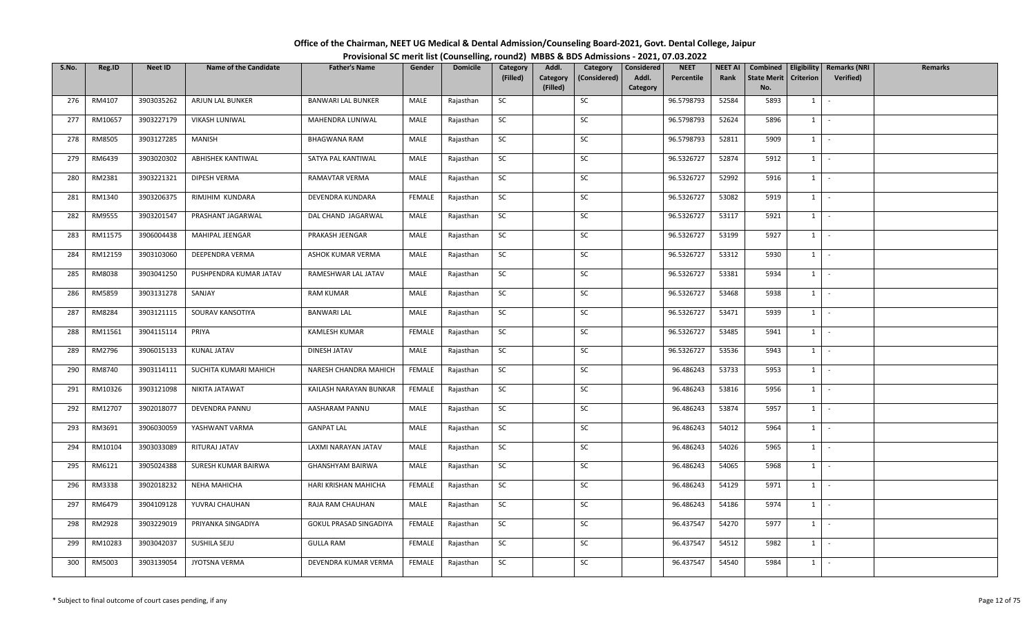| Office of the Chairman, NEET UG Medical & Dental Admission/Counseling Board-2021, Govt. Dental College, Jaipur |                                                                                          |
|----------------------------------------------------------------------------------------------------------------|------------------------------------------------------------------------------------------|
|                                                                                                                | Provisional SC merit list (Counselling, round2) MBBS & BDS Admissions - 2021, 07.03.2022 |

| S.No. | Reg.ID  | Neet ID    | <b>Name of the Candidate</b> | <b>Father's Name</b>      | Gender | <b>Domicile</b> | Category  | Addl.                | Category     | Considered        | <b>NEET</b> | <b>NEET AI</b> | Combined                  |                  | <b>Eligibility   Remarks (NRI</b> | Remarks |
|-------|---------|------------|------------------------------|---------------------------|--------|-----------------|-----------|----------------------|--------------|-------------------|-------------|----------------|---------------------------|------------------|-----------------------------------|---------|
|       |         |            |                              |                           |        |                 | (Filled)  | Category<br>(Filled) | (Considered) | Addl.<br>Category | Percentile  | Rank           | <b>State Merit</b><br>No. | <b>Criterion</b> | Verified)                         |         |
| 276   | RM4107  | 3903035262 | ARJUN LAL BUNKER             | <b>BANWARI LAL BUNKER</b> | MALE   | Rajasthan       | SC        |                      | SC           |                   | 96.5798793  | 52584          | 5893                      | 1                | $\sim$                            |         |
| 277   | RM10657 | 3903227179 | VIKASH LUNIWAL               | MAHENDRA LUNIWAL          | MALE   | Rajasthan       | SC        |                      | SC           |                   | 96.5798793  | 52624          | 5896                      | $1 \quad$        | $\sim$                            |         |
| 278   | RM8505  | 3903127285 | MANISH                       | <b>BHAGWANA RAM</b>       | MALE   | Rajasthan       | SC        |                      | SC           |                   | 96.5798793  | 52811          | 5909                      |                  | $1 \cdot$                         |         |
| 279   | RM6439  | 3903020302 | <b>ABHISHEK KANTIWAL</b>     | SATYA PAL KANTIWAL        | MALE   | Rajasthan       | SC        |                      | SC           |                   | 96.5326727  | 52874          | 5912                      | $1$ $-$          |                                   |         |
| 280   | RM2381  | 3903221321 | DIPESH VERMA                 | RAMAVTAR VERMA            | MALE   | Rajasthan       | SC        |                      | SC           |                   | 96.5326727  | 52992          | 5916                      |                  | $1 \mid -$                        |         |
| 281   | RM1340  | 3903206375 | RIMJHIM KUNDARA              | DEVENDRA KUNDARA          | FEMALE | Rajasthan       | SC        |                      | SC           |                   | 96.5326727  | 53082          | 5919                      |                  | $1 \cdot$                         |         |
| 282   | RM9555  | 3903201547 | PRASHANT JAGARWAL            | DAL CHAND JAGARWAL        | MALE   | Rajasthan       | SC        |                      | SC           |                   | 96.5326727  | 53117          | 5921                      | $1 \quad$        | $\sim$                            |         |
| 283   | RM11575 | 3906004438 | MAHIPAL JEENGAR              | PRAKASH JEENGAR           | MALE   | Rajasthan       | SC        |                      | SC           |                   | 96.5326727  | 53199          | 5927                      | 1                | $\sim$ $-$                        |         |
| 284   | RM12159 | 3903103060 | DEEPENDRA VERMA              | ASHOK KUMAR VERMA         | MALE   | Rajasthan       | SC        |                      | SC           |                   | 96.5326727  | 53312          | 5930                      | $1$ $-$          |                                   |         |
| 285   | RM8038  | 3903041250 | PUSHPENDRA KUMAR JATAV       | RAMESHWAR LAL JATAV       | MALE   | Rajasthan       | SC        |                      | SC           |                   | 96.5326727  | 53381          | 5934                      | $1 \quad$        | $\sim$ $-$                        |         |
| 286   | RM5859  | 3903131278 | SANJAY                       | <b>RAM KUMAR</b>          | MALE   | Rajasthan       | SC        |                      | SC           |                   | 96.5326727  | 53468          | 5938                      |                  | $1 \cdot$                         |         |
| 287   | RM8284  | 3903121115 | SOURAV KANSOTIYA             | <b>BANWARI LAL</b>        | MALE   | Rajasthan       | SC        |                      | SC           |                   | 96.5326727  | 53471          | 5939                      | $1 \vert$        | $\sim$                            |         |
| 288   | RM11561 | 3904115114 | PRIYA                        | KAMLESH KUMAR             | FEMALE | Rajasthan       | SC        |                      | SC           |                   | 96.5326727  | 53485          | 5941                      | 1                | $\sim$                            |         |
| 289   | RM2796  | 3906015133 | KUNAL JATAV                  | DINESH JATAV              | MALE   | Rajasthan       | SC        |                      | SC           |                   | 96.5326727  | 53536          | 5943                      | $1 \quad$        | $\sim$                            |         |
| 290   | RM8740  | 3903114111 | SUCHITA KUMARI MAHICH        | NARESH CHANDRA MAHICH     | FEMALE | Rajasthan       | SC        |                      | SC           |                   | 96.486243   | 53733          | 5953                      | 1                | $\sim$ $-$                        |         |
| 291   | RM10326 | 3903121098 | NIKITA JATAWAT               | KAILASH NARAYAN BUNKAR    | FEMALE | Rajasthan       | <b>SC</b> |                      | SC           |                   | 96.486243   | 53816          | 5956                      | $1 \mid$         | $\sim$ $-$                        |         |
| 292   | RM12707 | 3902018077 | DEVENDRA PANNU               | AASHARAM PANNU            | MALE   | Rajasthan       | SC        |                      | SC           |                   | 96.486243   | 53874          | 5957                      | $1 \mid$         | $\sim$                            |         |
| 293   | RM3691  | 3906030059 | YASHWANT VARMA               | <b>GANPAT LAL</b>         | MALE   | Rajasthan       | SC        |                      | SC           |                   | 96.486243   | 54012          | 5964                      | 1                | $\sim$                            |         |
| 294   | RM10104 | 3903033089 | RITURAJ JATAV                | LAXMI NARAYAN JATAV       | MALE   | Rajasthan       | SC        |                      | SC           |                   | 96.486243   | 54026          | 5965                      |                  | $1 \cdot$                         |         |
| 295   | RM6121  | 3905024388 | SURESH KUMAR BAIRWA          | GHANSHYAM BAIRWA          | MALE   | Rajasthan       | SC        |                      | SC           |                   | 96.486243   | 54065          | 5968                      | $1 \quad$        | $\sim$                            |         |
| 296   | RM3338  | 3902018232 | NEHA MAHICHA                 | HARI KRISHAN MAHICHA      | FEMALE | Rajasthan       | SC        |                      | SC           |                   | 96.486243   | 54129          | 5971                      |                  | $1 \mid -$                        |         |
| 297   | RM6479  | 3904109128 | YUVRAJ CHAUHAN               | RAJA RAM CHAUHAN          | MALE   | Rajasthan       | SC        |                      | SC           |                   | 96.486243   | 54186          | 5974                      | $1$ $-$          |                                   |         |
| 298   | RM2928  | 3903229019 | PRIYANKA SINGADIYA           | GOKUL PRASAD SINGADIYA    | FEMALE | Rajasthan       | SC        |                      | SC           |                   | 96.437547   | 54270          | 5977                      | $1 \quad$        | $\sim$                            |         |
| 299   | RM10283 | 3903042037 | SUSHILA SEJU                 | <b>GULLA RAM</b>          | FEMALE | Rajasthan       | SC        |                      | SC           |                   | 96.437547   | 54512          | 5982                      | $1 \quad$        | $\sim$                            |         |
| 300   | RM5003  | 3903139054 | JYOTSNA VERMA                | DEVENDRA KUMAR VERMA      | FEMALE | Rajasthan       | SC        |                      | SC           |                   | 96.437547   | 54540          | 5984                      | $1 \quad$        | $\sim$                            |         |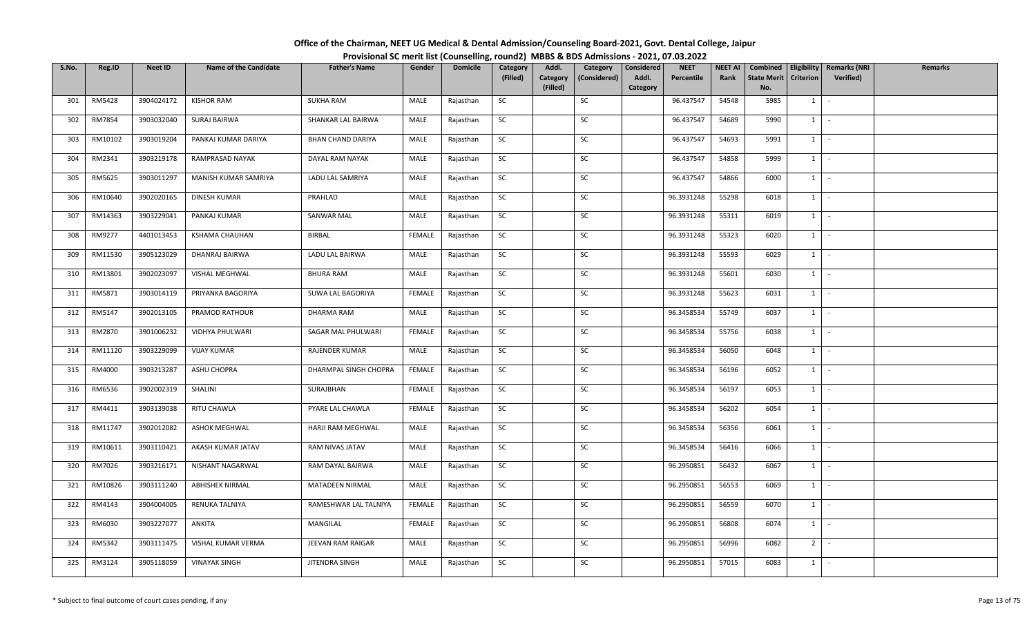| Office of the Chairman, NEET UG Medical & Dental Admission/Counseling Board-2021, Govt. Dental College, Jaipur |  |
|----------------------------------------------------------------------------------------------------------------|--|
| Provisional SC merit list (Counselling, round2) MBBS & BDS Admissions - 2021, 07.03.2022                       |  |

| S.No. | Reg.ID  | Neet ID    | <b>Name of the Candidate</b> | <b>Father's Name</b>     | Gender        | <b>Domicile</b> | Category  | Addl.                | Category     | Considered        | <b>NEET</b> | <b>NEET AI</b> | Combined                  |                  | <b>Eligibility   Remarks (NRI</b> | Remarks |
|-------|---------|------------|------------------------------|--------------------------|---------------|-----------------|-----------|----------------------|--------------|-------------------|-------------|----------------|---------------------------|------------------|-----------------------------------|---------|
|       |         |            |                              |                          |               |                 | (Filled)  | Category<br>(Filled) | (Considered) | Addl.<br>Category | Percentile  | Rank           | <b>State Merit</b><br>No. | <b>Criterion</b> | Verified)                         |         |
| 301   | RM5428  | 3904024172 | <b>KISHOR RAM</b>            | <b>SUKHA RAM</b>         | MALE          | Rajasthan       | SC        |                      | SC           |                   | 96.437547   | 54548          | 5985                      | 1                | $\sim$                            |         |
| 302   | RM7854  | 3903032040 | SURAJ BAIRWA                 | SHANKAR LAL BAIRWA       | MALE          | Rajasthan       | SC        |                      | SC           |                   | 96.437547   | 54689          | 5990                      | $1 \quad$        | $\sim$                            |         |
| 303   | RM10102 | 3903019204 | PANKAJ KUMAR DARIYA          | <b>BHAN CHAND DARIYA</b> | MALE          | Rajasthan       | SC        |                      | SC           |                   | 96.437547   | 54693          | 5991                      |                  | $1 \cdot$                         |         |
| 304   | RM2341  | 3903219178 | RAMPRASAD NAYAK              | DAYAL RAM NAYAK          | MALE          | Rajasthan       | SC        |                      | SC           |                   | 96.437547   | 54858          | 5999                      |                  | $1$ $-$                           |         |
| 305   | RM5625  | 3903011297 | MANISH KUMAR SAMRIYA         | LADU LAL SAMRIYA         | MALE          | Rajasthan       | SC        |                      | SC           |                   | 96.437547   | 54866          | 6000                      |                  | $1 \mid -$                        |         |
| 306   | RM10640 | 3902020165 | DINESH KUMAR                 | PRAHLAD                  | MALE          | Rajasthan       | SC        |                      | SC           |                   | 96.3931248  | 55298          | 6018                      |                  | $1 \cdot$                         |         |
| 307   | RM14363 | 3903229041 | PANKAJ KUMAR                 | SANWAR MAL               | MALE          | Rajasthan       | SC        |                      | SC           |                   | 96.3931248  | 55311          | 6019                      | $1 \quad$        | $\sim$                            |         |
| 308   | RM9277  | 4401013453 | KSHAMA CHAUHAN               | <b>BIRBAL</b>            | <b>FEMALE</b> | Rajasthan       | SC        |                      | SC           |                   | 96.3931248  | 55323          | 6020                      | $1 \mid$         | $\sim$ $-$                        |         |
| 309   | RM11530 | 3905123029 | DHANRAJ BAIRWA               | LADU LAL BAIRWA          | MALE          | Rajasthan       | SC        |                      | SC           |                   | 96.3931248  | 55593          | 6029                      |                  | $1$ $-$                           |         |
| 310   | RM13801 | 3902023097 | VISHAL MEGHWAL               | <b>BHURA RAM</b>         | MALE          | Rajasthan       | SC        |                      | SC           |                   | 96.3931248  | 55601          | 6030                      | $1 \quad$        | $\sim$ $-$                        |         |
| 311   | RM5871  | 3903014119 | PRIYANKA BAGORIYA            | SUWA LAL BAGORIYA        | <b>FEMALE</b> | Rajasthan       | <b>SC</b> |                      | SC           |                   | 96.3931248  | 55623          | 6031                      |                  | $1 \cdot$                         |         |
| 312   | RM5147  | 3902013105 | PRAMOD RATHOUR               | DHARMA RAM               | MALE          | Rajasthan       | SC        |                      | SC           |                   | 96.3458534  | 55749          | 6037                      |                  | $1$ $\vert$ $\vert$               |         |
| 313   | RM2870  | 3901006232 | VIDHYA PHULWARI              | SAGAR MAL PHULWARI       | <b>FEMALE</b> | Rajasthan       | SC        |                      | SC           |                   | 96.3458534  | 55756          | 6038                      | 1                | $\sim$                            |         |
| 314   | RM11120 | 3903229099 | <b>VIJAY KUMAR</b>           | RAJENDER KUMAR           | MALE          | Rajasthan       | SC        |                      | SC           |                   | 96.3458534  | 56050          | 6048                      | $1 \quad$        | $\sim$                            |         |
| 315   | RM4000  | 3903213287 | ASHU CHOPRA                  | DHARMPAL SINGH CHOPRA    | FEMALE        | Rajasthan       | SC        |                      | SC           |                   | 96.3458534  | 56196          | 6052                      | $1 \quad$        | $\sim$ $-$                        |         |
| 316   | RM6536  | 3902002319 | SHALINI                      | SURAJBHAN                | FEMALE        | Rajasthan       | <b>SC</b> |                      | SC           |                   | 96.3458534  | 56197          | 6053                      |                  | $1 \mid -$                        |         |
| 317   | RM4411  | 3903139038 | RITU CHAWLA                  | PYARE LAL CHAWLA         | FEMALE        | Rajasthan       | <b>SC</b> |                      | SC           |                   | 96.3458534  | 56202          | 6054                      | $1 \mid$         | $\sim$                            |         |
| 318   | RM11747 | 3902012082 | <b>ASHOK MEGHWAL</b>         | HARJI RAM MEGHWAL        | MALE          | Rajasthan       | SC        |                      | SC           |                   | 96.3458534  | 56356          | 6061                      | $1 \mid$         | $\sim$                            |         |
| 319   | RM10611 | 3903110421 | AKASH KUMAR JATAV            | RAM NIVAS JATAV          | MALE          | Rajasthan       | SC        |                      | SC           |                   | 96.3458534  | 56416          | 6066                      |                  | $1 \cdot$                         |         |
| 320   | RM7026  | 3903216171 | NISHANT NAGARWAL             | RAM DAYAL BAIRWA         | MALE          | Rajasthan       | SC        |                      | SC           |                   | 96.2950851  | 56432          | 6067                      | 1                | $\sim$                            |         |
| 321   | RM10826 | 3903111240 | <b>ABHISHEK NIRMAL</b>       | MATADEEN NIRMAL          | MALE          | Rajasthan       | SC        |                      | SC           |                   | 96.2950851  | 56553          | 6069                      |                  | $1 \mid -$                        |         |
| 322   | RM4143  | 3904004005 | RENUKA TALNIYA               | RAMESHWAR LAL TALNIYA    | <b>FEMALE</b> | Rajasthan       | SC        |                      | SC           |                   | 96.2950851  | 56559          | 6070                      |                  | $1$ $-$                           |         |
| 323   | RM6030  | 3903227077 | ANKITA                       | MANGILAL                 | <b>FEMALE</b> | Rajasthan       | SC        |                      | SC           |                   | 96.2950851  | 56808          | 6074                      | $1 \quad$        | $\sim$                            |         |
| 324   | RM5342  | 3903111475 | VISHAL KUMAR VERMA           | JEEVAN RAM RAIGAR        | MALE          | Rajasthan       | SC        |                      | SC           |                   | 96.2950851  | 56996          | 6082                      | 2 <sup>1</sup>   | оФ,                               |         |
| 325   | RM3124  | 3905118059 | <b>VINAYAK SINGH</b>         | JITENDRA SINGH           | MALE          | Rajasthan       | SC        |                      | SC           |                   | 96.2950851  | 57015          | 6083                      | $1 \quad$        | $\sim$                            |         |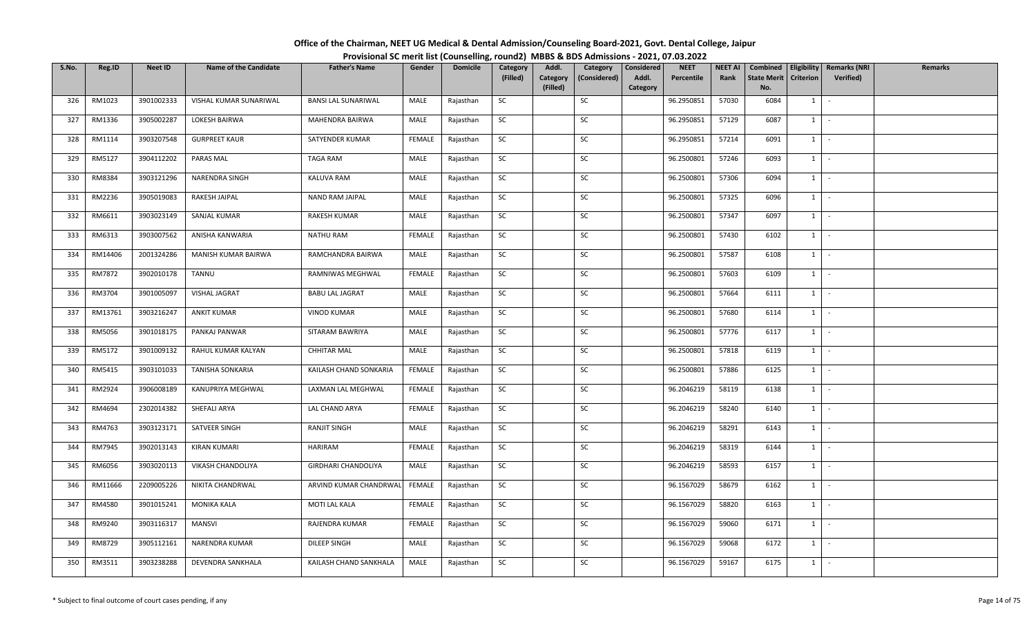| Office of the Chairman, NEET UG Medical & Dental Admission/Counseling Board-2021, Govt. Dental College, Jaipur |                                                                                          |
|----------------------------------------------------------------------------------------------------------------|------------------------------------------------------------------------------------------|
|                                                                                                                | Provisional SC merit list (Counselling, round2) MBBS & BDS Admissions - 2021, 07.03.2022 |

| S.No. | Reg.ID  | Neet ID    | <b>Name of the Candidate</b> | <b>Father's Name</b>       | Gender        | <b>Domicile</b> | Category  | Addl.                | Category     | Considered        | <b>NEET</b> | <b>NEET AI</b> | Combined                  |                  | <b>Eligibility   Remarks (NRI</b> | Remarks |
|-------|---------|------------|------------------------------|----------------------------|---------------|-----------------|-----------|----------------------|--------------|-------------------|-------------|----------------|---------------------------|------------------|-----------------------------------|---------|
|       |         |            |                              |                            |               |                 | (Filled)  | Category<br>(Filled) | (Considered) | Addl.<br>Category | Percentile  | Rank           | <b>State Merit</b><br>No. | <b>Criterion</b> | Verified)                         |         |
| 326   | RM1023  | 3901002333 | VISHAL KUMAR SUNARIWAL       | <b>BANSI LAL SUNARIWAL</b> | MALE          | Rajasthan       | SC        |                      | SC           |                   | 96.2950851  | 57030          | 6084                      | 1                | $\sim$                            |         |
| 327   | RM1336  | 3905002287 | LOKESH BAIRWA                | MAHENDRA BAIRWA            | MALE          | Rajasthan       | SC        |                      | SC           |                   | 96.2950851  | 57129          | 6087                      | $1 \quad$        | $\sim$                            |         |
| 328   | RM1114  | 3903207548 | <b>GURPREET KAUR</b>         | SATYENDER KUMAR            | <b>FEMALE</b> | Rajasthan       | <b>SC</b> |                      | SC           |                   | 96.2950851  | 57214          | 6091                      |                  | $1 \cdot$                         |         |
| 329   | RM5127  | 3904112202 | PARAS MAL                    | TAGA RAM                   | MALE          | Rajasthan       | SC        |                      | SC           |                   | 96.2500801  | 57246          | 6093                      |                  | $1$ $-$                           |         |
| 330   | RM8384  | 3903121296 | NARENDRA SINGH               | KALUVA RAM                 | MALE          | Rajasthan       | SC        |                      | SC           |                   | 96.2500801  | 57306          | 6094                      |                  | $1 \mid -$                        |         |
| 331   | RM2236  | 3905019083 | RAKESH JAIPAL                | NAND RAM JAIPAL            | MALE          | Rajasthan       | SC        |                      | SC           |                   | 96.2500801  | 57325          | 6096                      |                  | $1 \cdot$                         |         |
| 332   | RM6611  | 3903023149 | SANJAL KUMAR                 | RAKESH KUMAR               | MALE          | Rajasthan       | SC        |                      | SC           |                   | 96.2500801  | 57347          | 6097                      | $1 \quad$        | $\sim$                            |         |
| 333   | RM6313  | 3903007562 | ANISHA KANWARIA              | NATHU RAM                  | <b>FEMALE</b> | Rajasthan       | SC        |                      | SC           |                   | 96.2500801  | 57430          | 6102                      |                  | $1$   $-$                         |         |
| 334   | RM14406 | 2001324286 | MANISH KUMAR BAIRWA          | RAMCHANDRA BAIRWA          | MALE          | Rajasthan       | SC        |                      | SC           |                   | 96.2500801  | 57587          | 6108                      |                  | $1$ $-$                           |         |
| 335   | RM7872  | 3902010178 | TANNU                        | RAMNIWAS MEGHWAL           | FEMALE        | Rajasthan       | SC        |                      | SC           |                   | 96.2500801  | 57603          | 6109                      | $1 \quad$        | $\sim$ $-$                        |         |
| 336   | RM3704  | 3901005097 | VISHAL JAGRAT                | <b>BABU LAL JAGRAT</b>     | MALE          | Rajasthan       | SC        |                      | SC           |                   | 96.2500801  | 57664          | 6111                      |                  | $1 \cdot$                         |         |
| 337   | RM13761 | 3903216247 | <b>ANKIT KUMAR</b>           | <b>VINOD KUMAR</b>         | MALE          | Rajasthan       | SC        |                      | SC           |                   | 96.2500801  | 57680          | 6114                      |                  | $1$ $\vert$ $\vert$               |         |
| 338   | RM5056  | 3901018175 | PANKAJ PANWAR                | SITARAM BAWRIYA            | MALE          | Rajasthan       | SC        |                      | SC           |                   | 96.2500801  | 57776          | 6117                      | 1                | $\sim$                            |         |
| 339   | RM5172  | 3901009132 | RAHUL KUMAR KALYAN           | <b>CHHITAR MAL</b>         | MALE          | Rajasthan       | SC        |                      | SC           |                   | 96.2500801  | 57818          | 6119                      | $1 \quad$        | $\sim$                            |         |
| 340   | RM5415  | 3903101033 | TANISHA SONKARIA             | KAILASH CHAND SONKARIA     | FEMALE        | Rajasthan       | SC        |                      | SC           |                   | 96.2500801  | 57886          | 6125                      | $1 \quad$        | $\sim$ $-$                        |         |
| 341   | RM2924  | 3906008189 | KANUPRIYA MEGHWAL            | LAXMAN LAL MEGHWAL         | FEMALE        | Rajasthan       | <b>SC</b> |                      | SC           |                   | 96.2046219  | 58119          | 6138                      |                  | $1 \mid -$                        |         |
| 342   | RM4694  | 2302014382 | SHEFALI ARYA                 | LAL CHAND ARYA             | FEMALE        | Rajasthan       | <b>SC</b> |                      | SC           |                   | 96.2046219  | 58240          | 6140                      | $1 \mid$         | $\sim$                            |         |
| 343   | RM4763  | 3903123171 | SATVEER SINGH                | RANJIT SINGH               | MALE          | Rajasthan       | SC        |                      | SC           |                   | 96.2046219  | 58291          | 6143                      | $1 \mid$         | $\sim$                            |         |
| 344   | RM7945  | 3902013143 | <b>KIRAN KUMARI</b>          | HARIRAM                    | <b>FEMALE</b> | Rajasthan       | SC        |                      | SC           |                   | 96.2046219  | 58319          | 6144                      |                  | $1 \cdot$                         |         |
| 345   | RM6056  | 3903020113 | VIKASH CHANDOLIYA            | <b>GIRDHARI CHANDOLIYA</b> | MALE          | Rajasthan       | SC        |                      | SC           |                   | 96.2046219  | 58593          | 6157                      | 1                | $\sim$                            |         |
| 346   | RM11666 | 2209005226 | NIKITA CHANDRWAL             | ARVIND KUMAR CHANDRWAL     | FEMALE        | Rajasthan       | SC        |                      | SC           |                   | 96.1567029  | 58679          | 6162                      |                  | $1 \mid -$                        |         |
| 347   | RM4580  | 3901015241 | MONIKA KALA                  | MOTI LAL KALA              | FEMALE        | Rajasthan       | SC        |                      | SC           |                   | 96.1567029  | 58820          | 6163                      |                  | $1$ $-$                           |         |
| 348   | RM9240  | 3903116317 | <b>MANSVI</b>                | RAJENDRA KUMAR             | <b>FEMALE</b> | Rajasthan       | SC        |                      | SC           |                   | 96.1567029  | 59060          | 6171                      | $1 \mid$         | $\sim$                            |         |
| 349   | RM8729  | 3905112161 | NARENDRA KUMAR               | DILEEP SINGH               | MALE          | Rajasthan       | SC        |                      | SC           |                   | 96.1567029  | 59068          | 6172                      | $1 \quad$        | $\sim$                            |         |
| 350   | RM3511  | 3903238288 | DEVENDRA SANKHALA            | KAILASH CHAND SANKHALA     | MALE          | Rajasthan       | SC        |                      | SC           |                   | 96.1567029  | 59167          | 6175                      | $1 \quad$        | $\sim$                            |         |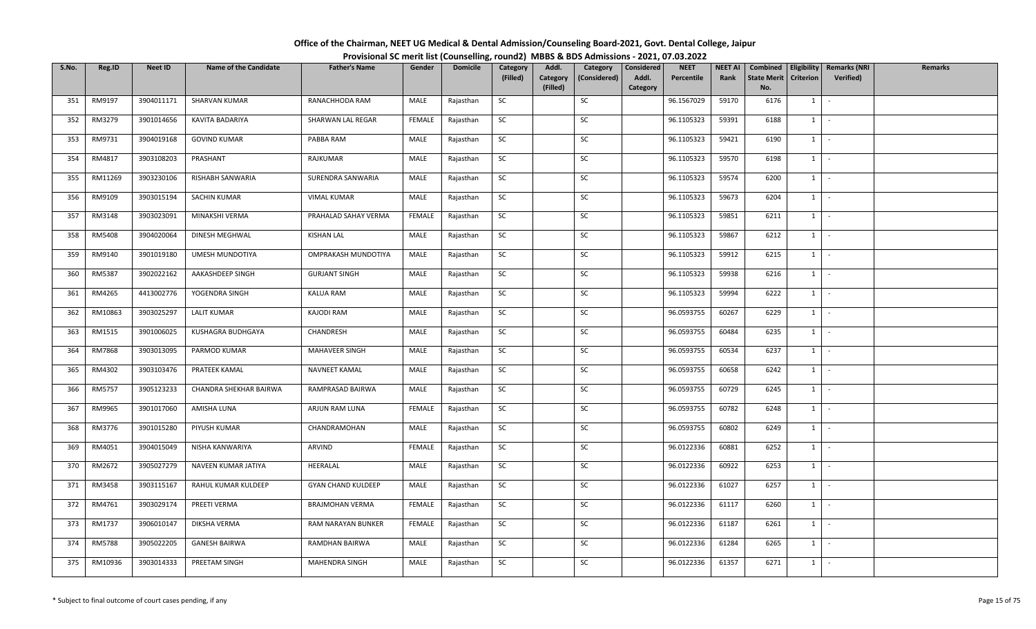| Office of the Chairman, NEET UG Medical & Dental Admission/Counseling Board-2021, Govt. Dental College, Jaipur |                                                                                          |
|----------------------------------------------------------------------------------------------------------------|------------------------------------------------------------------------------------------|
|                                                                                                                | Provisional SC merit list (Counselling, round2) MBBS & BDS Admissions - 2021, 07.03.2022 |

| S.No. | Reg.ID        | <b>Neet ID</b> | <b>Name of the Candidate</b> | <b>Father's Name</b>      | Gender        | <b>Domicile</b> | Category  | Addl.                | Category     | Considered        | <b>NEET</b> | <b>NEET AI</b> | Combined                  |                     | <b>Eligibility   Remarks (NRI</b> | Remarks |
|-------|---------------|----------------|------------------------------|---------------------------|---------------|-----------------|-----------|----------------------|--------------|-------------------|-------------|----------------|---------------------------|---------------------|-----------------------------------|---------|
|       |               |                |                              |                           |               |                 | (Filled)  | Category<br>(Filled) | (Considered) | Addl.<br>Category | Percentile  | Rank           | <b>State Merit</b><br>No. | <b>Criterion</b>    | Verified)                         |         |
| 351   | RM9197        | 3904011171     | SHARVAN KUMAR                | RANACHHODA RAM            | MALE          | Rajasthan       | SC        |                      | SC           |                   | 96.1567029  | 59170          | 6176                      | 1                   | $\sim$                            |         |
| 352   | RM3279        | 3901014656     | KAVITA BADARIYA              | SHARWAN LAL REGAR         | FEMALE        | Rajasthan       | SC        |                      | SC           |                   | 96.1105323  | 59391          | 6188                      | $1 \quad$           | $\sim$                            |         |
|       |               |                |                              |                           |               |                 |           |                      |              |                   |             |                |                           |                     |                                   |         |
| 353   | RM9731        | 3904019168     | <b>GOVIND KUMAR</b>          | PABBA RAM                 | MALE          | Rajasthan       | <b>SC</b> |                      | SC           |                   | 96.1105323  | 59421          | 6190                      |                     | $1 \cdot$                         |         |
| 354   | RM4817        | 3903108203     | PRASHANT                     | RAJKUMAR                  | MALE          | Rajasthan       | SC        |                      | SC           |                   | 96.1105323  | 59570          | 6198                      | $1$ $-$             |                                   |         |
| 355   | RM11269       | 3903230106     | RISHABH SANWARIA             | SURENDRA SANWARIA         | MALE          | Rajasthan       | SC        |                      | SC           |                   | 96.1105323  | 59574          | 6200                      |                     | $1 \mid -$                        |         |
| 356   | RM9109        | 3903015194     | SACHIN KUMAR                 | <b>VIMAL KUMAR</b>        | MALE          | Rajasthan       | SC        |                      | SC           |                   | 96.1105323  | 59673          | 6204                      |                     | $1 \cdot$                         |         |
| 357   | RM3148        | 3903023091     | MINAKSHI VERMA               | PRAHALAD SAHAY VERMA      | <b>FEMALE</b> | Rajasthan       | SC        |                      | SC           |                   | 96.1105323  | 59851          | 6211                      | $1 \quad$           | $\sim$                            |         |
| 358   | RM5408        | 3904020064     | DINESH MEGHWAL               | <b>KISHAN LAL</b>         | MALE          | Rajasthan       | SC        |                      | SC           |                   | 96.1105323  | 59867          | 6212                      | $1$ $-$             |                                   |         |
| 359   | RM9140        | 3901019180     | UMESH MUNDOTIYA              | OMPRAKASH MUNDOTIYA       | MALE          | Rajasthan       | SC        |                      | SC           |                   | 96.1105323  | 59912          | 6215                      | $1$ $-$             |                                   |         |
| 360   | RM5387        | 3902022162     | AAKASHDEEP SINGH             | <b>GURJANT SINGH</b>      | MALE          | Rajasthan       | SC        |                      | SC           |                   | 96.1105323  | 59938          | 6216                      | $1 \quad$           | $\sim$ $-$                        |         |
| 361   | RM4265        | 4413002776     | YOGENDRA SINGH               | KALUA RAM                 | MALE          | Rajasthan       | SC        |                      | SC           |                   | 96.1105323  | 59994          | 6222                      |                     | $1 \cdot$                         |         |
| 362   | RM10863       | 3903025297     | <b>LALIT KUMAR</b>           | <b>KAJODI RAM</b>         | MALE          | Rajasthan       | SC        |                      | SC           |                   | 96.0593755  | 60267          | 6229                      | $1$ $\vert$ $\vert$ |                                   |         |
| 363   | RM1515        | 3901006025     | KUSHAGRA BUDHGAYA            | CHANDRESH                 | MALE          | Rajasthan       | SC        |                      | SC           |                   | 96.0593755  | 60484          | 6235                      | 1                   | $\sim$ $-$                        |         |
| 364   | <b>RM7868</b> | 3903013095     | PARMOD KUMAR                 | MAHAVEER SINGH            | MALE          | Rajasthan       | SC        |                      | SC           |                   | 96.0593755  | 60534          | 6237                      | $1 \quad$           | $\sim$                            |         |
| 365   | RM4302        | 3903103476     | PRATEEK KAMAL                | NAVNEET KAMAL             | MALE          | Rajasthan       | SC        |                      | SC           |                   | 96.0593755  | 60658          | 6242                      | $1 \quad$           | $\sim$ $-$                        |         |
| 366   | RM5757        | 3905123233     | CHANDRA SHEKHAR BAIRWA       | RAMPRASAD BAIRWA          | MALE          | Rajasthan       | <b>SC</b> |                      | SC           |                   | 96.0593755  | 60729          | 6245                      |                     | $1 \mid -$                        |         |
| 367   | RM9965        | 3901017060     | AMISHA LUNA                  | ARJUN RAM LUNA            | FEMALE        | Rajasthan       | <b>SC</b> |                      | SC           |                   | 96.0593755  | 60782          | 6248                      | $1 \mid$            | $\sim$                            |         |
| 368   | RM3776        | 3901015280     | PIYUSH KUMAR                 | CHANDRAMOHAN              | MALE          | Rajasthan       | SC        |                      | SC           |                   | 96.0593755  | 60802          | 6249                      | 1                   | $\sim$                            |         |
| 369   | RM4051        | 3904015049     | NISHA KANWARIYA              | ARVIND                    | <b>FEMALE</b> | Rajasthan       | SC        |                      | SC           |                   | 96.0122336  | 60881          | 6252                      |                     | $1 \cdot$                         |         |
| 370   | RM2672        | 3905027279     | NAVEEN KUMAR JATIYA          | HEERALAL                  | MALE          | Rajasthan       | SC        |                      | SC           |                   | 96.0122336  | 60922          | 6253                      | 1                   | $\sim$                            |         |
| 371   | RM3458        | 3903115167     | RAHUL KUMAR KULDEEP          | <b>GYAN CHAND KULDEEP</b> | MALE          | Rajasthan       | SC        |                      | SC           |                   | 96.0122336  | 61027          | 6257                      |                     | $1 \mid -$                        |         |
| 372   | RM4761        | 3903029174     | PREETI VERMA                 | <b>BRAJMOHAN VERMA</b>    | FEMALE        | Rajasthan       | SC        |                      | SC           |                   | 96.0122336  | 61117          | 6260                      | $1$ $-$             |                                   |         |
| 373   | RM1737        | 3906010147     | <b>DIKSHA VERMA</b>          | RAM NARAYAN BUNKER        | <b>FEMALE</b> | Rajasthan       | SC        |                      | SC           |                   | 96.0122336  | 61187          | 6261                      | $1 \quad$           | $\sim$                            |         |
| 374   | RM5788        | 3905022205     | <b>GANESH BAIRWA</b>         | RAMDHAN BAIRWA            | MALE          | Rajasthan       | <b>SC</b> |                      | SC           |                   | 96.0122336  | 61284          | 6265                      | $1 \quad$           | $\sim$                            |         |
| 375   | RM10936       | 3903014333     | PREETAM SINGH                | MAHENDRA SINGH            | MALE          | Rajasthan       | SC        |                      | SC           |                   | 96.0122336  | 61357          | 6271                      | $1 \quad$           | $\sim$                            |         |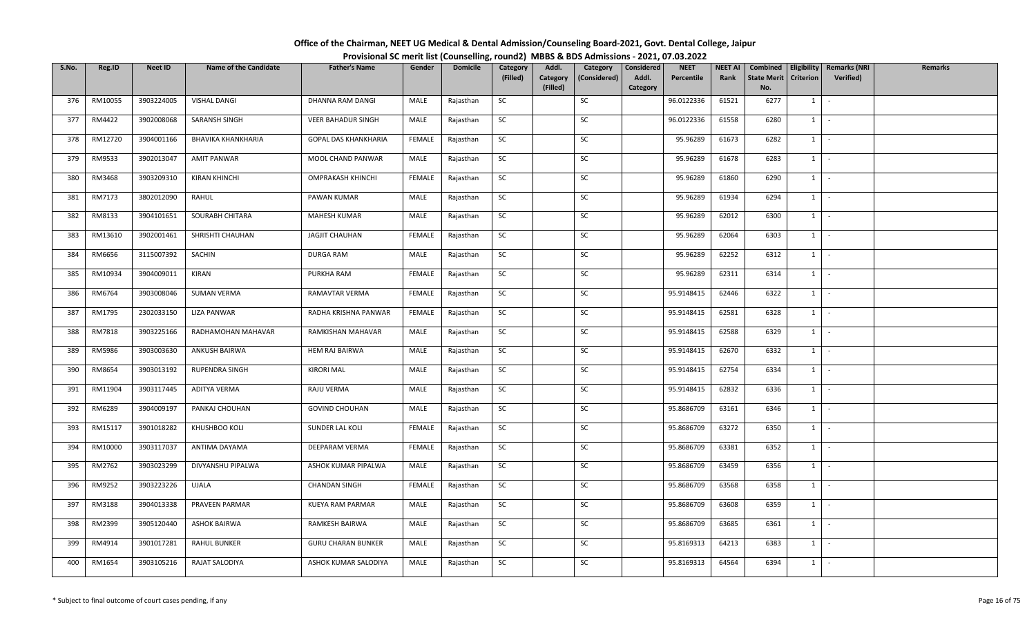| Office of the Chairman, NEET UG Medical & Dental Admission/Counseling Board-2021, Govt. Dental College, Jaipur |                                                                                          |
|----------------------------------------------------------------------------------------------------------------|------------------------------------------------------------------------------------------|
|                                                                                                                | Provisional SC merit list (Counselling, round2) MBBS & BDS Admissions - 2021, 07.03.2022 |

| S.No. | Reg.ID  | <b>Neet ID</b> | <b>Name of the Candidate</b> | <b>Father's Name</b>        | Gender        | <b>Domicile</b> | Category  | Addl.                | Category     | Considered        | <b>NEET</b> | <b>NEET AI</b> | Combined                  |                     | <b>Eligibility   Remarks (NRI</b> | Remarks |
|-------|---------|----------------|------------------------------|-----------------------------|---------------|-----------------|-----------|----------------------|--------------|-------------------|-------------|----------------|---------------------------|---------------------|-----------------------------------|---------|
|       |         |                |                              |                             |               |                 | (Filled)  | Category<br>(Filled) | (Considered) | Addl.<br>Category | Percentile  | Rank           | <b>State Merit</b><br>No. | <b>Criterion</b>    | Verified)                         |         |
| 376   | RM10055 | 3903224005     | <b>VISHAL DANGI</b>          | DHANNA RAM DANGI            | MALE          | Rajasthan       | SC        |                      | SC           |                   | 96.0122336  | 61521          | 6277                      | 1                   | $\sim$                            |         |
| 377   | RM4422  | 3902008068     | SARANSH SINGH                | <b>VEER BAHADUR SINGH</b>   | MALE          | Rajasthan       | SC        |                      | SC           |                   | 96.0122336  | 61558          | 6280                      | $1 \quad$           | $\sim$                            |         |
| 378   | RM12720 | 3904001166     | BHAVIKA KHANKHARIA           | <b>GOPAL DAS KHANKHARIA</b> | <b>FEMALE</b> | Rajasthan       | SC        |                      | SC           |                   | 95.96289    | 61673          | 6282                      |                     | $1 \cdot$                         |         |
| 379   | RM9533  | 3902013047     | <b>AMIT PANWAR</b>           | MOOL CHAND PANWAR           | MALE          | Rajasthan       | SC        |                      | SC           |                   | 95.96289    | 61678          | 6283                      | $1$ $-$             |                                   |         |
| 380   | RM3468  | 3903209310     | <b>KIRAN KHINCHI</b>         | OMPRAKASH KHINCHI           | <b>FEMALE</b> | Rajasthan       | SC        |                      | SC           |                   | 95.96289    | 61860          | 6290                      |                     | $1 \mid -$                        |         |
| 381   | RM7173  | 3802012090     | RAHUL                        | PAWAN KUMAR                 | MALE          | Rajasthan       | SC        |                      | SC           |                   | 95.96289    | 61934          | 6294                      |                     | $1 \cdot$                         |         |
| 382   | RM8133  | 3904101651     | SOURABH CHITARA              | <b>MAHESH KUMAR</b>         | MALE          | Rajasthan       | SC        |                      | SC           |                   | 95.96289    | 62012          | 6300                      | $1 \quad$           | $\sim$                            |         |
| 383   | RM13610 | 3902001461     | SHRISHTI CHAUHAN             | <b>JAGJIT CHAUHAN</b>       | <b>FEMALE</b> | Rajasthan       | SC        |                      | SC           |                   | 95.96289    | 62064          | 6303                      | 1                   | $\sim$ $-$                        |         |
| 384   | RM6656  | 3115007392     | SACHIN                       | DURGA RAM                   | MALE          | Rajasthan       | SC        |                      | SC           |                   | 95.96289    | 62252          | 6312                      | $1$ $-$             |                                   |         |
| 385   | RM10934 | 3904009011     | KIRAN                        | PURKHA RAM                  | FEMALE        | Rajasthan       | SC        |                      | SC           |                   | 95.96289    | 62311          | 6314                      | $1 \quad$           | $\sim$ $-$                        |         |
| 386   | RM6764  | 3903008046     | <b>SUMAN VERMA</b>           | RAMAVTAR VERMA              | FEMALE        | Rajasthan       | SC        |                      | SC           |                   | 95.9148415  | 62446          | 6322                      |                     | $1 \cdot$                         |         |
| 387   | RM1795  | 2302033150     | <b>LIZA PANWAR</b>           | RADHA KRISHNA PANWAR        | <b>FEMALE</b> | Rajasthan       | SC        |                      | SC           |                   | 95.9148415  | 62581          | 6328                      | $1$ $\vert$ $\vert$ |                                   |         |
| 388   | RM7818  | 3903225166     | RADHAMOHAN MAHAVAR           | RAMKISHAN MAHAVAR           | MALE          | Rajasthan       | SC        |                      | SC           |                   | 95.9148415  | 62588          | 6329                      | 1                   | $\sim$                            |         |
| 389   | RM5986  | 3903003630     | <b>ANKUSH BAIRWA</b>         | <b>HEM RAJ BAIRWA</b>       | MALE          | Rajasthan       | SC        |                      | SC           |                   | 95.9148415  | 62670          | 6332                      | $1 \quad$           | $\sim$                            |         |
| 390   | RM8654  | 3903013192     | <b>RUPENDRA SINGH</b>        | KIRORI MAL                  | MALE          | Rajasthan       | SC        |                      | SC           |                   | 95.9148415  | 62754          | 6334                      | 1                   | $\sim$ $-$                        |         |
| 391   | RM11904 | 3903117445     | ADITYA VERMA                 | RAJU VERMA                  | MALE          | Rajasthan       | <b>SC</b> |                      | SC           |                   | 95.9148415  | 62832          | 6336                      | $1 \mid$            | $\sim$ $-$                        |         |
| 392   | RM6289  | 3904009197     | PANKAJ CHOUHAN               | <b>GOVIND CHOUHAN</b>       | MALE          | Rajasthan       | SC        |                      | SC           |                   | 95.8686709  | 63161          | 6346                      | $1 \mid$            | $\sim$                            |         |
| 393   | RM15117 | 3901018282     | KHUSHBOO KOLI                | SUNDER LAL KOLI             | <b>FEMALE</b> | Rajasthan       | SC        |                      | SC           |                   | 95.8686709  | 63272          | 6350                      | 1                   | $\sim$                            |         |
| 394   | RM10000 | 3903117037     | ANTIMA DAYAMA                | DEEPARAM VERMA              | FEMALE        | Rajasthan       | SC        |                      | SC           |                   | 95.8686709  | 63381          | 6352                      |                     | $1 \cdot$                         |         |
| 395   | RM2762  | 3903023299     | DIVYANSHU PIPALWA            | ASHOK KUMAR PIPALWA         | MALE          | Rajasthan       | SC        |                      | SC           |                   | 95.8686709  | 63459          | 6356                      | 1                   | $\sim$                            |         |
| 396   | RM9252  | 3903223226     | <b>UJALA</b>                 | <b>CHANDAN SINGH</b>        | FEMALE        | Rajasthan       | <b>SC</b> |                      | SC           |                   | 95.8686709  | 63568          | 6358                      |                     | $1 \mid -$                        |         |
| 397   | RM3188  | 3904013338     | PRAVEEN PARMAR               | KUEYA RAM PARMAR            | MALE          | Rajasthan       | SC        |                      | SC           |                   | 95.8686709  | 63608          | 6359                      | $1$ $-$             |                                   |         |
| 398   | RM2399  | 3905120440     | <b>ASHOK BAIRWA</b>          | RAMKESH BAIRWA              | MALE          | Rajasthan       | SC        |                      | SC           |                   | 95.8686709  | 63685          | 6361                      | $1 \quad$           | $\sim$                            |         |
| 399   | RM4914  | 3901017281     | <b>RAHUL BUNKER</b>          | <b>GURU CHARAN BUNKER</b>   | MALE          | Rajasthan       | <b>SC</b> |                      | SC           |                   | 95.8169313  | 64213          | 6383                      | $1 \quad$           | $\sim$                            |         |
| 400   | RM1654  | 3903105216     | RAJAT SALODIYA               | ASHOK KUMAR SALODIYA        | MALE          | Rajasthan       | SC        |                      | SC           |                   | 95.8169313  | 64564          | 6394                      | $1 \quad$           | $\sim$                            |         |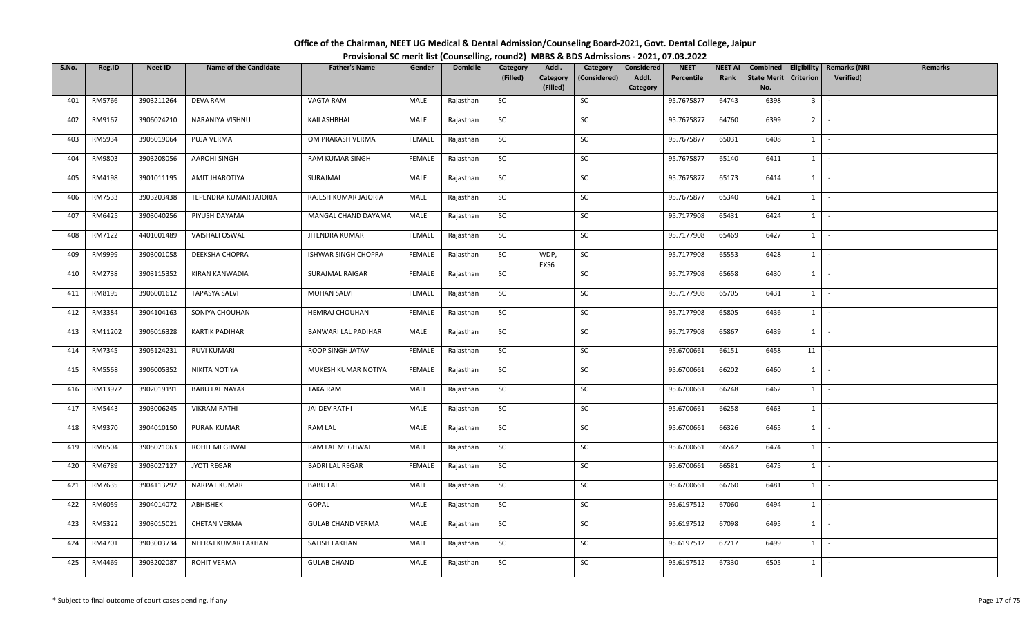| Office of the Chairman, NEET UG Medical & Dental Admission/Counseling Board-2021, Govt. Dental College, Jaipur |                                                                                          |
|----------------------------------------------------------------------------------------------------------------|------------------------------------------------------------------------------------------|
|                                                                                                                | Provisional SC merit list (Counselling, round2) MBBS & BDS Admissions - 2021, 07.03.2022 |

| S.No. | Reg.ID        | <b>Neet ID</b> | <b>Name of the Candidate</b> | <b>Father's Name</b>       | Gender        | <b>Domicile</b> | Category  | Addl.                | Category     | Considered        | <b>NEET</b> | <b>NEET AI</b> | Combined                  |                | Eligibility   Remarks (NRI | <b>Remarks</b> |
|-------|---------------|----------------|------------------------------|----------------------------|---------------|-----------------|-----------|----------------------|--------------|-------------------|-------------|----------------|---------------------------|----------------|----------------------------|----------------|
|       |               |                |                              |                            |               |                 | (Filled)  | Category<br>(Filled) | (Considered) | Addl.<br>Category | Percentile  | Rank           | <b>State Merit</b><br>No. | Criterion      | Verified)                  |                |
| 401   | RM5766        | 3903211264     | <b>DEVA RAM</b>              | VAGTA RAM                  | MALE          | Rajasthan       | SC        |                      | SC           |                   | 95.7675877  | 64743          | 6398                      | 3 <sup>1</sup> | $\sim$                     |                |
|       |               |                |                              |                            |               |                 |           |                      |              |                   |             |                |                           |                |                            |                |
| 402   | RM9167        | 3906024210     | NARANIYA VISHNU              | KAILASHBHAI                | MALE          | Rajasthan       | <b>SC</b> |                      | SC           |                   | 95.7675877  | 64760          | 6399                      | 2 <sup>1</sup> | $\sim$                     |                |
| 403   | RM5934        | 3905019064     | PUJA VERMA                   | OM PRAKASH VERMA           | FEMALE        | Rajasthan       | SC        |                      | SC           |                   | 95.7675877  | 65031          | 6408                      | $1 \quad$      | $\sim$                     |                |
| 404   | RM9803        | 3903208056     | AAROHI SINGH                 | RAM KUMAR SINGH            | FEMALE        | Rajasthan       | <b>SC</b> |                      | SC           |                   | 95.7675877  | 65140          | 6411                      | $1 \mid$       | $\sim$                     |                |
| 405   | RM4198        | 3901011195     | AMIT JHAROTIYA               | SURAJMAL                   | MALE          | Rajasthan       | SC        |                      | SC           |                   | 95.7675877  | 65173          | 6414                      | 1              | $\sim$                     |                |
| 406   | RM7533        | 3903203438     | TEPENDRA KUMAR JAJORIA       | RAJESH KUMAR JAJORIA       | MALE          | Rajasthan       | SC        |                      | SC           |                   | 95.7675877  | 65340          | 6421                      | $1 \mid -$     |                            |                |
| 407   | RM6425        | 3903040256     | PIYUSH DAYAMA                | MANGAL CHAND DAYAMA        | MALE          | Rajasthan       | <b>SC</b> |                      | SC           |                   | 95.7177908  | 65431          | 6424                      | 1              | $\sim$                     |                |
| 408   | RM7122        | 4401001489     | VAISHALI OSWAL               | JITENDRA KUMAR             | <b>FEMALE</b> | Rajasthan       | SC        |                      | SC           |                   | 95.7177908  | 65469          | 6427                      | 1              | $\sim$                     |                |
| 409   | RM9999        | 3903001058     | DEEKSHA CHOPRA               | ISHWAR SINGH CHOPRA        | FEMALE        | Rajasthan       | <b>SC</b> | WDP,<br>EXS6         | SC           |                   | 95.7177908  | 65553          | 6428                      | $1 \quad$      | $\sim$                     |                |
| 410   | RM2738        | 3903115352     | KIRAN KANWADIA               | SURAJMAL RAIGAR            | <b>FEMALE</b> | Rajasthan       | SC        |                      | SC           |                   | 95.7177908  | 65658          | 6430                      | $1 \quad$      | $\sim$                     |                |
| 411   | RM8195        | 3906001612     | <b>TAPASYA SALVI</b>         | <b>MOHAN SALVI</b>         | <b>FEMALE</b> | Rajasthan       | <b>SC</b> |                      | SC           |                   | 95.7177908  | 65705          | 6431                      | $1 \mid$       | $\sim$                     |                |
| 412   | RM3384        | 3904104163     | SONIYA CHOUHAN               | <b>HEMRAJ CHOUHAN</b>      | FEMALE        | Rajasthan       | SC        |                      | SC           |                   | 95.7177908  | 65805          | 6436                      | $1\phantom{0}$ | $\sim$                     |                |
| 413   | RM11202       | 3905016328     | <b>KARTIK PADIHAR</b>        | <b>BANWARI LAL PADIHAR</b> | MALE          | Rajasthan       | SC        |                      | SC           |                   | 95.7177908  | 65867          | 6439                      | 1              | $\sim$                     |                |
| 414   | RM7345        | 3905124231     | <b>RUVI KUMARI</b>           | ROOP SINGH JATAV           | FEMALE        | Rajasthan       | SC        |                      | SC           |                   | 95.6700661  | 66151          | 6458                      | 11             | $\sim$                     |                |
| 415   | <b>RM5568</b> | 3906005352     | NIKITA NOTIYA                | MUKESH KUMAR NOTIYA        | FEMALE        | Rajasthan       | <b>SC</b> |                      | SC           |                   | 95.6700661  | 66202          | 6460                      | 1              | $\sim$                     |                |
| 416   | RM13972       | 3902019191     | <b>BABU LAL NAYAK</b>        | TAKA RAM                   | MALE          | Rajasthan       | SC        |                      | SC           |                   | 95.6700661  | 66248          | 6462                      | 1              | $\sim$                     |                |
| 417   | RM5443        | 3903006245     | <b>VIKRAM RATHI</b>          | JAI DEV RATHI              | MALE          | Rajasthan       | SC        |                      | SC           |                   | 95.6700661  | 66258          | 6463                      | 1              | $\sim$                     |                |
| 418   | RM9370        | 3904010150     | PURAN KUMAR                  | <b>RAM LAL</b>             | MALE          | Rajasthan       | <b>SC</b> |                      | SC           |                   | 95.6700661  | 66326          | 6465                      | $1 \mid$       | $\sim$                     |                |
| 419   | RM6504        | 3905021063     | ROHIT MEGHWAL                | RAM LAL MEGHWAL            | MALE          | Rajasthan       | SC        |                      | SC           |                   | 95.6700661  | 66542          | 6474                      | $1 \vert$      | $\sim$                     |                |
| 420   | RM6789        | 3903027127     | <b>JYOTI REGAR</b>           | <b>BADRI LAL REGAR</b>     | FEMALE        | Rajasthan       | SC        |                      | SC           |                   | 95.6700661  | 66581          | 6475                      | $1 \quad$      | $\sim$                     |                |
| 421   | RM7635        | 3904113292     | NARPAT KUMAR                 | <b>BABU LAL</b>            | MALE          | Rajasthan       | <b>SC</b> |                      | SC           |                   | 95.6700661  | 66760          | 6481                      | 1              | $\sim$                     |                |
| 422   | RM6059        | 3904014072     | ABHISHEK                     | GOPAL                      | MALE          | Rajasthan       | SC        |                      | SC           |                   | 95.6197512  | 67060          | 6494                      | $1 \cdot$      |                            |                |
| 423   | RM5322        | 3903015021     | <b>CHETAN VERMA</b>          | <b>GULAB CHAND VERMA</b>   | MALE          | Rajasthan       | SC        |                      | SC           |                   | 95.6197512  | 67098          | 6495                      | 1              | $\sim$                     |                |
| 424   | RM4701        | 3903003734     | NEERAJ KUMAR LAKHAN          | SATISH LAKHAN              | MALE          | Rajasthan       | SC        |                      | SC           |                   | 95.6197512  | 67217          | 6499                      | $1 \quad$      | $\sim$                     |                |
| 425   | RM4469        | 3903202087     | <b>ROHIT VERMA</b>           | <b>GULAB CHAND</b>         | MALE          | Rajasthan       | <b>SC</b> |                      | SC           |                   | 95.6197512  | 67330          | 6505                      | $1 \quad$      | $\sim$                     |                |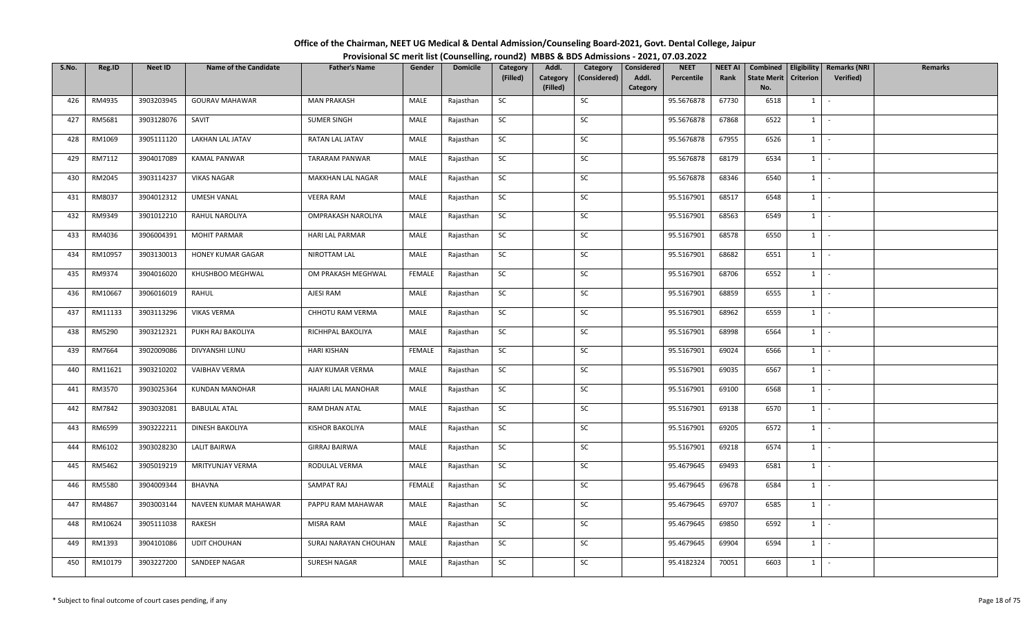| Office of the Chairman, NEET UG Medical & Dental Admission/Counseling Board-2021, Govt. Dental College, Jaipur |                                                                                          |
|----------------------------------------------------------------------------------------------------------------|------------------------------------------------------------------------------------------|
|                                                                                                                | Provisional SC merit list (Counselling, round2) MBBS & BDS Admissions - 2021, 07.03.2022 |

| S.No. | Reg.ID  | <b>Neet ID</b> | <b>Name of the Candidate</b> | <b>Father's Name</b>  | Gender        | <b>Domicile</b> | Category  | Addl.                | Category     | Considered        | <b>NEET</b> | <b>NEET AI</b> | Combined                  |                  | <b>Eligibility   Remarks (NRI</b> | Remarks |
|-------|---------|----------------|------------------------------|-----------------------|---------------|-----------------|-----------|----------------------|--------------|-------------------|-------------|----------------|---------------------------|------------------|-----------------------------------|---------|
|       |         |                |                              |                       |               |                 | (Filled)  | Category<br>(Filled) | (Considered) | Addl.<br>Category | Percentile  | Rank           | <b>State Merit</b><br>No. | <b>Criterion</b> | Verified)                         |         |
| 426   | RM4935  | 3903203945     | <b>GOURAV MAHAWAR</b>        | <b>MAN PRAKASH</b>    | MALE          | Rajasthan       | SC        |                      | SC           |                   | 95.5676878  | 67730          | 6518                      | 1                | $\sim$                            |         |
|       |         |                |                              |                       |               |                 |           |                      |              |                   |             |                |                           |                  |                                   |         |
| 427   | RM5681  | 3903128076     | SAVIT                        | SUMER SINGH           | MALE          | Rajasthan       | SC        |                      | SC           |                   | 95.5676878  | 67868          | 6522                      | $1 \quad$        | $\sim$                            |         |
| 428   | RM1069  | 3905111120     | LAKHAN LAL JATAV             | RATAN LAL JATAV       | MALE          | Rajasthan       | <b>SC</b> |                      | SC           |                   | 95.5676878  | 67955          | 6526                      |                  | $1 \cdot$                         |         |
| 429   | RM7112  | 3904017089     | <b>KAMAL PANWAR</b>          | <b>TARARAM PANWAR</b> | MALE          | Rajasthan       | SC        |                      | SC           |                   | 95.5676878  | 68179          | 6534                      |                  | $1$ $-$                           |         |
| 430   | RM2045  | 3903114237     | <b>VIKAS NAGAR</b>           | MAKKHAN LAL NAGAR     | MALE          | Rajasthan       | SC        |                      | SC           |                   | 95.5676878  | 68346          | 6540                      | $1 \mid$         | $\sim$ $-$                        |         |
| 431   | RM8037  | 3904012312     | <b>UMESH VANAL</b>           | <b>VEERA RAM</b>      | MALE          | Rajasthan       | SC        |                      | SC           |                   | 95.5167901  | 68517          | 6548                      | $1 \mid$         | $\sim$                            |         |
| 432   | RM9349  | 3901012210     | RAHUL NAROLIYA               | OMPRAKASH NAROLIYA    | MALE          | Rajasthan       | SC        |                      | SC           |                   | 95.5167901  | 68563          | 6549                      | $1 \quad$        | $\sim$                            |         |
| 433   | RM4036  | 3906004391     | <b>MOHIT PARMAR</b>          | HARI LAL PARMAR       | MALE          | Rajasthan       | SC        |                      | SC           |                   | 95.5167901  | 68578          | 6550                      | 1                | $\sim$ $-$                        |         |
| 434   | RM10957 | 3903130013     | HONEY KUMAR GAGAR            | NIROTTAM LAL          | MALE          | Rajasthan       | SC        |                      | SC           |                   | 95.5167901  | 68682          | 6551                      |                  | $1$ $-$                           |         |
| 435   | RM9374  | 3904016020     | KHUSHBOO MEGHWAL             | OM PRAKASH MEGHWAL    | <b>FEMALE</b> | Rajasthan       | SC        |                      | SC           |                   | 95.5167901  | 68706          | 6552                      | $1 \quad$        | $\sim$ $-$                        |         |
| 436   | RM10667 | 3906016019     | RAHUL                        | AJESI RAM             | MALE          | Rajasthan       | SC        |                      | SC           |                   | 95.5167901  | 68859          | 6555                      |                  | $1 \cdot$                         |         |
| 437   | RM11133 | 3903113296     | <b>VIKAS VERMA</b>           | CHHOTU RAM VERMA      | MALE          | Rajasthan       | SC        |                      | SC           |                   | 95.5167901  | 68962          | 6559                      |                  | $1$ $\vert$ $\vert$               |         |
| 438   | RM5290  | 3903212321     | PUKH RAJ BAKOLIYA            | RICHHPAL BAKOLIYA     | MALE          | Rajasthan       | SC        |                      | SC           |                   | 95.5167901  | 68998          | 6564                      | 1                | $\sim$                            |         |
| 439   | RM7664  | 3902009086     | DIVYANSHI LUNU               | HARI KISHAN           | <b>FEMALE</b> | Rajasthan       | SC        |                      | SC           |                   | 95.5167901  | 69024          | 6566                      | $1 \quad$        | $\sim$                            |         |
| 440   | RM11621 | 3903210202     | VAIBHAV VERMA                | AJAY KUMAR VERMA      | MALE          | Rajasthan       | SC        |                      | SC           |                   | 95.5167901  | 69035          | 6567                      | $1 \quad$        | $\sim$ $-$                        |         |
| 441   | RM3570  | 3903025364     | KUNDAN MANOHAR               | HAJARI LAL MANOHAR    | MALE          | Rajasthan       | <b>SC</b> |                      | SC           |                   | 95.5167901  | 69100          | 6568                      | $1 \mid$         | $\sim$ $-$                        |         |
| 442   | RM7842  | 3903032081     | <b>BABULAL ATAL</b>          | RAM DHAN ATAL         | MALE          | Rajasthan       | <b>SC</b> |                      | SC           |                   | 95.5167901  | 69138          | 6570                      | $1 \mid$         | $\sim$                            |         |
| 443   | RM6599  | 3903222211     | DINESH BAKOLIYA              | KISHOR BAKOLIYA       | MALE          | Rajasthan       | SC        |                      | SC           |                   | 95.5167901  | 69205          | 6572                      | 1                | $\sim$                            |         |
| 444   | RM6102  | 3903028230     | LALIT BAIRWA                 | GIRRAJ BAIRWA         | MALE          | Rajasthan       | SC        |                      | SC           |                   | 95.5167901  | 69218          | 6574                      |                  | $1 \cdot$                         |         |
| 445   | RM5462  | 3905019219     | MRITYUNJAY VERMA             | RODULAL VERMA         | MALE          | Rajasthan       | SC        |                      | SC           |                   | 95.4679645  | 69493          | 6581                      | 1                | $\sim$                            |         |
| 446   | RM5580  | 3904009344     | BHAVNA                       | SAMPAT RAJ            | FEMALE        | Rajasthan       | SC        |                      | SC           |                   | 95.4679645  | 69678          | 6584                      |                  | $1 \mid -$                        |         |
| 447   | RM4867  | 3903003144     | NAVEEN KUMAR MAHAWAR         | PAPPU RAM MAHAWAR     | MALE          | Rajasthan       | SC        |                      | SC           |                   | 95.4679645  | 69707          | 6585                      |                  | $1$ $-$                           |         |
| 448   | RM10624 | 3905111038     | RAKESH                       | MISRA RAM             | MALE          | Rajasthan       | SC        |                      | SC           |                   | 95.4679645  | 69850          | 6592                      | $1 \quad$        | $\sim$                            |         |
| 449   | RM1393  | 3904101086     | UDIT CHOUHAN                 | SURAJ NARAYAN CHOUHAN | MALE          | Rajasthan       | SC        |                      | SC           |                   | 95.4679645  | 69904          | 6594                      | $1 \quad$        | $\sim$ $-$                        |         |
| 450   | RM10179 | 3903227200     | SANDEEP NAGAR                | SURESH NAGAR          | MALE          | Rajasthan       | SC        |                      | SC           |                   | 95.4182324  | 70051          | 6603                      | $1 \quad$        | $\sim$                            |         |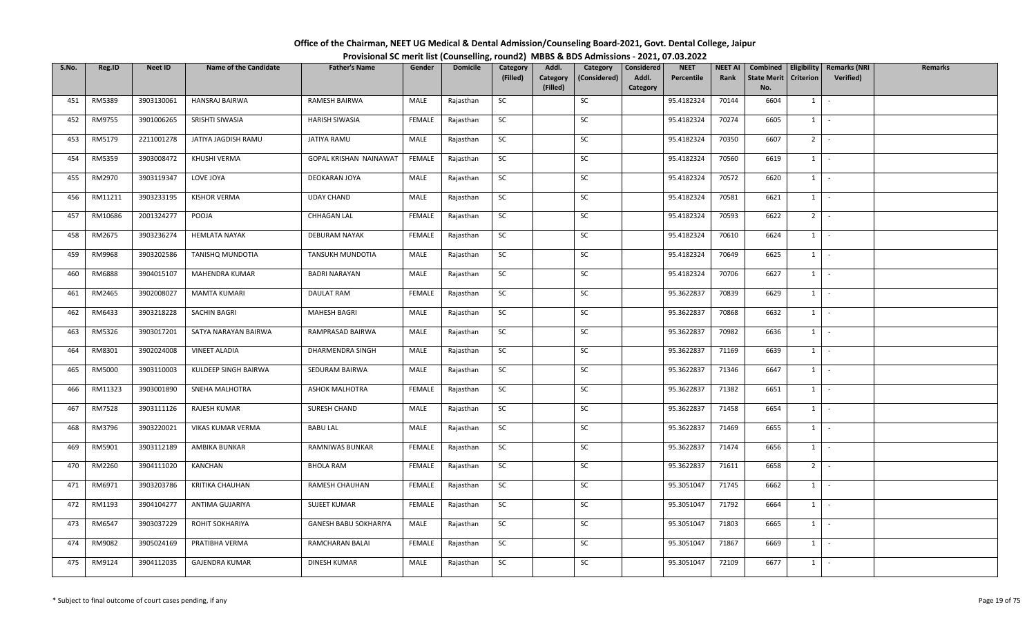| Office of the Chairman, NEET UG Medical & Dental Admission/Counseling Board-2021, Govt. Dental College, Jaipur |                                                                                          |
|----------------------------------------------------------------------------------------------------------------|------------------------------------------------------------------------------------------|
|                                                                                                                | Provisional SC merit list (Counselling, round2) MBBS & BDS Admissions - 2021, 07.03.2022 |

| S.No. | Reg.ID  | <b>Neet ID</b> | <b>Name of the Candidate</b> | <b>Father's Name</b>          | Gender        | <b>Domicile</b> | Category  | Addl.                | Category     | Considered        | <b>NEET</b> | <b>NEET AI</b> | Combined                  |                  | <b>Eligibility   Remarks (NRI</b> | Remarks |
|-------|---------|----------------|------------------------------|-------------------------------|---------------|-----------------|-----------|----------------------|--------------|-------------------|-------------|----------------|---------------------------|------------------|-----------------------------------|---------|
|       |         |                |                              |                               |               |                 | (Filled)  | Category<br>(Filled) | (Considered) | Addl.<br>Category | Percentile  | Rank           | <b>State Merit</b><br>No. | <b>Criterion</b> | Verified)                         |         |
| 451   | RM5389  | 3903130061     | HANSRAJ BAIRWA               | RAMESH BAIRWA                 | MALE          | Rajasthan       | SC        |                      | SC           |                   | 95.4182324  | 70144          | 6604                      | 1                | $\sim$                            |         |
| 452   | RM9755  | 3901006265     | SRISHTI SIWASIA              | <b>HARISH SIWASIA</b>         | <b>FEMALE</b> | Rajasthan       | SC        |                      | SC           |                   | 95.4182324  | 70274          | 6605                      | $1 \quad$        | $\sim$                            |         |
|       |         |                |                              |                               |               |                 |           |                      |              |                   |             |                |                           |                  |                                   |         |
| 453   | RM5179  | 2211001278     | JATIYA JAGDISH RAMU          | JATIYA RAMU                   | MALE          | Rajasthan       | <b>SC</b> |                      | SC           |                   | 95.4182324  | 70350          | 6607                      | $2^{\circ}$      | $\sim$ $-$                        |         |
| 454   | RM5359  | 3903008472     | KHUSHI VERMA                 | <b>GOPAL KRISHAN NAINAWAT</b> | FEMALE        | Rajasthan       | SC        |                      | SC           |                   | 95.4182324  | 70560          | 6619                      |                  | $1$ $-$                           |         |
| 455   | RM2970  | 3903119347     | LOVE JOYA                    | DEOKARAN JOYA                 | MALE          | Rajasthan       | SC        |                      | SC           |                   | 95.4182324  | 70572          | 6620                      | $1 \mid$         | $\sim$ $-$                        |         |
| 456   | RM11211 | 3903233195     | <b>KISHOR VERMA</b>          | <b>UDAY CHAND</b>             | MALE          | Rajasthan       | SC        |                      | SC           |                   | 95.4182324  | 70581          | 6621                      |                  | $1 \cdot$                         |         |
| 457   | RM10686 | 2001324277     | POOJA                        | CHHAGAN LAL                   | <b>FEMALE</b> | Rajasthan       | SC        |                      | SC           |                   | 95.4182324  | 70593          | 6622                      | 2 <sup>1</sup>   | $\sim$                            |         |
| 458   | RM2675  | 3903236274     | <b>HEMLATA NAYAK</b>         | DEBURAM NAYAK                 | <b>FEMALE</b> | Rajasthan       | SC        |                      | SC           |                   | 95.4182324  | 70610          | 6624                      | 1                | $\sim$                            |         |
| 459   | RM9968  | 3903202586     | <b>TANISHQ MUNDOTIA</b>      | TANSUKH MUNDOTIA              | MALE          | Rajasthan       | SC        |                      | SC           |                   | 95.4182324  | 70649          | 6625                      |                  | $1$ $-$                           |         |
| 460   | RM6888  | 3904015107     | MAHENDRA KUMAR               | <b>BADRI NARAYAN</b>          | MALE          | Rajasthan       | SC        |                      | SC           |                   | 95.4182324  | 70706          | 6627                      | $1 \quad$        | $\sim$ $-$                        |         |
| 461   | RM2465  | 3902008027     | <b>MAMTA KUMARI</b>          | DAULAT RAM                    | <b>FEMALE</b> | Rajasthan       | SC        |                      | SC           |                   | 95.3622837  | 70839          | 6629                      |                  | $1 \cdot$                         |         |
| 462   | RM6433  | 3903218228     | SACHIN BAGRI                 | <b>MAHESH BAGRI</b>           | MALE          | Rajasthan       | SC        |                      | SC           |                   | 95.3622837  | 70868          | 6632                      |                  | $1$ $\vert$ $\vert$               |         |
| 463   | RM5326  | 3903017201     | SATYA NARAYAN BAIRWA         | RAMPRASAD BAIRWA              | MALE          | Rajasthan       | SC        |                      | SC           |                   | 95.3622837  | 70982          | 6636                      | 1                | $\sim$                            |         |
| 464   | RM8301  | 3902024008     | <b>VINEET ALADIA</b>         | DHARMENDRA SINGH              | MALE          | Rajasthan       | SC        |                      | SC           |                   | 95.3622837  | 71169          | 6639                      | $1 \quad$        | $\sim$                            |         |
| 465   | RM5000  | 3903110003     | KULDEEP SINGH BAIRWA         | SEDURAM BAIRWA                | MALE          | Rajasthan       | SC        |                      | SC           |                   | 95.3622837  | 71346          | 6647                      | $1 \quad$        | $\sim$ $-$                        |         |
| 466   | RM11323 | 3903001890     | SNEHA MALHOTRA               | ASHOK MALHOTRA                | <b>FEMALE</b> | Rajasthan       | <b>SC</b> |                      | SC           |                   | 95.3622837  | 71382          | 6651                      | $1 \mid$         | $\sim$ $-$                        |         |
| 467   | RM7528  | 3903111126     | RAJESH KUMAR                 | SURESH CHAND                  | MALE          | Rajasthan       | SC        |                      | SC           |                   | 95.3622837  | 71458          | 6654                      | $1 \mid$         | $\sim$                            |         |
| 468   | RM3796  | 3903220021     | VIKAS KUMAR VERMA            | <b>BABU LAL</b>               | MALE          | Rajasthan       | SC        |                      | SC           |                   | 95.3622837  | 71469          | 6655                      | 1                | $\sim$                            |         |
| 469   | RM5901  | 3903112189     | AMBIKA BUNKAR                | RAMNIWAS BUNKAR               | FEMALE        | Rajasthan       | SC        |                      | SC           |                   | 95.3622837  | 71474          | 6656                      |                  | $1 \cdot$                         |         |
| 470   | RM2260  | 3904111020     | KANCHAN                      | <b>BHOLA RAM</b>              | <b>FEMALE</b> | Rajasthan       | SC        |                      | SC           |                   | 95.3622837  | 71611          | 6658                      | 2 <sup>1</sup>   | $\sim$                            |         |
| 471   | RM6971  | 3903203786     | KRITIKA CHAUHAN              | RAMESH CHAUHAN                | FEMALE        | Rajasthan       | SC        |                      | SC           |                   | 95.3051047  | 71745          | 6662                      |                  | $1 \mid -$                        |         |
| 472   | RM1193  | 3904104277     | ANTIMA GUJARIYA              | <b>SUJEET KUMAR</b>           | FEMALE        | Rajasthan       | SC        |                      | SC           |                   | 95.3051047  | 71792          | 6664                      |                  | $1$ $-$                           |         |
| 473   | RM6547  | 3903037229     | ROHIT SOKHARIYA              | <b>GANESH BABU SOKHARIYA</b>  | MALE          | Rajasthan       | SC        |                      | SC           |                   | 95.3051047  | 71803          | 6665                      | $1 \quad$        | $\sim$                            |         |
| 474   | RM9082  | 3905024169     | PRATIBHA VERMA               | RAMCHARAN BALAI               | FEMALE        | Rajasthan       | SC        |                      | SC           |                   | 95.3051047  | 71867          | 6669                      | $1 \quad$        | $\sim$ $-$                        |         |
| 475   | RM9124  | 3904112035     | <b>GAJENDRA KUMAR</b>        | DINESH KUMAR                  | MALE          | Rajasthan       | SC        |                      | SC           |                   | 95.3051047  | 72109          | 6677                      | $1 \quad$        | $\sim$                            |         |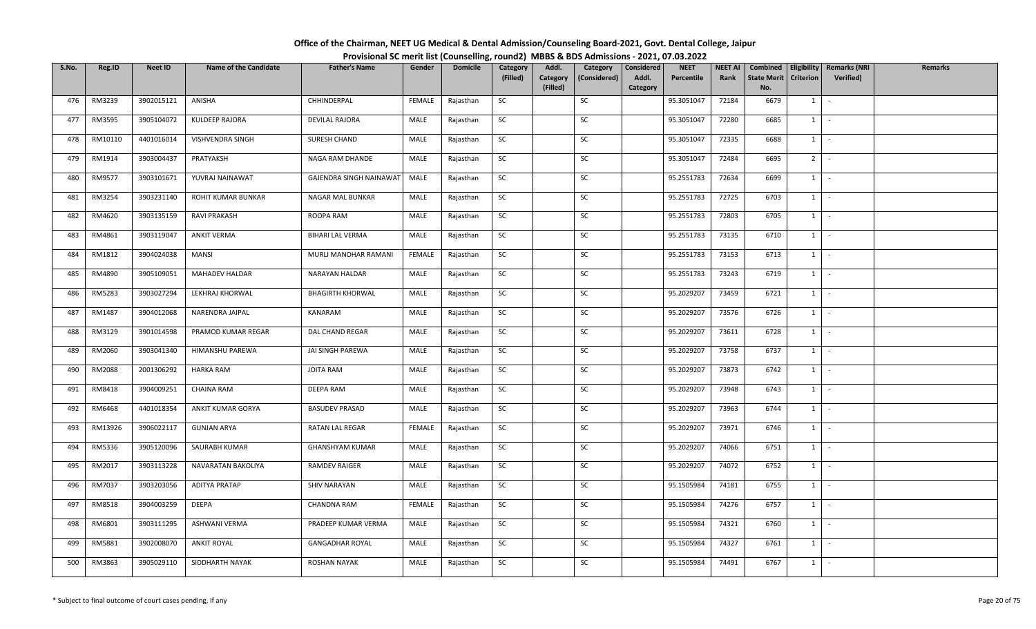## **Office of the Chairman, NEET UG Medical & Dental Admission/Counseling Board‐2021, Govt. Dental College, Jaipur Provisional SC merit list (Counselling, round2) MBBS & BDS Admissions ‐ 2021, 07.03.2022**

| S.No. | Reg.ID  | Neet ID    | <b>Name of the Candidate</b> | <b>Father's Name</b>    | Gender        | <b>Domicile</b> | Category<br>(Filled) | Addl.<br>Category | Category<br>(Considered) | <b>NEET</b><br>Considered<br>Addl.<br>Percentile | <b>NEET AI</b><br>Rank | Combined<br><b>State Merit</b> | <b>Criterion</b> | <b>Eligibility Remarks (NRI</b><br><b>Verified</b> ) | <b>Remarks</b> |
|-------|---------|------------|------------------------------|-------------------------|---------------|-----------------|----------------------|-------------------|--------------------------|--------------------------------------------------|------------------------|--------------------------------|------------------|------------------------------------------------------|----------------|
|       |         |            |                              |                         |               |                 |                      | (Filled)          |                          | Category                                         |                        | No.                            |                  |                                                      |                |
| 476   | RM3239  | 3902015121 | ANISHA                       | CHHINDERPAL             | FEMALE        | Rajasthan       | <b>SC</b>            |                   | SC                       | 95.3051047                                       | 72184                  | 6679                           | $1 \vert$        | $\sim$                                               |                |
| 477   | RM3595  | 3905104072 | <b>KULDEEP RAJORA</b>        | <b>DEVILAL RAJORA</b>   | MALE          | Rajasthan       | <b>SC</b>            |                   | SC                       | 95.3051047                                       | 72280                  | 6685                           | $1 \vert$        | $\sim$                                               |                |
| 478   | RM10110 | 4401016014 | VISHVENDRA SINGH             | SURESH CHAND            | MALE          | Rajasthan       | <b>SC</b>            |                   | SC                       | 95.3051047                                       | 72335                  | 6688                           | $1 \mid$         | $\sim$                                               |                |
| 479   | RM1914  | 3903004437 | PRATYAKSH                    | NAGA RAM DHANDE         | MALE          | Rajasthan       | <b>SC</b>            |                   | SC                       | 95.3051047                                       | 72484                  | 6695                           | 2 <sup>1</sup>   | $\sim$                                               |                |
| 480   | RM9577  | 3903101671 | YUVRAJ NAINAWAT              | GAJENDRA SINGH NAINAWAT | MALE          | Rajasthan       | <b>SC</b>            |                   | <b>SC</b>                | 95.2551783                                       | 72634                  | 6699                           | $1 \vert$        | $\sim$                                               |                |
| 481   | RM3254  | 3903231140 | ROHIT KUMAR BUNKAR           | NAGAR MAL BUNKAR        | MALE          | Rajasthan       | <b>SC</b>            |                   | SC                       | 95.2551783                                       | 72725                  | 6703                           | $1 \mid$         | $\sim$                                               |                |
| 482   | RM4620  | 3903135159 | RAVI PRAKASH                 | ROOPA RAM               | MALE          | Rajasthan       | <b>SC</b>            |                   | SC                       | 95.2551783                                       | 72803                  | 6705                           | 1                | $\sim$                                               |                |
| 483   | RM4861  | 3903119047 | <b>ANKIT VERMA</b>           | BIHARI LAL VERMA        | <b>MALE</b>   | Rajasthan       | <b>SC</b>            |                   | SC                       | 95.2551783                                       | 73135                  | 6710                           | $1 \vert$        | $\sim$                                               |                |
| 484   | RM1812  | 3904024038 | <b>MANSI</b>                 | MURLI MANOHAR RAMANI    | FEMALE        | Rajasthan       | <b>SC</b>            |                   | SC                       | 95.2551783                                       | 73153                  | 6713                           | $1 \vert$        | $\sim$                                               |                |
| 485   | RM4890  | 3905109051 | <b>MAHADEV HALDAR</b>        | NARAYAN HALDAR          | MALE          | Rajasthan       | <b>SC</b>            |                   | SC                       | 95.2551783                                       | 73243                  | 6719                           | $1 \vert$        | $\sim$                                               |                |
| 486   | RM5283  | 3903027294 | LEKHRAJ KHORWAL              | <b>BHAGIRTH KHORWAL</b> | MALE          | Rajasthan       | SC                   |                   | SC                       | 95.2029207                                       | 73459                  | 6721                           | $1 \vert$        | $\sim$                                               |                |
| 487   | RM1487  | 3904012068 | NARENDRA JAIPAL              | KANARAM                 | MALE          | Rajasthan       | <b>SC</b>            |                   | SC                       | 95.2029207                                       | 73576                  | 6726                           | $1$ $-$          |                                                      |                |
| 488   | RM3129  | 3901014598 | PRAMOD KUMAR REGAR           | DAL CHAND REGAR         | MALE          | Rajasthan       | <b>SC</b>            |                   | SC                       | 95.2029207                                       | 73611                  | 6728                           | $1 \vert$        |                                                      |                |
| 489   | RM2060  | 3903041340 | HIMANSHU PAREWA              | JAI SINGH PAREWA        | MALE          | Rajasthan       | SC                   |                   | SC                       | 95.2029207                                       | 73758                  | 6737                           | $1 \vert$        | $\sim$                                               |                |
| 490   | RM2088  | 2001306292 | <b>HARKA RAM</b>             | JOITA RAM               | MALE          | Rajasthan       | <b>SC</b>            |                   | SC                       | 95.2029207                                       | 73873                  | 6742                           | $1 \vert$        | $\sim$                                               |                |
| 491   | RM8418  | 3904009251 | <b>CHAINA RAM</b>            | DEEPA RAM               | MALE          | Rajasthan       | <b>SC</b>            |                   | SC                       | 95.2029207                                       | 73948                  | 6743                           | $1 \vert -$      |                                                      |                |
| 492   | RM6468  | 4401018354 | ANKIT KUMAR GORYA            | <b>BASUDEV PRASAD</b>   | MALE          | Rajasthan       | <b>SC</b>            |                   | SC                       | 95.2029207                                       | 73963                  | 6744                           | $1 \vert$        | $\sim$                                               |                |
| 493   | RM13926 | 3906022117 | <b>GUNJAN ARYA</b>           | RATAN LAL REGAR         | <b>FEMALE</b> | Rajasthan       | <b>SC</b>            |                   | SC                       | 95.2029207                                       | 73971                  | 6746                           | $1 \vert$        | $\overline{\phantom{a}}$                             |                |
| 494   | RM5336  | 3905120096 | SAURABH KUMAR                | <b>GHANSHYAM KUMAR</b>  | MALE          | Rajasthan       | <b>SC</b>            |                   | SC                       | 95.2029207                                       | 74066                  | 6751                           | $1 \cdot$        |                                                      |                |
| 495   | RM2017  | 3903113228 | NAVARATAN BAKOLIYA           | <b>RAMDEV RAIGER</b>    | MALE          | Rajasthan       | <b>SC</b>            |                   | SC                       | 95.2029207                                       | 74072                  | 6752                           | $1 \vert$        | $\sim$                                               |                |
| 496   | RM7037  | 3903203056 | <b>ADITYA PRATAP</b>         | SHIV NARAYAN            | MALE          | Rajasthan       | <b>SC</b>            |                   | SC                       | 95.1505984                                       | 74181                  | 6755                           | $1 \mid$         | $\sim$                                               |                |
| 497   | RM8518  | 3904003259 | DEEPA                        | <b>CHANDNA RAM</b>      | <b>FEMALE</b> | Rajasthan       | <b>SC</b>            |                   | SC                       | 95.1505984                                       | 74276                  | 6757                           | $1 \vert$        | $\sim$                                               |                |
| 498   | RM6801  | 3903111295 | ASHWANI VERMA                | PRADEEP KUMAR VERMA     | MALE          | Rajasthan       | SC                   |                   | SC                       | 95.1505984                                       | 74321                  | 6760                           | $1 \vert$        | $\sim$                                               |                |
| 499   | RM5881  | 3902008070 | <b>ANKIT ROYAL</b>           | <b>GANGADHAR ROYAL</b>  | MALE          | Rajasthan       | <b>SC</b>            |                   | SC                       | 95.1505984                                       | 74327                  | 6761                           | $1 \vert$        | $\sim$                                               |                |
| 500   | RM3863  | 3905029110 | SIDDHARTH NAYAK              | ROSHAN NAYAK            | MALE          | Rajasthan       | <b>SC</b>            |                   | SC                       | 95.1505984                                       | 74491                  | 6767                           | $1 \vert$        |                                                      |                |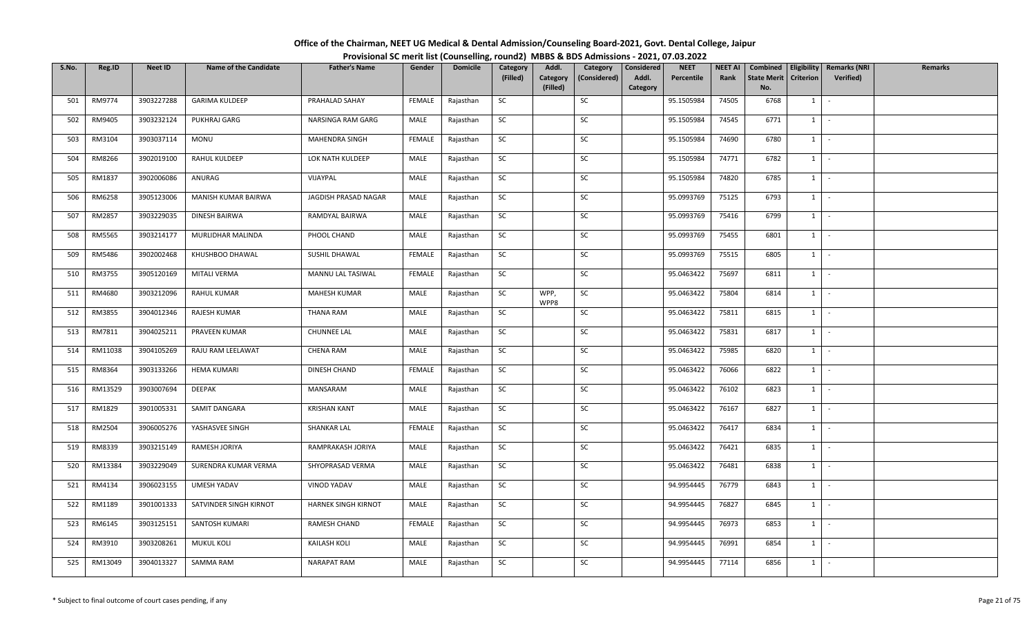| Office of the Chairman, NEET UG Medical & Dental Admission/Counseling Board-2021, Govt. Dental College, Jaipur |                                                                                          |
|----------------------------------------------------------------------------------------------------------------|------------------------------------------------------------------------------------------|
|                                                                                                                | Provisional SC merit list (Counselling, round2) MBBS & BDS Admissions - 2021, 07.03.2022 |

| S.No. | Reg.ID  | <b>Neet ID</b> | <b>Name of the Candidate</b> | <b>Father's Name</b>  | Gender        | <b>Domicile</b> | Category  | Addl.                | Category     | Considered        | <b>NEET</b> | <b>NEET AI</b> | Combined                  |                  | Eligibility   Remarks (NRI | <b>Remarks</b> |
|-------|---------|----------------|------------------------------|-----------------------|---------------|-----------------|-----------|----------------------|--------------|-------------------|-------------|----------------|---------------------------|------------------|----------------------------|----------------|
|       |         |                |                              |                       |               |                 | (Filled)  | Category<br>(Filled) | (Considered) | Addl.<br>Category | Percentile  | Rank           | <b>State Merit</b><br>No. | <b>Criterion</b> | Verified)                  |                |
| 501   | RM9774  | 3903227288     | <b>GARIMA KULDEEP</b>        | PRAHALAD SAHAY        | FEMALE        | Rajasthan       | SC        |                      | SC           |                   | 95.1505984  | 74505          | 6768                      | $1 \quad$        | $\sim$                     |                |
|       |         |                |                              |                       |               |                 |           |                      |              |                   |             |                |                           |                  |                            |                |
| 502   | RM9405  | 3903232124     | PUKHRAJ GARG                 | NARSINGA RAM GARG     | MALE          | Rajasthan       | <b>SC</b> |                      | SC           |                   | 95.1505984  | 74545          | 6771                      | 1                | $\sim$                     |                |
| 503   | RM3104  | 3903037114     | MONU                         | <b>MAHENDRA SINGH</b> | FEMALE        | Rajasthan       | SC        |                      | SC           |                   | 95.1505984  | 74690          | 6780                      | $1 \quad$        | $\sim$                     |                |
| 504   | RM8266  | 3902019100     | RAHUL KULDEEP                | LOK NATH KULDEEP      | MALE          | Rajasthan       | <b>SC</b> |                      | SC           |                   | 95.1505984  | 74771          | 6782                      | $1 \mid$         | $\sim$                     |                |
| 505   | RM1837  | 3902006086     | ANURAG                       | VIJAYPAL              | MALE          | Rajasthan       | SC        |                      | SC           |                   | 95.1505984  | 74820          | 6785                      | 1                | $\sim$                     |                |
| 506   | RM6258  | 3905123006     | MANISH KUMAR BAIRWA          | JAGDISH PRASAD NAGAR  | MALE          | Rajasthan       | <b>SC</b> |                      | SC           |                   | 95.0993769  | 75125          | 6793                      | $1 \mid -$       |                            |                |
| 507   | RM2857  | 3903229035     | DINESH BAIRWA                | RAMDYAL BAIRWA        | MALE          | Rajasthan       | <b>SC</b> |                      | SC           |                   | 95.0993769  | 75416          | 6799                      | 1                | $\sim$                     |                |
| 508   | RM5565  | 3903214177     | MURLIDHAR MALINDA            | PHOOL CHAND           | MALE          | Rajasthan       | SC        |                      | SC           |                   | 95.0993769  | 75455          | 6801                      | 1                | $\sim$                     |                |
| 509   | RM5486  | 3902002468     | KHUSHBOO DHAWAL              | SUSHIL DHAWAL         | <b>FEMALE</b> | Rajasthan       | SC        |                      | SC           |                   | 95.0993769  | 75515          | 6805                      | $1 \quad$        | $\sim$                     |                |
| 510   | RM3755  | 3905120169     | MITALI VERMA                 | MANNU LAL TASIWAL     | FEMALE        | Rajasthan       | SC        |                      | SC           |                   | 95.0463422  | 75697          | 6811                      | $1 \quad$        | $\sim$                     |                |
| 511   | RM4680  | 3903212096     | <b>RAHUL KUMAR</b>           | <b>MAHESH KUMAR</b>   | MALE          | Rajasthan       | SC        | WPP,<br>WPP8         | SC           |                   | 95.0463422  | 75804          | 6814                      | $1 \mid$         | $\sim$                     |                |
| 512   | RM3855  | 3904012346     | <b>RAJESH KUMAR</b>          | <b>THANA RAM</b>      | MALE          | Rajasthan       | SC        |                      | SC           |                   | 95.0463422  | 75811          | 6815                      | $1\phantom{0}$   | $\sim$                     |                |
| 513   | RM7811  | 3904025211     | PRAVEEN KUMAR                | <b>CHUNNEE LAL</b>    | MALE          | Rajasthan       | SC        |                      | SC           |                   | 95.0463422  | 75831          | 6817                      | 1                | $\sim$                     |                |
| 514   | RM11038 | 3904105269     | RAJU RAM LEELAWAT            | <b>CHENA RAM</b>      | MALE          | Rajasthan       | SC        |                      | SC           |                   | 95.0463422  | 75985          | 6820                      | $1 \quad$        | $\sim$                     |                |
| 515   | RM8364  | 3903133266     | HEMA KUMARI                  | DINESH CHAND          | FEMALE        | Rajasthan       | <b>SC</b> |                      | SC           |                   | 95.0463422  | 76066          | 6822                      | 1                | $\sim$                     |                |
| 516   | RM13529 | 3903007694     | DEEPAK                       | MANSARAM              | MALE          | Rajasthan       | SC        |                      | SC           |                   | 95.0463422  | 76102          | 6823                      | 1                | $\sim$                     |                |
| 517   | RM1829  | 3901005331     | SAMIT DANGARA                | <b>KRISHAN KANT</b>   | MALE          | Rajasthan       | SC        |                      | SC           |                   | 95.0463422  | 76167          | 6827                      | 1                | $\sim$                     |                |
| 518   | RM2504  | 3906005276     | YASHASVEE SINGH              | SHANKAR LAL           | FEMALE        | Rajasthan       | <b>SC</b> |                      | SC           |                   | 95.0463422  | 76417          | 6834                      | $1 \mid$         | $\sim$                     |                |
| 519   | RM8339  | 3903215149     | RAMESH JORIYA                | RAMPRAKASH JORIYA     | MALE          | Rajasthan       | SC        |                      | SC           |                   | 95.0463422  | 76421          | 6835                      | $1 \vert$        | $\sim$                     |                |
| 520   | RM13384 | 3903229049     | SURENDRA KUMAR VERMA         | SHYOPRASAD VERMA      | MALE          | Rajasthan       | SC        |                      | SC           |                   | 95.0463422  | 76481          | 6838                      | 1                | $\sim$                     |                |
| 521   | RM4134  | 3906023155     | UMESH YADAV                  | <b>VINOD YADAV</b>    | MALE          | Rajasthan       | <b>SC</b> |                      | SC           |                   | 94.9954445  | 76779          | 6843                      | 1                | $\sim$                     |                |
| 522   | RM1189  | 3901001333     | SATVINDER SINGH KIRNOT       | HARNEK SINGH KIRNOT   | MALE          | Rajasthan       | SC        |                      | SC           |                   | 94.9954445  | 76827          | 6845                      | $1 \cdot$        |                            |                |
| 523   | RM6145  | 3903125151     | SANTOSH KUMARI               | RAMESH CHAND          | FEMALE        | Rajasthan       | SC        |                      | SC           |                   | 94.9954445  | 76973          | 6853                      | 1                | $\sim$                     |                |
| 524   | RM3910  | 3903208261     | <b>MUKUL KOLI</b>            | KAILASH KOLI          | MALE          | Rajasthan       | SC        |                      | SC           |                   | 94.9954445  | 76991          | 6854                      | $1 \quad$        | $\sim$                     |                |
| 525   | RM13049 | 3904013327     | <b>SAMMA RAM</b>             | <b>NARAPAT RAM</b>    | MALE          | Rajasthan       | <b>SC</b> |                      | SC           |                   | 94.9954445  | 77114          | 6856                      | $1 \quad$        | $\sim$                     |                |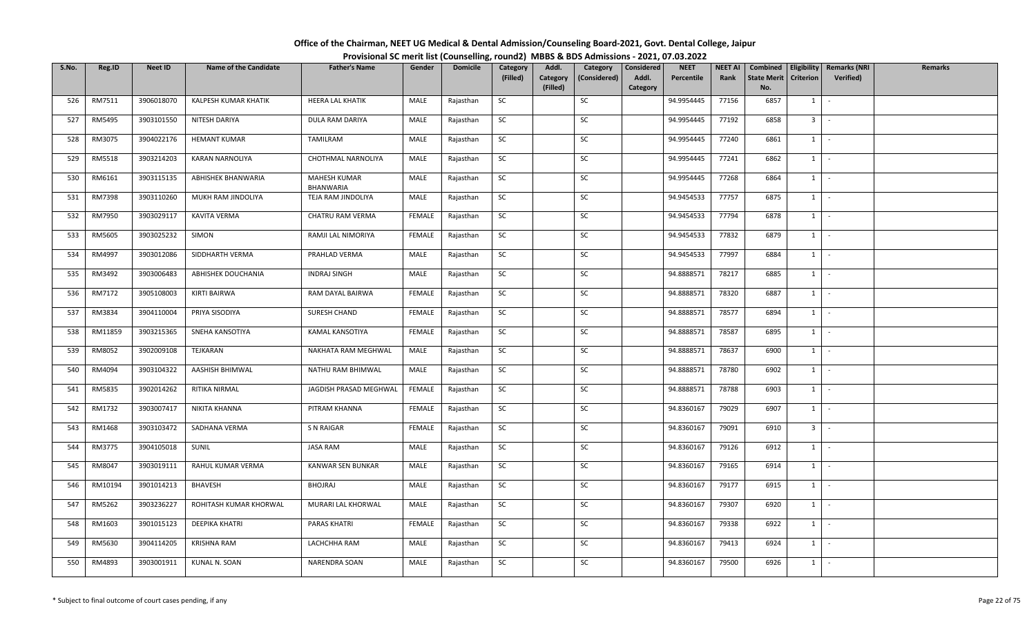## **Office of the Chairman, NEET UG Medical & Dental Admission/Counseling Board‐2021, Govt. Dental College, Jaipur Provisional SC merit list (Counselling, round2) MBBS & BDS Admissions ‐ 2021, 07.03.2022**

| S.No. | Reg.ID  | <b>Neet ID</b> | <b>Name of the Candidate</b> | <b>Father's Name</b>             | Gender        | <b>Domicile</b> | Category  | Addl.                | Category     | Considered        | <b>NEET</b> | <b>NEET AI</b> | Combined                  |                  | <b>Eligibility   Remarks (NRI</b> | Remarks |
|-------|---------|----------------|------------------------------|----------------------------------|---------------|-----------------|-----------|----------------------|--------------|-------------------|-------------|----------------|---------------------------|------------------|-----------------------------------|---------|
|       |         |                |                              |                                  |               |                 | (Filled)  | Category<br>(Filled) | (Considered) | Addl.<br>Category | Percentile  | Rank           | <b>State Merit</b><br>No. | <b>Criterion</b> | Verified)                         |         |
| 526   | RM7511  | 3906018070     | KALPESH KUMAR KHATIK         | HEERA LAL KHATIK                 | MALE          | Rajasthan       | <b>SC</b> |                      | SC           |                   | 94.9954445  | 77156          | 6857                      | 1                | $\sim$                            |         |
| 527   | RM5495  | 3903101550     | NITESH DARIYA                | DULA RAM DARIYA                  | MALE          | Rajasthan       | SC        |                      | SC           |                   | 94.9954445  | 77192          | 6858                      | 3 <sup>1</sup>   | $\sim$                            |         |
| 528   | RM3075  | 3904022176     | <b>HEMANT KUMAR</b>          | TAMILRAM                         | MALE          | Rajasthan       | <b>SC</b> |                      | SC           |                   | 94.9954445  | 77240          | 6861                      | 1                | $\sim$                            |         |
| 529   | RM5518  | 3903214203     | <b>KARAN NARNOLIYA</b>       | CHOTHMAL NARNOLIYA               | MALE          | Rajasthan       | <b>SC</b> |                      | SC           |                   | 94.9954445  | 77241          | 6862                      | $1 \mid$         | $\sim$ $\sim$                     |         |
| 530   | RM6161  | 3903115135     | ABHISHEK BHANWARIA           | MAHESH KUMAR<br><b>BHANWARIA</b> | MALE          | Rajasthan       | <b>SC</b> |                      | SC           |                   | 94.9954445  | 77268          | 6864                      | $1 \mid$         | $\sim$                            |         |
| 531   | RM7398  | 3903110260     | MUKH RAM JINDOLIYA           | TEJA RAM JINDOLIYA               | MALE          | Rajasthan       | <b>SC</b> |                      | SC           |                   | 94.9454533  | 77757          | 6875                      | $1 \vert$        | $\sim$                            |         |
| 532   | RM7950  | 3903029117     | <b>KAVITA VERMA</b>          | CHATRU RAM VERMA                 | <b>FEMALE</b> | Rajasthan       | <b>SC</b> |                      | SC           |                   | 94.9454533  | 77794          | 6878                      | $1 \quad$        | $\sim$                            |         |
| 533   | RM5605  | 3903025232     | SIMON                        | RAMJI LAL NIMORIYA               | <b>FEMALE</b> | Rajasthan       | <b>SC</b> |                      | SC           |                   | 94.9454533  | 77832          | 6879                      | 1                | $\sim$                            |         |
| 534   | RM4997  | 3903012086     | SIDDHARTH VERMA              | PRAHLAD VERMA                    | MALE          | Rajasthan       | <b>SC</b> |                      | SC           |                   | 94.9454533  | 77997          | 6884                      | $1 \mid$         | $\sim$                            |         |
| 535   | RM3492  | 3903006483     | ABHISHEK DOUCHANIA           | INDRAJ SINGH                     | MALE          | Rajasthan       | <b>SC</b> |                      | SC           |                   | 94.8888571  | 78217          | 6885                      | $1 \quad$        | $\sim$                            |         |
| 536   | RM7172  | 3905108003     | KIRTI BAIRWA                 | RAM DAYAL BAIRWA                 | FEMALE        | Rajasthan       | <b>SC</b> |                      | SC           |                   | 94.8888571  | 78320          | 6887                      | $1 \quad$        | $\sim$                            |         |
| 537   | RM3834  | 3904110004     | PRIYA SISODIYA               | SURESH CHAND                     | FEMALE        | Rajasthan       | <b>SC</b> |                      | SC           |                   | 94.8888571  | 78577          | 6894                      | $1 \mid$         | $\sim$                            |         |
| 538   | RM11859 | 3903215365     | SNEHA KANSOTIYA              | KAMAL KANSOTIYA                  | <b>FEMALE</b> | Rajasthan       | <b>SC</b> |                      | SC           |                   | 94.8888571  | 78587          | 6895                      | 1                | $\sim$                            |         |
| 539   | RM8052  | 3902009108     | TEJKARAN                     | NAKHATA RAM MEGHWAL              | MALE          | Rajasthan       | <b>SC</b> |                      | SC           |                   | 94.8888571  | 78637          | 6900                      | $1 \mid$         | $\sim$                            |         |
| 540   | RM4094  | 3903104322     | AASHISH BHIMWAL              | NATHU RAM BHIMWAL                | MALE          | Rajasthan       | SC        |                      | SC           |                   | 94.8888571  | 78780          | 6902                      | 1                | $\sim$                            |         |
| 541   | RM5835  | 3902014262     | RITIKA NIRMAL                | JAGDISH PRASAD MEGHWAL           | <b>FEMALE</b> | Rajasthan       | <b>SC</b> |                      | SC           |                   | 94.8888571  | 78788          | 6903                      |                  | $1 \vert -$                       |         |
| 542   | RM1732  | 3903007417     | NIKITA KHANNA                | PITRAM KHANNA                    | <b>FEMALE</b> | Rajasthan       | <b>SC</b> |                      | SC           |                   | 94.8360167  | 79029          | 6907                      | $1 \quad$        | $\sim$                            |         |
| 543   | RM1468  | 3903103472     | SADHANA VERMA                | S N RAIGAR                       | <b>FEMALE</b> | Rajasthan       | SC        |                      | SC           |                   | 94.8360167  | 79091          | 6910                      | 3 <sup>1</sup>   | $\sim$                            |         |
| 544   | RM3775  | 3904105018     | SUNIL                        | JASA RAM                         | MALE          | Rajasthan       | <b>SC</b> |                      | SC           |                   | 94.8360167  | 79126          | 6912                      | $1 \vert$        | $\sim$                            |         |
| 545   | RM8047  | 3903019111     | RAHUL KUMAR VERMA            | KANWAR SEN BUNKAR                | MALE          | Rajasthan       | <b>SC</b> |                      | SC           |                   | 94.8360167  | 79165          | 6914                      | $1 \quad$        | $\sim$                            |         |
| 546   | RM10194 | 3901014213     | BHAVESH                      | BHOJRAJ                          | MALE          | Rajasthan       | <b>SC</b> |                      | SC           |                   | 94.8360167  | 79177          | 6915                      |                  | $1$ $\sim$                        |         |
| 547   | RM5262  | 3903236227     | ROHITASH KUMAR KHORWAL       | MURARI LAL KHORWAL               | MALE          | Rajasthan       | SC        |                      | SC           |                   | 94.8360167  | 79307          | 6920                      | $1 -$            |                                   |         |
| 548   | RM1603  | 3901015123     | DEEPIKA KHATRI               | <b>PARAS KHATRI</b>              | FEMALE        | Rajasthan       | <b>SC</b> |                      | SC           |                   | 94.8360167  | 79338          | 6922                      | $1 \quad$        | $\sim$                            |         |
| 549   | RM5630  | 3904114205     | <b>KRISHNA RAM</b>           | LACHCHHA RAM                     | MALE          | Rajasthan       | SC        |                      | SC           |                   | 94.8360167  | 79413          | 6924                      | 1                | $\sim$                            |         |
| 550   | RM4893  | 3903001911     | KUNAL N. SOAN                | NARENDRA SOAN                    | MALE          | Rajasthan       | <b>SC</b> |                      | SC           |                   | 94.8360167  | 79500          | 6926                      | $1 \mid$         | $\sim$                            |         |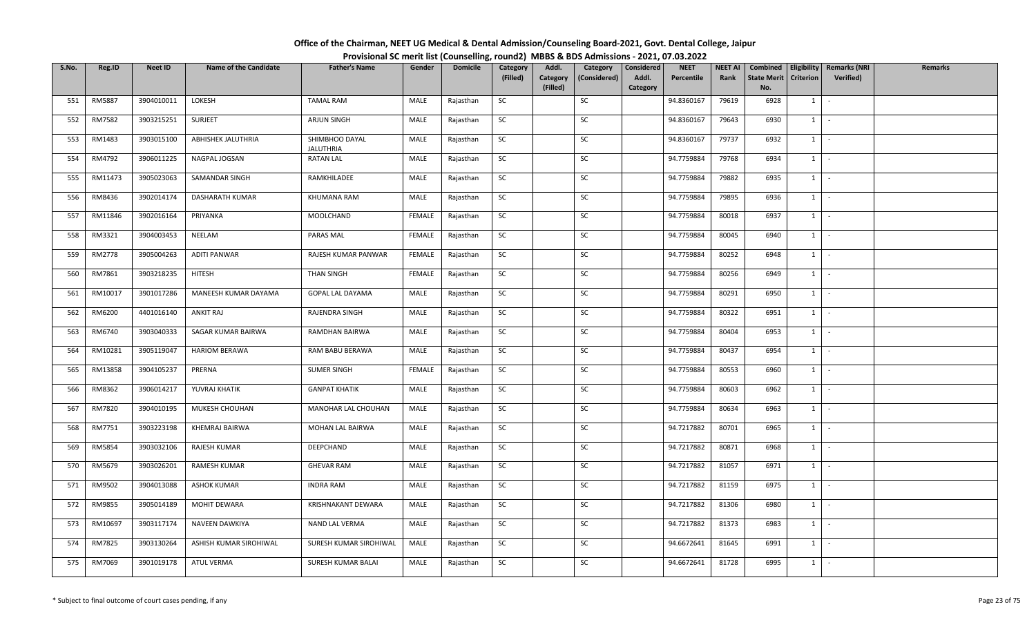| Office of the Chairman, NEET UG Medical & Dental Admission/Counseling Board-2021, Govt. Dental College, Jaipur |  |
|----------------------------------------------------------------------------------------------------------------|--|
| Provisional SC merit list (Counselling, round2) MBBS & BDS Admissions - 2021, 07.03.2022                       |  |

| S.No. | Reg.ID  | <b>Neet ID</b> | <b>Name of the Candidate</b> | <b>Father's Name</b>               | Gender | <b>Domicile</b> | Category  | Addl.                | Category     | Considered        | <b>NEET</b> | <b>NEET AI</b> | Combined                  |                  | Eligibility   Remarks (NRI | <b>Remarks</b> |
|-------|---------|----------------|------------------------------|------------------------------------|--------|-----------------|-----------|----------------------|--------------|-------------------|-------------|----------------|---------------------------|------------------|----------------------------|----------------|
|       |         |                |                              |                                    |        |                 | (Filled)  | Category<br>(Filled) | (Considered) | Addl.<br>Category | Percentile  | Rank           | <b>State Merit</b><br>No. | <b>Criterion</b> | Verified)                  |                |
| 551   | RM5887  | 3904010011     | LOKESH                       | <b>TAMAL RAM</b>                   | MALE   | Rajasthan       | SC        |                      | SC           |                   | 94.8360167  | 79619          | 6928                      | $1 \quad$        | $\sim$                     |                |
| 552   | RM7582  | 3903215251     | SURJEET                      | ARJUN SINGH                        | MALE   | Rajasthan       | SC        |                      | SC           |                   | 94.8360167  | 79643          | 6930                      | $1 \mid$         | $\sim$                     |                |
| 553   | RM1483  | 3903015100     | ABHISHEK JALUTHRIA           | SHIMBHOO DAYAL<br><b>JALUTHRIA</b> | MALE   | Rajasthan       | SC        |                      | SC           |                   | 94.8360167  | 79737          | 6932                      | $1$ $\cdot$      |                            |                |
| 554   | RM4792  | 3906011225     | NAGPAL JOGSAN                | <b>RATAN LAL</b>                   | MALE   | Rajasthan       | SC        |                      | SC           |                   | 94.7759884  | 79768          | 6934                      | $1$ $\vert$      |                            |                |
| 555   | RM11473 | 3905023063     | SAMANDAR SINGH               | RAMKHILADEE                        | MALE   | Rajasthan       | SC        |                      | SC           |                   | 94.7759884  | 79882          | 6935                      | $1$ $\vert$      |                            |                |
| 556   | RM8436  | 3902014174     | DASHARATH KUMAR              | KHUMANA RAM                        | MALE   | Rajasthan       | SC        |                      | SC           |                   | 94.7759884  | 79895          | 6936                      | $1$ $\cdot$      |                            |                |
| 557   | RM11846 | 3902016164     | PRIYANKA                     | MOOLCHAND                          | FEMALE | Rajasthan       | SC        |                      | SC           |                   | 94.7759884  | 80018          | 6937                      | $1 \vert$        | $\sim$                     |                |
| 558   | RM3321  | 3904003453     | NEELAM                       | PARAS MAL                          | FEMALE | Rajasthan       | SC        |                      | SC           |                   | 94.7759884  | 80045          | 6940                      | 1                | $\sim$                     |                |
| 559   | RM2778  | 3905004263     | <b>ADITI PANWAR</b>          | RAJESH KUMAR PANWAR                | FEMALE | Rajasthan       | SC        |                      | SC           |                   | 94.7759884  | 80252          | 6948                      | $1$ $\vert$      |                            |                |
| 560   | RM7861  | 3903218235     | <b>HITESH</b>                | THAN SINGH                         | FEMALE | Rajasthan       | SC        |                      | SC           |                   | 94.7759884  | 80256          | 6949                      | $1 \mid$         | $\sim$                     |                |
| 561   | RM10017 | 3901017286     | MANEESH KUMAR DAYAMA         | GOPAL LAL DAYAMA                   | MALE   | Rajasthan       | SC        |                      | SC           |                   | 94.7759884  | 80291          | 6950                      | $1$ $\vert$      |                            |                |
| 562   | RM6200  | 4401016140     | <b>ANKIT RAJ</b>             | RAJENDRA SINGH                     | MALE   | Rajasthan       | SC        |                      | SC           |                   | 94.7759884  | 80322          | 6951                      | $1$ $\vert$ -    |                            |                |
| 563   | RM6740  | 3903040333     | SAGAR KUMAR BAIRWA           | RAMDHAN BAIRWA                     | MALE   | Rajasthan       | SC        |                      | SC           |                   | 94.7759884  | 80404          | 6953                      | $1\quad$         | $\sim$                     |                |
| 564   | RM10281 | 3905119047     | <b>HARIOM BERAWA</b>         | RAM BABU BERAWA                    | MALE   | Rajasthan       | SC        |                      | SC           |                   | 94.7759884  | 80437          | 6954                      | $1$ $-$          |                            |                |
| 565   | RM13858 | 3904105237     | PRERNA                       | <b>SUMER SINGH</b>                 | FEMALE | Rajasthan       | SC        |                      | SC           |                   | 94.7759884  | 80553          | 6960                      | $1 \mid$         | $\sim$                     |                |
| 566   | RM8362  | 3906014217     | YUVRAJ KHATIK                | <b>GANPAT KHATIK</b>               | MALE   | Rajasthan       | <b>SC</b> |                      | SC           |                   | 94.7759884  | 80603          | 6962                      | $1$ $-$          |                            |                |
| 567   | RM7820  | 3904010195     | MUKESH CHOUHAN               | MANOHAR LAL CHOUHAN                | MALE   | Rajasthan       | SC        |                      | SC           |                   | 94.7759884  | 80634          | 6963                      | $1$ $\vert$      |                            |                |
| 568   | RM7751  | 3903223198     | KHEMRAJ BAIRWA               | MOHAN LAL BAIRWA                   | MALE   | Rajasthan       | SC        |                      | SC           |                   | 94.7217882  | 80701          | 6965                      | $1 \mid$         | $\sim$                     |                |
| 569   | RM5854  | 3903032106     | RAJESH KUMAR                 | DEEPCHAND                          | MALE   | Rajasthan       | SC        |                      | SC           |                   | 94.7217882  | 80871          | 6968                      | $1$ $\cdot$      |                            |                |
| 570   | RM5679  | 3903026201     | <b>RAMESH KUMAR</b>          | <b>GHEVAR RAM</b>                  | MALE   | Rajasthan       | SC        |                      | SC           |                   | 94.7217882  | 81057          | 6971                      | $1$ $\vert$ -    |                            |                |
| 571   | RM9502  | 3904013088     | <b>ASHOK KUMAR</b>           | <b>INDRA RAM</b>                   | MALE   | Rajasthan       | <b>SC</b> |                      | SC           |                   | 94.7217882  | 81159          | 6975                      | $1 \mid$         | $\sim$                     |                |
| 572   | RM9855  | 3905014189     | MOHIT DEWARA                 | KRISHNAKANT DEWARA                 | MALE   | Rajasthan       | SC        |                      | SC           |                   | 94.7217882  | 81306          | 6980                      | $1$ $\vert$      |                            |                |
| 573   | RM10697 | 3903117174     | NAVEEN DAWKIYA               | NAND LAL VERMA                     | MALE   | Rajasthan       | SC        |                      | SC           |                   | 94.7217882  | 81373          | 6983                      | $1 \vert$ -      |                            |                |
| 574   | RM7825  | 3903130264     | ASHISH KUMAR SIROHIWAL       | SURESH KUMAR SIROHIWAL             | MALE   | Rajasthan       | SC        |                      | SC           |                   | 94.6672641  | 81645          | 6991                      | $1$ $-$          |                            |                |
| 575   | RM7069  | 3901019178     | ATUL VERMA                   | SURESH KUMAR BALAI                 | MALE   | Rajasthan       | SC        |                      | SC           |                   | 94.6672641  | 81728          | 6995                      | $1 \quad$        |                            |                |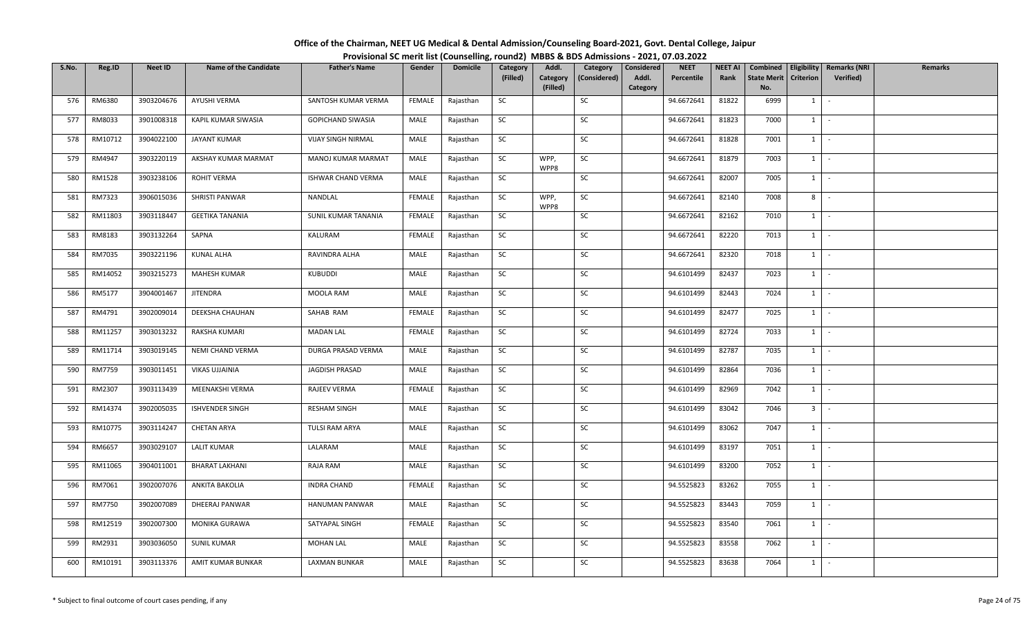| Office of the Chairman, NEET UG Medical & Dental Admission/Counseling Board-2021, Govt. Dental College, Jaipur |                                                                                          |
|----------------------------------------------------------------------------------------------------------------|------------------------------------------------------------------------------------------|
|                                                                                                                | Provisional SC merit list (Counselling, round2) MBBS & BDS Admissions - 2021, 07.03.2022 |

| S.No. | Reg.ID        | <b>Neet ID</b> | <b>Name of the Candidate</b> | <b>Father's Name</b>      | Gender        | <b>Domicile</b> | Category  | Addl.                | Category     | Considered | <b>NEET</b> | <b>NEET AI</b> | Combined                  |                  | Eligibility   Remarks (NRI | <b>Remarks</b> |
|-------|---------------|----------------|------------------------------|---------------------------|---------------|-----------------|-----------|----------------------|--------------|------------|-------------|----------------|---------------------------|------------------|----------------------------|----------------|
|       |               |                |                              |                           |               |                 | (Filled)  | Category<br>(Filled) | (Considered) | Addl.      | Percentile  | Rank           | <b>State Merit</b><br>No. | <b>Criterion</b> | <b>Verified</b> )          |                |
| 576   | RM6380        | 3903204676     | AYUSHI VERMA                 | SANTOSH KUMAR VERMA       | FEMALE        | Rajasthan       | SC        |                      | SC           | Category   | 94.6672641  | 81822          | 6999                      | 1                | $\sim$                     |                |
|       |               |                |                              |                           |               |                 |           |                      |              |            |             |                |                           |                  |                            |                |
| 577   | RM8033        | 3901008318     | KAPIL KUMAR SIWASIA          | GOPICHAND SIWASIA         | MALE          | Rajasthan       | SC        |                      | SC           |            | 94.6672641  | 81823          | 7000                      | 1                | $\sim$                     |                |
| 578   | RM10712       | 3904022100     | JAYANT KUMAR                 | <b>VIJAY SINGH NIRMAL</b> | MALE          | Rajasthan       | <b>SC</b> |                      | SC           |            | 94.6672641  | 81828          | 7001                      | $1 \cdot$        |                            |                |
| 579   | RM4947        | 3903220119     | AKSHAY KUMAR MARMAT          | MANOJ KUMAR MARMAT        | MALE          | Rajasthan       | SC        | WPP,<br>WPP8         | SC           |            | 94.6672641  | 81879          | 7003                      | $1$ $-$          |                            |                |
| 580   | RM1528        | 3903238106     | ROHIT VERMA                  | ISHWAR CHAND VERMA        | MALE          | Rajasthan       | SC        |                      | SC           |            | 94.6672641  | 82007          | 7005                      | $1$ $-$          |                            |                |
| 581   | RM7323        | 3906015036     | SHRISTI PANWAR               | NANDLAL                   | FEMALE        | Rajasthan       | SC        | WPP,<br>WPP8         | SC           |            | 94.6672641  | 82140          | 7008                      | 8                | $\sim$                     |                |
| 582   | RM11803       | 3903118447     | <b>GEETIKA TANANIA</b>       | SUNIL KUMAR TANANIA       | FEMALE        | Rajasthan       | SC        |                      | SC           |            | 94.6672641  | 82162          | 7010                      | $1 \quad$        | $\sim$                     |                |
| 583   | RM8183        | 3903132264     | SAPNA                        | KALURAM                   | <b>FEMALE</b> | Rajasthan       | SC        |                      | SC           |            | 94.6672641  | 82220          | 7013                      | $1 \mid$         | $\sim$                     |                |
| 584   | RM7035        | 3903221196     | KUNAL ALHA                   | RAVINDRA ALHA             | MALE          | Rajasthan       | SC        |                      | SC           |            | 94.6672641  | 82320          | 7018                      | 1                | $\sim$                     |                |
| 585   | RM14052       | 3903215273     | MAHESH KUMAR                 | KUBUDDI                   | MALE          | Rajasthan       | SC        |                      | SC           |            | 94.6101499  | 82437          | 7023                      | 1                | $\sim$                     |                |
| 586   | RM5177        | 3904001467     | JITENDRA                     | MOOLA RAM                 | MALE          | Rajasthan       | <b>SC</b> |                      | SC           |            | 94.6101499  | 82443          | 7024                      | $1$ $-$          |                            |                |
| 587   | RM4791        | 3902009014     | DEEKSHA CHAUHAN              | SAHAB RAM                 | <b>FEMALE</b> | Rajasthan       | SC        |                      | SC           |            | 94.6101499  | 82477          | 7025                      | 1                | $\sim$                     |                |
| 588   | RM11257       | 3903013232     | RAKSHA KUMARI                | <b>MADAN LAL</b>          | <b>FEMALE</b> | Rajasthan       | <b>SC</b> |                      | SC           |            | 94.6101499  | 82724          | 7033                      | 1                | $\sim$                     |                |
| 589   | RM11714       | 3903019145     | NEMI CHAND VERMA             | DURGA PRASAD VERMA        | MALE          | Rajasthan       | SC        |                      | SC           |            | 94.6101499  | 82787          | 7035                      | $1 \quad$        | $\sim$                     |                |
| 590   | <b>RM7759</b> | 3903011451     | VIKAS UJJAINIA               | JAGDISH PRASAD            | MALE          | Rajasthan       | SC        |                      | SC           |            | 94.6101499  | 82864          | 7036                      | $1 \quad$        | $\sim$                     |                |
| 591   | RM2307        | 3903113439     | MEENAKSHI VERMA              | RAJEEV VERMA              | FEMALE        | Rajasthan       | <b>SC</b> |                      | SC           |            | 94.6101499  | 82969          | 7042                      | $1 \mid$         | $\sim$                     |                |
| 592   | RM14374       | 3902005035     | <b>ISHVENDER SINGH</b>       | <b>RESHAM SINGH</b>       | MALE          | Rajasthan       | <b>SC</b> |                      | SC           |            | 94.6101499  | 83042          | 7046                      | 3 <sup>1</sup>   | $\sim$                     |                |
| 593   | RM10775       | 3903114247     | <b>CHETAN ARYA</b>           | TULSI RAM ARYA            | MALE          | Rajasthan       | SC        |                      | SC           |            | 94.6101499  | 83062          | 7047                      | 1                | $\sim$                     |                |
| 594   | RM6657        | 3903029107     | <b>LALIT KUMAR</b>           | LALARAM                   | MALE          | Rajasthan       | SC        |                      | SC           |            | 94.6101499  | 83197          | 7051                      | $1 \cdot$        |                            |                |
| 595   | RM11065       | 3904011001     | BHARAT LAKHANI               | RAJA RAM                  | MALE          | Rajasthan       | SC        |                      | SC           |            | 94.6101499  | 83200          | 7052                      | $1 \mid$         | $\sim$                     |                |
| 596   | RM7061        | 3902007076     | ANKITA BAKOLIA               | <b>INDRA CHAND</b>        | <b>FEMALE</b> | Rajasthan       | SC        |                      | SC           |            | 94.5525823  | 83262          | 7055                      | 1                | $\sim$                     |                |
| 597   | <b>RM7750</b> | 3902007089     | DHEERAJ PANWAR               | HANUMAN PANWAR            | MALE          | Rajasthan       | SC        |                      | SC           |            | 94.5525823  | 83443          | 7059                      | 1                | $\sim$                     |                |
| 598   | RM12519       | 3902007300     | MONIKA GURAWA                | SATYAPAL SINGH            | FEMALE        | Rajasthan       | SC        |                      | SC           |            | 94.5525823  | 83540          | 7061                      | $1 \quad$        | $\sim$                     |                |
| 599   | RM2931        | 3903036050     | <b>SUNIL KUMAR</b>           | <b>MOHAN LAL</b>          | MALE          | Rajasthan       | SC        |                      | SC           |            | 94.5525823  | 83558          | 7062                      | 1                | $\sim$                     |                |
| 600   | RM10191       | 3903113376     | AMIT KUMAR BUNKAR            | LAXMAN BUNKAR             | MALE          | Rajasthan       | SC        |                      | SC           |            | 94.5525823  | 83638          | 7064                      | $1 \quad$        | $\sim$                     |                |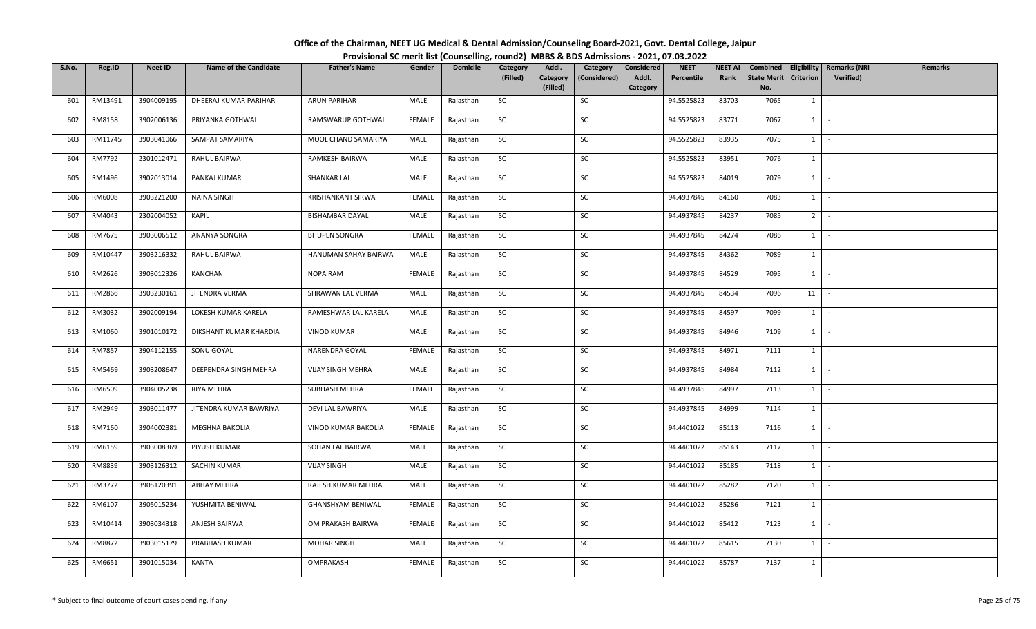| Office of the Chairman, NEET UG Medical & Dental Admission/Counseling Board-2021, Govt. Dental College, Jaipur |                                                                                          |
|----------------------------------------------------------------------------------------------------------------|------------------------------------------------------------------------------------------|
|                                                                                                                | Provisional SC merit list (Counselling, round2) MBBS & BDS Admissions - 2021, 07.03.2022 |

| S.No. | Reg.ID  | <b>Neet ID</b> | <b>Name of the Candidate</b> | <b>Father's Name</b>   | Gender        | <b>Domicile</b> | Category  | Addl.                | Category     | Considered        | <b>NEET</b> | <b>NEET AI</b> | Combined                  |                  | <b>Eligibility   Remarks (NRI</b> | Remarks |
|-------|---------|----------------|------------------------------|------------------------|---------------|-----------------|-----------|----------------------|--------------|-------------------|-------------|----------------|---------------------------|------------------|-----------------------------------|---------|
|       |         |                |                              |                        |               |                 | (Filled)  | Category<br>(Filled) | (Considered) | Addl.<br>Category | Percentile  | Rank           | <b>State Merit</b><br>No. | <b>Criterion</b> | Verified)                         |         |
| 601   | RM13491 | 3904009195     | DHEERAJ KUMAR PARIHAR        | <b>ARUN PARIHAR</b>    | MALE          | Rajasthan       | SC        |                      | SC           |                   | 94.5525823  | 83703          | 7065                      | 1                | $\sim$                            |         |
| 602   | RM8158  | 3902006136     | PRIYANKA GOTHWAL             | RAMSWARUP GOTHWAL      | <b>FEMALE</b> | Rajasthan       | SC        |                      | SC           |                   | 94.5525823  | 83771          | 7067                      | $1 \quad$        | $\sim$                            |         |
| 603   | RM11745 | 3903041066     | SAMPAT SAMARIYA              | MOOL CHAND SAMARIYA    | MALE          | Rajasthan       | SC        |                      | SC           |                   | 94.5525823  | 83935          | 7075                      |                  | $1 \cdot$                         |         |
| 604   | RM7792  | 2301012471     | RAHUL BAIRWA                 | RAMKESH BAIRWA         | MALE          | Rajasthan       | SC        |                      | SC           |                   | 94.5525823  | 83951          | 7076                      |                  | $1$ $-$                           |         |
| 605   | RM1496  | 3902013014     | PANKAJ KUMAR                 | <b>SHANKAR LAL</b>     | MALE          | Rajasthan       | SC        |                      | SC           |                   | 94.5525823  | 84019          | 7079                      |                  | $1 \mid -$                        |         |
| 606   | RM6008  | 3903221200     | <b>NAINA SINGH</b>           | KRISHANKANT SIRWA      | FEMALE        | Rajasthan       | SC        |                      | SC           |                   | 94.4937845  | 84160          | 7083                      |                  | $1 \cdot$                         |         |
| 607   | RM4043  | 2302004052     | KAPIL                        | <b>BISHAMBAR DAYAL</b> | MALE          | Rajasthan       | SC        |                      | SC           |                   | 94.4937845  | 84237          | 7085                      | 2 <sup>1</sup>   | $\sim$                            |         |
| 608   | RM7675  | 3903006512     | ANANYA SONGRA                | <b>BHUPEN SONGRA</b>   | <b>FEMALE</b> | Rajasthan       | SC        |                      | SC           |                   | 94.4937845  | 84274          | 7086                      | 1                | $\sim$                            |         |
| 609   | RM10447 | 3903216332     | RAHUL BAIRWA                 | HANUMAN SAHAY BAIRWA   | MALE          | Rajasthan       | SC        |                      | SC           |                   | 94.4937845  | 84362          | 7089                      |                  | $1$ $-$                           |         |
| 610   | RM2626  | 3903012326     | KANCHAN                      | NOPA RAM               | FEMALE        | Rajasthan       | SC        |                      | SC           |                   | 94.4937845  | 84529          | 7095                      | $1 \quad$        | $\sim$                            |         |
| 611   | RM2866  | 3903230161     | JITENDRA VERMA               | SHRAWAN LAL VERMA      | MALE          | Rajasthan       | SC        |                      | SC           |                   | 94.4937845  | 84534          | 7096                      | $11$ $-$         |                                   |         |
| 612   | RM3032  | 3902009194     | LOKESH KUMAR KARELA          | RAMESHWAR LAL KARELA   | MALE          | Rajasthan       | SC        |                      | SC           |                   | 94.4937845  | 84597          | 7099                      | $1 \vert$        | $\sim$                            |         |
| 613   | RM1060  | 3901010172     | DIKSHANT KUMAR KHARDIA       | <b>VINOD KUMAR</b>     | MALE          | Rajasthan       | SC        |                      | SC           |                   | 94.4937845  | 84946          | 7109                      | 1                | $\sim$                            |         |
| 614   | RM7857  | 3904112155     | SONU GOYAL                   | NARENDRA GOYAL         | <b>FEMALE</b> | Rajasthan       | SC        |                      | SC           |                   | 94.4937845  | 84971          | 7111                      | $1 \quad$        | $\sim$                            |         |
| 615   | RM5469  | 3903208647     | DEEPENDRA SINGH MEHRA        | VIJAY SINGH MEHRA      | MALE          | Rajasthan       | SC        |                      | SC           |                   | 94.4937845  | 84984          | 7112                      | $1 \quad$        | $\sim$                            |         |
| 616   | RM6509  | 3904005238     | RIYA MEHRA                   | SUBHASH MEHRA          | <b>FEMALE</b> | Rajasthan       | <b>SC</b> |                      | SC           |                   | 94.4937845  | 84997          | 7113                      | $1 \mid$         | $\sim$                            |         |
| 617   | RM2949  | 3903011477     | JITENDRA KUMAR BAWRIYA       | DEVI LAL BAWRIYA       | MALE          | Rajasthan       | SC        |                      | SC           |                   | 94.4937845  | 84999          | 7114                      | $1 \mid$         | $\sim$                            |         |
| 618   | RM7160  | 3904002381     | MEGHNA BAKOLIA               | VINOD KUMAR BAKOLIA    | <b>FEMALE</b> | Rajasthan       | SC        |                      | SC           |                   | 94.4401022  | 85113          | 7116                      | 1                | $\sim$                            |         |
| 619   | RM6159  | 3903008369     | PIYUSH KUMAR                 | SOHAN LAL BAIRWA       | MALE          | Rajasthan       | SC        |                      | SC           |                   | 94.4401022  | 85143          | 7117                      |                  | $1 \cdot$                         |         |
| 620   | RM8839  | 3903126312     | SACHIN KUMAR                 | <b>VIJAY SINGH</b>     | MALE          | Rajasthan       | SC        |                      | SC           |                   | 94.4401022  | 85185          | 7118                      | 1                | $\sim$                            |         |
| 621   | RM3772  | 3905120391     | <b>ABHAY MEHRA</b>           | RAJESH KUMAR MEHRA     | MALE          | Rajasthan       | <b>SC</b> |                      | SC           |                   | 94.4401022  | 85282          | 7120                      |                  | $1 \mid -$                        |         |
| 622   | RM6107  | 3905015234     | YUSHMITA BENIWAL             | GHANSHYAM BENIWAL      | <b>FEMALE</b> | Rajasthan       | SC        |                      | SC           |                   | 94.4401022  | 85286          | 7121                      |                  | $1$ $-$                           |         |
| 623   | RM10414 | 3903034318     | ANJESH BAIRWA                | OM PRAKASH BAIRWA      | <b>FEMALE</b> | Rajasthan       | SC        |                      | SC           |                   | 94.4401022  | 85412          | 7123                      | $1 \quad$        | $\sim$                            |         |
| 624   | RM8872  | 3903015179     | PRABHASH KUMAR               | MOHAR SINGH            | MALE          | Rajasthan       | <b>SC</b> |                      | SC           |                   | 94.4401022  | 85615          | 7130                      | 1                | $\sim$                            |         |
| 625   | RM6651  | 3901015034     | <b>KANTA</b>                 | OMPRAKASH              | FEMALE        | Rajasthan       | SC        |                      | SC           |                   | 94.4401022  | 85787          | 7137                      | $1 \quad$        | $\sim$                            |         |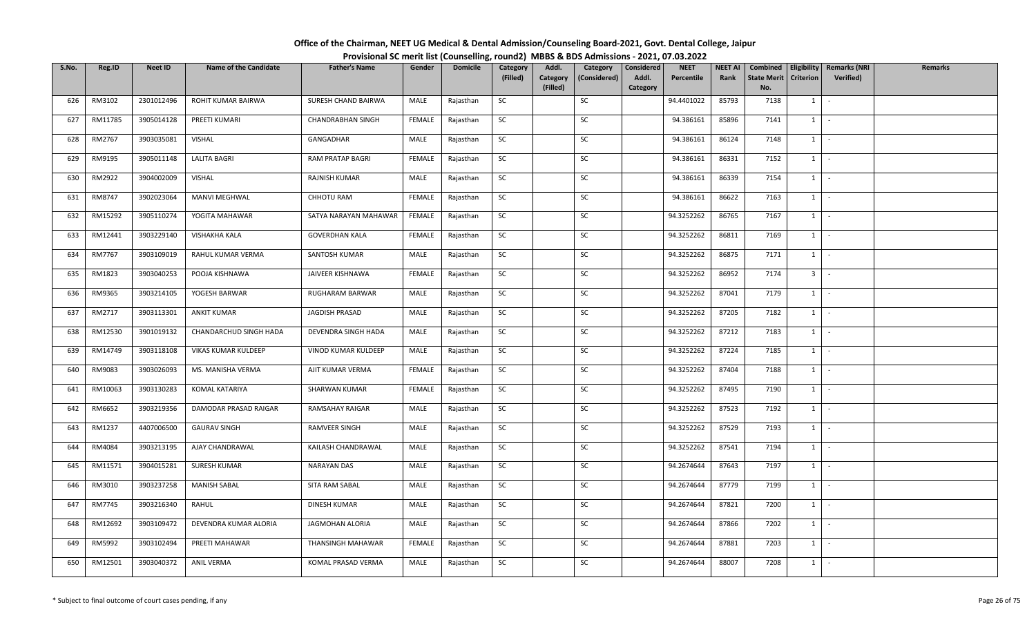| Office of the Chairman, NEET UG Medical & Dental Admission/Counseling Board-2021, Govt. Dental College, Jaipur |                                                                                          |
|----------------------------------------------------------------------------------------------------------------|------------------------------------------------------------------------------------------|
|                                                                                                                | Provisional SC merit list (Counselling, round2) MBBS & BDS Admissions - 2021, 07.03.2022 |

| S.No. | Reg.ID  | <b>Neet ID</b> | <b>Name of the Candidate</b> | <b>Father's Name</b>    | Gender        | <b>Domicile</b> | Category  | Addl.                | Category     | Considered        | <b>NEET</b> | <b>NEET AI</b> | Combined                  |                     | <b>Eligibility   Remarks (NRI</b> | Remarks |
|-------|---------|----------------|------------------------------|-------------------------|---------------|-----------------|-----------|----------------------|--------------|-------------------|-------------|----------------|---------------------------|---------------------|-----------------------------------|---------|
|       |         |                |                              |                         |               |                 | (Filled)  | Category<br>(Filled) | (Considered) | Addl.<br>Category | Percentile  | Rank           | <b>State Merit</b><br>No. | <b>Criterion</b>    | Verified)                         |         |
| 626   | RM3102  | 2301012496     | ROHIT KUMAR BAIRWA           | SURESH CHAND BAIRWA     | MALE          | Rajasthan       | SC        |                      | SC           |                   | 94.4401022  | 85793          | 7138                      | 1                   | $\sim$                            |         |
| 627   | RM11785 | 3905014128     | PREETI KUMARI                | CHANDRABHAN SINGH       | FEMALE        | Rajasthan       | SC        |                      | SC           |                   | 94.386161   | 85896          | 7141                      | $1 \quad$           | $\sim$                            |         |
| 628   | RM2767  | 3903035081     | VISHAL                       | GANGADHAR               | MALE          | Rajasthan       | SC        |                      | SC           |                   | 94.386161   | 86124          | 7148                      |                     | $1 \cdot$                         |         |
| 629   | RM9195  | 3905011148     | <b>LALITA BAGRI</b>          | <b>RAM PRATAP BAGRI</b> | FEMALE        | Rajasthan       | SC        |                      | SC           |                   | 94.386161   | 86331          | 7152                      | $1$ $-$             |                                   |         |
| 630   | RM2922  | 3904002009     | <b>VISHAL</b>                | RAJNISH KUMAR           | MALE          | Rajasthan       | SC        |                      | SC           |                   | 94.386161   | 86339          | 7154                      |                     | $1 \mid -$                        |         |
| 631   | RM8747  | 3902023064     | MANVI MEGHWAL                | CHHOTU RAM              | FEMALE        | Rajasthan       | SC        |                      | SC           |                   | 94.386161   | 86622          | 7163                      |                     | $1 \cdot$                         |         |
| 632   | RM15292 | 3905110274     | YOGITA MAHAWAR               | SATYA NARAYAN MAHAWAR   | FEMALE        | Rajasthan       | SC        |                      | SC           |                   | 94.3252262  | 86765          | 7167                      | $1 \quad$           | $\sim$                            |         |
| 633   | RM12441 | 3903229140     | <b>VISHAKHA KALA</b>         | <b>GOVERDHAN KALA</b>   | <b>FEMALE</b> | Rajasthan       | SC        |                      | SC           |                   | 94.3252262  | 86811          | 7169                      | 1                   | $\sim$                            |         |
| 634   | RM7767  | 3903109019     | RAHUL KUMAR VERMA            | SANTOSH KUMAR           | MALE          | Rajasthan       | SC        |                      | SC           |                   | 94.3252262  | 86875          | 7171                      | $1$ $-$             |                                   |         |
| 635   | RM1823  | 3903040253     | POOJA KISHNAWA               | JAIVEER KISHNAWA        | <b>FEMALE</b> | Rajasthan       | SC        |                      | SC           |                   | 94.3252262  | 86952          | 7174                      | 3 <sup>1</sup>      | $\sim$                            |         |
| 636   | RM9365  | 3903214105     | YOGESH BARWAR                | RUGHARAM BARWAR         | MALE          | Rajasthan       | SC        |                      | SC           |                   | 94.3252262  | 87041          | 7179                      |                     | $1 \cdot$                         |         |
| 637   | RM2717  | 3903113301     | ANKIT KUMAR                  | JAGDISH PRASAD          | MALE          | Rajasthan       | SC        |                      | SC           |                   | 94.3252262  | 87205          | 7182                      | $1$ $\vert$ $\vert$ |                                   |         |
| 638   | RM12530 | 3901019132     | CHANDARCHUD SINGH HADA       | DEVENDRA SINGH HADA     | MALE          | Rajasthan       | SC        |                      | SC           |                   | 94.3252262  | 87212          | 7183                      | 1                   | $\sim$                            |         |
| 639   | RM14749 | 3903118108     | VIKAS KUMAR KULDEEP          | VINOD KUMAR KULDEEP     | MALE          | Rajasthan       | SC        |                      | SC           |                   | 94.3252262  | 87224          | 7185                      | $1 \quad$           | $\sim$                            |         |
| 640   | RM9083  | 3903026093     | MS. MANISHA VERMA            | AJIT KUMAR VERMA        | FEMALE        | Rajasthan       | SC        |                      | SC           |                   | 94.3252262  | 87404          | 7188                      | 1                   | $\sim$                            |         |
| 641   | RM10063 | 3903130283     | KOMAL KATARIYA               | SHARWAN KUMAR           | FEMALE        | Rajasthan       | <b>SC</b> |                      | SC           |                   | 94.3252262  | 87495          | 7190                      | $1 \mid$            | $\sim$                            |         |
| 642   | RM6652  | 3903219356     | DAMODAR PRASAD RAIGAR        | RAMSAHAY RAIGAR         | MALE          | Rajasthan       | SC        |                      | SC           |                   | 94.3252262  | 87523          | 7192                      | $1 \mid$            | $\sim$                            |         |
| 643   | RM1237  | 4407006500     | <b>GAURAV SINGH</b>          | RAMVEER SINGH           | MALE          | Rajasthan       | SC        |                      | SC           |                   | 94.3252262  | 87529          | 7193                      | 1                   | $\sim$                            |         |
| 644   | RM4084  | 3903213195     | AJAY CHANDRAWAL              | KAILASH CHANDRAWAL      | MALE          | Rajasthan       | SC        |                      | SC           |                   | 94.3252262  | 87541          | 7194                      |                     | $1 \cdot$                         |         |
| 645   | RM11571 | 3904015281     | SURESH KUMAR                 | NARAYAN DAS             | MALE          | Rajasthan       | SC        |                      | SC           |                   | 94.2674644  | 87643          | 7197                      | 1                   | $\sim$                            |         |
| 646   | RM3010  | 3903237258     | <b>MANISH SABAL</b>          | SITA RAM SABAL          | MALE          | Rajasthan       | <b>SC</b> |                      | SC           |                   | 94.2674644  | 87779          | 7199                      |                     | $1 \mid -$                        |         |
| 647   | RM7745  | 3903216340     | RAHUL                        | DINESH KUMAR            | MALE          | Rajasthan       | SC        |                      | SC           |                   | 94.2674644  | 87821          | 7200                      | $1$ $-$             |                                   |         |
| 648   | RM12692 | 3903109472     | DEVENDRA KUMAR ALORIA        | JAGMOHAN ALORIA         | MALE          | Rajasthan       | SC        |                      | SC           |                   | 94.2674644  | 87866          | 7202                      | $1 \quad$           | $\sim$                            |         |
| 649   | RM5992  | 3903102494     | PREETI MAHAWAR               | THANSINGH MAHAWAR       | FEMALE        | Rajasthan       | <b>SC</b> |                      | SC           |                   | 94.2674644  | 87881          | 7203                      | 1                   | $\sim$                            |         |
| 650   | RM12501 | 3903040372     | ANIL VERMA                   | KOMAL PRASAD VERMA      | MALE          | Rajasthan       | SC        |                      | SC           |                   | 94.2674644  | 88007          | 7208                      | $1 \quad$           | $\sim$                            |         |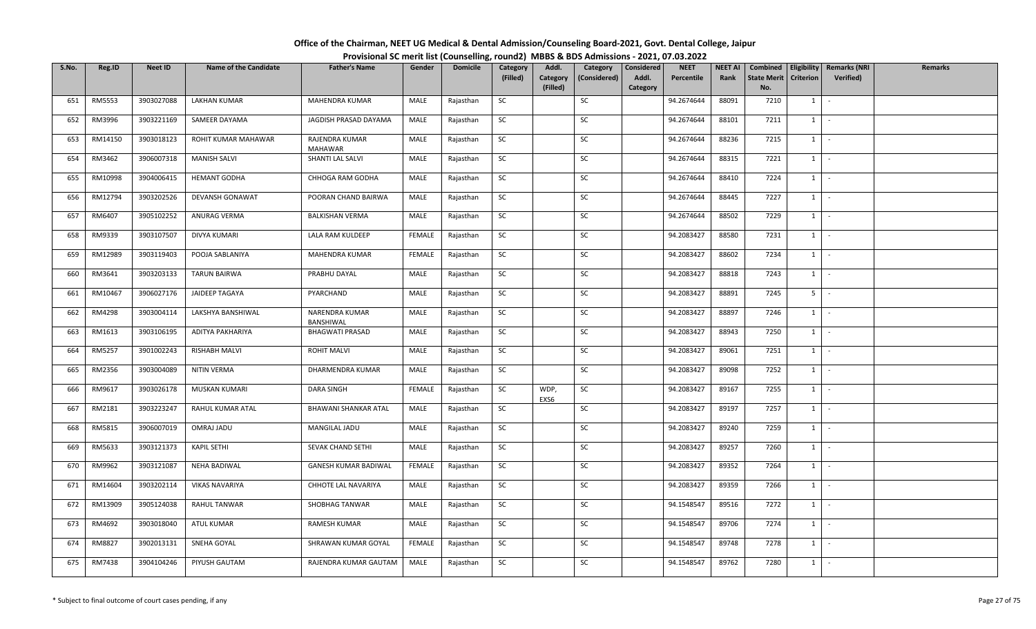| Office of the Chairman, NEET UG Medical & Dental Admission/Counseling Board-2021, Govt. Dental College, Jaipur |                                                                                          |
|----------------------------------------------------------------------------------------------------------------|------------------------------------------------------------------------------------------|
|                                                                                                                | Provisional SC merit list (Counselling, round2) MBBS & BDS Admissions - 2021, 07.03.2022 |

| S.No. | Reg.ID        | <b>Neet ID</b> | <b>Name of the Candidate</b> | <b>Father's Name</b>             | Gender        | <b>Domicile</b> | Category  | Addl.                | Category     | Considered        | <b>NEET</b> | <b>NEET AI</b> | Combined                  |                  | Eligibility   Remarks (NRI | Remarks |
|-------|---------------|----------------|------------------------------|----------------------------------|---------------|-----------------|-----------|----------------------|--------------|-------------------|-------------|----------------|---------------------------|------------------|----------------------------|---------|
|       |               |                |                              |                                  |               |                 | (Filled)  | Category<br>(Filled) | (Considered) | Addl.<br>Category | Percentile  | Rank           | <b>State Merit</b><br>No. | <b>Criterion</b> | <b>Verified</b> )          |         |
| 651   | <b>RM5553</b> | 3903027088     | <b>LAKHAN KUMAR</b>          | MAHENDRA KUMAR                   | MALE          | Rajasthan       | SC        |                      | SC           |                   | 94.2674644  | 88091          | 7210                      | 1                | $\sim$                     |         |
|       |               |                |                              |                                  |               |                 |           |                      |              |                   |             |                |                           |                  |                            |         |
| 652   | RM3996        | 3903221169     | SAMEER DAYAMA                | JAGDISH PRASAD DAYAMA            | MALE          | Rajasthan       | SC        |                      | SC           |                   | 94.2674644  | 88101          | 7211                      | 1                | $\sim$                     |         |
| 653   | RM14150       | 3903018123     | ROHIT KUMAR MAHAWAR          | RAJENDRA KUMAR<br><b>MAHAWAR</b> | MALE          | Rajasthan       | <b>SC</b> |                      | SC           |                   | 94.2674644  | 88236          | 7215                      | $1 \mid$         | $\sim$ $-$                 |         |
| 654   | RM3462        | 3906007318     | <b>MANISH SALVI</b>          | SHANTI LAL SALVI                 | MALE          | Rajasthan       | SC        |                      | SC           |                   | 94.2674644  | 88315          | 7221                      | $1 \mid$         | $\sim$                     |         |
| 655   | RM10998       | 3904006415     | <b>HEMANT GODHA</b>          | CHHOGA RAM GODHA                 | MALE          | Rajasthan       | SC        |                      | SC           |                   | 94.2674644  | 88410          | 7224                      | $1 \mid$         | $\sim$                     |         |
| 656   | RM12794       | 3903202526     | DEVANSH GONAWAT              | POORAN CHAND BAIRWA              | MALE          | Rajasthan       | SC        |                      | SC           |                   | 94.2674644  | 88445          | 7227                      | 1                | $\sim$                     |         |
| 657   | RM6407        | 3905102252     | ANURAG VERMA                 | <b>BALKISHAN VERMA</b>           | MALE          | Rajasthan       | SC        |                      | SC           |                   | 94.2674644  | 88502          | 7229                      | $1 \quad$        | $\sim$                     |         |
| 658   | RM9339        | 3903107507     | DIVYA KUMARI                 | LALA RAM KULDEEP                 | <b>FEMALE</b> | Rajasthan       | SC        |                      | SC           |                   | 94.2083427  | 88580          | 7231                      | 1                | $\sim$                     |         |
| 659   | RM12989       | 3903119403     | POOJA SABLANIYA              | MAHENDRA KUMAR                   | FEMALE        | Rajasthan       | SC        |                      | SC           |                   | 94.2083427  | 88602          | 7234                      | 1                | $\sim$                     |         |
| 660   | RM3641        | 3903203133     | <b>TARUN BAIRWA</b>          | PRABHU DAYAL                     | MALE          | Rajasthan       | SC        |                      | SC           |                   | 94.2083427  | 88818          | 7243                      | 1                | $\sim$                     |         |
| 661   | RM10467       | 3906027176     | JAIDEEP TAGAYA               | PYARCHAND                        | MALE          | Rajasthan       | <b>SC</b> |                      | SC           |                   | 94.2083427  | 88891          | 7245                      | $5$   $-$        |                            |         |
| 662   | RM4298        | 3903004114     | LAKSHYA BANSHIWAL            | NARENDRA KUMAR<br>BANSHIWAL      | MALE          | Rajasthan       | SC        |                      | SC           |                   | 94.2083427  | 88897          | 7246                      | 1                | $\sim$                     |         |
| 663   | RM1613        | 3903106195     | ADITYA PAKHARIYA             | <b>BHAGWATI PRASAD</b>           | MALE          | Rajasthan       | <b>SC</b> |                      | SC           |                   | 94.2083427  | 88943          | 7250                      | 1                | $\sim$                     |         |
| 664   | RM5257        | 3901002243     | <b>RISHABH MALVI</b>         | <b>ROHIT MALVI</b>               | MALE          | Rajasthan       | SC        |                      | SC           |                   | 94.2083427  | 89061          | 7251                      | $1 \quad$        | $\sim$                     |         |
| 665   | RM2356        | 3903004089     | NITIN VERMA                  | DHARMENDRA KUMAR                 | MALE          | Rajasthan       | SC        |                      | <b>SC</b>    |                   | 94.2083427  | 89098          | 7252                      | $1 \vert$        | $\sim$                     |         |
| 666   | RM9617        | 3903026178     | MUSKAN KUMARI                | <b>DARA SINGH</b>                | <b>FEMALE</b> | Rajasthan       | <b>SC</b> | WDP,<br>EXS6         | SC           |                   | 94.2083427  | 89167          | 7255                      | 1                | $\sim$                     |         |
| 667   | RM2181        | 3903223247     | RAHUL KUMAR ATAL             | <b>BHAWANI SHANKAR ATAL</b>      | MALE          | Rajasthan       | <b>SC</b> |                      | SC           |                   | 94.2083427  | 89197          | 7257                      | 1                | $\sim$                     |         |
| 668   | RM5815        | 3906007019     | OMRAJ JADU                   | MANGILAL JADU                    | MALE          | Rajasthan       | SC        |                      | SC           |                   | 94.2083427  | 89240          | 7259                      | 1                | $\sim$                     |         |
| 669   | RM5633        | 3903121373     | <b>KAPIL SETHI</b>           | SEVAK CHAND SETHI                | MALE          | Rajasthan       | SC        |                      | SC           |                   | 94.2083427  | 89257          | 7260                      | $1 \cdot$        |                            |         |
| 670   | RM9962        | 3903121087     | NEHA BADIWAL                 | <b>GANESH KUMAR BADIWAL</b>      | FEMALE        | Rajasthan       | SC        |                      | SC           |                   | 94.2083427  | 89352          | 7264                      | $1 \vert$        | $\sim$                     |         |
| 671   | RM14604       | 3903202114     | <b>VIKAS NAVARIYA</b>        | CHHOTE LAL NAVARIYA              | MALE          | Rajasthan       | SC        |                      | SC           |                   | 94.2083427  | 89359          | 7266                      | $1 \quad$        | $\sim$                     |         |
| 672   | RM13909       | 3905124038     | <b>RAHUL TANWAR</b>          | <b>SHOBHAG TANWAR</b>            | MALE          | Rajasthan       | SC        |                      | SC           |                   | 94.1548547  | 89516          | 7272                      | 1                | $\sim$                     |         |
| 673   | RM4692        | 3903018040     | <b>ATUL KUMAR</b>            | RAMESH KUMAR                     | MALE          | Rajasthan       | SC        |                      | SC           |                   | 94.1548547  | 89706          | 7274                      | $1 \quad$        | $\sim$                     |         |
| 674   | RM8827        | 3902013131     | SNEHA GOYAL                  | SHRAWAN KUMAR GOYAL              | <b>FEMALE</b> | Rajasthan       | SC        |                      | SC           |                   | 94.1548547  | 89748          | 7278                      | $1 \quad$        | $\sim$                     |         |
| 675   | RM7438        | 3904104246     | PIYUSH GAUTAM                | RAJENDRA KUMAR GAUTAM            | MALE          | Rajasthan       | SC        |                      | SC           |                   | 94.1548547  | 89762          | 7280                      | $1 \quad$        | $\sim$                     |         |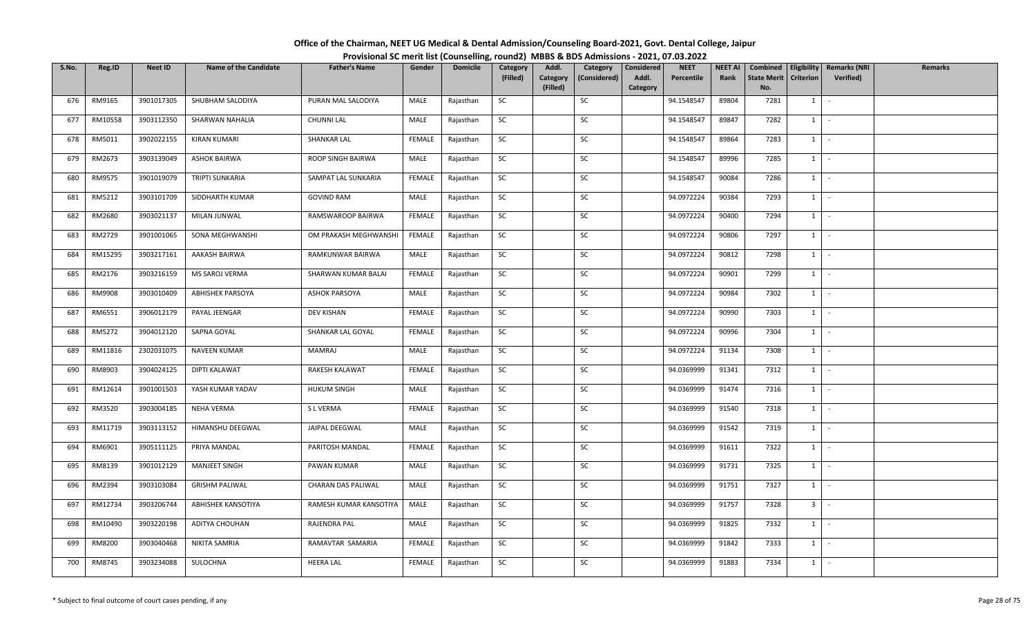| Office of the Chairman, NEET UG Medical & Dental Admission/Counseling Board-2021, Govt. Dental College, Jaipur |                                                                                          |
|----------------------------------------------------------------------------------------------------------------|------------------------------------------------------------------------------------------|
|                                                                                                                | Provisional SC merit list (Counselling, round2) MBBS & BDS Admissions - 2021, 07.03.2022 |

| S.No. | Reg.ID  | <b>Neet ID</b> | <b>Name of the Candidate</b> | <b>Father's Name</b>   | Gender        | <b>Domicile</b> | Category  | Addl.                | Category     | Considered        | <b>NEET</b> | <b>NEET AI</b> | Combined                  | Eligibility      | <b>Remarks (NRI</b> | <b>Remarks</b> |
|-------|---------|----------------|------------------------------|------------------------|---------------|-----------------|-----------|----------------------|--------------|-------------------|-------------|----------------|---------------------------|------------------|---------------------|----------------|
|       |         |                |                              |                        |               |                 | (Filled)  | Category<br>(Filled) | (Considered) | Addl.<br>Category | Percentile  | Rank           | <b>State Merit</b><br>No. | <b>Criterion</b> | Verified)           |                |
| 676   | RM9165  | 3901017305     | SHUBHAM SALODIYA             | PURAN MAL SALODIYA     | MALE          | Rajasthan       | SC        |                      | SC           |                   | 94.1548547  | 89804          | 7281                      | $1 \quad$        | $\sim$              |                |
| 677   | RM10558 | 3903112350     | SHARWAN NAHALIA              | <b>CHUNNI LAL</b>      | MALE          | Rajasthan       | <b>SC</b> |                      | SC           |                   | 94.1548547  | 89847          | 7282                      | 1                | $\sim$              |                |
|       |         |                |                              |                        |               |                 |           |                      |              |                   |             |                |                           |                  |                     |                |
| 678   | RM5011  | 3902022155     | KIRAN KUMARI                 | SHANKAR LAL            | <b>FEMALE</b> | Rajasthan       | SC        |                      | SC           |                   | 94.1548547  | 89864          | 7283                      | 1                | $\sim$              |                |
| 679   | RM2673  | 3903139049     | <b>ASHOK BAIRWA</b>          | ROOP SINGH BAIRWA      | MALE          | Rajasthan       | <b>SC</b> |                      | SC           |                   | 94.1548547  | 89996          | 7285                      | $1 \mid$         | $\sim$              |                |
| 680   | RM9575  | 3901019079     | <b>TRIPTI SUNKARIA</b>       | SAMPAT LAL SUNKARIA    | FEMALE        | Rajasthan       | SC        |                      | SC           |                   | 94.1548547  | 90084          | 7286                      | $1 \vert$        | $\sim$              |                |
| 681   | RM5212  | 3903101709     | SIDDHARTH KUMAR              | <b>GOVIND RAM</b>      | MALE          | Rajasthan       | SC        |                      | SC           |                   | 94.0972224  | 90384          | 7293                      |                  | $1 \cdot$           |                |
| 682   | RM2680  | 3903021137     | MILAN JUNWAL                 | RAMSWAROOP BAIRWA      | FEMALE        | Rajasthan       | <b>SC</b> |                      | SC           |                   | 94.0972224  | 90400          | 7294                      | 1                | $\sim$              |                |
| 683   | RM2729  | 3901001065     | SONA MEGHWANSHI              | OM PRAKASH MEGHWANSHI  | FEMALE        | Rajasthan       | SC        |                      | SC           |                   | 94.0972224  | 90806          | 7297                      | $1 \vert$        | $\sim$              |                |
| 684   | RM15295 | 3903217161     | AAKASH BAIRWA                | RAMKUNWAR BAIRWA       | MALE          | Rajasthan       | <b>SC</b> |                      | SC           |                   | 94.0972224  | 90812          | 7298                      | $1 \quad$        | $\sim$              |                |
| 685   | RM2176  | 3903216159     | MS SAROJ VERMA               | SHARWAN KUMAR BALAI    | FEMALE        | Rajasthan       | SC        |                      | SC           |                   | 94.0972224  | 90901          | 7299                      | 1                | $\sim$              |                |
| 686   | RM9908  | 3903010409     | <b>ABHISHEK PARSOYA</b>      | <b>ASHOK PARSOYA</b>   | MALE          | Rajasthan       | SC        |                      | SC           |                   | 94.0972224  | 90984          | 7302                      | 1                | $\sim$              |                |
| 687   | RM6551  | 3906012179     | PAYAL JEENGAR                | DEV KISHAN             | <b>FEMALE</b> | Rajasthan       | SC        |                      | SC           |                   | 94.0972224  | 90990          | 7303                      | $1$ $-$          |                     |                |
| 688   | RM5272  | 3904012120     | SAPNA GOYAL                  | SHANKAR LAL GOYAL      | <b>FEMALE</b> | Rajasthan       | SC        |                      | SC           |                   | 94.0972224  | 90996          | 7304                      | 1                | $\sim$              |                |
| 689   | RM11816 | 2302031075     | <b>NAVEEN KUMAR</b>          | MAMRAJ                 | MALE          | Rajasthan       | SC        |                      | SC           |                   | 94.0972224  | 91134          | 7308                      | $1 \vert$        | $\sim$              |                |
| 690   | RM8903  | 3904024125     | DIPTI KALAWAT                | RAKESH KALAWAT         | FEMALE        | Rajasthan       | SC        |                      | SC           |                   | 94.0369999  | 91341          | 7312                      | 1                | $\sim$              |                |
| 691   | RM12614 | 3901001503     | YASH KUMAR YADAV             | <b>HUKUM SINGH</b>     | MALE          | Rajasthan       | <b>SC</b> |                      | SC           |                   | 94.0369999  | 91474          | 7316                      | $1 \mid$         | $\sim$ $-$          |                |
| 692   | RM3520  | 3903004185     | NEHA VERMA                   | S L VERMA              | FEMALE        | Rajasthan       | SC        |                      | SC           |                   | 94.0369999  | 91540          | 7318                      | $1 \vert$        | $\sim$              |                |
| 693   | RM11719 | 3903113152     | HIMANSHU DEEGWAL             | JAIPAL DEEGWAL         | MALE          | Rajasthan       | SC        |                      | SC           |                   | 94.0369999  | 91542          | 7319                      | $1 \quad$        | $\sim$              |                |
| 694   | RM6901  | 3905111125     | PRIYA MANDAL                 | PARITOSH MANDAL        | FEMALE        | Rajasthan       | SC        |                      | SC           |                   | 94.0369999  | 91611          | 7322                      |                  | $1 \cdot$           |                |
| 695   | RM8139  | 3901012129     | <b>MANJEET SINGH</b>         | PAWAN KUMAR            | MALE          | Rajasthan       | SC        |                      | SC           |                   | 94.0369999  | 91731          | 7325                      | $1 \mid$         | $\sim$              |                |
| 696   | RM2394  | 3903103084     | <b>GRISHM PALIWAL</b>        | CHARAN DAS PALIWAL     | MALE          | Rajasthan       | <b>SC</b> |                      | SC           |                   | 94.0369999  | 91751          | 7327                      | 1                | $\sim$              |                |
| 697   | RM12734 | 3903206744     | ABHISHEK KANSOTIYA           | RAMESH KUMAR KANSOTIYA | MALE          | Rajasthan       | SC        |                      | SC           |                   | 94.0369999  | 91757          | 7328                      | 3 <sup>1</sup>   | $\sim$              |                |
| 698   | RM10490 | 3903220198     | ADITYA CHOUHAN               | RAJENDRA PAL           | MALE          | Rajasthan       | SC        |                      | SC           |                   | 94.0369999  | 91825          | 7332                      | 1                | $\sim$              |                |
| 699   | RM8200  | 3903040468     | NIKITA SAMRIA                | RAMAVTAR SAMARIA       | <b>FEMALE</b> | Rajasthan       | SC        |                      | SC           |                   | 94.0369999  | 91842          | 7333                      | 1                | $\sim$              |                |
| 700   | RM8745  | 3903234088     | SULOCHNA                     | <b>HEERA LAL</b>       | FEMALE        | Rajasthan       | SC        |                      | SC           |                   | 94.0369999  | 91883          | 7334                      | $1 \quad$        | $\sim$              |                |
|       |         |                |                              |                        |               |                 |           |                      |              |                   |             |                |                           |                  |                     |                |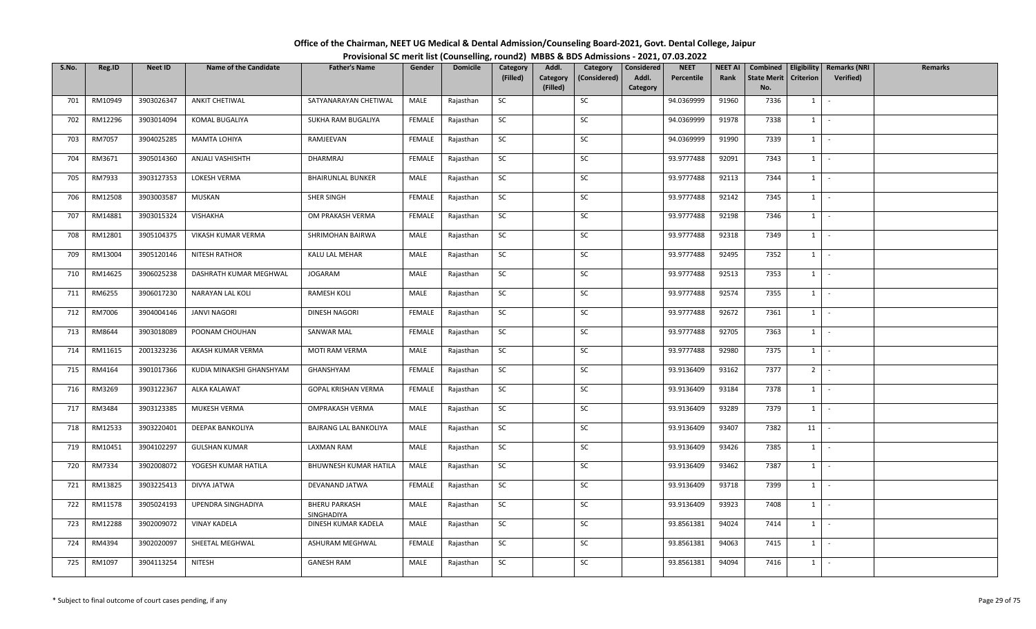| Office of the Chairman, NEET UG Medical & Dental Admission/Counseling Board-2021, Govt. Dental College, Jaipur |  |
|----------------------------------------------------------------------------------------------------------------|--|
| Provisional SC merit list (Counselling, round2) MBBS & BDS Admissions - 2021, 07.03.2022                       |  |

| S.No. | Reg.ID  | <b>Neet ID</b> | <b>Name of the Candidate</b> | <b>Father's Name</b>               | Gender        | <b>Domicile</b> | Category  | Addl.                | Category     | Considered        | <b>NEET</b> | <b>NEET AI</b> | Combined                  | Eligibility      | <b>Remarks (NRI</b> | <b>Remarks</b> |
|-------|---------|----------------|------------------------------|------------------------------------|---------------|-----------------|-----------|----------------------|--------------|-------------------|-------------|----------------|---------------------------|------------------|---------------------|----------------|
|       |         |                |                              |                                    |               |                 | (Filled)  | Category<br>(Filled) | (Considered) | Addl.<br>Category | Percentile  | Rank           | <b>State Merit</b><br>No. | <b>Criterion</b> | <b>Verified)</b>    |                |
| 701   | RM10949 | 3903026347     | <b>ANKIT CHETIWAL</b>        | SATYANARAYAN CHETIWAL              | MALE          | Rajasthan       | SC        |                      | SC           |                   | 94.0369999  | 91960          | 7336                      | 1                | $\sim$              |                |
| 702   | RM12296 | 3903014094     | KOMAL BUGALIYA               | SUKHA RAM BUGALIYA                 | FEMALE        | Rajasthan       | <b>SC</b> |                      | SC           |                   | 94.0369999  | 91978          | 7338                      | $1 \quad$        | $\sim$              |                |
| 703   | RM7057  | 3904025285     | <b>MAMTA LOHIYA</b>          | RAMJEEVAN                          | <b>FEMALE</b> | Rajasthan       | SC        |                      | SC           |                   | 94.0369999  | 91990          | 7339                      | $1 \quad$        | $\sim$              |                |
| 704   | RM3671  | 3905014360     | ANJALI VASHISHTH             | DHARMRAJ                           | FEMALE        | Rajasthan       | SC        |                      | SC           |                   | 93.9777488  | 92091          | 7343                      | $1 \vert -$      |                     |                |
| 705   | RM7933  | 3903127353     | LOKESH VERMA                 | <b>BHAIRUNLAL BUNKER</b>           | MALE          | Rajasthan       | SC        |                      | SC           |                   | 93.9777488  | 92113          | 7344                      | 1                | $\sim$              |                |
| 706   | RM12508 | 3903003587     | MUSKAN                       | SHER SINGH                         | <b>FEMALE</b> | Rajasthan       | SC        |                      | SC           |                   | 93.9777488  | 92142          | 7345                      | $1 \quad$        | $\sim$              |                |
| 707   | RM14881 | 3903015324     | <b>VISHAKHA</b>              | OM PRAKASH VERMA                   | <b>FEMALE</b> | Rajasthan       | SC        |                      | SC           |                   | 93.9777488  | 92198          | 7346                      | $1 \quad$        | $\sim$              |                |
| 708   | RM12801 | 3905104375     | VIKASH KUMAR VERMA           | SHRIMOHAN BAIRWA                   | MALE          | Rajasthan       | SC        |                      | SC           |                   | 93.9777488  | 92318          | 7349                      | $1 \mid$         | $\sim$              |                |
| 709   | RM13004 | 3905120146     | <b>NITESH RATHOR</b>         | KALU LAL MEHAR                     | MALE          | Rajasthan       | SC        |                      | SC           |                   | 93.9777488  | 92495          | 7352                      | $1 \quad$        | $\sim$              |                |
| 710   | RM14625 | 3906025238     | DASHRATH KUMAR MEGHWAL       | JOGARAM                            | MALE          | Rajasthan       | <b>SC</b> |                      | SC           |                   | 93.9777488  | 92513          | 7353                      | $1 \quad$        | $\sim$ $-$          |                |
| 711   | RM6255  | 3906017230     | NARAYAN LAL KOLI             | RAMESH KOLI                        | MALE          | Rajasthan       | SC        |                      | SC           |                   | 93.9777488  | 92574          | 7355                      | $1 \mid$         | $\sim$              |                |
| 712   | RM7006  | 3904004146     | <b>JANVI NAGORI</b>          | DINESH NAGORI                      | <b>FEMALE</b> | Rajasthan       | SC        |                      | SC           |                   | 93.9777488  | 92672          | 7361                      | $1 \quad$        | $\sim$              |                |
| 713   | RM8644  | 3903018089     | POONAM CHOUHAN               | SANWAR MAL                         | <b>FEMALE</b> | Rajasthan       | SC        |                      | SC           |                   | 93.9777488  | 92705          | 7363                      | $1 \quad$        | $\sim$              |                |
| 714   | RM11615 | 2001323236     | AKASH KUMAR VERMA            | MOTI RAM VERMA                     | MALE          | Rajasthan       | SC        |                      | SC           |                   | 93.9777488  | 92980          | 7375                      | $1 \quad$        | $\sim$              |                |
| 715   | RM4164  | 3901017366     | KUDIA MINAKSHI GHANSHYAM     | GHANSHYAM                          | <b>FEMALE</b> | Rajasthan       | SC        |                      | SC           |                   | 93.9136409  | 93162          | 7377                      | 2 <sup>1</sup>   | $\sim$              |                |
| 716   | RM3269  | 3903122367     | ALKA KALAWAT                 | GOPAL KRISHAN VERMA                | FEMALE        | Rajasthan       | SC        |                      | SC           |                   | 93.9136409  | 93184          | 7378                      | $1 \quad$        | $\sim$              |                |
| 717   | RM3484  | 3903123385     | MUKESH VERMA                 | OMPRAKASH VERMA                    | MALE          | Rajasthan       | SC        |                      | SC           |                   | 93.9136409  | 93289          | 7379                      | $1 \quad$        | $\sim$              |                |
| 718   | RM12533 | 3903220401     | DEEPAK BANKOLIYA             | BAJRANG LAL BANKOLIYA              | MALE          | Rajasthan       | SC        |                      | SC           |                   | 93.9136409  | 93407          | 7382                      | 11               | $\sim$              |                |
| 719   | RM10451 | 3904102297     | <b>GULSHAN KUMAR</b>         | <b>LAXMAN RAM</b>                  | MALE          | Rajasthan       | SC        |                      | SC           |                   | 93.9136409  | 93426          | 7385                      | $1 \vert$        | $\sim$              |                |
| 720   | RM7334  | 3902008072     | YOGESH KUMAR HATILA          | BHUWNESH KUMAR HATILA              | MALE          | Rajasthan       | SC        |                      | SC           |                   | 93.9136409  | 93462          | 7387                      | $1 \quad$        | $\sim$              |                |
| 721   | RM13825 | 3903225413     | DIVYA JATWA                  | DEVANAND JATWA                     | <b>FEMALE</b> | Rajasthan       | <b>SC</b> |                      | SC           |                   | 93.9136409  | 93718          | 7399                      | $1 \quad$        | $\sim$              |                |
| 722   | RM11578 | 3905024193     | UPENDRA SINGHADIYA           | <b>BHERU PARKASH</b><br>SINGHADIYA | MALE          | Rajasthan       | SC        |                      | SC           |                   | 93.9136409  | 93923          | 7408                      | $1 \cdot$        |                     |                |
| 723   | RM12288 | 3902009072     | <b>VINAY KADELA</b>          | DINESH KUMAR KADELA                | MALE          | Rajasthan       | SC        |                      | SC           |                   | 93.8561381  | 94024          | 7414                      | 1                | $\sim$              |                |
| 724   | RM4394  | 3902020097     | SHEETAL MEGHWAL              | ASHURAM MEGHWAL                    | FEMALE        | Rajasthan       | SC        |                      | SC           |                   | 93.8561381  | 94063          | 7415                      | $1 \quad$        | $\sim$ $-$          |                |
| 725   | RM1097  | 3904113254     | <b>NITESH</b>                | <b>GANESH RAM</b>                  | MALE          | Rajasthan       | <b>SC</b> |                      | SC           |                   | 93.8561381  | 94094          | 7416                      | $1 \quad$        | $\sim$              |                |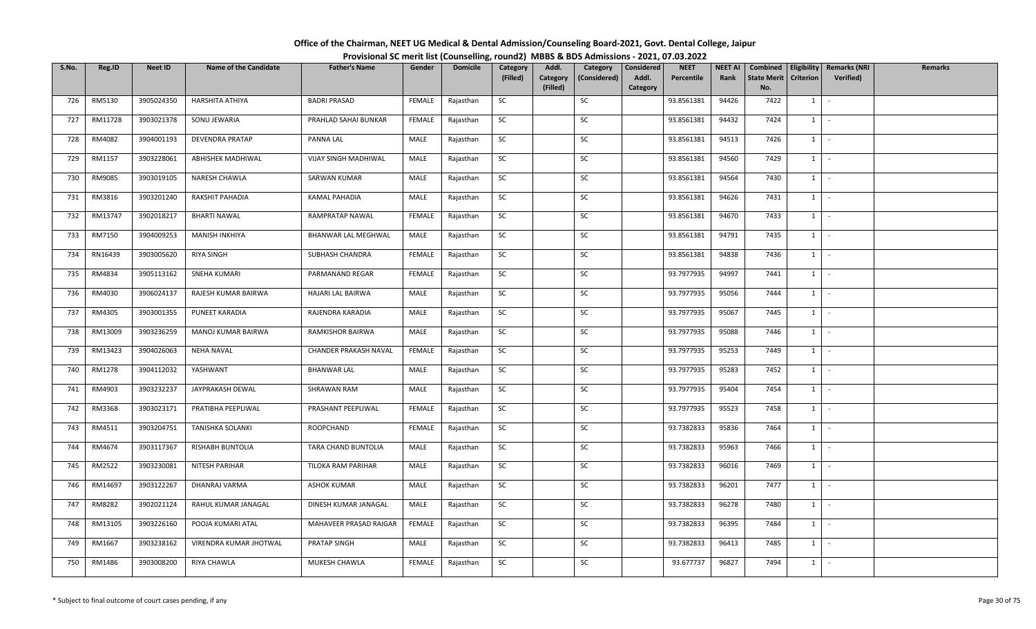| Office of the Chairman, NEET UG Medical & Dental Admission/Counseling Board-2021, Govt. Dental College, Jaipur |                                                                                          |
|----------------------------------------------------------------------------------------------------------------|------------------------------------------------------------------------------------------|
|                                                                                                                | Provisional SC merit list (Counselling, round2) MBBS & BDS Admissions - 2021, 07.03.2022 |

| S.No. | Reg.ID  | <b>Neet ID</b> | <b>Name of the Candidate</b> | <b>Father's Name</b>        | Gender        | <b>Domicile</b> | Category  | Addl.                | Category     | Considered        | <b>NEET</b> | <b>NEET AI</b> | Combined                  |                  | <b>Eligibility   Remarks (NRI</b> | Remarks |
|-------|---------|----------------|------------------------------|-----------------------------|---------------|-----------------|-----------|----------------------|--------------|-------------------|-------------|----------------|---------------------------|------------------|-----------------------------------|---------|
|       |         |                |                              |                             |               |                 | (Filled)  | Category<br>(Filled) | (Considered) | Addl.<br>Category | Percentile  | Rank           | <b>State Merit</b><br>No. | <b>Criterion</b> | Verified)                         |         |
| 726   | RM5130  | 3905024350     | HARSHITA ATHIYA              | <b>BADRI PRASAD</b>         | FEMALE        | Rajasthan       | SC        |                      | SC           |                   | 93.8561381  | 94426          | 7422                      | 1                | $\sim$                            |         |
| 727   | RM11728 | 3903021378     | SONU JEWARIA                 | PRAHLAD SAHAI BUNKAR        | FEMALE        | Rajasthan       | SC        |                      | SC           |                   | 93.8561381  | 94432          | 7424                      | $1 \quad$        | $\sim$                            |         |
| 728   | RM4082  | 3904001193     | <b>DEVENDRA PRATAP</b>       | PANNA LAL                   | MALE          | Rajasthan       | SC        |                      | SC           |                   | 93.8561381  | 94513          | 7426                      |                  | $1 \cdot$                         |         |
| 729   | RM1157  | 3903228061     | ABHISHEK MADHIWAL            | <b>VIJAY SINGH MADHIWAL</b> | MALE          | Rajasthan       | SC        |                      | SC           |                   | 93.8561381  | 94560          | 7429                      |                  | $1$ $-$                           |         |
| 730   | RM9085  | 3903019105     | NARESH CHAWLA                | SARWAN KUMAR                | MALE          | Rajasthan       | SC        |                      | SC           |                   | 93.8561381  | 94564          | 7430                      |                  | $1 \mid -$                        |         |
| 731   | RM3816  | 3903201240     | RAKSHIT PAHADIA              | KAMAL PAHADIA               | MALE          | Rajasthan       | SC        |                      | SC           |                   | 93.8561381  | 94626          | 7431                      |                  | $1 \cdot$                         |         |
| 732   | RM13747 | 3902018217     | <b>BHARTI NAWAL</b>          | RAMPRATAP NAWAL             | <b>FEMALE</b> | Rajasthan       | SC        |                      | SC           |                   | 93.8561381  | 94670          | 7433                      | $1 \quad$        | $\sim$                            |         |
| 733   | RM7150  | 3904009253     | MANISH INKHIYA               | BHANWAR LAL MEGHWAL         | MALE          | Rajasthan       | SC        |                      | SC           |                   | 93.8561381  | 94791          | 7435                      | $1 \mid$         | $\sim$ $-$                        |         |
| 734   | RN16439 | 3903005620     | <b>RIYA SINGH</b>            | SUBHASH CHANDRA             | FEMALE        | Rajasthan       | SC        |                      | SC           |                   | 93.8561381  | 94838          | 7436                      |                  | $1$ $-$                           |         |
| 735   | RM4834  | 3905113162     | SNEHA KUMARI                 | PARMANAND REGAR             | FEMALE        | Rajasthan       | SC        |                      | SC           |                   | 93.7977935  | 94997          | 7441                      | $1 \quad$        | $\sim$ $-$                        |         |
| 736   | RM4030  | 3906024137     | RAJESH KUMAR BAIRWA          | HAJARI LAL BAIRWA           | MALE          | Rajasthan       | <b>SC</b> |                      | SC           |                   | 93.7977935  | 95056          | 7444                      |                  | $1 \cdot$                         |         |
| 737   | RM4305  | 3903001355     | PUNEET KARADIA               | RAJENDRA KARADIA            | MALE          | Rajasthan       | SC        |                      | SC           |                   | 93.7977935  | 95067          | 7445                      | $1 \vert$        | $\sim$                            |         |
| 738   | RM13009 | 3903236259     | MANOJ KUMAR BAIRWA           | RAMKISHOR BAIRWA            | MALE          | Rajasthan       | SC        |                      | SC           |                   | 93.7977935  | 95088          | 7446                      | 1                | $\sim$                            |         |
| 739   | RM13423 | 3904026063     | <b>NEHA NAVAL</b>            | CHANDER PRAKASH NAVAL       | FEMALE        | Rajasthan       | SC        |                      | SC           |                   | 93.7977935  | 95253          | 7449                      | $1 \quad$        | $\sim$                            |         |
| 740   | RM1278  | 3904112032     | YASHWANT                     | <b>BHANWAR LAL</b>          | MALE          | Rajasthan       | SC        |                      | SC           |                   | 93.7977935  | 95283          | 7452                      | $1 \quad$        | $\sim$ $-$                        |         |
| 741   | RM4903  | 3903232237     | JAYPRAKASH DEWAL             | SHRAWAN RAM                 | MALE          | Rajasthan       | <b>SC</b> |                      | SC           |                   | 93.7977935  | 95404          | 7454                      | $1 \mid$         | $\sim$ $-$                        |         |
| 742   | RM3368  | 3903023171     | PRATIBHA PEEPLIWAL           | PRASHANT PEEPLIWAL          | FEMALE        | Rajasthan       | SC        |                      | SC           |                   | 93.7977935  | 95523          | 7458                      | $1 \mid$         | $\sim$                            |         |
| 743   | RM4511  | 3903204751     | <b>TANISHKA SOLANKI</b>      | ROOPCHAND                   | FEMALE        | Rajasthan       | SC        |                      | SC           |                   | 93.7382833  | 95836          | 7464                      | 1                | $\sim$                            |         |
| 744   | RM4674  | 3903117367     | RISHABH BUNTOLIA             | TARA CHAND BUNTOLIA         | MALE          | Rajasthan       | SC        |                      | SC           |                   | 93.7382833  | 95963          | 7466                      |                  | $1 \cdot$                         |         |
| 745   | RM2522  | 3903230081     | NITESH PARIHAR               | TILOKA RAM PARIHAR          | MALE          | Rajasthan       | SC        |                      | SC           |                   | 93.7382833  | 96016          | 7469                      | 1                | $\sim$                            |         |
| 746   | RM14697 | 3903122267     | DHANRAJ VARMA                | <b>ASHOK KUMAR</b>          | MALE          | Rajasthan       | <b>SC</b> |                      | SC           |                   | 93.7382833  | 96201          | 7477                      |                  | $1 \mid -$                        |         |
| 747   | RM8282  | 3902021124     | RAHUL KUMAR JANAGAL          | DINESH KUMAR JANAGAL        | MALE          | Rajasthan       | SC        |                      | SC           |                   | 93.7382833  | 96278          | 7480                      |                  | $1$ $-$                           |         |
| 748   | RM13105 | 3903226160     | POOJA KUMARI ATAL            | MAHAVEER PRASAD RAIGAR      | FEMALE        | Rajasthan       | SC        |                      | SC           |                   | 93.7382833  | 96395          | 7484                      | $1 \quad$        | $\sim$                            |         |
| 749   | RM1667  | 3903238162     | VIRENDRA KUMAR JHOTWAL       | PRATAP SINGH                | MALE          | Rajasthan       | <b>SC</b> |                      | SC           |                   | 93.7382833  | 96413          | 7485                      | 1                | $\sim$                            |         |
| 750   | RM1486  | 3903008200     | RIYA CHAWLA                  | MUKESH CHAWLA               | FEMALE        | Rajasthan       | SC        |                      | SC           |                   | 93.677737   | 96827          | 7494                      | $1 \quad$        | $\sim$                            |         |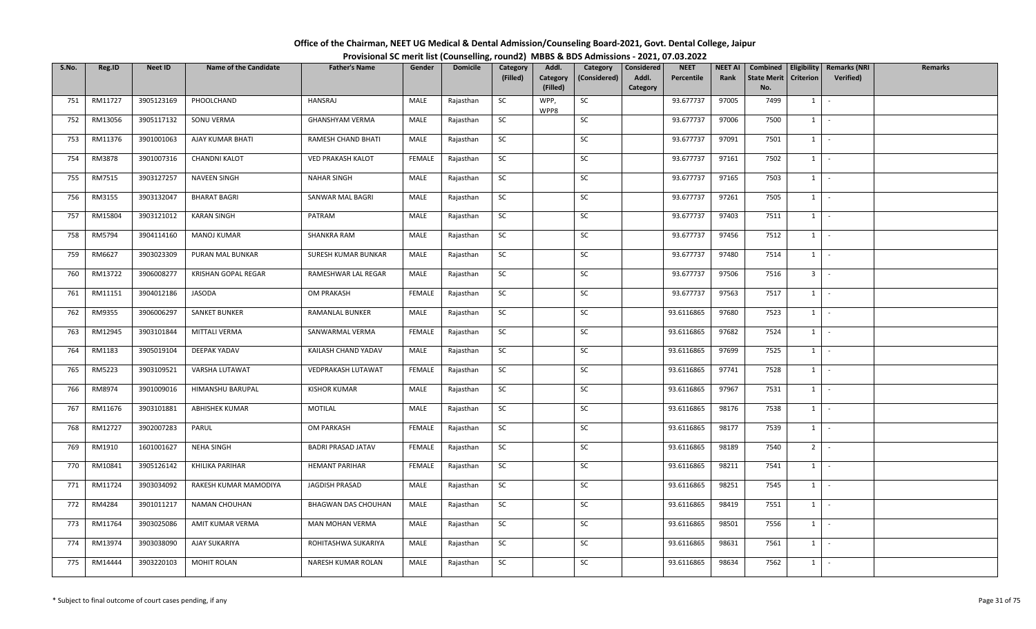| Office of the Chairman, NEET UG Medical & Dental Admission/Counseling Board-2021, Govt. Dental College, Jaipur |                                                                                          |
|----------------------------------------------------------------------------------------------------------------|------------------------------------------------------------------------------------------|
|                                                                                                                | Provisional SC merit list (Counselling, round2) MBBS & BDS Admissions - 2021, 07.03.2022 |

| S.No. | Reg.ID  | <b>Neet ID</b> | <b>Name of the Candidate</b> | <b>Father's Name</b>       | Gender        | <b>Domicile</b> | Category  | Addl.                | Category     | Considered        | <b>NEET</b> | <b>NEET AI</b> | Combined                  |                     | <b>Eligibility   Remarks (NRI</b> | <b>Remarks</b> |
|-------|---------|----------------|------------------------------|----------------------------|---------------|-----------------|-----------|----------------------|--------------|-------------------|-------------|----------------|---------------------------|---------------------|-----------------------------------|----------------|
|       |         |                |                              |                            |               |                 | (Filled)  | Category<br>(Filled) | (Considered) | Addl.<br>Category | Percentile  | Rank           | <b>State Merit</b><br>No. | <b>Criterion</b>    | Verified)                         |                |
| 751   | RM11727 | 3905123169     | PHOOLCHAND                   | HANSRAJ                    | MALE          | Rajasthan       | SC        | WPP,<br>WPP8         | SC           |                   | 93.677737   | 97005          | 7499                      | 1                   | $\sim$                            |                |
| 752   | RM13056 | 3905117132     | SONU VERMA                   | GHANSHYAM VERMA            | MALE          | Rajasthan       | SC        |                      | SC           |                   | 93.677737   | 97006          | 7500                      | $1 \quad$           | $\sim$                            |                |
| 753   | RM11376 | 3901001063     | AJAY KUMAR BHATI             | RAMESH CHAND BHATI         | MALE          | Rajasthan       | <b>SC</b> |                      | SC           |                   | 93.677737   | 97091          | 7501                      |                     | $1 \cdot$                         |                |
| 754   | RM3878  | 3901007316     | <b>CHANDNI KALOT</b>         | <b>VED PRAKASH KALOT</b>   | FEMALE        | Rajasthan       | SC        |                      | SC           |                   | 93.677737   | 97161          | 7502                      | $1$ $-$             |                                   |                |
| 755   | RM7515  | 3903127257     | <b>NAVEEN SINGH</b>          | <b>NAHAR SINGH</b>         | MALE          | Rajasthan       | SC        |                      | SC           |                   | 93.677737   | 97165          | 7503                      | $1 \mid$            | $\sim$ $-$                        |                |
| 756   | RM3155  | 3903132047     | <b>BHARAT BAGRI</b>          | SANWAR MAL BAGRI           | MALE          | Rajasthan       | SC        |                      | SC           |                   | 93.677737   | 97261          | 7505                      |                     | $1 \cdot$                         |                |
| 757   | RM15804 | 3903121012     | <b>KARAN SINGH</b>           | PATRAM                     | MALE          | Rajasthan       | SC        |                      | SC           |                   | 93.677737   | 97403          | 7511                      | $1 \quad$           | $\sim$                            |                |
| 758   | RM5794  | 3904114160     | MANOJ KUMAR                  | SHANKRA RAM                | MALE          | Rajasthan       | SC        |                      | SC           |                   | 93.677737   | 97456          | 7512                      | $1 \mid$            | $\sim$                            |                |
| 759   | RM6627  | 3903023309     | PURAN MAL BUNKAR             | SURESH KUMAR BUNKAR        | MALE          | Rajasthan       | SC        |                      | SC           |                   | 93.677737   | 97480          | 7514                      | $1$ $-$             |                                   |                |
| 760   | RM13722 | 3906008277     | KRISHAN GOPAL REGAR          | RAMESHWAR LAL REGAR        | MALE          | Rajasthan       | SC        |                      | SC           |                   | 93.677737   | 97506          | 7516                      | 3 <sup>1</sup>      | $\sim$                            |                |
| 761   | RM11151 | 3904012186     | JASODA                       | OM PRAKASH                 | FEMALE        | Rajasthan       | SC        |                      | SC           |                   | 93.677737   | 97563          | 7517                      |                     | $1 \cdot$                         |                |
| 762   | RM9355  | 3906006297     | <b>SANKET BUNKER</b>         | RAMANLAL BUNKER            | MALE          | Rajasthan       | SC        |                      | SC           |                   | 93.6116865  | 97680          | 7523                      | $1$ $\vert$ $\vert$ |                                   |                |
| 763   | RM12945 | 3903101844     | MITTALI VERMA                | SANWARMAL VERMA            | FEMALE        | Rajasthan       | SC        |                      | SC           |                   | 93.6116865  | 97682          | 7524                      | 1                   | $\sim$                            |                |
| 764   | RM1183  | 3905019104     | DEEPAK YADAV                 | KAILASH CHAND YADAV        | MALE          | Rajasthan       | SC        |                      | SC           |                   | 93.6116865  | 97699          | 7525                      | $1 \quad$           | $\sim$                            |                |
| 765   | RM5223  | 3903109521     | VARSHA LUTAWAT               | VEDPRAKASH LUTAWAT         | FEMALE        | Rajasthan       | SC        |                      | SC           |                   | 93.6116865  | 97741          | 7528                      | $1 \quad$           | $\sim$ $-$                        |                |
| 766   | RM8974  | 3901009016     | HIMANSHU BARUPAL             | <b>KISHOR KUMAR</b>        | MALE          | Rajasthan       | <b>SC</b> |                      | SC           |                   | 93.6116865  | 97967          | 7531                      | $1 \mid$            | $\sim$ $-$                        |                |
| 767   | RM11676 | 3903101881     | ABHISHEK KUMAR               | MOTILAL                    | MALE          | Rajasthan       | SC        |                      | SC           |                   | 93.6116865  | 98176          | 7538                      | $1 \mid$            | $\sim$                            |                |
| 768   | RM12727 | 3902007283     | PARUL                        | OM PARKASH                 | <b>FEMALE</b> | Rajasthan       | SC        |                      | SC           |                   | 93.6116865  | 98177          | 7539                      | 1                   | $\sim$                            |                |
| 769   | RM1910  | 1601001627     | NEHA SINGH                   | BADRI PRASAD JATAV         | FEMALE        | Rajasthan       | SC        |                      | SC           |                   | 93.6116865  | 98189          | 7540                      |                     | $2$ $\overline{\phantom{0}}$      |                |
| 770   | RM10841 | 3905126142     | KHILIKA PARIHAR              | <b>HEMANT PARIHAR</b>      | FEMALE        | Rajasthan       | SC        |                      | SC           |                   | 93.6116865  | 98211          | 7541                      | 1                   | $\sim$                            |                |
| 771   | RM11724 | 3903034092     | RAKESH KUMAR MAMODIYA        | JAGDISH PRASAD             | MALE          | Rajasthan       | SC        |                      | SC           |                   | 93.6116865  | 98251          | 7545                      |                     | $1 \mid -$                        |                |
| 772   | RM4284  | 3901011217     | NAMAN CHOUHAN                | <b>BHAGWAN DAS CHOUHAN</b> | MALE          | Rajasthan       | SC        |                      | SC           |                   | 93.6116865  | 98419          | 7551                      | $1$ $-$             |                                   |                |
| 773   | RM11764 | 3903025086     | AMIT KUMAR VERMA             | MAN MOHAN VERMA            | MALE          | Rajasthan       | SC        |                      | SC           |                   | 93.6116865  | 98501          | 7556                      | $1 \quad$           | $\sim$                            |                |
| 774   | RM13974 | 3903038090     | <b>AJAY SUKARIYA</b>         | ROHITASHWA SUKARIYA        | MALE          | Rajasthan       | <b>SC</b> |                      | SC           |                   | 93.6116865  | 98631          | 7561                      | $1 \quad$           | $\sim$                            |                |
| 775   | RM14444 | 3903220103     | <b>MOHIT ROLAN</b>           | NARESH KUMAR ROLAN         | MALE          | Rajasthan       | SC        |                      | SC           |                   | 93.6116865  | 98634          | 7562                      | $1 \quad$           | $\sim$                            |                |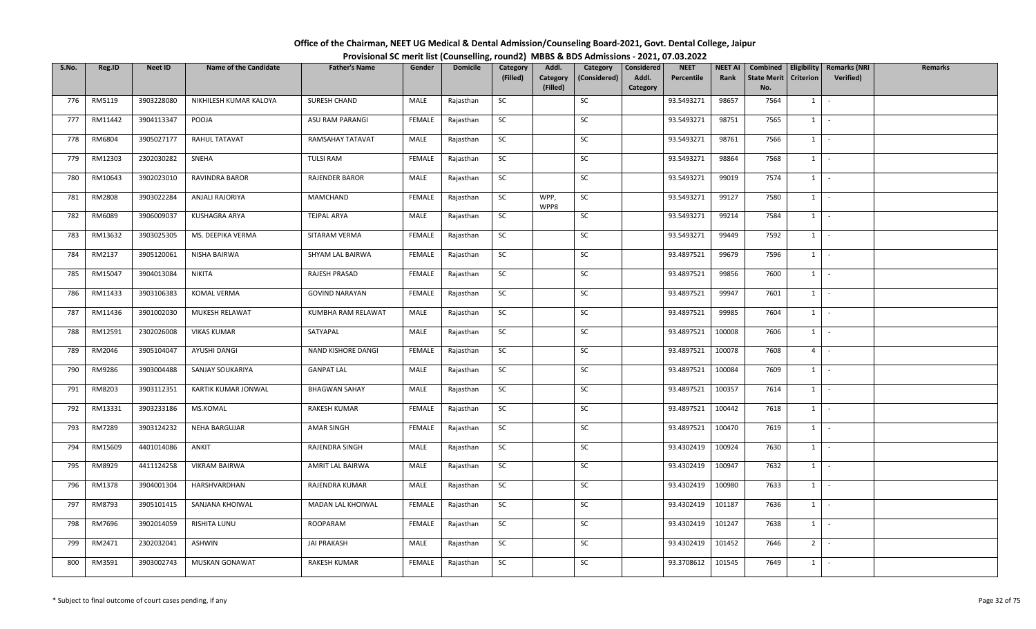| Office of the Chairman, NEET UG Medical & Dental Admission/Counseling Board-2021, Govt. Dental College, Jaipur |                                                                                          |
|----------------------------------------------------------------------------------------------------------------|------------------------------------------------------------------------------------------|
|                                                                                                                | Provisional SC merit list (Counselling, round2) MBBS & BDS Admissions - 2021, 07.03.2022 |

| S.No. | Reg.ID  | <b>Neet ID</b> | <b>Name of the Candidate</b> | <b>Father's Name</b>  | Gender        | <b>Domicile</b> | Category<br>(Filled) | Addl.<br>Category | Category<br>(Considered) | Considered<br>Addl. | <b>NEET</b><br>Percentile | NEET AI<br>Rank | Combined<br><b>State Merit</b> | <b>Criterion</b> | Eligibility   Remarks (NRI<br><b>Verified)</b> | <b>Remarks</b> |
|-------|---------|----------------|------------------------------|-----------------------|---------------|-----------------|----------------------|-------------------|--------------------------|---------------------|---------------------------|-----------------|--------------------------------|------------------|------------------------------------------------|----------------|
|       |         |                |                              |                       |               |                 |                      | (Filled)          |                          | Category            |                           |                 | No.                            |                  |                                                |                |
| 776   | RM5119  | 3903228080     | NIKHILESH KUMAR KALOYA       | SURESH CHAND          | MALE          | Rajasthan       | SC                   |                   | SC                       |                     | 93.5493271                | 98657           | 7564                           | 1                | $\sim$                                         |                |
| 777   | RM11442 | 3904113347     | POOJA                        | ASU RAM PARANGI       | FEMALE        | Rajasthan       | <b>SC</b>            |                   | SC                       |                     | 93.5493271                | 98751           | 7565                           | $1 \quad$        | $\sim$                                         |                |
| 778   | RM6804  | 3905027177     | RAHUL TATAVAT                | RAMSAHAY TATAVAT      | MALE          | Rajasthan       | SC                   |                   | SC                       |                     | 93.5493271                | 98761           | 7566                           | $1 \mid$         | $\sim$                                         |                |
| 779   | RM12303 | 2302030282     | SNEHA                        | <b>TULSI RAM</b>      | FEMALE        | Rajasthan       | SC                   |                   | SC                       |                     | 93.5493271                | 98864           | 7568                           | $1 \vert -$      |                                                |                |
| 780   | RM10643 | 3902023010     | <b>RAVINDRA BAROR</b>        | <b>RAJENDER BAROR</b> | MALE          | Rajasthan       | SC                   |                   | SC                       |                     | 93.5493271                | 99019           | 7574                           | 1                | $\sim$                                         |                |
| 781   | RM2808  | 3903022284     | ANJALI RAJORIYA              | MAMCHAND              | FEMALE        | Rajasthan       | SC                   | WPP,<br>WPP8      | SC                       |                     | 93.5493271                | 99127           | 7580                           |                  | $1 \mid -$                                     |                |
| 782   | RM6089  | 3906009037     | KUSHAGRA ARYA                | <b>TEJPAL ARYA</b>    | MALE          | Rajasthan       | SC                   |                   | SC                       |                     | 93.5493271                | 99214           | 7584                           | $1 \quad$        | $\sim$                                         |                |
| 783   | RM13632 | 3903025305     | MS. DEEPIKA VERMA            | SITARAM VERMA         | <b>FEMALE</b> | Rajasthan       | SC                   |                   | SC                       |                     | 93.5493271                | 99449           | 7592                           |                  | $1 \cdot$                                      |                |
| 784   | RM2137  | 3905120061     | NISHA BAIRWA                 | SHYAM LAL BAIRWA      | <b>FEMALE</b> | Rajasthan       | SC                   |                   | SC                       |                     | 93.4897521                | 99679           | 7596                           | $1 \quad$        | $\sim$                                         |                |
| 785   | RM15047 | 3904013084     | NIKITA                       | RAJESH PRASAD         | FEMALE        | Rajasthan       | SC                   |                   | SC                       |                     | 93.4897521                | 99856           | 7600                           | $1 \quad$        | $\sim$ $-$                                     |                |
| 786   | RM11433 | 3903106383     | <b>KOMAL VERMA</b>           | <b>GOVIND NARAYAN</b> | FEMALE        | Rajasthan       | <b>SC</b>            |                   | SC                       |                     | 93.4897521                | 99947           | 7601                           | $1$ $-$          |                                                |                |
| 787   | RM11436 | 3901002030     | MUKESH RELAWAT               | KUMBHA RAM RELAWAT    | MALE          | Rajasthan       | SC                   |                   | SC                       |                     | 93.4897521                | 99985           | 7604                           | $1 \mid$         | $\sim$                                         |                |
| 788   | RM12591 | 2302026008     | <b>VIKAS KUMAR</b>           | SATYAPAL              | MALE          | Rajasthan       | SC                   |                   | SC                       |                     | 93.4897521                | 100008          | 7606                           | 1                | $\sim$                                         |                |
| 789   | RM2046  | 3905104047     | AYUSHI DANGI                 | NAND KISHORE DANGI    | <b>FEMALE</b> | Rajasthan       | SC                   |                   | SC                       |                     | 93.4897521                | 100078          | 7608                           | 4 <sup>1</sup>   | $\sim$                                         |                |
| 790   | RM9286  | 3903004488     | SANJAY SOUKARIYA             | <b>GANPAT LAL</b>     | MALE          | Rajasthan       | <b>SC</b>            |                   | SC                       |                     | 93.4897521                | 100084          | 7609                           | 1                | $\sim$                                         |                |
| 791   | RM8203  | 3903112351     | KARTIK KUMAR JONWAL          | <b>BHAGWAN SAHAY</b>  | MALE          | Rajasthan       | SC                   |                   | SC                       |                     | 93.4897521                | 100357          | 7614                           | $1 \quad$        | $\sim$                                         |                |
| 792   | RM13331 | 3903233186     | MS.KOMAL                     | RAKESH KUMAR          | <b>FEMALE</b> | Rajasthan       | SC                   |                   | SC                       |                     | 93.4897521                | 100442          | 7618                           | $1 \mid$         | $\sim$ $-$                                     |                |
| 793   | RM7289  | 3903124232     | <b>NEHA BARGUJAR</b>         | AMAR SINGH            | <b>FEMALE</b> | Rajasthan       | SC                   |                   | SC                       |                     | 93.4897521                | 100470          | 7619                           | $1$ $-$          |                                                |                |
| 794   | RM15609 | 4401014086     | ANKIT                        | RAJENDRA SINGH        | MALE          | Rajasthan       | SC                   |                   | SC                       |                     | 93.4302419                | 100924          | 7630                           |                  | $1 \mid -$                                     |                |
| 795   | RM8929  | 4411124258     | <b>VIKRAM BAIRWA</b>         | AMRIT LAL BAIRWA      | MALE          | Rajasthan       | SC                   |                   | SC                       |                     | 93.4302419                | 100947          | 7632                           | $1 \quad$        | $\sim$                                         |                |
| 796   | RM1378  | 3904001304     | HARSHVARDHAN                 | RAJENDRA KUMAR        | MALE          | Rajasthan       | <b>SC</b>            |                   | SC                       |                     | 93.4302419                | 100980          | 7633                           | 1                | $\sim$                                         |                |
| 797   | RM8793  | 3905101415     | SANJANA KHOIWAL              | MADAN LAL KHOIWAL     | <b>FEMALE</b> | Rajasthan       | <b>SC</b>            |                   | SC                       |                     | 93.4302419                | 101187          | 7636                           | $1 \cdot$        |                                                |                |
| 798   | RM7696  | 3902014059     | RISHITA LUNU                 | ROOPARAM              | FEMALE        | Rajasthan       | SC                   |                   | SC                       |                     | 93.4302419                | 101247          | 7638                           | 1                | $\sim$                                         |                |
| 799   | RM2471  | 2302032041     | ASHWIN                       | <b>JAI PRAKASH</b>    | MALE          | Rajasthan       | SC                   |                   | SC                       |                     | 93.4302419                | 101452          | 7646                           | 2 <sup>1</sup>   | $\sim$                                         |                |
| 800   | RM3591  | 3903002743     | <b>MUSKAN GONAWAT</b>        | RAKESH KUMAR          | FEMALE        | Rajasthan       | <b>SC</b>            |                   | SC                       |                     | 93.3708612                | 101545          | 7649                           | $1 \quad$        | $\sim$                                         |                |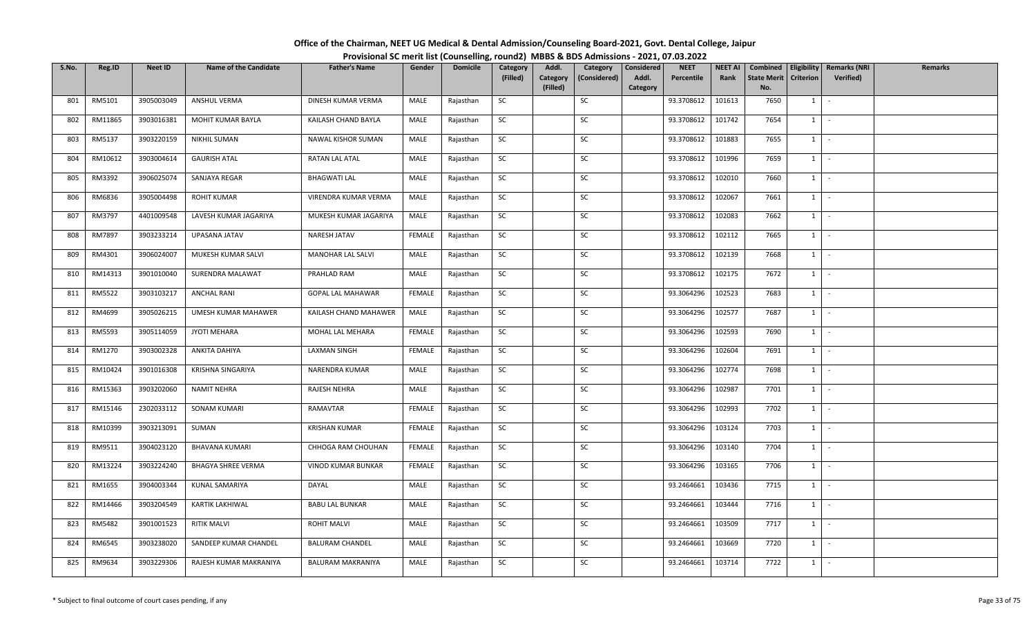| Office of the Chairman, NEET UG Medical & Dental Admission/Counseling Board-2021, Govt. Dental College, Jaipur |                                                                                          |
|----------------------------------------------------------------------------------------------------------------|------------------------------------------------------------------------------------------|
|                                                                                                                | Provisional SC merit list (Counselling, round2) MBBS & BDS Admissions - 2021, 07.03.2022 |

| S.No. | Reg.ID  | <b>Neet ID</b> | <b>Name of the Candidate</b> | <b>Father's Name</b>     | Gender        | <b>Domicile</b> | Category  | Addl.                | Category     | Considered | <b>NEET</b> | <b>NEET AI</b> | Combined                  |                  | Eligibility   Remarks (NRI | Remarks |
|-------|---------|----------------|------------------------------|--------------------------|---------------|-----------------|-----------|----------------------|--------------|------------|-------------|----------------|---------------------------|------------------|----------------------------|---------|
|       |         |                |                              |                          |               |                 | (Filled)  | Category<br>(Filled) | (Considered) | Addl.      | Percentile  | Rank           | <b>State Merit</b><br>No. | <b>Criterion</b> | Verified)                  |         |
| 801   | RM5101  | 3905003049     | ANSHUL VERMA                 | DINESH KUMAR VERMA       | MALE          | Rajasthan       | SC        |                      | $\sf SC$     | Category   | 93.3708612  | 101613         | 7650                      | $1 \quad$        | $\sim$                     |         |
|       |         |                |                              |                          |               |                 |           |                      |              |            |             |                |                           |                  |                            |         |
| 802   | RM11865 | 3903016381     | MOHIT KUMAR BAYLA            | KAILASH CHAND BAYLA      | MALE          | Rajasthan       | SC        |                      | SC           |            | 93.3708612  | 101742         | 7654                      | $1 \quad$        | $\sim$                     |         |
| 803   | RM5137  | 3903220159     | <b>NIKHIL SUMAN</b>          | NAWAL KISHOR SUMAN       | MALE          | Rajasthan       | SC        |                      | SC           |            | 93.3708612  | 101883         | 7655                      | $1$   $-$        |                            |         |
| 804   | RM10612 | 3903004614     | <b>GAURISH ATAL</b>          | <b>RATAN LAL ATAL</b>    | MALE          | Rajasthan       | SC        |                      | SC           |            | 93.3708612  | 101996         | 7659                      | $1$ $-$          |                            |         |
| 805   | RM3392  | 3906025074     | SANJAYA REGAR                | <b>BHAGWATI LAL</b>      | MALE          | Rajasthan       | SC        |                      | SC           |            | 93.3708612  | 102010         | 7660                      | $1 \mid$         | $\sim$                     |         |
| 806   | RM6836  | 3905004498     | ROHIT KUMAR                  | VIRENDRA KUMAR VERMA     | MALE          | Rajasthan       | <b>SC</b> |                      | SC           |            | 93.3708612  | 102067         | 7661                      | $1 \mid$         | $\sim$                     |         |
| 807   | RM3797  | 4401009548     | LAVESH KUMAR JAGARIYA        | MUKESH KUMAR JAGARIYA    | MALE          | Rajasthan       | <b>SC</b> |                      | SC           |            | 93.3708612  | 102083         | 7662                      | $1 \quad$        | $\sim$                     |         |
| 808   | RM7897  | 3903233214     | UPASANA JATAV                | NARESH JATAV             | FEMALE        | Rajasthan       | SC        |                      | SC           |            | 93.3708612  | 102112         | 7665                      | 1                | $\sim$                     |         |
| 809   | RM4301  | 3906024007     | MUKESH KUMAR SALVI           | MANOHAR LAL SALVI        | MALE          | Rajasthan       | SC        |                      | SC           |            | 93.3708612  | 102139         | 7668                      | $1 \quad$        | $\sim$                     |         |
| 810   | RM14313 | 3901010040     | SURENDRA MALAWAT             | PRAHLAD RAM              | MALE          | Rajasthan       | SC        |                      | SC           |            | 93.3708612  | 102175         | 7672                      | 1                | $\sim$                     |         |
| 811   | RM5522  | 3903103217     | <b>ANCHAL RANI</b>           | <b>GOPAL LAL MAHAWAR</b> | FEMALE        | Rajasthan       | SC        |                      | SC           |            | 93.3064296  | 102523         | 7683                      | $1$ $-$          |                            |         |
| 812   | RM4699  | 3905026215     | UMESH KUMAR MAHAWER          | KAILASH CHAND MAHAWER    | MALE          | Rajasthan       | SC        |                      | SC           |            | 93.3064296  | 102577         | 7687                      | 1                | $\sim$                     |         |
| 813   | RM5593  | 3905114059     | JYOTI MEHARA                 | MOHAL LAL MEHARA         | <b>FEMALE</b> | Rajasthan       | SC        |                      | ${\sf SC}$   |            | 93.3064296  | 102593         | 7690                      | 1                | $\sim$                     |         |
| 814   | RM1270  | 3903002328     | ANKITA DAHIYA                | <b>LAXMAN SINGH</b>      | FEMALE        | Rajasthan       | SC        |                      | SC           |            | 93.3064296  | 102604         | 7691                      | 1                | $\sim$                     |         |
| 815   | RM10424 | 3901016308     | KRISHNA SINGARIYA            | NARENDRA KUMAR           | MALE          | Rajasthan       | SC        |                      | SC           |            | 93.3064296  | 102774         | 7698                      | $1 \quad$        | $\sim$                     |         |
| 816   | RM15363 | 3903202060     | NAMIT NEHRA                  | RAJESH NEHRA             | MALE          | Rajasthan       | <b>SC</b> |                      | SC           |            | 93.3064296  | 102987         | 7701                      | $1 \mid$         | $\sim$                     |         |
| 817   | RM15146 | 2302033112     | SONAM KUMARI                 | RAMAVTAR                 | FEMALE        | Rajasthan       | SC        |                      | SC           |            | 93.3064296  | 102993         | 7702                      | $1 \mid$         | $\sim$                     |         |
| 818   | RM10399 | 3903213091     | SUMAN                        | <b>KRISHAN KUMAR</b>     | <b>FEMALE</b> | Rajasthan       | <b>SC</b> |                      | SC           |            | 93.3064296  | 103124         | 7703                      | $1$ $-$          |                            |         |
| 819   | RM9511  | 3904023120     | <b>BHAVANA KUMARI</b>        | CHHOGA RAM CHOUHAN       | <b>FEMALE</b> | Rajasthan       | SC        |                      | SC           |            | 93.3064296  | 103140         | 7704                      | $1 \vert$        | $\sim$                     |         |
| 820   | RM13224 | 3903224240     | <b>BHAGYA SHREE VERMA</b>    | VINOD KUMAR BUNKAR       | FEMALE        | Rajasthan       | SC        |                      | SC           |            | 93.3064296  | 103165         | 7706                      | 1                | $\sim$                     |         |
| 821   | RM1655  | 3904003344     | KUNAL SAMARIYA               | DAYAL                    | MALE          | Rajasthan       | <b>SC</b> |                      | SC           |            | 93.2464661  | 103436         | 7715                      | $1 \mid$         | $\sim$                     |         |
| 822   | RM14466 | 3903204549     | KARTIK LAKHIWAL              | <b>BABU LAL BUNKAR</b>   | MALE          | Rajasthan       | <b>SC</b> |                      | SC           |            | 93.2464661  | 103444         | 7716                      | $1 \vert -$      |                            |         |
| 823   | RM5482  | 3901001523     | <b>RITIK MALVI</b>           | <b>ROHIT MALVI</b>       | MALE          | Rajasthan       | SC        |                      | SC           |            | 93.2464661  | 103509         | 7717                      | 1                | $\sim$                     |         |
| 824   | RM6545  | 3903238020     | SANDEEP KUMAR CHANDEL        | <b>BALURAM CHANDEL</b>   | MALE          | Rajasthan       | SC        |                      | SC           |            | 93.2464661  | 103669         | 7720                      | $1 \quad$        | $\sim$                     |         |
| 825   | RM9634  | 3903229306     | RAJESH KUMAR MAKRANIYA       | <b>BALURAM MAKRANIYA</b> | MALE          | Rajasthan       | <b>SC</b> |                      | <b>SC</b>    |            | 93.2464661  | 103714         | 7722                      | $1 \quad$        | $\sim$                     |         |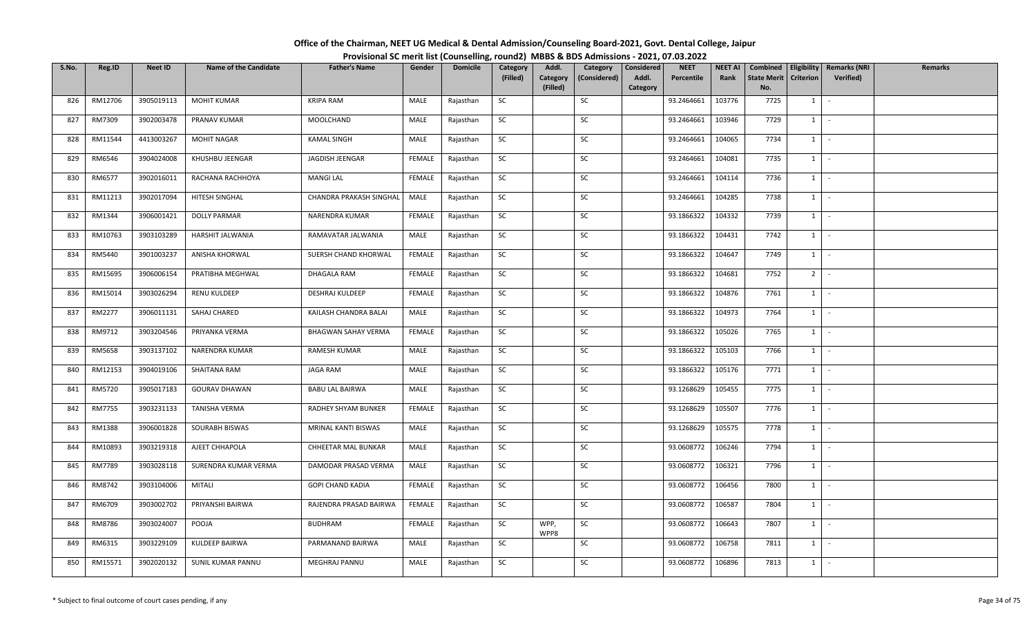| Office of the Chairman, NEET UG Medical & Dental Admission/Counseling Board-2021, Govt. Dental College, Jaipur |                                                                                          |
|----------------------------------------------------------------------------------------------------------------|------------------------------------------------------------------------------------------|
|                                                                                                                | Provisional SC merit list (Counselling, round2) MBBS & BDS Admissions - 2021, 07.03.2022 |

| S.No. | Reg.ID  | <b>Neet ID</b> | <b>Name of the Candidate</b> | <b>Father's Name</b>    | Gender        | <b>Domicile</b> | Category  | Addl.                | Category     | Considered        | <b>NEET</b> | <b>NEET AI</b> | Combined                  |                  | <b>Eligibility   Remarks (NRI</b> | Remarks |
|-------|---------|----------------|------------------------------|-------------------------|---------------|-----------------|-----------|----------------------|--------------|-------------------|-------------|----------------|---------------------------|------------------|-----------------------------------|---------|
|       |         |                |                              |                         |               |                 | (Filled)  | Category<br>(Filled) | (Considered) | Addl.<br>Category | Percentile  | Rank           | <b>State Merit</b><br>No. | <b>Criterion</b> | Verified)                         |         |
| 826   | RM12706 | 3905019113     | <b>MOHIT KUMAR</b>           | <b>KRIPA RAM</b>        | MALE          | Rajasthan       | SC        |                      | SC           |                   | 93.2464661  | 103776         | 7725                      | 1                | $\sim$                            |         |
| 827   | RM7309  | 3902003478     | PRANAV KUMAR                 | MOOLCHAND               | MALE          | Rajasthan       | SC        |                      | SC           |                   | 93.2464661  | 103946         | 7729                      | $1 \quad$        | $\sim$                            |         |
|       |         |                |                              |                         |               |                 |           |                      |              |                   |             |                |                           |                  |                                   |         |
| 828   | RM11544 | 4413003267     | <b>MOHIT NAGAR</b>           | <b>KAMAL SINGH</b>      | MALE          | Rajasthan       | <b>SC</b> |                      | SC           |                   | 93.2464661  | 104065         | 7734                      |                  | $1 \cdot$                         |         |
| 829   | RM6546  | 3904024008     | KHUSHBU JEENGAR              | JAGDISH JEENGAR         | <b>FEMALE</b> | Rajasthan       | SC        |                      | SC           |                   | 93.2464661  | 104081         | 7735                      |                  | $1$ $-$                           |         |
| 830   | RM6577  | 3902016011     | RACHANA RACHHOYA             | <b>MANGI LAL</b>        | <b>FEMALE</b> | Rajasthan       | SC        |                      | SC           |                   | 93.2464661  | 104114         | 7736                      |                  | $1 \mid -$                        |         |
| 831   | RM11213 | 3902017094     | HITESH SINGHAL               | CHANDRA PRAKASH SINGHAL | MALE          | Rajasthan       | SC        |                      | SC           |                   | 93.2464661  | 104285         | 7738                      |                  | $1 \cdot$                         |         |
| 832   | RM1344  | 3906001421     | <b>DOLLY PARMAR</b>          | NARENDRA KUMAR          | FEMALE        | Rajasthan       | SC        |                      | SC           |                   | 93.1866322  | 104332         | 7739                      | $1 \quad$        | $\sim$                            |         |
| 833   | RM10763 | 3903103289     | HARSHIT JALWANIA             | RAMAVATAR JALWANIA      | MALE          | Rajasthan       | SC        |                      | SC           |                   | 93.1866322  | 104431         | 7742                      | 1                | $\sim$                            |         |
| 834   | RM5440  | 3901003237     | ANISHA KHORWAL               | SUERSH CHAND KHORWAL    | FEMALE        | Rajasthan       | SC        |                      | SC           |                   | 93.1866322  | 104647         | 7749                      |                  | $1$ $-$                           |         |
| 835   | RM15695 | 3906006154     | PRATIBHA MEGHWAL             | DHAGALA RAM             | FEMALE        | Rajasthan       | SC        |                      | SC           |                   | 93.1866322  | 104681         | 7752                      | 2 <sup>1</sup>   | $\sim$                            |         |
| 836   | RM15014 | 3903026294     | <b>RENU KULDEEP</b>          | DESHRAJ KULDEEP         | FEMALE        | Rajasthan       | SC        |                      | SC           |                   | 93.1866322  | 104876         | 7761                      |                  | $1 \cdot$                         |         |
| 837   | RM2277  | 3906011131     | SAHAJ CHARED                 | KAILASH CHANDRA BALAI   | MALE          | Rajasthan       | SC        |                      | SC           |                   | 93.1866322  | 104973         | 7764                      |                  | $1$ $\vert$ $\vert$               |         |
| 838   | RM9712  | 3903204546     | PRIYANKA VERMA               | BHAGWAN SAHAY VERMA     | <b>FEMALE</b> | Rajasthan       | SC        |                      | SC           |                   | 93.1866322  | 105026         | 7765                      | 1                | $\sim$                            |         |
| 839   | RM5658  | 3903137102     | NARENDRA KUMAR               | RAMESH KUMAR            | MALE          | Rajasthan       | SC        |                      | SC           |                   | 93.1866322  | 105103         | 7766                      | $1 \quad$        | $\sim$                            |         |
| 840   | RM12153 | 3904019106     | SHAITANA RAM                 | JAGA RAM                | MALE          | Rajasthan       | SC        |                      | SC           |                   | 93.1866322  | 105176         | 7771                      | $1 \quad$        | $\sim$ $-$                        |         |
| 841   | RM5720  | 3905017183     | <b>GOURAV DHAWAN</b>         | <b>BABU LAL BAIRWA</b>  | MALE          | Rajasthan       | <b>SC</b> |                      | SC           |                   | 93.1268629  | 105455         | 7775                      |                  | $1 \mid -$                        |         |
| 842   | RM7755  | 3903231133     | TANISHA VERMA                | RADHEY SHYAM BUNKER     | FEMALE        | Rajasthan       | SC        |                      | SC           |                   | 93.1268629  | 105507         | 7776                      | $1 \mid$         | $\sim$                            |         |
| 843   | RM1388  | 3906001828     | SOURABH BISWAS               | MRINAL KANTI BISWAS     | MALE          | Rajasthan       | SC        |                      | SC           |                   | 93.1268629  | 105575         | 7778                      | $1 \mid$         | $\sim$                            |         |
| 844   | RM10893 | 3903219318     | AJEET CHHAPOLA               | CHHEETAR MAL BUNKAR     | MALE          | Rajasthan       | SC        |                      | SC           |                   | 93.0608772  | 106246         | 7794                      |                  | $1 \cdot$                         |         |
| 845   | RM7789  | 3903028118     | SURENDRA KUMAR VERMA         | DAMODAR PRASAD VERMA    | MALE          | Rajasthan       | SC        |                      | SC           |                   | 93.0608772  | 106321         | 7796                      | $1 \quad$        | $\sim$                            |         |
| 846   | RM8742  | 3903104006     | MITALI                       | <b>GOPI CHAND KADIA</b> | FEMALE        | Rajasthan       | <b>SC</b> |                      | SC           |                   | 93.0608772  | 106456         | 7800                      |                  | $1 \mid -$                        |         |
| 847   | RM6709  | 3903002702     | PRIYANSHI BAIRWA             | RAJENDRA PRASAD BAIRWA  | <b>FEMALE</b> | Rajasthan       | SC        |                      | SC           |                   | 93.0608772  | 106587         | 7804                      |                  | $1$ $-$                           |         |
| 848   | RM8786  | 3903024007     | POOJA                        | <b>BUDHRAM</b>          | FEMALE        | Rajasthan       | SC        | WPP,<br>WPP8         | SC           |                   | 93.0608772  | 106643         | 7807                      | $1 \quad$        | $\sim$                            |         |
| 849   | RM6315  | 3903229109     | KULDEEP BAIRWA               | PARMANAND BAIRWA        | MALE          | Rajasthan       | <b>SC</b> |                      | SC           |                   | 93.0608772  | 106758         | 7811                      | $1 \quad$        | $\sim$                            |         |
| 850   | RM15571 | 3902020132     | SUNIL KUMAR PANNU            | MEGHRAJ PANNU           | MALE          | Rajasthan       | SC        |                      | SC           |                   | 93.0608772  | 106896         | 7813                      | $1 \quad$        | $\sim$                            |         |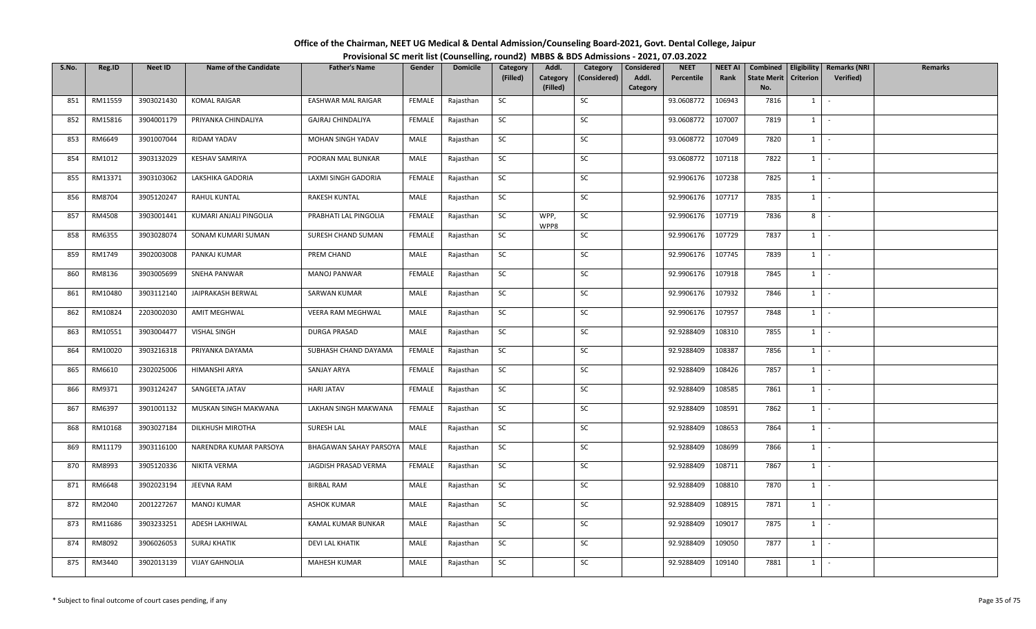| Office of the Chairman, NEET UG Medical & Dental Admission/Counseling Board-2021, Govt. Dental College, Jaipur |  |
|----------------------------------------------------------------------------------------------------------------|--|
| Provisional SC merit list (Counselling, round2) MBBS & BDS Admissions - 2021, 07.03.2022                       |  |

| S.No. | Reg.ID  | <b>Neet ID</b> | <b>Name of the Candidate</b> | <b>Father's Name</b>          | Gender        | <b>Domicile</b> | Category  | Addl.                | Category     | Considered        | <b>NEET</b> | <b>NEET AI</b> | Combined                  |                  | Eligibility   Remarks (NRI | Remarks |
|-------|---------|----------------|------------------------------|-------------------------------|---------------|-----------------|-----------|----------------------|--------------|-------------------|-------------|----------------|---------------------------|------------------|----------------------------|---------|
|       |         |                |                              |                               |               |                 | (Filled)  | Category<br>(Filled) | (Considered) | Addl.<br>Category | Percentile  | Rank           | <b>State Merit</b><br>No. | <b>Criterion</b> | <b>Verified</b> )          |         |
| 851   | RM11559 | 3903021430     | <b>KOMAL RAIGAR</b>          | <b>EASHWAR MAL RAIGAR</b>     | FEMALE        | Rajasthan       | SC        |                      | SC           |                   | 93.0608772  | 106943         | 7816                      | 1                | $\sim$                     |         |
|       |         |                |                              |                               |               |                 |           |                      |              |                   |             |                |                           |                  |                            |         |
| 852   | RM15816 | 3904001179     | PRIYANKA CHINDALIYA          | GAJRAJ CHINDALIYA             | FEMALE        | Rajasthan       | SC        |                      | SC           |                   | 93.0608772  | 107007         | 7819                      | 1                | $\sim$                     |         |
| 853   | RM6649  | 3901007044     | RIDAM YADAV                  | MOHAN SINGH YADAV             | MALE          | Rajasthan       | <b>SC</b> |                      | SC           |                   | 93.0608772  | 107049         | 7820                      |                  | $1 \cdot$                  |         |
| 854   | RM1012  | 3903132029     | <b>KESHAV SAMRIYA</b>        | POORAN MAL BUNKAR             | MALE          | Rajasthan       | SC        |                      | SC           |                   | 93.0608772  | 107118         | 7822                      | $1$ $-$          |                            |         |
| 855   | RM13371 | 3903103062     | LAKSHIKA GADORIA             | LAXMI SINGH GADORIA           | <b>FEMALE</b> | Rajasthan       | SC        |                      | SC           |                   | 92.9906176  | 107238         | 7825                      | $1 \mid$         | $\sim$                     |         |
| 856   | RM8704  | 3905120247     | RAHUL KUNTAL                 | <b>RAKESH KUNTAL</b>          | MALE          | Rajasthan       | SC        |                      | SC           |                   | 92.9906176  | 107717         | 7835                      | 1                | $\sim$                     |         |
| 857   | RM4508  | 3903001441     | KUMARI ANJALI PINGOLIA       | PRABHATI LAL PINGOLIA         | FEMALE        | Rajasthan       | SC        | WPP,<br>WPP8         | SC           |                   | 92.9906176  | 107719         | 7836                      | 8                | $\sim$                     |         |
| 858   | RM6355  | 3903028074     | SONAM KUMARI SUMAN           | SURESH CHAND SUMAN            | <b>FEMALE</b> | Rajasthan       | SC        |                      | $\sf SC$     |                   | 92.9906176  | 107729         | 7837                      | 1                | $\sim$                     |         |
| 859   | RM1749  | 3902003008     | PANKAJ KUMAR                 | PREM CHAND                    | MALE          | Rajasthan       | SC        |                      | SC           |                   | 92.9906176  | 107745         | 7839                      | 1                | $\sim$                     |         |
| 860   | RM8136  | 3903005699     | SNEHA PANWAR                 | <b>MANOJ PANWAR</b>           | FEMALE        | Rajasthan       | SC        |                      | SC           |                   | 92.9906176  | 107918         | 7845                      | 1                | $\sim$                     |         |
| 861   | RM10480 | 3903112140     | JAIPRAKASH BERWAL            | SARWAN KUMAR                  | MALE          | Rajasthan       | <b>SC</b> |                      | SC           |                   | 92.9906176  | 107932         | 7846                      | $1$ $-$          |                            |         |
| 862   | RM10824 | 2203002030     | <b>AMIT MEGHWAL</b>          | <b>VEERA RAM MEGHWAL</b>      | MALE          | Rajasthan       | SC        |                      | SC           |                   | 92.9906176  | 107957         | 7848                      | $1 \quad$        | $\sim$                     |         |
| 863   | RM10551 | 3903004477     | <b>VISHAL SINGH</b>          | DURGA PRASAD                  | MALE          | Rajasthan       | SC        |                      | SC           |                   | 92.9288409  | 108310         | 7855                      | 1                | $\sim$                     |         |
| 864   | RM10020 | 3903216318     | PRIYANKA DAYAMA              | SUBHASH CHAND DAYAMA          | FEMALE        | Rajasthan       | SC        |                      | SC           |                   | 92.9288409  | 108387         | 7856                      | $1 \quad$        | $\sim$                     |         |
| 865   | RM6610  | 2302025006     | HIMANSHI ARYA                | SANJAY ARYA                   | FEMALE        | Rajasthan       | SC        |                      | SC           |                   | 92.9288409  | 108426         | 7857                      | $1 \quad$        | $\sim$                     |         |
| 866   | RM9371  | 3903124247     | SANGEETA JATAV               | HARI JATAV                    | FEMALE        | Rajasthan       | <b>SC</b> |                      | SC           |                   | 92.9288409  | 108585         | 7861                      | $1 \mid$         | $\sim$                     |         |
| 867   | RM6397  | 3901001132     | MUSKAN SINGH MAKWANA         | LAKHAN SINGH MAKWANA          | FEMALE        | Rajasthan       | <b>SC</b> |                      | SC           |                   | 92.9288409  | 108591         | 7862                      | 1                | $\sim$                     |         |
| 868   | RM10168 | 3903027184     | DILKHUSH MIROTHA             | SURESH LAL                    | MALE          | Rajasthan       | SC        |                      | SC           |                   | 92.9288409  | 108653         | 7864                      | 1                | $\sim$                     |         |
| 869   | RM11179 | 3903116100     | NARENDRA KUMAR PARSOYA       | <b>BHAGAWAN SAHAY PARSOYA</b> | MALE          | Rajasthan       | SC        |                      | SC           |                   | 92.9288409  | 108699         | 7866                      |                  | $1 \cdot$                  |         |
| 870   | RM8993  | 3905120336     | NIKITA VERMA                 | JAGDISH PRASAD VERMA          | FEMALE        | Rajasthan       | SC        |                      | SC           |                   | 92.9288409  | 108711         | 7867                      | $1 \quad$        | $\sim$                     |         |
| 871   | RM6648  | 3902023194     | JEEVNA RAM                   | <b>BIRBAL RAM</b>             | MALE          | Rajasthan       | SC        |                      | SC           |                   | 92.9288409  | 108810         | 7870                      | 1                | $\sim$                     |         |
| 872   | RM2040  | 2001227267     | <b>MANOJ KUMAR</b>           | <b>ASHOK KUMAR</b>            | MALE          | Rajasthan       | SC        |                      | SC           |                   | 92.9288409  | 108915         | 7871                      | 1                | $\sim$                     |         |
| 873   | RM11686 | 3903233251     | ADESH LAKHIWAL               | KAMAL KUMAR BUNKAR            | MALE          | Rajasthan       | SC        |                      | SC           |                   | 92.9288409  | 109017         | 7875                      | $1 \quad$        | $\sim$                     |         |
| 874   | RM8092  | 3906026053     | <b>SURAJ KHATIK</b>          | <b>DEVI LAL KHATIK</b>        | MALE          | Rajasthan       | SC        |                      | SC           |                   | 92.9288409  | 109050         | 7877                      | $1 \quad$        | $\sim$                     |         |
| 875   | RM3440  | 3902013139     | <b>VIJAY GAHNOLIA</b>        | MAHESH KUMAR                  | MALE          | Rajasthan       | SC        |                      | SC           |                   | 92.9288409  | 109140         | 7881                      | $1 \quad$        | $\sim$                     |         |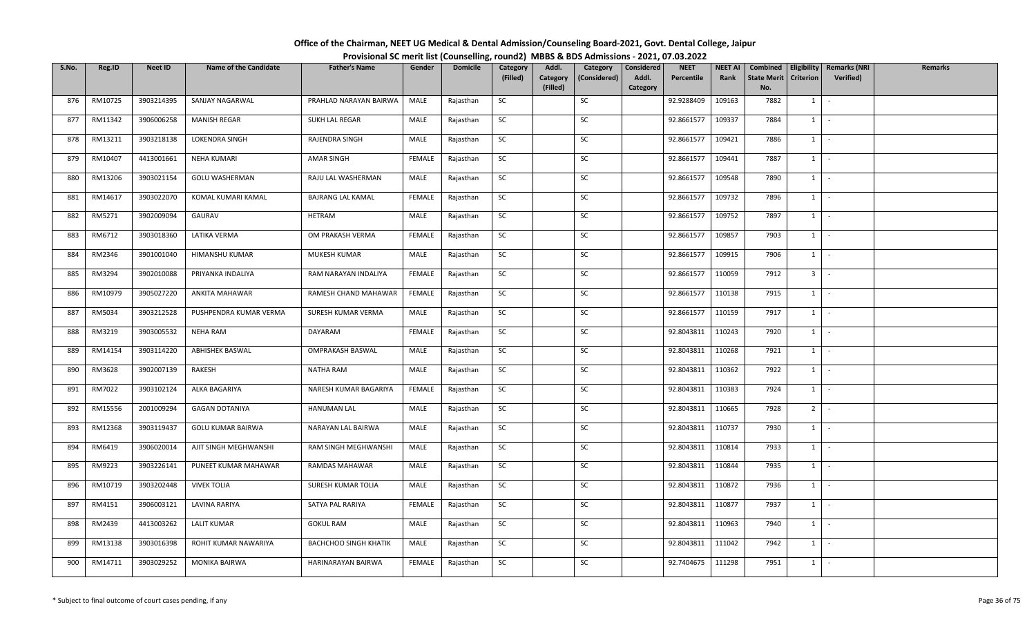| Office of the Chairman, NEET UG Medical & Dental Admission/Counseling Board-2021, Govt. Dental College, Jaipur |  |
|----------------------------------------------------------------------------------------------------------------|--|
| Provisional SC merit list (Counselling, round2) MBBS & BDS Admissions - 2021, 07.03.2022                       |  |

| S.No. | Reg.ID  | <b>Neet ID</b> | <b>Name of the Candidate</b> | <b>Father's Name</b>         | Gender        | <b>Domicile</b> | Category  | Addl.                | Category     | Considered        | <b>NEET</b> | <b>NEET AI</b> | Combined                  |                  | Eligibility   Remarks (NRI | Remarks |
|-------|---------|----------------|------------------------------|------------------------------|---------------|-----------------|-----------|----------------------|--------------|-------------------|-------------|----------------|---------------------------|------------------|----------------------------|---------|
|       |         |                |                              |                              |               |                 | (Filled)  | Category<br>(Filled) | (Considered) | Addl.<br>Category | Percentile  | Rank           | <b>State Merit</b><br>No. | <b>Criterion</b> | Verified)                  |         |
| 876   | RM10725 | 3903214395     | SANJAY NAGARWAL              | PRAHLAD NARAYAN BAIRWA       | MALE          | Rajasthan       | SC        |                      | SC           |                   | 92.9288409  | 109163         | 7882                      | 1                | $\sim$                     |         |
|       |         |                |                              |                              |               |                 |           |                      |              |                   |             |                |                           |                  |                            |         |
| 877   | RM11342 | 3906006258     | MANISH REGAR                 | SUKH LAL REGAR               | MALE          | Rajasthan       | SC        |                      | SC           |                   | 92.8661577  | 109337         | 7884                      | 1                | $\sim$                     |         |
| 878   | RM13211 | 3903218138     | LOKENDRA SINGH               | RAJENDRA SINGH               | MALE          | Rajasthan       | <b>SC</b> |                      | SC           |                   | 92.8661577  | 109421         | 7886                      | $1 \mid$         | $\sim$ $-$                 |         |
| 879   | RM10407 | 4413001661     | NEHA KUMARI                  | AMAR SINGH                   | FEMALE        | Rajasthan       | SC        |                      | SC           |                   | 92.8661577  | 109441         | 7887                      | $1 \mid$         | $\sim$                     |         |
| 880   | RM13206 | 3903021154     | <b>GOLU WASHERMAN</b>        | RAJU LAL WASHERMAN           | MALE          | Rajasthan       | SC        |                      | SC           |                   | 92.8661577  | 109548         | 7890                      | $1 \mid$         | $\sim$                     |         |
| 881   | RM14617 | 3903022070     | KOMAL KUMARI KAMAL           | BAJRANG LAL KAMAL            | FEMALE        | Rajasthan       | SC        |                      | SC           |                   | 92.8661577  | 109732         | 7896                      | 1                | $\sim$                     |         |
| 882   | RM5271  | 3902009094     | GAURAV                       | HETRAM                       | MALE          | Rajasthan       | SC        |                      | SC           |                   | 92.8661577  | 109752         | 7897                      | $1 \quad$        | $\sim$                     |         |
| 883   | RM6712  | 3903018360     | LATIKA VERMA                 | OM PRAKASH VERMA             | <b>FEMALE</b> | Rajasthan       | SC        |                      | SC           |                   | 92.8661577  | 109857         | 7903                      | 1                | $\sim$                     |         |
| 884   | RM2346  | 3901001040     | HIMANSHU KUMAR               | MUKESH KUMAR                 | MALE          | Rajasthan       | SC        |                      | SC           |                   | 92.8661577  | 109915         | 7906                      | 1                | $\sim$                     |         |
| 885   | RM3294  | 3902010088     | PRIYANKA INDALIYA            | RAM NARAYAN INDALIYA         | FEMALE        | Rajasthan       | SC        |                      | SC           |                   | 92.8661577  | 110059         | 7912                      | 3 <sup>1</sup>   | $\sim$                     |         |
| 886   | RM10979 | 3905027220     | ANKITA MAHAWAR               | RAMESH CHAND MAHAWAR         | FEMALE        | Rajasthan       | <b>SC</b> |                      | SC           |                   | 92.8661577  | 110138         | 7915                      | $1$ $-$          |                            |         |
| 887   | RM5034  | 3903212528     | PUSHPENDRA KUMAR VERMA       | SURESH KUMAR VERMA           | MALE          | Rajasthan       | SC        |                      | SC           |                   | 92.8661577  | 110159         | 7917                      | $1 \quad$        | $\sim$                     |         |
| 888   | RM3219  | 3903005532     | <b>NEHA RAM</b>              | DAYARAM                      | <b>FEMALE</b> | Rajasthan       | SC        |                      | SC           |                   | 92.8043811  | 110243         | 7920                      | 1                | $\sim$                     |         |
| 889   | RM14154 | 3903114220     | <b>ABHISHEK BASWAL</b>       | <b>OMPRAKASH BASWAL</b>      | MALE          | Rajasthan       | SC        |                      | SC           |                   | 92.8043811  | 110268         | 7921                      | $1 \quad$        | $\sim$                     |         |
| 890   | RM3628  | 3902007139     | RAKESH                       | NATHA RAM                    | MALE          | Rajasthan       | SC        |                      | SC           |                   | 92.8043811  | 110362         | 7922                      | $1 \quad$        | $\sim$                     |         |
| 891   | RM7022  | 3903102124     | ALKA BAGARIYA                | NARESH KUMAR BAGARIYA        | FEMALE        | Rajasthan       | SC        |                      | SC           |                   | 92.8043811  | 110383         | 7924                      | $1 \mid$         | $\sim$                     |         |
| 892   | RM15556 | 2001009294     | <b>GAGAN DOTANIYA</b>        | <b>HANUMAN LAL</b>           | MALE          | Rajasthan       | <b>SC</b> |                      | SC           |                   | 92.8043811  | 110665         | 7928                      | 2 <sup>1</sup>   | $\sim$                     |         |
| 893   | RM12368 | 3903119437     | GOLU KUMAR BAIRWA            | NARAYAN LAL BAIRWA           | MALE          | Rajasthan       | SC        |                      | SC           |                   | 92.8043811  | 110737         | 7930                      | 1                | $\sim$                     |         |
| 894   | RM6419  | 3906020014     | AJIT SINGH MEGHWANSHI        | RAM SINGH MEGHWANSHI         | MALE          | Rajasthan       | SC        |                      | SC           |                   | 92.8043811  | 110814         | 7933                      |                  | $1 \cdot$                  |         |
| 895   | RM9223  | 3903226141     | PUNEET KUMAR MAHAWAR         | RAMDAS MAHAWAR               | MALE          | Rajasthan       | SC        |                      | SC           |                   | 92.8043811  | 110844         | 7935                      | $1 \quad$        | $\sim$                     |         |
| 896   | RM10719 | 3903202448     | <b>VIVEK TOLIA</b>           | SURESH KUMAR TOLIA           | MALE          | Rajasthan       | SC        |                      | SC           |                   | 92.8043811  | 110872         | 7936                      | 1                | $\sim$                     |         |
| 897   | RM4151  | 3906003121     | LAVINA RARIYA                | SATYA PAL RARIYA             | <b>FEMALE</b> | Rajasthan       | SC        |                      | SC           |                   | 92.8043811  | 110877         | 7937                      | 1                | $\sim$                     |         |
| 898   | RM2439  | 4413003262     | <b>LALIT KUMAR</b>           | <b>GOKUL RAM</b>             | MALE          | Rajasthan       | SC        |                      | SC           |                   | 92.8043811  | 110963         | 7940                      | $1 \quad$        | $\sim$                     |         |
| 899   | RM13138 | 3903016398     | ROHIT KUMAR NAWARIYA         | <b>BACHCHOO SINGH KHATIK</b> | MALE          | Rajasthan       | SC        |                      | SC           |                   | 92.8043811  | 111042         | 7942                      | $1 \quad$        | $\sim$                     |         |
| 900   | RM14711 | 3903029252     | <b>MONIKA BAIRWA</b>         | HARINARAYAN BAIRWA           | FEMALE        | Rajasthan       | SC        |                      | SC           |                   | 92.7404675  | 111298         | 7951                      | $1 \quad$        | $\sim$                     |         |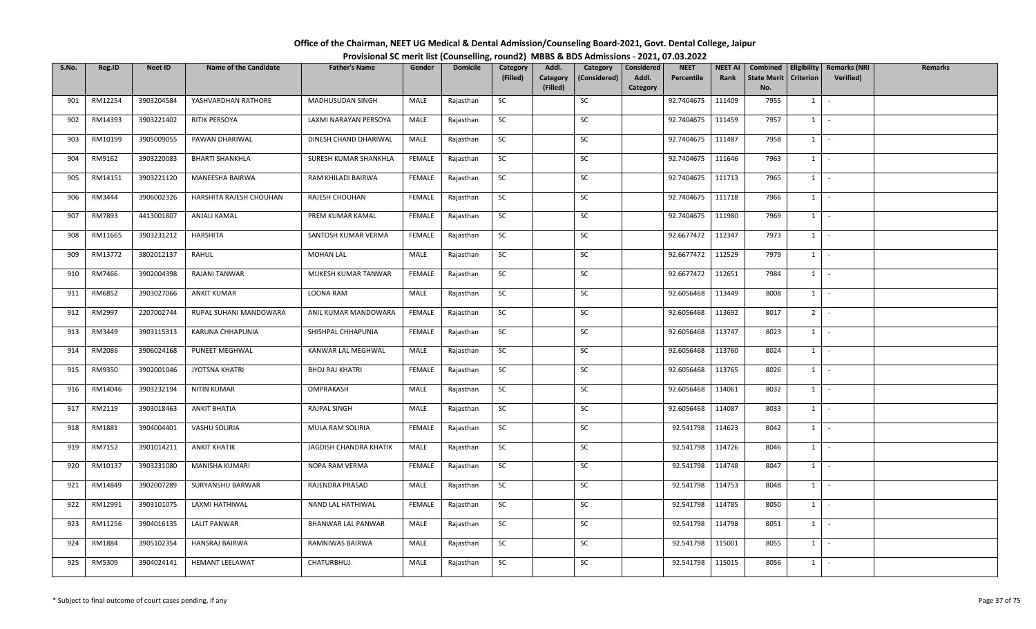| Office of the Chairman, NEET UG Medical & Dental Admission/Counseling Board-2021, Govt. Dental College, Jaipur |  |
|----------------------------------------------------------------------------------------------------------------|--|
| Provisional SC merit list (Counselling, round2) MBBS & BDS Admissions - 2021, 07.03.2022                       |  |

| S.No. | Reg.ID  | <b>Neet ID</b> | <b>Name of the Candidate</b> | <b>Father's Name</b>   | Gender        | <b>Domicile</b> | Category  | Addl.                | Category     | Considered        | <b>NEET</b> | <b>NEET AI</b> | Combined                  |                  | Eligibility   Remarks (NRI | Remarks |
|-------|---------|----------------|------------------------------|------------------------|---------------|-----------------|-----------|----------------------|--------------|-------------------|-------------|----------------|---------------------------|------------------|----------------------------|---------|
|       |         |                |                              |                        |               |                 | (Filled)  | Category<br>(Filled) | (Considered) | Addl.<br>Category | Percentile  | Rank           | <b>State Merit</b><br>No. | <b>Criterion</b> | Verified)                  |         |
| 901   | RM12254 | 3903204584     | YASHVARDHAN RATHORE          | MADHUSUDAN SINGH       | MALE          | Rajasthan       | SC        |                      | SC           |                   | 92.7404675  | 111409         | 7955                      | 1                | $\sim$                     |         |
| 902   | RM14393 | 3903221402     | RITIK PERSOYA                | LAXMI NARAYAN PERSOYA  | MALE          | Rajasthan       | SC        |                      | SC           |                   | 92.7404675  | 111459         | 7957                      | $1 \quad$        | $\sim$                     |         |
| 903   | RM10199 | 3905009055     | PAWAN DHARIWAL               | DINESH CHAND DHARIWAL  | MALE          | Rajasthan       | SC        |                      | SC           |                   | 92.7404675  | 111487         | 7958                      |                  | $1 \cdot$                  |         |
| 904   | RM9162  | 3903220083     | <b>BHARTI SHANKHLA</b>       | SURESH KUMAR SHANKHLA  | FEMALE        | Rajasthan       | SC        |                      | SC           |                   | 92.7404675  | 111646         | 7963                      |                  | $1$ $-$                    |         |
| 905   | RM14151 | 3903221120     | MANEESHA BAIRWA              | RAM KHILADI BAIRWA     | <b>FEMALE</b> | Rajasthan       | SC        |                      | SC           |                   | 92.7404675  | 111713         | 7965                      |                  | $1 \mid -$                 |         |
| 906   | RM3444  | 3906002326     | HARSHITA RAJESH CHOUHAN      | RAJESH CHOUHAN         | FEMALE        | Rajasthan       | SC        |                      | SC           |                   | 92.7404675  | 111718         | 7966                      |                  | $1 \cdot$                  |         |
| 907   | RM7893  | 4413001807     | ANJALI KAMAL                 | PREM KUMAR KAMAL       | FEMALE        | Rajasthan       | SC        |                      | SC           |                   | 92.7404675  | 111980         | 7969                      | $1 \quad$        | $\sim$                     |         |
| 908   | RM11665 | 3903231212     | HARSHITA                     | SANTOSH KUMAR VERMA    | FEMALE        | Rajasthan       | SC        |                      | SC           |                   | 92.6677472  | 112347         | 7973                      | $1 \mid$         | $\sim$ $-$                 |         |
| 909   | RM13772 | 3802012137     | RAHUL                        | <b>MOHAN LAL</b>       | MALE          | Rajasthan       | SC        |                      | SC           |                   | 92.6677472  | 112529         | 7979                      |                  | $1$ $-$                    |         |
| 910   | RM7466  | 3902004398     | RAJANI TANWAR                | MUKESH KUMAR TANWAR    | <b>FEMALE</b> | Rajasthan       | SC        |                      | SC           |                   | 92.6677472  | 112651         | 7984                      | $1 \quad$        | $\sim$ $-$                 |         |
| 911   | RM6852  | 3903027066     | <b>ANKIT KUMAR</b>           | LOONA RAM              | MALE          | Rajasthan       | SC        |                      | SC           |                   | 92.6056468  | 113449         | 8008                      |                  | $1 \cdot$                  |         |
| 912   | RM2997  | 2207002744     | RUPAL SUHANI MANDOWARA       | ANIL KUMAR MANDOWARA   | <b>FEMALE</b> | Rajasthan       | SC        |                      | SC           |                   | 92.6056468  | 113692         | 8017                      | $2^{\circ}$      | $\sim$                     |         |
| 913   | RM3449  | 3903115313     | KARUNA CHHAPUNIA             | SHISHPAL CHHAPUNIA     | FEMALE        | Rajasthan       | SC        |                      | SC           |                   | 92.6056468  | 113747         | 8023                      | 1                | $\sim$                     |         |
| 914   | RM2086  | 3906024168     | PUNEET MEGHWAL               | KANWAR LAL MEGHWAL     | MALE          | Rajasthan       | SC        |                      | SC           |                   | 92.6056468  | 113760         | 8024                      | $1 \quad$        | $\sim$                     |         |
| 915   | RM9350  | 3902001046     | JYOTSNA KHATRI               | <b>BHOJ RAJ KHATRI</b> | FEMALE        | Rajasthan       | SC        |                      | SC           |                   | 92.6056468  | 113765         | 8026                      | 1                | $\sim$                     |         |
| 916   | RM14046 | 3903232194     | NITIN KUMAR                  | OMPRAKASH              | MALE          | Rajasthan       | <b>SC</b> |                      | SC           |                   | 92.6056468  | 114061         | 8032                      |                  | $1 \mid -$                 |         |
| 917   | RM2119  | 3903018463     | <b>ANKIT BHATIA</b>          | RAJPAL SINGH           | MALE          | Rajasthan       | SC        |                      | SC           |                   | 92.6056468  | 114087         | 8033                      | $1 \mid$         | $\sim$                     |         |
| 918   | RM1881  | 3904004401     | VASHU SOLIRIA                | MULA RAM SOLIRIA       | <b>FEMALE</b> | Rajasthan       | SC        |                      | SC           |                   | 92.541798   | 114623         | 8042                      | $1 \mid$         | $\sim$                     |         |
| 919   | RM7152  | 3901014211     | <b>ANKIT KHATIK</b>          | JAGDISH CHANDRA KHATIK | MALE          | Rajasthan       | SC        |                      | SC           |                   | 92.541798   | 114726         | 8046                      |                  | $1 \cdot$                  |         |
| 920   | RM10137 | 3903231080     | MANISHA KUMARI               | NOPA RAM VERMA         | <b>FEMALE</b> | Rajasthan       | SC        |                      | SC           |                   | 92.541798   | 114748         | 8047                      | 1                | $\sim$                     |         |
| 921   | RM14849 | 3902007289     | SURYANSHU BARWAR             | RAJENDRA PRASAD        | MALE          | Rajasthan       | SC        |                      | SC           |                   | 92.541798   | 114753         | 8048                      |                  | $1 \mid -$                 |         |
| 922   | RM12991 | 3903101075     | LAXMI HATHIWAL               | NAND LAL HATHIWAL      | FEMALE        | Rajasthan       | SC        |                      | SC           |                   | 92.541798   | 114785         | 8050                      |                  | $1$ $-$                    |         |
| 923   | RM11256 | 3904016135     | <b>LALIT PANWAR</b>          | BHANWAR LAL PANWAR     | MALE          | Rajasthan       | SC        |                      | SC           |                   | 92.541798   | 114798         | 8051                      | $1 \quad$        | $\sim$                     |         |
| 924   | RM1884  | 3905102354     | HANSRAJ BAIRWA               | RAMNIWAS BAIRWA        | MALE          | Rajasthan       | SC        |                      | SC           |                   | 92.541798   | 115001         | 8055                      | $1 \quad$        | $\sim$                     |         |
| 925   | RM5309  | 3904024141     | HEMANT LEELAWAT              | CHATURBHUJ             | MALE          | Rajasthan       | SC        |                      | SC           |                   | 92.541798   | 115015         | 8056                      | $1 \quad$        | $\sim$                     |         |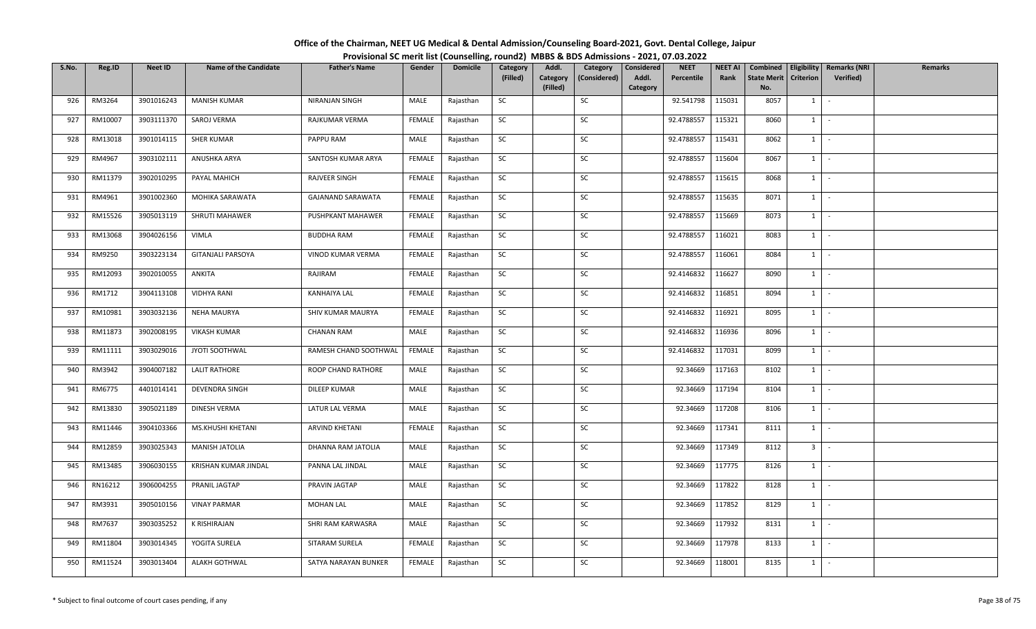| Office of the Chairman, NEET UG Medical & Dental Admission/Counseling Board-2021, Govt. Dental College, Jaipur |                                                                                          |
|----------------------------------------------------------------------------------------------------------------|------------------------------------------------------------------------------------------|
|                                                                                                                | Provisional SC merit list (Counselling, round2) MBBS & BDS Admissions - 2021, 07.03.2022 |

| S.No. | Reg.ID  | Neet ID    | <b>Name of the Candidate</b> | <b>Father's Name</b>  | Gender        | <b>Domicile</b> | Category  | Addl.                | Category     | <b>Considered</b> | <b>NEET</b> | <b>NEET AI</b> | Combined                  | Eligibility      | <b>Remarks (NRI</b> | <b>Remarks</b> |
|-------|---------|------------|------------------------------|-----------------------|---------------|-----------------|-----------|----------------------|--------------|-------------------|-------------|----------------|---------------------------|------------------|---------------------|----------------|
|       |         |            |                              |                       |               |                 | (Filled)  | Category<br>(Filled) | (Considered) | Addl.<br>Category | Percentile  | Rank           | <b>State Merit</b><br>No. | <b>Criterion</b> | <b>Verified)</b>    |                |
| 926   | RM3264  | 3901016243 | <b>MANISH KUMAR</b>          | NIRANJAN SINGH        | MALE          | Rajasthan       | SC        |                      | SC           |                   | 92.541798   | 115031         | 8057                      | 1                | $\sim$              |                |
| 927   | RM10007 | 3903111370 | SAROJ VERMA                  | RAJKUMAR VERMA        | <b>FEMALE</b> | Rajasthan       | <b>SC</b> |                      | SC           |                   | 92.4788557  | 115321         | 8060                      | 1                | $\sim$              |                |
|       |         |            |                              |                       |               |                 |           |                      |              |                   |             |                |                           |                  |                     |                |
| 928   | RM13018 | 3901014115 | <b>SHER KUMAR</b>            | PAPPU RAM             | MALE          | Rajasthan       | <b>SC</b> |                      | SC           |                   | 92.4788557  | 115431         | 8062                      | $1 \mid$         | $\sim$              |                |
| 929   | RM4967  | 3903102111 | ANUSHKA ARYA                 | SANTOSH KUMAR ARYA    | <b>FEMALE</b> | Rajasthan       | SC        |                      | SC           |                   | 92.4788557  | 115604         | 8067                      | $1 \mid$         | $\sim$              |                |
| 930   | RM11379 | 3902010295 | PAYAL MAHICH                 | RAJVEER SINGH         | FEMALE        | Rajasthan       | <b>SC</b> |                      | SC           |                   | 92.4788557  | 115615         | 8068                      | $1 \quad$        | $\sim$              |                |
| 931   | RM4961  | 3901002360 | MOHIKA SARAWATA              | GAJANAND SARAWATA     | FEMALE        | Rajasthan       | SC        |                      | SC           |                   | 92.4788557  | 115635         | 8071                      |                  | $1$   $-$           |                |
| 932   | RM15526 | 3905013119 | <b>SHRUTI MAHAWER</b>        | PUSHPKANT MAHAWER     | FEMALE        | Rajasthan       | <b>SC</b> |                      | SC           |                   | 92.4788557  | 115669         | 8073                      | $1 \mid$         | $\sim$              |                |
| 933   | RM13068 | 3904026156 | VIMLA                        | <b>BUDDHA RAM</b>     | FEMALE        | Rajasthan       | SC        |                      | SC           |                   | 92.4788557  | 116021         | 8083                      | $1 \vert$        | $\sim$              |                |
| 934   | RM9250  | 3903223134 | <b>GITANJALI PARSOYA</b>     | VINOD KUMAR VERMA     | FEMALE        | Rajasthan       | SC        |                      | SC           |                   | 92.4788557  | 116061         | 8084                      | $1 \quad$        | $\sim$              |                |
| 935   | RM12093 | 3902010055 | ANKITA                       | RAJIRAM               | FEMALE        | Rajasthan       | SC        |                      | SC           |                   | 92.4146832  | 116627         | 8090                      | 1                | $\sim$ $-$          |                |
| 936   | RM1712  | 3904113108 | <b>VIDHYA RANI</b>           | <b>KANHAIYA LAL</b>   | FEMALE        | Rajasthan       | SC        |                      | SC           |                   | 92.4146832  | 116851         | 8094                      | 1                | $\sim$              |                |
| 937   | RM10981 | 3903032136 | <b>NEHA MAURYA</b>           | SHIV KUMAR MAURYA     | <b>FEMALE</b> | Rajasthan       | SC        |                      | SC           |                   | 92.4146832  | 116921         | 8095                      |                  | $1$ $-$             |                |
| 938   | RM11873 | 3902008195 | <b>VIKASH KUMAR</b>          | <b>CHANAN RAM</b>     | MALE          | Rajasthan       | SC        |                      | SC           |                   | 92.4146832  | 116936         | 8096                      | $1 \mid$         | $\sim$              |                |
| 939   | RM11111 | 3903029016 | JYOTI SOOTHWAL               | RAMESH CHAND SOOTHWAL | <b>FEMALE</b> | Rajasthan       | SC        |                      | SC           |                   | 92.4146832  | 117031         | 8099                      | $1 \vert$        | $\sim$              |                |
| 940   | RM3942  | 3904007182 | <b>LALIT RATHORE</b>         | ROOP CHAND RATHORE    | MALE          | Rajasthan       | SC        |                      | SC           |                   | 92.34669    | 117163         | 8102                      | 1                | $\sim$              |                |
| 941   | RM6775  | 4401014141 | DEVENDRA SINGH               | DILEEP KUMAR          | MALE          | Rajasthan       | <b>SC</b> |                      | SC           |                   | 92.34669    | 117194         | 8104                      |                  | $1 \cdot$           |                |
| 942   | RM13830 | 3905021189 | DINESH VERMA                 | LATUR LAL VERMA       | MALE          | Rajasthan       | <b>SC</b> |                      | SC           |                   | 92.34669    | 117208         | 8106                      | $1 \vert$        | $\sim$              |                |
| 943   | RM11446 | 3904103366 | MS.KHUSHI KHETANI            | ARVIND KHETANI        | <b>FEMALE</b> | Rajasthan       | SC        |                      | SC           |                   | 92.34669    | 117341         | 8111                      | $1 \quad$        | $\sim$              |                |
| 944   | RM12859 | 3903025343 | <b>MANISH JATOLIA</b>        | DHANNA RAM JATOLIA    | MALE          | Rajasthan       | SC        |                      | SC           |                   | 92.34669    | 117349         | 8112                      |                  | $3$ $\vert$ $\vert$ |                |
| 945   | RM13485 | 3906030155 | KRISHAN KUMAR JINDAL         | PANNA LAL JINDAL      | MALE          | Rajasthan       | SC        |                      | SC           |                   | 92.34669    | 117775         | 8126                      | $1 \mid$         | $\sim$              |                |
| 946   | RN16212 | 3906004255 | PRANIL JAGTAP                | PRAVIN JAGTAP         | MALE          | Rajasthan       | <b>SC</b> |                      | SC           |                   | 92.34669    | 117822         | 8128                      | $1 \mid$         | $\sim$              |                |
| 947   | RM3931  | 3905010156 | <b>VINAY PARMAR</b>          | <b>MOHAN LAL</b>      | MALE          | Rajasthan       | SC        |                      | SC           |                   | 92.34669    | 117852         | 8129                      | 1                | $\sim$              |                |
| 948   | RM7637  | 3903035252 | K RISHIRAJAN                 | SHRI RAM KARWASRA     | MALE          | Rajasthan       | SC        |                      | SC           |                   | 92.34669    | 117932         | 8131                      | $1 \quad$        | $\sim$              |                |
| 949   | RM11804 | 3903014345 | YOGITA SURELA                | SITARAM SURELA        | FEMALE        | Rajasthan       | <b>SC</b> |                      | SC           |                   | 92.34669    | 117978         | 8133                      | 1                | оФ,                 |                |
| 950   | RM11524 | 3903013404 | ALAKH GOTHWAL                | SATYA NARAYAN BUNKER  | <b>FEMALE</b> | Rajasthan       | SC        |                      | SC           |                   | 92.34669    | 118001         | 8135                      | $1 \quad$        | $\sim$              |                |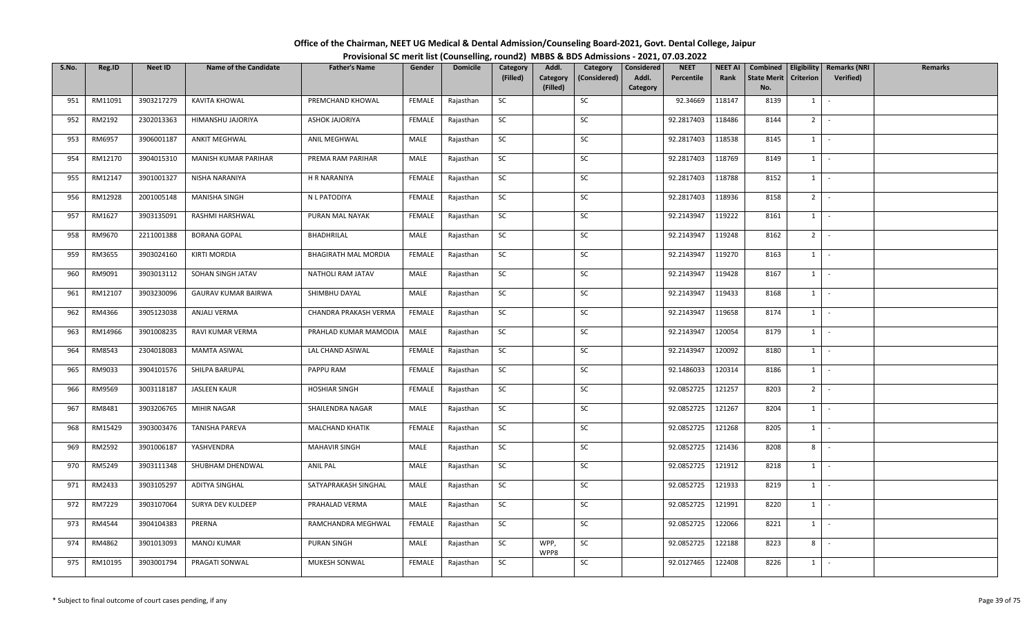| Office of the Chairman, NEET UG Medical & Dental Admission/Counseling Board-2021, Govt. Dental College, Jaipur |  |
|----------------------------------------------------------------------------------------------------------------|--|
| Provisional SC merit list (Counselling, round2) MBBS & BDS Admissions - 2021, 07.03.2022                       |  |

| S.No. | Reg.ID  | <b>Neet ID</b> | <b>Name of the Candidate</b> | <b>Father's Name</b>        | Gender        | <b>Domicile</b> | Category  | Addl.                | Category     | Considered | <b>NEET</b> | <b>NEET AI</b> | Combined                  | Eligibility    | <b>Remarks (NRI</b>          | <b>Remarks</b> |
|-------|---------|----------------|------------------------------|-----------------------------|---------------|-----------------|-----------|----------------------|--------------|------------|-------------|----------------|---------------------------|----------------|------------------------------|----------------|
|       |         |                |                              |                             |               |                 | (Filled)  | Category<br>(Filled) | (Considered) | Addl.      | Percentile  | Rank           | <b>State Merit</b><br>No. | Criterion      | Verified)                    |                |
| 951   | RM11091 | 3903217279     | KAVITA KHOWAL                | PREMCHAND KHOWAL            | FEMALE        | Rajasthan       | SC        |                      | SC           | Category   | 92.34669    | 118147         | 8139                      | $1 \quad$      | $\sim$                       |                |
|       |         |                |                              |                             |               |                 |           |                      |              |            |             |                |                           |                |                              |                |
| 952   | RM2192  | 2302013363     | HIMANSHU JAJORIYA            | <b>ASHOK JAJORIYA</b>       | FEMALE        | Rajasthan       | <b>SC</b> |                      | SC           |            | 92.2817403  | 118486         | 8144                      | 2 <sup>1</sup> | $\sim$                       |                |
| 953   | RM6957  | 3906001187     | ANKIT MEGHWAL                | ANIL MEGHWAL                | MALE          | Rajasthan       | SC        |                      | SC           |            | 92.2817403  | 118538         | 8145                      | $1 \quad$      | $\sim$                       |                |
| 954   | RM12170 | 3904015310     | MANISH KUMAR PARIHAR         | PREMA RAM PARIHAR           | MALE          | Rajasthan       | <b>SC</b> |                      | SC           |            | 92.2817403  | 118769         | 8149                      | $1 \mid$       | $\sim$                       |                |
| 955   | RM12147 | 3901001327     | NISHA NARANIYA               | <b>H R NARANIYA</b>         | <b>FEMALE</b> | Rajasthan       | SC        |                      | SC           |            | 92.2817403  | 118788         | 8152                      | 1              | $\sim$                       |                |
| 956   | RM12928 | 2001005148     | <b>MANISHA SINGH</b>         | N L PATODIYA                | FEMALE        | Rajasthan       | SC        |                      | SC           |            | 92.2817403  | 118936         | 8158                      |                | $2$ $\overline{\phantom{0}}$ |                |
| 957   | RM1627  | 3903135091     | RASHMI HARSHWAL              | PURAN MAL NAYAK             | FEMALE        | Rajasthan       | <b>SC</b> |                      | SC           |            | 92.2143947  | 119222         | 8161                      | 1              | $\sim$                       |                |
| 958   | RM9670  | 2211001388     | <b>BORANA GOPAL</b>          | BHADHRILAL                  | MALE          | Rajasthan       | SC        |                      | SC           |            | 92.2143947  | 119248         | 8162                      | 2              | $\sim$                       |                |
| 959   | RM3655  | 3903024160     | <b>KIRTI MORDIA</b>          | <b>BHAGIRATH MAL MORDIA</b> | FEMALE        | Rajasthan       | SC        |                      | SC           |            | 92.2143947  | 119270         | 8163                      | $1 \quad$      | $\sim$                       |                |
| 960   | RM9091  | 3903013112     | SOHAN SINGH JATAV            | NATHOLI RAM JATAV           | MALE          | Rajasthan       | SC        |                      | SC           |            | 92.2143947  | 119428         | 8167                      | $1 \quad$      | $\sim$                       |                |
| 961   | RM12107 | 3903230096     | <b>GAURAV KUMAR BAIRWA</b>   | SHIMBHU DAYAL               | MALE          | Rajasthan       | <b>SC</b> |                      | SC           |            | 92.2143947  | 119433         | 8168                      | $1 \mid$       | $\sim$                       |                |
| 962   | RM4366  | 3905123038     | ANJALI VERMA                 | CHANDRA PRAKASH VERMA       | FEMALE        | Rajasthan       | $\sf SC$  |                      | SC           |            | 92.2143947  | 119658         | 8174                      | $1\phantom{0}$ | $\sim$                       |                |
| 963   | RM14966 | 3901008235     | RAVI KUMAR VERMA             | PRAHLAD KUMAR MAMODIA       | MALE          | Rajasthan       | SC        |                      | SC           |            | 92.2143947  | 120054         | 8179                      | 1              | $\sim$                       |                |
| 964   | RM8543  | 2304018083     | <b>MAMTA ASIWAL</b>          | LAL CHAND ASIWAL            | FEMALE        | Rajasthan       | SC        |                      | SC           |            | 92.2143947  | 120092         | 8180                      | $1 \quad$      | $\sim$                       |                |
| 965   | RM9033  | 3904101576     | SHILPA BARUPAL               | PAPPU RAM                   | <b>FEMALE</b> | Rajasthan       | <b>SC</b> |                      | SC           |            | 92.1486033  | 120314         | 8186                      | 1              | $\sim$                       |                |
| 966   | RM9569  | 3003118187     | <b>JASLEEN KAUR</b>          | <b>HOSHIAR SINGH</b>        | FEMALE        | Rajasthan       | SC        |                      | SC           |            | 92.0852725  | 121257         | 8203                      | 2 <sup>1</sup> | $\sim$                       |                |
| 967   | RM8481  | 3903206765     | MIHIR NAGAR                  | SHAILENDRA NAGAR            | MALE          | Rajasthan       | SC        |                      | SC           |            | 92.0852725  | 121267         | 8204                      | 1              | $\sim$                       |                |
| 968   | RM15429 | 3903003476     | <b>TANISHA PAREVA</b>        | <b>MALCHAND KHATIK</b>      | <b>FEMALE</b> | Rajasthan       | <b>SC</b> |                      | SC           |            | 92.0852725  | 121268         | 8205                      | $1 \mid$       | $\sim$                       |                |
| 969   | RM2592  | 3901006187     | YASHVENDRA                   | <b>MAHAVIR SINGH</b>        | MALE          | Rajasthan       | SC        |                      | SC           |            | 92.0852725  | 121436         | 8208                      | 8              | $\sim$                       |                |
| 970   | RM5249  | 3903111348     | SHUBHAM DHENDWAL             | ANIL PAL                    | MALE          | Rajasthan       | SC        |                      | SC           |            | 92.0852725  | 121912         | 8218                      | $1 \quad$      | $\sim$                       |                |
| 971   | RM2433  | 3903105297     | ADITYA SINGHAL               | SATYAPRAKASH SINGHAL        | MALE          | Rajasthan       | <b>SC</b> |                      | SC           |            | 92.0852725  | 121933         | 8219                      | 1              | $\sim$                       |                |
| 972   | RM7229  | 3903107064     | SURYA DEV KULDEEP            | PRAHALAD VERMA              | MALE          | Rajasthan       | SC        |                      | SC           |            | 92.0852725  | 121991         | 8220                      | $1 \cdot$      |                              |                |
| 973   | RM4544  | 3904104383     | PRERNA                       | RAMCHANDRA MEGHWAL          | FEMALE        | Rajasthan       | SC        |                      | SC           |            | 92.0852725  | 122066         | 8221                      | 1              | $\sim$                       |                |
| 974   | RM4862  | 3901013093     | MANOJ KUMAR                  | <b>PURAN SINGH</b>          | MALE          | Rajasthan       | SC        | WPP,<br>WPP8         | SC           |            | 92.0852725  | 122188         | 8223                      | 8              | $\sim$                       |                |
| 975   | RM10195 | 3903001794     | PRAGATI SONWAL               | MUKESH SONWAL               | FEMALE        | Rajasthan       | <b>SC</b> |                      | <b>SC</b>    |            | 92.0127465  | 122408         | 8226                      | $1 \quad$      | $\sim$                       |                |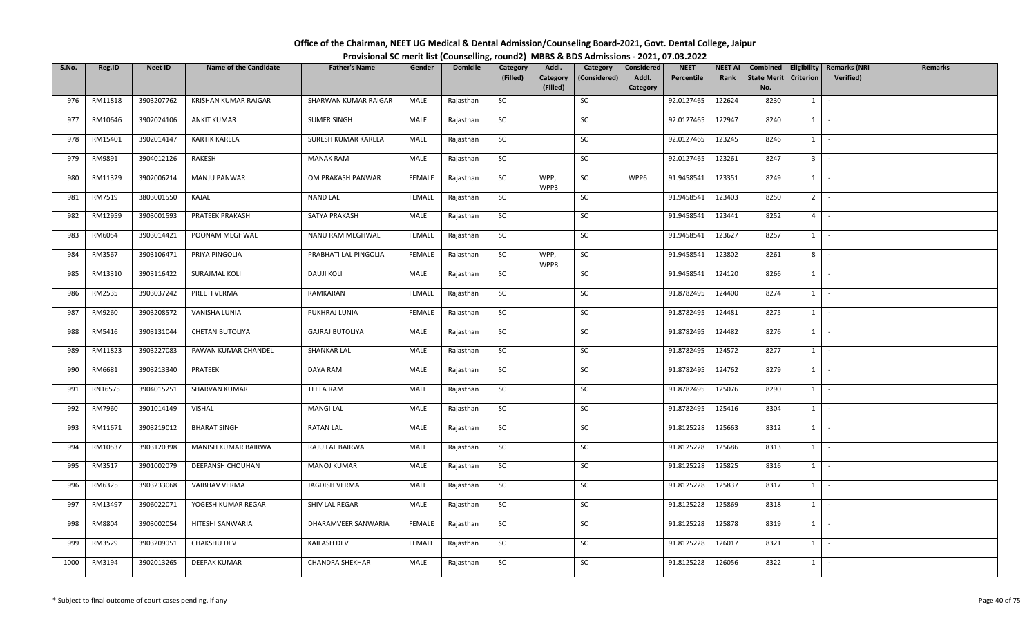| Office of the Chairman, NEET UG Medical & Dental Admission/Counseling Board-2021, Govt. Dental College, Jaipur |  |
|----------------------------------------------------------------------------------------------------------------|--|
| Provisional SC merit list (Counselling, round2) MBBS & BDS Admissions - 2021, 07.03.2022                       |  |

| S.No. | Reg.ID  | Neet ID    | <b>Name of the Candidate</b> | <b>Father's Name</b>   | Gender        | <b>Domicile</b> | Category  | Addl.                | Category     | Considered        | <b>NEET</b> | <b>NEET AI</b> | Combined                  |                  | <b>Eligibility   Remarks (NRI</b> | Remarks |
|-------|---------|------------|------------------------------|------------------------|---------------|-----------------|-----------|----------------------|--------------|-------------------|-------------|----------------|---------------------------|------------------|-----------------------------------|---------|
|       |         |            |                              |                        |               |                 | (Filled)  | Category<br>(Filled) | (Considered) | Addl.<br>Category | Percentile  | Rank           | <b>State Merit</b><br>No. | <b>Criterion</b> | Verified)                         |         |
| 976   | RM11818 | 3903207762 | KRISHAN KUMAR RAIGAR         | SHARWAN KUMAR RAIGAR   | MALE          | Rajasthan       | SC        |                      | SC           |                   | 92.0127465  | 122624         | 8230                      | 1                | $\sim$                            |         |
|       |         |            |                              |                        |               |                 |           |                      |              |                   |             |                |                           |                  | $\sim$                            |         |
| 977   | RM10646 | 3902024106 | <b>ANKIT KUMAR</b>           | <b>SUMER SINGH</b>     | MALE          | Rajasthan       | SC        |                      | SC           |                   | 92.0127465  | 122947         | 8240                      | $1 \quad$        |                                   |         |
| 978   | RM15401 | 3902014147 | <b>KARTIK KARELA</b>         | SURESH KUMAR KARELA    | MALE          | Rajasthan       | <b>SC</b> |                      | SC           |                   | 92.0127465  | 123245         | 8246                      |                  | $1 \cdot$                         |         |
| 979   | RM9891  | 3904012126 | RAKESH                       | <b>MANAK RAM</b>       | MALE          | Rajasthan       | SC        |                      | SC           |                   | 92.0127465  | 123261         | 8247                      |                  | $3$ $\overline{\phantom{0}}$      |         |
| 980   | RM11329 | 3902006214 | <b>MANJU PANWAR</b>          | OM PRAKASH PANWAR      | <b>FEMALE</b> | Rajasthan       | SC        | WPP,<br>WPP3         | SC           | WPP6              | 91.9458541  | 123351         | 8249                      |                  | $1 \mid -$                        |         |
| 981   | RM7519  | 3803001550 | KAJAL                        | NAND LAL               | FEMALE        | Rajasthan       | SC        |                      | SC           |                   | 91.9458541  | 123403         | 8250                      |                  | $2$ $-$                           |         |
| 982   | RM12959 | 3903001593 | <b>PRATEEK PRAKASH</b>       | SATYA PRAKASH          | MALE          | Rajasthan       | SC        |                      | SC           |                   | 91.9458541  | 123441         | 8252                      | $4 \square$      | $\sim$                            |         |
| 983   | RM6054  | 3903014421 | POONAM MEGHWAL               | NANU RAM MEGHWAL       | <b>FEMALE</b> | Rajasthan       | SC        |                      | SC           |                   | 91.9458541  | 123627         | 8257                      | 1                | $\sim$                            |         |
| 984   | RM3567  | 3903106471 | PRIYA PINGOLIA               | PRABHATI LAL PINGOLIA  | FEMALE        | Rajasthan       | SC        | WPP,<br>WPP8         | SC           |                   | 91.9458541  | 123802         | 8261                      | 8                | $\sim$                            |         |
| 985   | RM13310 | 3903116422 | SURAJMAL KOLI                | <b>DAUJI KOLI</b>      | MALE          | Rajasthan       | SC        |                      | SC           |                   | 91.9458541  | 124120         | 8266                      | $1 \quad$        | $\sim$                            |         |
| 986   | RM2535  | 3903037242 | PREETI VERMA                 | RAMKARAN               | <b>FEMALE</b> | Rajasthan       | SC        |                      | SC           |                   | 91.8782495  | 124400         | 8274                      |                  | $1 \cdot$                         |         |
| 987   | RM9260  | 3903208572 | VANISHA LUNIA                | PUKHRAJ LUNIA          | <b>FEMALE</b> | Rajasthan       | SC        |                      | $\sf SC$     |                   | 91.8782495  | 124481         | 8275                      |                  | $1$ $\vert$ $\vert$               |         |
| 988   | RM5416  | 3903131044 | CHETAN BUTOLIYA              | <b>GAJRAJ BUTOLIYA</b> | MALE          | Rajasthan       | SC        |                      | SC           |                   | 91.8782495  | 124482         | 8276                      | 1                | $\sim$                            |         |
| 989   | RM11823 | 3903227083 | PAWAN KUMAR CHANDEL          | <b>SHANKAR LAL</b>     | MALE          | Rajasthan       | SC        |                      | SC           |                   | 91.8782495  | 124572         | 8277                      | $1 \quad$        | $\sim$                            |         |
| 990   | RM6681  | 3903213340 | PRATEEK                      | DAYA RAM               | MALE          | Rajasthan       | SC        |                      | SC           |                   | 91.8782495  | 124762         | 8279                      | $1 \quad$        | $\sim$                            |         |
| 991   | RN16575 | 3904015251 | SHARVAN KUMAR                | <b>TEELA RAM</b>       | MALE          | Rajasthan       | <b>SC</b> |                      | SC           |                   | 91.8782495  | 125076         | 8290                      | $1 \mid$         | $\sim$                            |         |
| 992   | RM7960  | 3901014149 | VISHAL                       | <b>MANGI LAL</b>       | MALE          | Rajasthan       | SC        |                      | SC           |                   | 91.8782495  | 125416         | 8304                      | $1 \mid$         | $\sim$                            |         |
| 993   | RM11671 | 3903219012 | <b>BHARAT SINGH</b>          | RATAN LAL              | MALE          | Rajasthan       | SC        |                      | SC           |                   | 91.8125228  | 125663         | 8312                      | $1 \mid$         | $\sim$                            |         |
| 994   | RM10537 | 3903120398 | MANISH KUMAR BAIRWA          | RAJU LAL BAIRWA        | MALE          | Rajasthan       | SC        |                      | SC           |                   | 91.8125228  | 125686         | 8313                      |                  | $1 \cdot$                         |         |
| 995   | RM3517  | 3901002079 | DEEPANSH CHOUHAN             | <b>MANOJ KUMAR</b>     | MALE          | Rajasthan       | SC        |                      | SC           |                   | 91.8125228  | 125825         | 8316                      | 1                | $\sim$                            |         |
| 996   | RM6325  | 3903233068 | VAIBHAV VERMA                | <b>JAGDISH VERMA</b>   | MALE          | Rajasthan       | <b>SC</b> |                      | SC           |                   | 91.8125228  | 125837         | 8317                      |                  | $1 \mid -$                        |         |
| 997   | RM13497 | 3906022071 | YOGESH KUMAR REGAR           | SHIV LAL REGAR         | MALE          | Rajasthan       | SC        |                      | SC           |                   | 91.8125228  | 125869         | 8318                      |                  | $1$ $-$                           |         |
| 998   | RM8804  | 3903002054 | HITESHI SANWARIA             | DHARAMVEER SANWARIA    | <b>FEMALE</b> | Rajasthan       | SC        |                      | SC           |                   | 91.8125228  | 125878         | 8319                      | $1 \quad$        | $\sim$                            |         |
| 999   | RM3529  | 3903209051 | CHAKSHU DEV                  | KAILASH DEV            | FEMALE        | Rajasthan       | SC        |                      | SC           |                   | 91.8125228  | 126017         | 8321                      | 1                | $\sim$                            |         |
| 1000  | RM3194  | 3902013265 | DEEPAK KUMAR                 | CHANDRA SHEKHAR        | MALE          | Rajasthan       | SC        |                      | SC           |                   | 91.8125228  | 126056         | 8322                      | $1 \quad$        | $\sim$                            |         |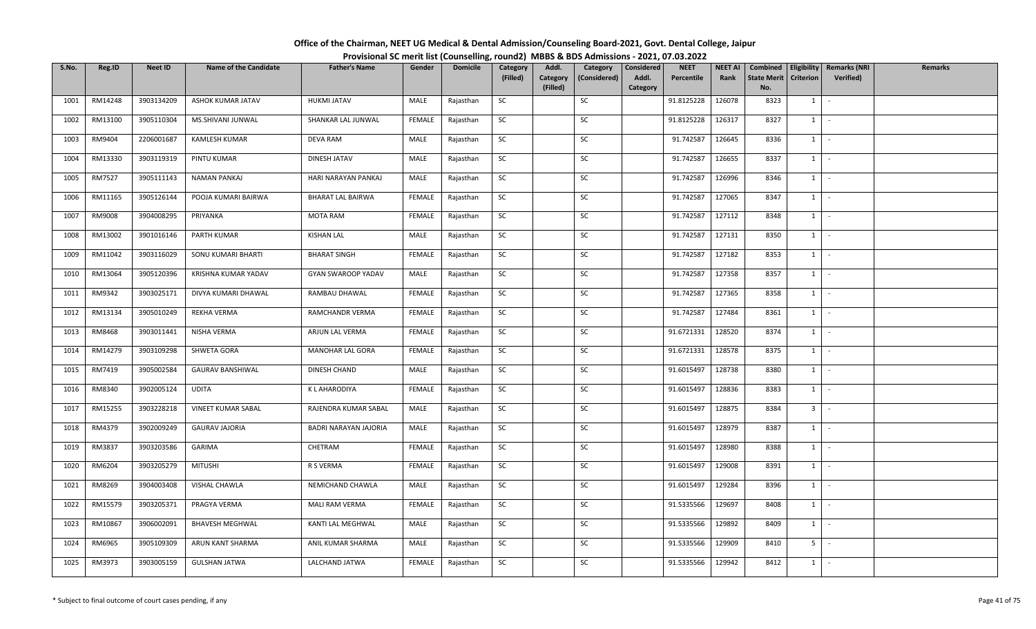| Office of the Chairman, NEET UG Medical & Dental Admission/Counseling Board-2021, Govt. Dental College, Jaipur |                                                                                          |
|----------------------------------------------------------------------------------------------------------------|------------------------------------------------------------------------------------------|
|                                                                                                                | Provisional SC merit list (Counselling, round2) MBBS & BDS Admissions - 2021, 07.03.2022 |

| S.No. | Reg.ID  | <b>Neet ID</b> | <b>Name of the Candidate</b> | <b>Father's Name</b>     | Gender        | <b>Domicile</b> | Category<br>(Filled) | Addl.<br>Category | Category<br>(Considered) | Considered<br>Addl. | <b>NEET</b><br>Percentile | <b>NEET AI</b><br>Rank | Combined<br><b>State Merit</b> | Eligibility<br>Criterion | <b>Remarks (NRI</b><br>Verified) | <b>Remarks</b> |
|-------|---------|----------------|------------------------------|--------------------------|---------------|-----------------|----------------------|-------------------|--------------------------|---------------------|---------------------------|------------------------|--------------------------------|--------------------------|----------------------------------|----------------|
|       |         |                |                              |                          |               |                 |                      | (Filled)          |                          | Category            |                           |                        | No.                            |                          |                                  |                |
| 1001  | RM14248 | 3903134209     | ASHOK KUMAR JATAV            | <b>HUKMI JATAV</b>       | MALE          | Rajasthan       | SC                   |                   | SC                       |                     | 91.8125228                | 126078                 | 8323                           | $1 \quad$                | $\sim$                           |                |
| 1002  | RM13100 | 3905110304     | MS.SHIVANI JUNWAL            | SHANKAR LAL JUNWAL       | <b>FEMALE</b> | Rajasthan       | <b>SC</b>            |                   | SC                       |                     | 91.8125228                | 126317                 | 8327                           | $1$ $-$                  |                                  |                |
| 1003  | RM9404  | 2206001687     | KAMLESH KUMAR                | DEVA RAM                 | MALE          | Rajasthan       | SC                   |                   | SC                       |                     | 91.742587                 | 126645                 | 8336                           | $1$ $-$                  |                                  |                |
| 1004  | RM13330 | 3903119319     | PINTU KUMAR                  | DINESH JATAV             | MALE          | Rajasthan       | SC                   |                   | SC                       |                     | 91.742587                 | 126655                 | 8337                           | $1$ $\vert$              |                                  |                |
| 1005  | RM7527  | 3905111143     | <b>NAMAN PANKAJ</b>          | HARI NARAYAN PANKAJ      | MALE          | Rajasthan       | SC                   |                   | SC                       |                     | 91.742587                 | 126996                 | 8346                           | $1$ $\cdot$              |                                  |                |
| 1006  | RM11165 | 3905126144     | POOJA KUMARI BAIRWA          | <b>BHARAT LAL BAIRWA</b> | FEMALE        | Rajasthan       | SC                   |                   | SC                       |                     | 91.742587                 | 127065                 | 8347                           | $1$ $\cdot$              |                                  |                |
| 1007  | RM9008  | 3904008295     | PRIYANKA                     | <b>MOTA RAM</b>          | FEMALE        | Rajasthan       | SC                   |                   | SC                       |                     | 91.742587                 | 127112                 | 8348                           | $1 \quad$                | $\sim$                           |                |
| 1008  | RM13002 | 3901016146     | PARTH KUMAR                  | <b>KISHAN LAL</b>        | MALE          | Rajasthan       | SC                   |                   | SC                       |                     | 91.742587                 | 127131                 | 8350                           | 1                        | $\sim$                           |                |
| 1009  | RM11042 | 3903116029     | SONU KUMARI BHARTI           | <b>BHARAT SINGH</b>      | <b>FEMALE</b> | Rajasthan       | SC                   |                   | SC                       |                     | 91.742587                 | 127182                 | 8353                           | $1$ $-$                  |                                  |                |
| 1010  | RM13064 | 3905120396     | KRISHNA KUMAR YADAV          | GYAN SWAROOP YADAV       | MALE          | Rajasthan       | SC                   |                   | SC                       |                     | 91.742587                 | 127358                 | 8357                           | $1$ $-$                  |                                  |                |
| 1011  | RM9342  | 3903025171     | DIVYA KUMARI DHAWAL          | RAMBAU DHAWAL            | FEMALE        | Rajasthan       | SC                   |                   | SC                       |                     | 91.742587                 | 127365                 | 8358                           | $1$ $\cdot$              |                                  |                |
| 1012  | RM13134 | 3905010249     | REKHA VERMA                  | RAMCHANDR VERMA          | <b>FEMALE</b> | Rajasthan       | SC                   |                   | SC                       |                     | 91.742587                 | 127484                 | 8361                           | $1$ $\vert$ -            |                                  |                |
| 1013  | RM8468  | 3903011441     | NISHA VERMA                  | ARJUN LAL VERMA          | FEMALE        | Rajasthan       | SC                   |                   | SC                       |                     | 91.6721331                | 128520                 | 8374                           | $1 \quad$                | $\sim$                           |                |
| 1014  | RM14279 | 3903109298     | SHWETA GORA                  | MANOHAR LAL GORA         | FEMALE        | Rajasthan       | SC                   |                   | SC                       |                     | 91.6721331                | 128578                 | 8375                           | $1 \mid$                 | $\sim$                           |                |
| 1015  | RM7419  | 3905002584     | <b>GAURAV BANSHIWAL</b>      | DINESH CHAND             | MALE          | Rajasthan       | SC                   |                   | SC                       |                     | 91.6015497                | 128738                 | 8380                           | $1 \mid$                 | $\sim$                           |                |
| 1016  | RM8340  | 3902005124     | <b>UDITA</b>                 | K L AHARODIYA            | FEMALE        | Rajasthan       | SC                   |                   | SC                       |                     | 91.6015497                | 128836                 | 8383                           | $1 \cdot$                |                                  |                |
| 1017  | RM15255 | 3903228218     | VINEET KUMAR SABAL           | RAJENDRA KUMAR SABAL     | MALE          | Rajasthan       | <b>SC</b>            |                   | SC                       |                     | 91.6015497                | 128875                 | 8384                           | 3 <sup>1</sup>           | $\sim$                           |                |
| 1018  | RM4379  | 3902009249     | <b>GAURAV JAJORIA</b>        | BADRI NARAYAN JAJORIA    | MALE          | Rajasthan       | SC                   |                   | SC                       |                     | 91.6015497                | 128979                 | 8387                           | $1$ $\vert$              |                                  |                |
| 1019  | RM3837  | 3903203586     | GARIMA                       | CHETRAM                  | FEMALE        | Rajasthan       | SC                   |                   | SC                       |                     | 91.6015497                | 128980                 | 8388                           | $1$ $\vert$ $\vert$      |                                  |                |
| 1020  | RM6204  | 3903205279     | <b>MITUSHI</b>               | R S VERMA                | FEMALE        | Rajasthan       | SC                   |                   | SC                       |                     | 91.6015497                | 129008                 | 8391                           | $1 \quad$                | $\sim$                           |                |
| 1021  | RM8269  | 3904003408     | VISHAL CHAWLA                | NEMICHAND CHAWLA         | MALE          | Rajasthan       | <b>SC</b>            |                   | SC                       |                     | 91.6015497                | 129284                 | 8396                           | $1 \mid$                 | $\sim$                           |                |
| 1022  | RM15579 | 3903205371     | PRAGYA VERMA                 | MALI RAM VERMA           | FEMALE        | Rajasthan       | SC                   |                   | SC                       |                     | 91.5335566                | 129697                 | 8408                           | $1$ $\vert$              |                                  |                |
| 1023  | RM10867 | 3906002091     | <b>BHAVESH MEGHWAL</b>       | KANTI LAL MEGHWAL        | MALE          | Rajasthan       | SC                   |                   | SC                       |                     | 91.5335566                | 129892                 | 8409                           | 1                        | $\sim$                           |                |
| 1024  | RM6965  | 3905109309     | ARUN KANT SHARMA             | ANIL KUMAR SHARMA        | MALE          | Rajasthan       | SC                   |                   | SC                       |                     | 91.5335566                | 129909                 | 8410                           | 5 <sup>1</sup>           | $\sim$                           |                |
| 1025  | RM3973  | 3903005159     | <b>GULSHAN JATWA</b>         | LALCHAND JATWA           | FEMALE        | Rajasthan       | SC                   |                   | SC                       |                     | 91.5335566                | 129942                 | 8412                           | $1$ $-$                  |                                  |                |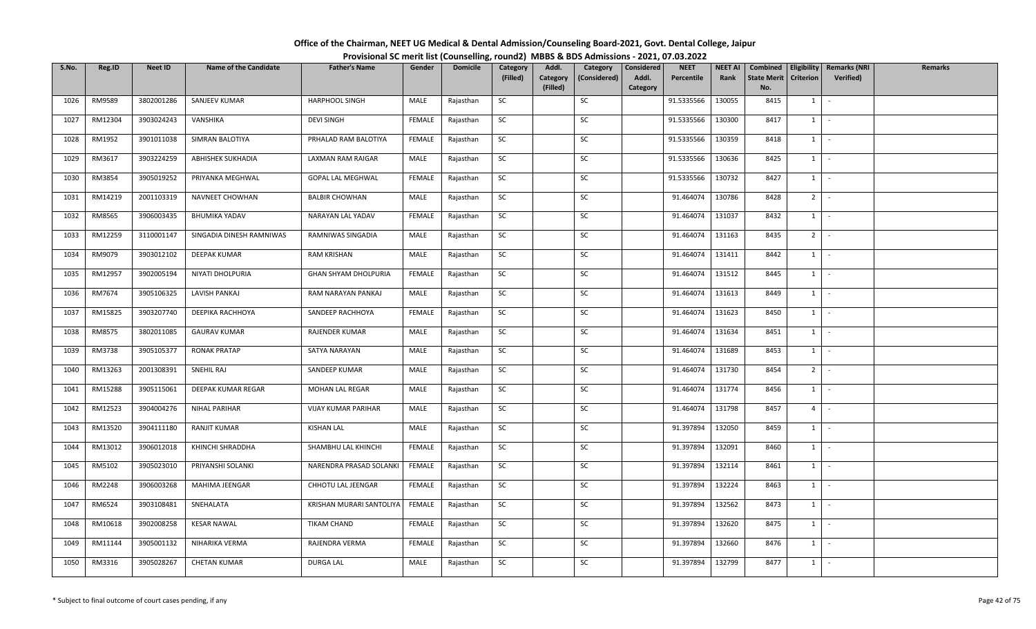| Office of the Chairman, NEET UG Medical & Dental Admission/Counseling Board-2021, Govt. Dental College, Jaipur |                                                                                          |
|----------------------------------------------------------------------------------------------------------------|------------------------------------------------------------------------------------------|
|                                                                                                                | Provisional SC merit list (Counselling, round2) MBBS & BDS Admissions - 2021, 07.03.2022 |

| S.No. | Reg.ID  | <b>Neet ID</b> | <b>Name of the Candidate</b> | <b>Father's Name</b>       | Gender        | <b>Domicile</b> | Category  | Addl.                | Category     | Considered        | <b>NEET</b> | <b>NEET AI</b> | Combined                  |                  | Eligibility   Remarks (NRI | <b>Remarks</b> |
|-------|---------|----------------|------------------------------|----------------------------|---------------|-----------------|-----------|----------------------|--------------|-------------------|-------------|----------------|---------------------------|------------------|----------------------------|----------------|
|       |         |                |                              |                            |               |                 | (Filled)  | Category<br>(Filled) | (Considered) | Addl.<br>Category | Percentile  | Rank           | <b>State Merit</b><br>No. | <b>Criterion</b> | Verified)                  |                |
| 1026  | RM9589  | 3802001286     | SANJEEV KUMAR                | HARPHOOL SINGH             | MALE          | Rajasthan       | SC        |                      | SC           |                   | 91.5335566  | 130055         | 8415                      | $1 \quad$        | $\sim$                     |                |
| 1027  | RM12304 | 3903024243     | VANSHIKA                     | <b>DEVI SINGH</b>          | FEMALE        | Rajasthan       | SC        |                      | SC           |                   | 91.5335566  | 130300         | 8417                      | $1 \cdot$        |                            |                |
| 1028  | RM1952  | 3901011038     | SIMRAN BALOTIYA              | PRHALAD RAM BALOTIYA       | FEMALE        | Rajasthan       | SC        |                      | SC           |                   | 91.5335566  | 130359         | 8418                      | $1$ $-$          |                            |                |
| 1029  | RM3617  | 3903224259     | <b>ABHISHEK SUKHADIA</b>     | <b>LAXMAN RAM RAIGAR</b>   | MALE          | Rajasthan       | SC        |                      | SC           |                   | 91.5335566  | 130636         | 8425                      | $1$ $\vert$      |                            |                |
| 1030  | RM3854  | 3905019252     | PRIYANKA MEGHWAL             | GOPAL LAL MEGHWAL          | <b>FEMALE</b> | Rajasthan       | SC        |                      | SC           |                   | 91.5335566  | 130732         | 8427                      | $1$ $-$          |                            |                |
| 1031  | RM14219 | 2001103319     | NAVNEET CHOWHAN              | <b>BALBIR CHOWHAN</b>      | MALE          | Rajasthan       | SC        |                      | SC           |                   | 91.464074   | 130786         | 8428                      | $2$ -            |                            |                |
| 1032  | RM8565  | 3906003435     | BHUMIKA YADAV                | NARAYAN LAL YADAV          | FEMALE        | Rajasthan       | SC        |                      | SC           |                   | 91.464074   | 131037         | 8432                      | $1 \quad$        | $\sim$                     |                |
| 1033  | RM12259 | 3110001147     | SINGADIA DINESH RAMNIWAS     | RAMNIWAS SINGADIA          | MALE          | Rajasthan       | SC        |                      | SC           |                   | 91.464074   | 131163         | 8435                      | $2 -$            |                            |                |
| 1034  | RM9079  | 3903012102     | <b>DEEPAK KUMAR</b>          | <b>RAM KRISHAN</b>         | MALE          | Rajasthan       | SC        |                      | SC           |                   | 91.464074   | 131411         | 8442                      | 1                | $\sim$                     |                |
| 1035  | RM12957 | 3902005194     | NIYATI DHOLPURIA             | GHAN SHYAM DHOLPURIA       | FEMALE        | Rajasthan       | SC        |                      | SC           |                   | 91.464074   | 131512         | 8445                      | $1 \cdot$        |                            |                |
| 1036  | RM7674  | 3905106325     | LAVISH PANKAJ                | RAM NARAYAN PANKAJ         | MALE          | Rajasthan       | SC        |                      | SC           |                   | 91.464074   | 131613         | 8449                      | $1$ $\vert$      |                            |                |
| 1037  | RM15825 | 3903207740     | DEEPIKA RACHHOYA             | SANDEEP RACHHOYA           | <b>FEMALE</b> | Rajasthan       | SC        |                      | SC           |                   | 91.464074   | 131623         | 8450                      | $1 \mid$         | $\sim$                     |                |
| 1038  | RM8575  | 3802011085     | <b>GAURAV KUMAR</b>          | RAJENDER KUMAR             | MALE          | Rajasthan       | SC        |                      | SC           |                   | 91.464074   | 131634         | 8451                      | 1                | $\sim$                     |                |
| 1039  | RM3738  | 3905105377     | <b>RONAK PRATAP</b>          | SATYA NARAYAN              | MALE          | Rajasthan       | <b>SC</b> |                      | SC           |                   | 91.464074   | 131689         | 8453                      | $1 \mid$         | $\sim$                     |                |
| 1040  | RM13263 | 2001308391     | SNEHIL RAJ                   | SANDEEP KUMAR              | MALE          | Rajasthan       | SC        |                      | SC           |                   | 91.464074   | 131730         | 8454                      | $2$ -            |                            |                |
| 1041  | RM15288 | 3905115061     | DEEPAK KUMAR REGAR           | MOHAN LAL REGAR            | MALE          | Rajasthan       | SC        |                      | SC           |                   | 91.464074   | 131774         | 8456                      | $1$   -          |                            |                |
| 1042  | RM12523 | 3904004276     | <b>NIHAL PARIHAR</b>         | <b>VIJAY KUMAR PARIHAR</b> | MALE          | Rajasthan       | SC        |                      | SC           |                   | 91.464074   | 131798         | 8457                      | $4 \square$      | $\sim$                     |                |
| 1043  | RM13520 | 3904111180     | RANJIT KUMAR                 | <b>KISHAN LAL</b>          | MALE          | Rajasthan       | SC        |                      | SC           |                   | 91.397894   | 132050         | 8459                      | $1 \mid$         | $\sim$                     |                |
| 1044  | RM13012 | 3906012018     | KHINCHI SHRADDHA             | SHAMBHU LAL KHINCHI        | FEMALE        | Rajasthan       | SC        |                      | SC           |                   | 91.397894   | 132091         | 8460                      | $1$ $\cdot$      |                            |                |
| 1045  | RM5102  | 3905023010     | PRIYANSHI SOLANKI            | NARENDRA PRASAD SOLANKI    | FEMALE        | Rajasthan       | SC        |                      | SC           |                   | 91.397894   | 132114         | 8461                      | $1$ $-$          |                            |                |
| 1046  | RM2248  | 3906003268     | MAHIMA JEENGAR               | CHHOTU LAL JEENGAR         | FEMALE        | Rajasthan       | SC        |                      | SC           |                   | 91.397894   | 132224         | 8463                      | 1                | $\sim$                     |                |
| 1047  | RM6524  | 3903108481     | SNEHALATA                    | KRISHAN MURARI SANTOLIYA   | FEMALE        | Rajasthan       | SC        |                      | SC           |                   | 91.397894   | 132562         | 8473                      | $1 \mid$         | $\sim$                     |                |
| 1048  | RM10618 | 3902008258     | <b>KESAR NAWAL</b>           | TIKAM CHAND                | FEMALE        | Rajasthan       | SC        |                      | SC           |                   | 91.397894   | 132620         | 8475                      | $1 \cdot$        |                            |                |
| 1049  | RM11144 | 3905001132     | NIHARIKA VERMA               | RAJENDRA VERMA             | FEMALE        | Rajasthan       | SC        |                      | SC           |                   | 91.397894   | 132660         | 8476                      | $1$ $-$          |                            |                |
| 1050  | RM3316  | 3905028267     | <b>CHETAN KUMAR</b>          | <b>DURGA LAL</b>           | MALE          | Rajasthan       | SC        |                      | SC           |                   | 91.397894   | 132799         | 8477                      | $1 \quad$        |                            |                |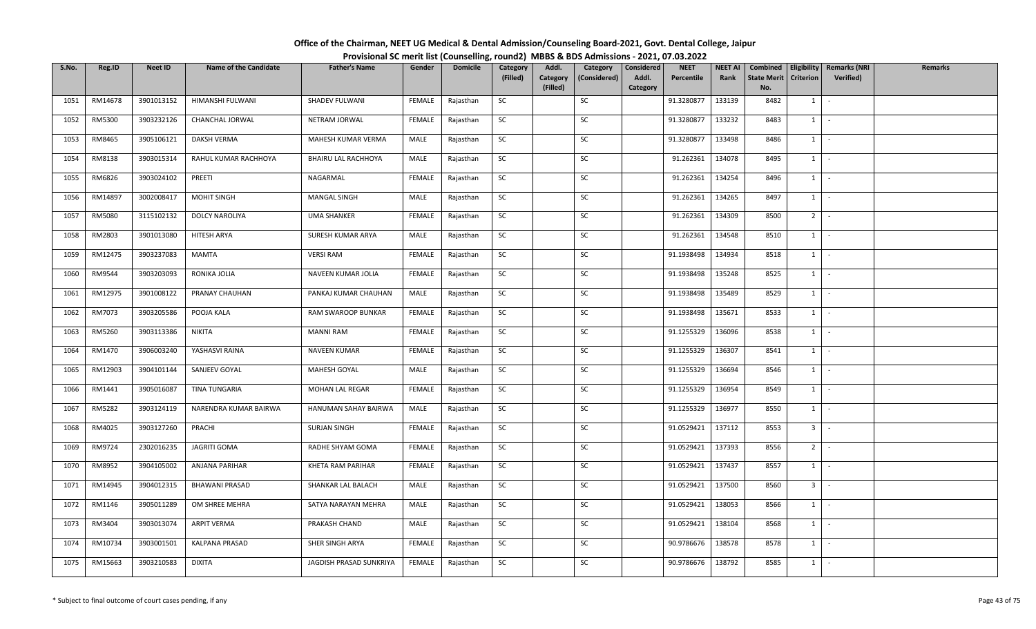| Office of the Chairman, NEET UG Medical & Dental Admission/Counseling Board-2021, Govt. Dental College, Jaipur |                                                                                          |
|----------------------------------------------------------------------------------------------------------------|------------------------------------------------------------------------------------------|
|                                                                                                                | Provisional SC merit list (Counselling, round2) MBBS & BDS Admissions - 2021, 07.03.2022 |

| S.No. | Reg.ID  | <b>Neet ID</b> | <b>Name of the Candidate</b> | <b>Father's Name</b>    | Gender        | <b>Domicile</b> | Category<br>(Filled) | Addl.<br>Category | Category<br>(Considered) | Considered<br>Addl. | <b>NEET</b><br>Percentile | <b>NEET AI</b><br>Rank | Combined<br><b>State Merit</b> | Eligibility<br>Criterion     | <b>Remarks (NRI</b><br>Verified) | <b>Remarks</b> |
|-------|---------|----------------|------------------------------|-------------------------|---------------|-----------------|----------------------|-------------------|--------------------------|---------------------|---------------------------|------------------------|--------------------------------|------------------------------|----------------------------------|----------------|
|       |         |                |                              |                         |               |                 |                      | (Filled)          |                          | Category            |                           |                        | No.                            |                              |                                  |                |
| 1051  | RM14678 | 3901013152     | HIMANSHI FULWANI             | SHADEV FULWANI          | FEMALE        | Rajasthan       | SC                   |                   | SC                       |                     | 91.3280877                | 133139                 | 8482                           | $1 \mid$                     | $\sim$                           |                |
| 1052  | RM5300  | 3903232126     | CHANCHAL JORWAL              | NETRAM JORWAL           | FEMALE        | Rajasthan       | <b>SC</b>            |                   | SC                       |                     | 91.3280877                | 133232                 | 8483                           | $1$ $-$                      |                                  |                |
| 1053  | RM8465  | 3905106121     | DAKSH VERMA                  | MAHESH KUMAR VERMA      | MALE          | Rajasthan       | SC                   |                   | SC                       |                     | 91.3280877                | 133498                 | 8486                           | $1 \mid$                     | $\sim$                           |                |
| 1054  | RM8138  | 3903015314     | RAHUL KUMAR RACHHOYA         | BHAIRU LAL RACHHOYA     | MALE          | Rajasthan       | SC                   |                   | SC                       |                     | 91.262361                 | 134078                 | 8495                           | $1$ $\vert$                  |                                  |                |
| 1055  | RM6826  | 3903024102     | PREETI                       | NAGARMAL                | FEMALE        | Rajasthan       | SC                   |                   | SC                       |                     | 91.262361                 | 134254                 | 8496                           | $1$ $\cdot$                  |                                  |                |
| 1056  | RM14897 | 3002008417     | <b>MOHIT SINGH</b>           | <b>MANGAL SINGH</b>     | MALE          | Rajasthan       | SC                   |                   | SC                       |                     | 91.262361                 | 134265                 | 8497                           | $1$ $\cdot$                  |                                  |                |
| 1057  | RM5080  | 3115102132     | <b>DOLCY NAROLIYA</b>        | <b>UMA SHANKER</b>      | FEMALE        | Rajasthan       | SC                   |                   | SC                       |                     | 91.262361                 | 134309                 | 8500                           | $2$ -                        |                                  |                |
| 1058  | RM2803  | 3901013080     | HITESH ARYA                  | SURESH KUMAR ARYA       | MALE          | Rajasthan       | SC                   |                   | SC                       |                     | 91.262361                 | 134548                 | 8510                           | 1                            | $\sim$                           |                |
| 1059  | RM12475 | 3903237083     | MAMTA                        | <b>VERSI RAM</b>        | <b>FEMALE</b> | Rajasthan       | SC                   |                   | SC                       |                     | 91.1938498                | 134934                 | 8518                           | $1$ $-$                      |                                  |                |
| 1060  | RM9544  | 3903203093     | RONIKA JOLIA                 | NAVEEN KUMAR JOLIA      | FEMALE        | Rajasthan       | SC                   |                   | SC                       |                     | 91.1938498                | 135248                 | 8525                           | $1$ $-$                      |                                  |                |
| 1061  | RM12975 | 3901008122     | PRANAY CHAUHAN               | PANKAJ KUMAR CHAUHAN    | MALE          | Rajasthan       | SC                   |                   | SC                       |                     | 91.1938498                | 135489                 | 8529                           | $1$ $\cdot$                  |                                  |                |
| 1062  | RM7073  | 3903205586     | POOJA KALA                   | RAM SWAROOP BUNKAR      | <b>FEMALE</b> | Rajasthan       | SC                   |                   | SC                       |                     | 91.1938498                | 135671                 | 8533                           | $1$ $\vert$ -                |                                  |                |
| 1063  | RM5260  | 3903113386     | NIKITA                       | <b>MANNI RAM</b>        | FEMALE        | Rajasthan       | SC                   |                   | SC                       |                     | 91.1255329                | 136096                 | 8538                           | $1 \quad$                    | $\sim$                           |                |
| 1064  | RM1470  | 3906003240     | YASHASVI RAINA               | <b>NAVEEN KUMAR</b>     | FEMALE        | Rajasthan       | SC                   |                   | SC                       |                     | 91.1255329                | 136307                 | 8541                           | $1 \mid$                     | $\sim$                           |                |
| 1065  | RM12903 | 3904101144     | SANJEEV GOYAL                | MAHESH GOYAL            | MALE          | Rajasthan       | SC                   |                   | SC                       |                     | 91.1255329                | 136694                 | 8546                           | $1 \mid$                     | $\sim$                           |                |
| 1066  | RM1441  | 3905016087     | TINA TUNGARIA                | MOHAN LAL REGAR         | FEMALE        | Rajasthan       | SC                   |                   | SC                       |                     | 91.1255329                | 136954                 | 8549                           | $1 \cdot$                    |                                  |                |
| 1067  | RM5282  | 3903124119     | NARENDRA KUMAR BAIRWA        | HANUMAN SAHAY BAIRWA    | MALE          | Rajasthan       | <b>SC</b>            |                   | SC                       |                     | 91.1255329                | 136977                 | 8550                           | 1                            | $\sim$                           |                |
| 1068  | RM4025  | 3903127260     | PRACHI                       | <b>SURJAN SINGH</b>     | FEMALE        | Rajasthan       | SC                   |                   | SC                       |                     | 91.0529421                | 137112                 | 8553                           | $3$ $\overline{\phantom{0}}$ |                                  |                |
| 1069  | RM9724  | 2302016235     | JAGRITI GOMA                 | RADHE SHYAM GOMA        | FEMALE        | Rajasthan       | SC                   |                   | SC                       |                     | 91.0529421                | 137393                 | 8556                           | $2$ $-$                      |                                  |                |
| 1070  | RM8952  | 3904105002     | ANJANA PARIHAR               | KHETA RAM PARIHAR       | FEMALE        | Rajasthan       | SC                   |                   | SC                       |                     | 91.0529421                | 137437                 | 8557                           | $1 \quad$                    | $\sim$                           |                |
| 1071  | RM14945 | 3904012315     | <b>BHAWANI PRASAD</b>        | SHANKAR LAL BALACH      | MALE          | Rajasthan       | <b>SC</b>            |                   | SC                       |                     | 91.0529421                | 137500                 | 8560                           | $3 -$                        |                                  |                |
| 1072  | RM1146  | 3905011289     | OM SHREE MEHRA               | SATYA NARAYAN MEHRA     | MALE          | Rajasthan       | SC                   |                   | SC                       |                     | 91.0529421                | 138053                 | 8566                           | $1$ $\cdot$                  |                                  |                |
| 1073  | RM3404  | 3903013074     | <b>ARPIT VERMA</b>           | PRAKASH CHAND           | MALE          | Rajasthan       | SC                   |                   | SC                       |                     | 91.0529421                | 138104                 | 8568                           | 1                            | $\sim$                           |                |
| 1074  | RM10734 | 3903001501     | KALPANA PRASAD               | SHER SINGH ARYA         | FEMALE        | Rajasthan       | SC                   |                   | SC                       |                     | 90.9786676                | 138578                 | 8578                           | $1$ $-$                      |                                  |                |
| 1075  | RM15663 | 3903210583     | <b>DIXITA</b>                | JAGDISH PRASAD SUNKRIYA | FEMALE        | Rajasthan       | SC                   |                   | SC                       |                     | 90.9786676                | 138792                 | 8585                           | $1$ $-$                      |                                  |                |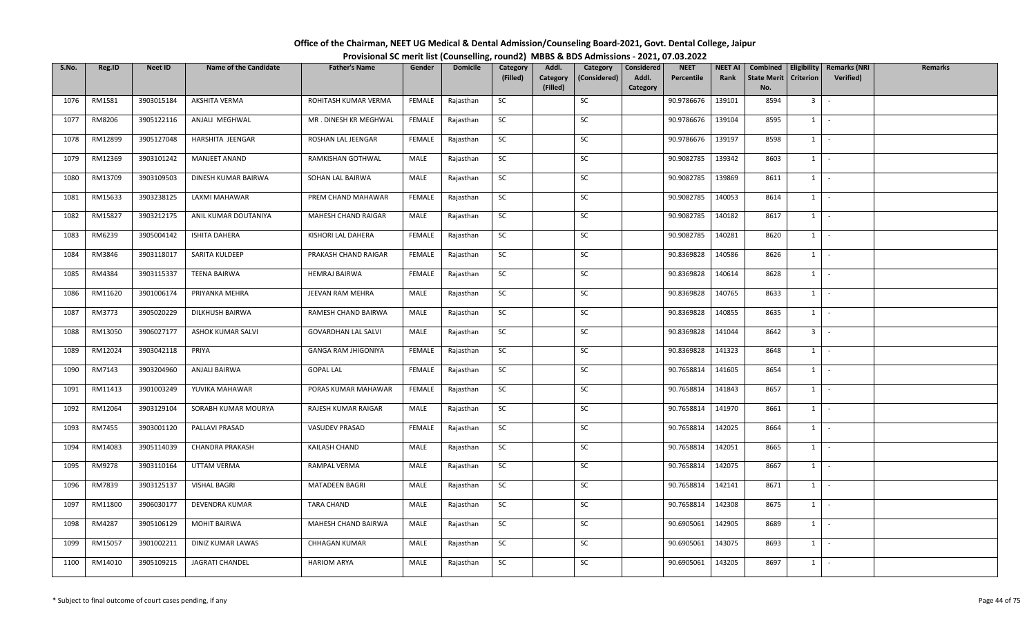| Office of the Chairman, NEET UG Medical & Dental Admission/Counseling Board-2021, Govt. Dental College, Jaipur |  |
|----------------------------------------------------------------------------------------------------------------|--|
| Provisional SC merit list (Counselling, round2) MBBS & BDS Admissions - 2021, 07.03.2022                       |  |

| S.No. | Reg.ID  | <b>Neet ID</b> | <b>Name of the Candidate</b> | <b>Father's Name</b>       | Gender        | <b>Domicile</b> | Category<br>(Filled) | Addl.<br>Category | Category<br>(Considered) | Considered<br>Addl. | <b>NEET</b><br>Percentile | <b>NEET AI</b><br>Rank | Combined<br><b>State Merit</b> | Criterion      | Eligibility   Remarks (NRI<br>Verified) | <b>Remarks</b> |
|-------|---------|----------------|------------------------------|----------------------------|---------------|-----------------|----------------------|-------------------|--------------------------|---------------------|---------------------------|------------------------|--------------------------------|----------------|-----------------------------------------|----------------|
|       |         |                |                              |                            |               |                 |                      | (Filled)          |                          | Category            |                           |                        | No.                            |                |                                         |                |
| 1076  | RM1581  | 3903015184     | AKSHITA VERMA                | ROHITASH KUMAR VERMA       | FEMALE        | Rajasthan       | SC                   |                   | SC                       |                     | 90.9786676                | 139101                 | 8594                           | 3 <sup>1</sup> | $\sim$                                  |                |
| 1077  | RM8206  | 3905122116     | ANJALI MEGHWAL               | MR. DINESH KR MEGHWAL      | FEMALE        | Rajasthan       | SC                   |                   | SC                       |                     | 90.9786676                | 139104                 | 8595                           | $1 \cdot$      |                                         |                |
| 1078  | RM12899 | 3905127048     | HARSHITA JEENGAR             | ROSHAN LAL JEENGAR         | <b>FEMALE</b> | Rajasthan       | <b>SC</b>            |                   | SC                       |                     | 90.9786676                | 139197                 | 8598                           | $1$ $\cdot$    |                                         |                |
| 1079  | RM12369 | 3903101242     | <b>MANJEET ANAND</b>         | RAMKISHAN GOTHWAL          | MALE          | Rajasthan       | SC                   |                   | SC                       |                     | 90.9082785                | 139342                 | 8603                           | $1$ $\vert$    |                                         |                |
| 1080  | RM13709 | 3903109503     | DINESH KUMAR BAIRWA          | SOHAN LAL BAIRWA           | MALE          | Rajasthan       | SC                   |                   | SC                       |                     | 90.9082785                | 139869                 | 8611                           | $1$ $\vert$    |                                         |                |
| 1081  | RM15633 | 3903238125     | LAXMI MAHAWAR                | PREM CHAND MAHAWAR         | FEMALE        | Rajasthan       | SC                   |                   | SC                       |                     | 90.9082785                | 140053                 | 8614                           | $1$ $\cdot$    |                                         |                |
| 1082  | RM15827 | 3903212175     | ANIL KUMAR DOUTANIYA         | MAHESH CHAND RAIGAR        | MALE          | Rajasthan       | SC                   |                   | SC                       |                     | 90.9082785                | 140182                 | 8617                           | $1 \quad$      | $\sim$                                  |                |
| 1083  | RM6239  | 3905004142     | ISHITA DAHERA                | KISHORI LAL DAHERA         | FEMALE        | Rajasthan       | SC                   |                   | SC                       |                     | 90.9082785                | 140281                 | 8620                           | $1$ $\cdot$    |                                         |                |
| 1084  | RM3846  | 3903118017     | SARITA KULDEEP               | PRAKASH CHAND RAIGAR       | FEMALE        | Rajasthan       | SC                   |                   | SC                       |                     | 90.8369828                | 140586                 | 8626                           | 1              | $\sim$                                  |                |
| 1085  | RM4384  | 3903115337     | <b>TEENA BAIRWA</b>          | <b>HEMRAJ BAIRWA</b>       | FEMALE        | Rajasthan       | SC                   |                   | SC                       |                     | 90.8369828                | 140614                 | 8628                           | $1 \cdot$      |                                         |                |
| 1086  | RM11620 | 3901006174     | PRIYANKA MEHRA               | JEEVAN RAM MEHRA           | MALE          | Rajasthan       | SC                   |                   | SC                       |                     | 90.8369828                | 140765                 | 8633                           | $1$ $\vert$    |                                         |                |
| 1087  | RM3773  | 3905020229     | DILKHUSH BAIRWA              | RAMESH CHAND BAIRWA        | MALE          | Rajasthan       | SC                   |                   | SC                       |                     | 90.8369828                | 140855                 | 8635                           | $1 \mid$       | $\sim$                                  |                |
| 1088  | RM13050 | 3906027177     | ASHOK KUMAR SALVI            | <b>GOVARDHAN LAL SALVI</b> | MALE          | Rajasthan       | SC                   |                   | SC                       |                     | 90.8369828                | 141044                 | 8642                           | 3 <sup>1</sup> | $\sim$                                  |                |
| 1089  | RM12024 | 3903042118     | PRIYA                        | GANGA RAM JHIGONIYA        | FEMALE        | Rajasthan       | <b>SC</b>            |                   | SC                       |                     | 90.8369828                | 141323                 | 8648                           | $1 \mid$       | $\sim$                                  |                |
| 1090  | RM7143  | 3903204960     | ANJALI BAIRWA                | <b>GOPAL LAL</b>           | FEMALE        | Rajasthan       | SC                   |                   | SC                       |                     | 90.7658814                | 141605                 | 8654                           | $1$ $-$        |                                         |                |
| 1091  | RM11413 | 3901003249     | YUVIKA MAHAWAR               | PORAS KUMAR MAHAWAR        | FEMALE        | Rajasthan       | SC                   |                   | SC                       |                     | 90.7658814                | 141843                 | 8657                           | $1$   -        |                                         |                |
| 1092  | RM12064 | 3903129104     | SORABH KUMAR MOURYA          | RAJESH KUMAR RAIGAR        | MALE          | Rajasthan       | SC                   |                   | SC                       |                     | 90.7658814                | 141970                 | 8661                           | $1 \mid$       | $\sim$                                  |                |
| 1093  | RM7455  | 3903001120     | PALLAVI PRASAD               | VASUDEV PRASAD             | FEMALE        | Rajasthan       | SC                   |                   | SC                       |                     | 90.7658814                | 142025                 | 8664                           | 1              | $\sim$                                  |                |
| 1094  | RM14083 | 3905114039     | <b>CHANDRA PRAKASH</b>       | KAILASH CHAND              | MALE          | Rajasthan       | SC                   |                   | SC                       |                     | 90.7658814                | 142051                 | 8665                           | $1$ $\cdot$    |                                         |                |
| 1095  | RM9278  | 3903110164     | UTTAM VERMA                  | RAMPAL VERMA               | MALE          | Rajasthan       | SC                   |                   | SC                       |                     | 90.7658814                | 142075                 | 8667                           | $1$ $-$        |                                         |                |
| 1096  | RM7839  | 3903125137     | VISHAL BAGRI                 | MATADEEN BAGRI             | MALE          | Rajasthan       | SC                   |                   | SC                       |                     | 90.7658814                | 142141                 | 8671                           | $1 \quad$      | $\sim$                                  |                |
| 1097  | RM11800 | 3906030177     | <b>DEVENDRA KUMAR</b>        | <b>TARA CHAND</b>          | MALE          | Rajasthan       | SC                   |                   | SC                       |                     | 90.7658814                | 142308                 | 8675                           | $1 \mid$       | $\sim$                                  |                |
| 1098  | RM4287  | 3905106129     | <b>MOHIT BAIRWA</b>          | MAHESH CHAND BAIRWA        | MALE          | Rajasthan       | SC                   |                   | SC                       |                     | 90.6905061                | 142905                 | 8689                           | $1$ $-$        |                                         |                |
| 1099  | RM15057 | 3901002211     | DINIZ KUMAR LAWAS            | CHHAGAN KUMAR              | MALE          | Rajasthan       | SC                   |                   | SC                       |                     | 90.6905061                | 143075                 | 8693                           | $1$ $-$        |                                         |                |
| 1100  | RM14010 | 3905109215     | JAGRATI CHANDEL              | <b>HARIOM ARYA</b>         | MALE          | Rajasthan       | SC                   |                   | SC                       |                     | 90.6905061                | 143205                 | 8697                           | $1 \quad$      |                                         |                |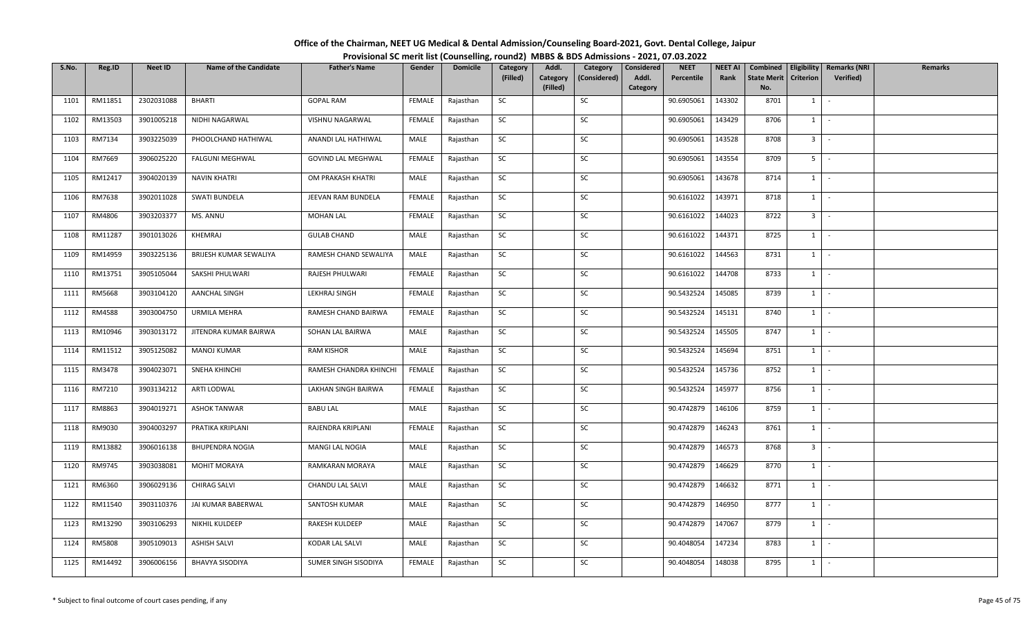| Office of the Chairman, NEET UG Medical & Dental Admission/Counseling Board-2021, Govt. Dental College, Jaipur |  |
|----------------------------------------------------------------------------------------------------------------|--|
| Provisional SC merit list (Counselling, round2) MBBS & BDS Admissions - 2021, 07.03.2022                       |  |

| S.No. | Reg.ID  | <b>Neet ID</b> | <b>Name of the Candidate</b> | <b>Father's Name</b>   | Gender        | <b>Domicile</b> | Category  | Addl.    | Category     | Considered | <b>NEET</b> | <b>NEET AI</b> | Combined           |                  | Eligibility   Remarks (NRI | Remarks |
|-------|---------|----------------|------------------------------|------------------------|---------------|-----------------|-----------|----------|--------------|------------|-------------|----------------|--------------------|------------------|----------------------------|---------|
|       |         |                |                              |                        |               |                 | (Filled)  | Category | (Considered) | Addl.      | Percentile  | Rank           | <b>State Merit</b> | <b>Criterion</b> | <b>Verified</b> )          |         |
|       |         |                |                              |                        |               |                 |           | (Filled) |              | Category   |             |                | No.                |                  |                            |         |
| 1101  | RM11851 | 2302031088     | <b>BHARTI</b>                | <b>GOPAL RAM</b>       | FEMALE        | Rajasthan       | SC        |          | SC           |            | 90.6905061  | 143302         | 8701               | 1                | $\sim$                     |         |
| 1102  | RM13503 | 3901005218     | NIDHI NAGARWAL               | VISHNU NAGARWAL        | FEMALE        | Rajasthan       | SC        |          | SC           |            | 90.6905061  | 143429         | 8706               | 1                | $\sim$                     |         |
| 1103  | RM7134  | 3903225039     | PHOOLCHAND HATHIWAL          | ANANDI LAL HATHIWAL    | MALE          | Rajasthan       | <b>SC</b> |          | SC           |            | 90.6905061  | 143528         | 8708               | 3 <sup>1</sup>   | $\sim$ $-$                 |         |
| 1104  | RM7669  | 3906025220     | <b>FALGUNI MEGHWAL</b>       | GOVIND LAL MEGHWAL     | <b>FEMALE</b> | Rajasthan       | SC        |          | SC           |            | 90.6905061  | 143554         | 8709               | $5 -$            |                            |         |
| 1105  | RM12417 | 3904020139     | <b>NAVIN KHATRI</b>          | OM PRAKASH KHATRI      | MALE          | Rajasthan       | SC        |          | SC           |            | 90.6905061  | 143678         | 8714               | $1$ $-$          |                            |         |
| 1106  | RM7638  | 3902011028     | <b>SWATI BUNDELA</b>         | JEEVAN RAM BUNDELA     | FEMALE        | Rajasthan       | SC        |          | SC           |            | 90.6161022  | 143971         | 8718               | 1                | $\sim$                     |         |
| 1107  | RM4806  | 3903203377     | MS. ANNU                     | <b>MOHAN LAL</b>       | FEMALE        | Rajasthan       | SC        |          | SC           |            | 90.6161022  | 144023         | 8722               | 3 <sup>1</sup>   | $\sim$                     |         |
| 1108  | RM11287 | 3901013026     | KHEMRAJ                      | <b>GULAB CHAND</b>     | MALE          | Rajasthan       | SC        |          | SC           |            | 90.6161022  | 144371         | 8725               | $1 \mid$         | $\sim$                     |         |
| 1109  | RM14959 | 3903225136     | BRIJESH KUMAR SEWALIYA       | RAMESH CHAND SEWALIYA  | MALE          | Rajasthan       | SC        |          | SC           |            | 90.6161022  | 144563         | 8731               | 1                | $\sim$                     |         |
| 1110  | RM13751 | 3905105044     | SAKSHI PHULWARI              | RAJESH PHULWARI        | FEMALE        | Rajasthan       | SC        |          | SC           |            | 90.6161022  | 144708         | 8733               | 1                | $\sim$                     |         |
| 1111  | RM5668  | 3903104120     | <b>AANCHAL SINGH</b>         | LEKHRAJ SINGH          | FEMALE        | Rajasthan       | <b>SC</b> |          | SC           |            | 90.5432524  | 145085         | 8739               | $1$ $-$          |                            |         |
| 1112  | RM4588  | 3903004750     | URMILA MEHRA                 | RAMESH CHAND BAIRWA    | FEMALE        | Rajasthan       | SC        |          | SC           |            | 90.5432524  | 145131         | 8740               | $1 \quad$        | $\sim$                     |         |
| 1113  | RM10946 | 3903013172     | JITENDRA KUMAR BAIRWA        | SOHAN LAL BAIRWA       | MALE          | Rajasthan       | SC        |          | SC           |            | 90.5432524  | 145505         | 8747               | 1                | $\sim$                     |         |
| 1114  | RM11512 | 3905125082     | <b>MANOJ KUMAR</b>           | <b>RAM KISHOR</b>      | MALE          | Rajasthan       | SC        |          | SC           |            | 90.5432524  | 145694         | 8751               | $1 \quad$        | $\sim$                     |         |
| 1115  | RM3478  | 3904023071     | SNEHA KHINCHI                | RAMESH CHANDRA KHINCHI | FEMALE        | Rajasthan       | SC        |          | SC           |            | 90.5432524  | 145736         | 8752               | $1 \quad$        | $\sim$                     |         |
| 1116  | RM7210  | 3903134212     | ARTI LODWAL                  | LAKHAN SINGH BAIRWA    | FEMALE        | Rajasthan       | <b>SC</b> |          | SC           |            | 90.5432524  | 145977         | 8756               | $1 \mid$         | $\sim$                     |         |
| 1117  | RM8863  | 3904019271     | <b>ASHOK TANWAR</b>          | <b>BABU LAL</b>        | MALE          | Rajasthan       | <b>SC</b> |          | SC           |            | 90.4742879  | 146106         | 8759               | 1                | $\sim$                     |         |
| 1118  | RM9030  | 3904003297     | PRATIKA KRIPLANI             | RAJENDRA KRIPLANI      | <b>FEMALE</b> | Rajasthan       | SC        |          | SC           |            | 90.4742879  | 146243         | 8761               | 1                | $\sim$                     |         |
| 1119  | RM13882 | 3906016138     | <b>BHUPENDRA NOGIA</b>       | MANGI LAL NOGIA        | MALE          | Rajasthan       | SC        |          | SC           |            | 90.4742879  | 146573         | 8768               | $3 \mid \cdot$   |                            |         |
| 1120  | RM9745  | 3903038081     | <b>MOHIT MORAYA</b>          | RAMKARAN MORAYA        | MALE          | Rajasthan       | SC        |          | SC           |            | 90.4742879  | 146629         | 8770               | $1 \mid$         | $\sim$                     |         |
| 1121  | RM6360  | 3906029136     | <b>CHIRAG SALVI</b>          | CHANDU LAL SALVI       | MALE          | Rajasthan       | SC        |          | SC           |            | 90.4742879  | 146632         | 8771               | $1 \mid$         | $\sim$                     |         |
| 1122  | RM11540 | 3903110376     | JAI KUMAR BABERWAL           | SANTOSH KUMAR          | MALE          | Rajasthan       | SC        |          | SC           |            | 90.4742879  | 146950         | 8777               | 1                | $\sim$                     |         |
| 1123  | RM13290 | 3903106293     | NIKHIL KULDEEP               | RAKESH KULDEEP         | MALE          | Rajasthan       | SC        |          | SC           |            | 90.4742879  | 147067         | 8779               | $1 \quad$        | $\sim$                     |         |
| 1124  | RM5808  | 3905109013     | <b>ASHISH SALVI</b>          | KODAR LAL SALVI        | MALE          | Rajasthan       | SC        |          | SC           |            | 90.4048054  | 147234         | 8783               | $1 \quad$        | $\sim$                     |         |
| 1125  | RM14492 | 3906006156     | <b>BHAVYA SISODIYA</b>       | SUMER SINGH SISODIYA   | FEMALE        | Rajasthan       | SC        |          | SC           |            | 90.4048054  | 148038         | 8795               | $1 \quad$        | $\sim$                     |         |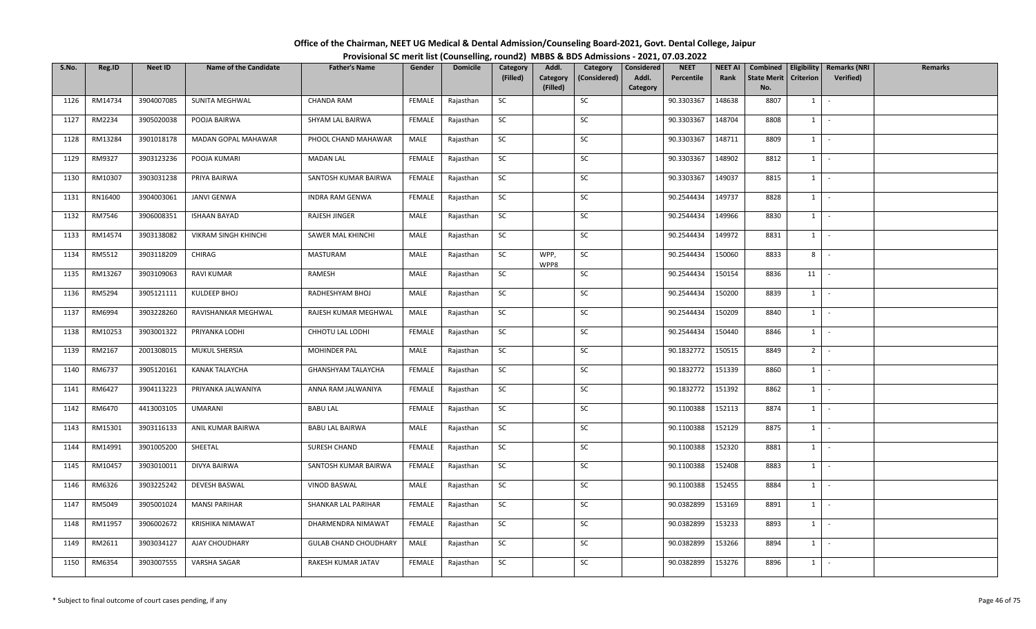| Office of the Chairman, NEET UG Medical & Dental Admission/Counseling Board-2021, Govt. Dental College, Jaipur |                                                                                          |
|----------------------------------------------------------------------------------------------------------------|------------------------------------------------------------------------------------------|
|                                                                                                                | Provisional SC merit list (Counselling, round2) MBBS & BDS Admissions - 2021, 07.03.2022 |

| S.No. | Reg.ID  | <b>Neet ID</b> | <b>Name of the Candidate</b> | <b>Father's Name</b>         | Gender        | <b>Domicile</b> | Category  | Addl.        | Category     | Considered | <b>NEET</b> | <b>NEET AI</b> | Combined           |                  | Eligibility   Remarks (NRI | Remarks |
|-------|---------|----------------|------------------------------|------------------------------|---------------|-----------------|-----------|--------------|--------------|------------|-------------|----------------|--------------------|------------------|----------------------------|---------|
|       |         |                |                              |                              |               |                 | (Filled)  | Category     | (Considered) | Addl.      | Percentile  | Rank           | <b>State Merit</b> | <b>Criterion</b> | Verified)                  |         |
|       |         |                |                              |                              |               |                 |           | (Filled)     |              | Category   |             |                | No.                |                  |                            |         |
| 1126  | RM14734 | 3904007085     | SUNITA MEGHWAL               | <b>CHANDA RAM</b>            | FEMALE        | Rajasthan       | SC        |              | SC           |            | 90.3303367  | 148638         | 8807               | $1 \quad$        | $\sim$                     |         |
| 1127  | RM2234  | 3905020038     | POOJA BAIRWA                 | SHYAM LAL BAIRWA             | FEMALE        | Rajasthan       | SC        |              | SC           |            | 90.3303367  | 148704         | 8808               | $1 \quad$        | $\sim$                     |         |
| 1128  | RM13284 | 3901018178     | MADAN GOPAL MAHAWAR          | PHOOL CHAND MAHAWAR          | MALE          | Rajasthan       | SC        |              | SC           |            | 90.3303367  | 148711         | 8809               | $1 \mid$         | $\sim$ $-$                 |         |
| 1129  | RM9327  | 3903123236     | POOJA KUMARI                 | <b>MADAN LAL</b>             | <b>FEMALE</b> | Rajasthan       | SC        |              | SC           |            | 90.3303367  | 148902         | 8812               | $1 \mid$         | $\sim$                     |         |
| 1130  | RM10307 | 3903031238     | PRIYA BAIRWA                 | SANTOSH KUMAR BAIRWA         | FEMALE        | Rajasthan       | SC        |              | SC           |            | 90.3303367  | 149037         | 8815               | $1 \mid$         | $\sim$                     |         |
| 1131  | RN16400 | 3904003061     | JANVI GENWA                  | <b>INDRA RAM GENWA</b>       | <b>FEMALE</b> | Rajasthan       | SC        |              | SC           |            | 90.2544434  | 149737         | 8828               | 1                | $\sim$                     |         |
| 1132  | RM7546  | 3906008351     | <b>ISHAAN BAYAD</b>          | RAJESH JINGER                | MALE          | Rajasthan       | SC        |              | SC           |            | 90.2544434  | 149966         | 8830               | $1 \quad$        | $\sim$                     |         |
| 1133  | RM14574 | 3903138082     | VIKRAM SINGH KHINCHI         | SAWER MAL KHINCHI            | MALE          | Rajasthan       | SC        |              | SC           |            | 90.2544434  | 149972         | 8831               | 1                | $\sim$                     |         |
| 1134  | RM5512  | 3903118209     | CHIRAG                       | MASTURAM                     | MALE          | Rajasthan       | SC        | WPP,<br>WPP8 | SC           |            | 90.2544434  | 150060         | 8833               | 8                | $\sim$                     |         |
| 1135  | RM13267 | 3903109063     | <b>RAVI KUMAR</b>            | RAMESH                       | MALE          | Rajasthan       | SC        |              | SC           |            | 90.2544434  | 150154         | 8836               | 11               | $\sim$                     |         |
| 1136  | RM5294  | 3905121111     | KULDEEP BHOJ                 | RADHESHYAM BHOJ              | MALE          | Rajasthan       | <b>SC</b> |              | SC           |            | 90.2544434  | 150200         | 8839               | $1$ $-$          |                            |         |
| 1137  | RM6994  | 3903228260     | RAVISHANKAR MEGHWAL          | RAJESH KUMAR MEGHWAL         | MALE          | Rajasthan       | SC        |              | SC           |            | 90.2544434  | 150209         | 8840               | $1 \quad$        | $\sim$                     |         |
| 1138  | RM10253 | 3903001322     | PRIYANKA LODHI               | CHHOTU LAL LODHI             | <b>FEMALE</b> | Rajasthan       | SC        |              | SC           |            | 90.2544434  | 150440         | 8846               | 1                | $\sim$                     |         |
| 1139  | RM2167  | 2001308015     | MUKUL SHERSIA                | MOHINDER PAL                 | MALE          | Rajasthan       | SC        |              | SC           |            | 90.1832772  | 150515         | 8849               | 2 <sup>1</sup>   | $\sim$                     |         |
| 1140  | RM6737  | 3905120161     | <b>KANAK TALAYCHA</b>        | GHANSHYAM TALAYCHA           | FEMALE        | Rajasthan       | SC        |              | SC           |            | 90.1832772  | 151339         | 8860               | $1 \quad$        | $\sim$                     |         |
| 1141  | RM6427  | 3904113223     | PRIYANKA JALWANIYA           | ANNA RAM JALWANIYA           | FEMALE        | Rajasthan       | SC        |              | SC           |            | 90.1832772  | 151392         | 8862               | $1 \mid$         | $\sim$                     |         |
| 1142  | RM6470  | 4413003105     | UMARANI                      | <b>BABU LAL</b>              | <b>FEMALE</b> | Rajasthan       | <b>SC</b> |              | SC           |            | 90.1100388  | 152113         | 8874               | 1                | $\sim$                     |         |
| 1143  | RM15301 | 3903116133     | ANIL KUMAR BAIRWA            | <b>BABU LAL BAIRWA</b>       | MALE          | Rajasthan       | SC        |              | SC           |            | 90.1100388  | 152129         | 8875               | 1                | $\sim$                     |         |
| 1144  | RM14991 | 3901005200     | SHEETAL                      | SURESH CHAND                 | FEMALE        | Rajasthan       | SC        |              | SC           |            | 90.1100388  | 152320         | 8881               |                  | $1 \cdot$                  |         |
| 1145  | RM10457 | 3903010011     | DIVYA BAIRWA                 | SANTOSH KUMAR BAIRWA         | FEMALE        | Rajasthan       | SC        |              | SC           |            | 90.1100388  | 152408         | 8883               | $1 \quad$        | $\sim$                     |         |
| 1146  | RM6326  | 3903225242     | <b>DEVESH BASWAL</b>         | VINOD BASWAL                 | MALE          | Rajasthan       | SC        |              | SC           |            | 90.1100388  | 152455         | 8884               | 1                | $\sim$                     |         |
| 1147  | RM5049  | 3905001024     | <b>MANSI PARIHAR</b>         | SHANKAR LAL PARIHAR          | <b>FEMALE</b> | Rajasthan       | SC        |              | SC           |            | 90.0382899  | 153169         | 8891               | 1                | $\sim$                     |         |
| 1148  | RM11957 | 3906002672     | KRISHIKA NIMAWAT             | DHARMENDRA NIMAWAT           | FEMALE        | Rajasthan       | SC        |              | SC           |            | 90.0382899  | 153233         | 8893               | $1 \quad$        | $\sim$                     |         |
| 1149  | RM2611  | 3903034127     | AJAY CHOUDHARY               | <b>GULAB CHAND CHOUDHARY</b> | MALE          | Rajasthan       | SC        |              | SC           |            | 90.0382899  | 153266         | 8894               | $1 \quad$        | $\sim$                     |         |
| 1150  | RM6354  | 3903007555     | VARSHA SAGAR                 | RAKESH KUMAR JATAV           | FEMALE        | Rajasthan       | SC        |              | SC           |            | 90.0382899  | 153276         | 8896               | $1 \quad$        | $\sim$                     |         |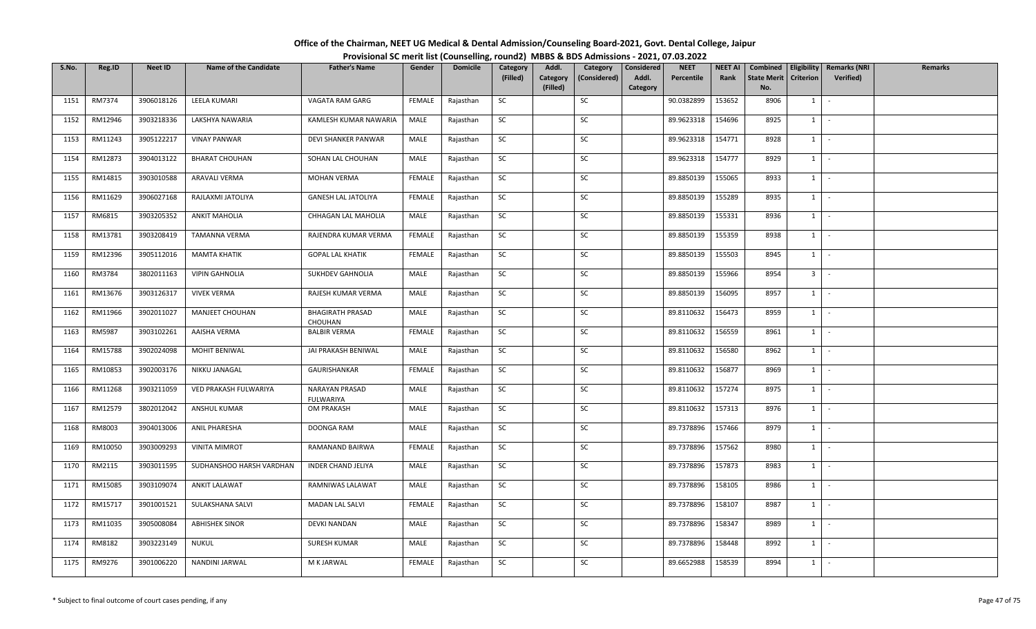| Office of the Chairman, NEET UG Medical & Dental Admission/Counseling Board-2021, Govt. Dental College, Jaipur |  |
|----------------------------------------------------------------------------------------------------------------|--|
| Provisional SC merit list (Counselling, round2) MBBS & BDS Admissions - 2021, 07.03.2022                       |  |

| S.No. | Reg.ID  | <b>Neet ID</b> | <b>Name of the Candidate</b> | <b>Father's Name</b>               | Gender        | <b>Domicile</b> | Category  | Addl.                | Category     | Considered        | <b>NEET</b> | <b>NEET AI</b> | Combined                  |                  | Eligibility   Remarks (NRI | Remarks |
|-------|---------|----------------|------------------------------|------------------------------------|---------------|-----------------|-----------|----------------------|--------------|-------------------|-------------|----------------|---------------------------|------------------|----------------------------|---------|
|       |         |                |                              |                                    |               |                 | (Filled)  | Category<br>(Filled) | (Considered) | Addl.<br>Category | Percentile  | Rank           | <b>State Merit</b><br>No. | <b>Criterion</b> | <b>Verified</b> )          |         |
| 1151  | RM7374  | 3906018126     | LEELA KUMARI                 | VAGATA RAM GARG                    | FEMALE        | Rajasthan       | SC        |                      | SC           |                   | 90.0382899  | 153652         | 8906                      | $1 \vert$        | $\sim$                     |         |
|       |         |                |                              |                                    |               |                 |           |                      |              |                   |             |                |                           |                  |                            |         |
| 1152  | RM12946 | 3903218336     | LAKSHYA NAWARIA              | KAMLESH KUMAR NAWARIA              | MALE          | Rajasthan       | SC        |                      | SC           |                   | 89.9623318  | 154696         | 8925                      | $1 \mid$         | $\sim$                     |         |
| 1153  | RM11243 | 3905122217     | <b>VINAY PANWAR</b>          | DEVI SHANKER PANWAR                | MALE          | Rajasthan       | <b>SC</b> |                      | SC           |                   | 89.9623318  | 154771         | 8928                      | 1                | $\sim$ $-$                 |         |
| 1154  | RM12873 | 3904013122     | <b>BHARAT CHOUHAN</b>        | SOHAN LAL CHOUHAN                  | MALE          | Rajasthan       | SC        |                      | SC           |                   | 89.9623318  | 154777         | 8929                      | 1                | $\sim$                     |         |
| 1155  | RM14815 | 3903010588     | ARAVALI VERMA                | MOHAN VERMA                        | <b>FEMALE</b> | Rajasthan       | SC        |                      | SC           |                   | 89.8850139  | 155065         | 8933                      | 1                | $\sim$                     |         |
| 1156  | RM11629 | 3906027168     | RAJLAXMI JATOLIYA            | <b>GANESH LAL JATOLIYA</b>         | FEMALE        | Rajasthan       | SC        |                      | SC           |                   | 89.8850139  | 155289         | 8935                      | $1 \vert$        | $\sim$                     |         |
| 1157  | RM6815  | 3903205352     | <b>ANKIT MAHOLIA</b>         | CHHAGAN LAL MAHOLIA                | MALE          | Rajasthan       | SC        |                      | SC           |                   | 89.8850139  | 155331         | 8936                      | $1 \quad$        | $\sim$                     |         |
| 1158  | RM13781 | 3903208419     | TAMANNA VERMA                | RAJENDRA KUMAR VERMA               | <b>FEMALE</b> | Rajasthan       | <b>SC</b> |                      | SC           |                   | 89.8850139  | 155359         | 8938                      | 1                | $\sim$                     |         |
| 1159  | RM12396 | 3905112016     | <b>MAMTA KHATIK</b>          | <b>GOPAL LAL KHATIK</b>            | FEMALE        | Rajasthan       | SC        |                      | SC           |                   | 89.8850139  | 155503         | 8945                      | 1                | $\sim$                     |         |
| 1160  | RM3784  | 3802011163     | <b>VIPIN GAHNOLIA</b>        | SUKHDEV GAHNOLIA                   | MALE          | Rajasthan       | SC        |                      | SC           |                   | 89.8850139  | 155966         | 8954                      | 3 <sup>1</sup>   | $\sim$                     |         |
| 1161  | RM13676 | 3903126317     | <b>VIVEK VERMA</b>           | RAJESH KUMAR VERMA                 | MALE          | Rajasthan       | <b>SC</b> |                      | SC           |                   | 89.8850139  | 156095         | 8957                      | $1$ $-$          |                            |         |
| 1162  | RM11966 | 3902011027     | MANJEET CHOUHAN              | <b>BHAGIRATH PRASAD</b><br>CHOUHAN | MALE          | Rajasthan       | SC        |                      | SC           |                   | 89.8110632  | 156473         | 8959                      | $1 \vert$        | $\sim$                     |         |
| 1163  | RM5987  | 3903102261     | AAISHA VERMA                 | <b>BALBIR VERMA</b>                | FEMALE        | Rajasthan       | <b>SC</b> |                      | SC           |                   | 89.8110632  | 156559         | 8961                      | 1                | $\sim$                     |         |
| 1164  | RM15788 | 3902024098     | MOHIT BENIWAL                | JAI PRAKASH BENIWAL                | MALE          | Rajasthan       | SC        |                      | SC           |                   | 89.8110632  | 156580         | 8962                      | $1 \quad$        | $\sim$                     |         |
| 1165  | RM10853 | 3902003176     | NIKKU JANAGAL                | GAURISHANKAR                       | FEMALE        | Rajasthan       | SC        |                      | SC           |                   | 89.8110632  | 156877         | 8969                      | $1 \vert$        | $\sim$                     |         |
| 1166  | RM11268 | 3903211059     | VED PRAKASH FULWARIYA        | NARAYAN PRASAD<br><b>FULWARIYA</b> | MALE          | Rajasthan       | <b>SC</b> |                      | SC           |                   | 89.8110632  | 157274         | 8975                      | 1                | $\sim$                     |         |
| 1167  | RM12579 | 3802012042     | <b>ANSHUL KUMAR</b>          | OM PRAKASH                         | MALE          | Rajasthan       | <b>SC</b> |                      | SC           |                   | 89.8110632  | 157313         | 8976                      | 1                | $\sim$                     |         |
| 1168  | RM8003  | 3904013006     | ANIL PHARESHA                | DOONGA RAM                         | MALE          | Rajasthan       | SC        |                      | SC           |                   | 89.7378896  | 157466         | 8979                      | $1 \quad$        | $\sim$                     |         |
| 1169  | RM10050 | 3903009293     | <b>VINITA MIMROT</b>         | RAMANAND BAIRWA                    | <b>FEMALE</b> | Rajasthan       | SC        |                      | SC           |                   | 89.7378896  | 157562         | 8980                      |                  | $1 \cdot$                  |         |
| 1170  | RM2115  | 3903011595     | SUDHANSHOO HARSH VARDHAN     | <b>INDER CHAND JELIYA</b>          | MALE          | Rajasthan       | SC        |                      | SC           |                   | 89.7378896  | 157873         | 8983                      | $1 \vert$        | $\sim$                     |         |
| 1171  | RM15085 | 3903109074     | ANKIT LALAWAT                | RAMNIWAS LALAWAT                   | MALE          | Rajasthan       | <b>SC</b> |                      | SC           |                   | 89.7378896  | 158105         | 8986                      | $1 \quad$        | $\sim$                     |         |
| 1172  | RM15717 | 3901001521     | SULAKSHANA SALVI             | <b>MADAN LAL SALVI</b>             | <b>FEMALE</b> | Rajasthan       | SC        |                      | SC           |                   | 89.7378896  | 158107         | 8987                      | 1                | $\sim$                     |         |
| 1173  | RM11035 | 3905008084     | <b>ABHISHEK SINOR</b>        | DEVKI NANDAN                       | MALE          | Rajasthan       | SC        |                      | SC           |                   | 89.7378896  | 158347         | 8989                      | $1 \quad$        | $\sim$                     |         |
| 1174  | RM8182  | 3903223149     | NUKUL                        | SURESH KUMAR                       | MALE          | Rajasthan       | <b>SC</b> |                      | <b>SC</b>    |                   | 89.7378896  | 158448         | 8992                      | $1 \quad$        | $\sim$                     |         |
| 1175  | RM9276  | 3901006220     | NANDINI JARWAL               | M K JARWAL                         | <b>FEMALE</b> | Rajasthan       | SC        |                      | SC           |                   | 89.6652988  | 158539         | 8994                      | $1 \quad$        | $\sim$                     |         |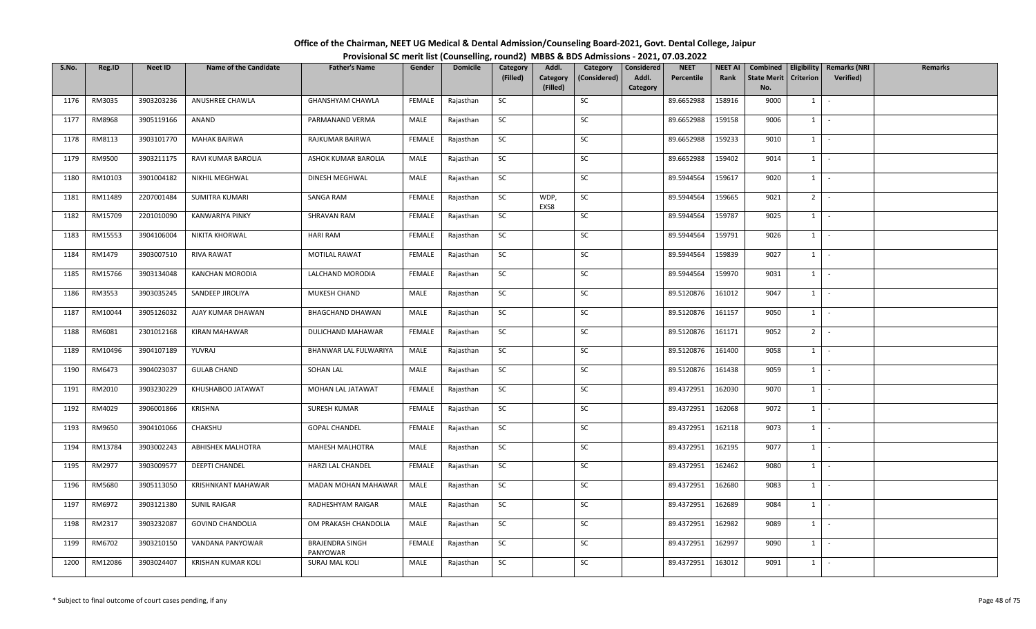| Office of the Chairman, NEET UG Medical & Dental Admission/Counseling Board-2021, Govt. Dental College, Jaipur |                                                                                          |
|----------------------------------------------------------------------------------------------------------------|------------------------------------------------------------------------------------------|
|                                                                                                                | Provisional SC merit list (Counselling, round2) MBBS & BDS Admissions - 2021, 07.03.2022 |

| S.No. | Reg.ID  | <b>Neet ID</b> | <b>Name of the Candidate</b> | <b>Father's Name</b>               | Gender        | <b>Domicile</b> | Category<br>(Filled) | Addl.<br>Category | Category<br>(Considered) | Considered<br>Addl. | <b>NEET</b><br>Percentile | <b>NEET AI</b><br>Rank | Combined<br><b>State Merit</b> | Eligibility<br>Criterion | <b>Remarks (NRI</b><br>Verified) | <b>Remarks</b> |
|-------|---------|----------------|------------------------------|------------------------------------|---------------|-----------------|----------------------|-------------------|--------------------------|---------------------|---------------------------|------------------------|--------------------------------|--------------------------|----------------------------------|----------------|
|       |         |                |                              |                                    |               |                 |                      | (Filled)          |                          | Category            |                           |                        | No.                            |                          |                                  |                |
| 1176  | RM3035  | 3903203236     | ANUSHREE CHAWLA              | GHANSHYAM CHAWLA                   | FEMALE        | Rajasthan       | SC                   |                   | SC                       |                     | 89.6652988                | 158916                 | 9000                           | $1 \quad$                | $\sim$                           |                |
| 1177  | RM8968  | 3905119166     | ANAND                        | PARMANAND VERMA                    | MALE          | Rajasthan       | SC                   |                   | SC                       |                     | 89.6652988                | 159158                 | 9006                           | $1 \mid$                 | $\sim$                           |                |
| 1178  | RM8113  | 3903101770     | <b>MAHAK BAIRWA</b>          | RAJKUMAR BAIRWA                    | FEMALE        | Rajasthan       | SC                   |                   | SC                       |                     | 89.6652988                | 159233                 | 9010                           | $1 \mid$                 | $\sim$                           |                |
| 1179  | RM9500  | 3903211175     | RAVI KUMAR BAROLIA           | ASHOK KUMAR BAROLIA                | MALE          | Rajasthan       | SC                   |                   | SC                       |                     | 89.6652988                | 159402                 | 9014                           | $1$ $-$                  |                                  |                |
| 1180  | RM10103 | 3901004182     | NIKHIL MEGHWAL               | DINESH MEGHWAL                     | MALE          | Rajasthan       | SC                   |                   | SC                       |                     | 89.5944564                | 159617                 | 9020                           | $1 \mid$                 | $\sim$                           |                |
| 1181  | RM11489 | 2207001484     | SUMITRA KUMARI               | SANGA RAM                          | FEMALE        | Rajasthan       | SC                   | WDP,<br>EXS8      | SC                       |                     | 89.5944564                | 159665                 | 9021                           | $2$ -                    |                                  |                |
| 1182  | RM15709 | 2201010090     | KANWARIYA PINKY              | SHRAVAN RAM                        | FEMALE        | Rajasthan       | <b>SC</b>            |                   | SC                       |                     | 89.5944564                | 159787                 | 9025                           | $1 \quad$                | $\sim$                           |                |
| 1183  | RM15553 | 3904106004     | NIKITA KHORWAL               | <b>HARI RAM</b>                    | FEMALE        | Rajasthan       | SC                   |                   | SC                       |                     | 89.5944564                | 159791                 | 9026                           | 1                        | $\sim$                           |                |
| 1184  | RM1479  | 3903007510     | RIVA RAWAT                   | MOTILAL RAWAT                      | <b>FEMALE</b> | Rajasthan       | SC                   |                   | <b>SC</b>                |                     | 89.5944564                | 159839                 | 9027                           | $1 \mid$                 | $\sim$                           |                |
| 1185  | RM15766 | 3903134048     | KANCHAN MORODIA              | LALCHAND MORODIA                   | FEMALE        | Rajasthan       | <b>SC</b>            |                   | SC                       |                     | 89.5944564                | 159970                 | 9031                           | $1$ $-$                  |                                  |                |
| 1186  | RM3553  | 3903035245     | SANDEEP JIROLIYA             | MUKESH CHAND                       | MALE          | Rajasthan       | SC                   |                   | SC                       |                     | 89.5120876                | 161012                 | 9047                           | $1$ $\vert$              |                                  |                |
| 1187  | RM10044 | 3905126032     | AJAY KUMAR DHAWAN            | <b>BHAGCHAND DHAWAN</b>            | MALE          | Rajasthan       | <b>SC</b>            |                   | SC                       |                     | 89.5120876                | 161157                 | 9050                           | $1 \vert$                | $\sim$                           |                |
| 1188  | RM6081  | 2301012168     | <b>KIRAN MAHAWAR</b>         | DULICHAND MAHAWAR                  | <b>FEMALE</b> | Rajasthan       | SC                   |                   | SC                       |                     | 89.5120876                | 161171                 | 9052                           | 2 <sup>1</sup>           | $\sim$                           |                |
| 1189  | RM10496 | 3904107189     | YUVRAJ                       | BHANWAR LAL FULWARIYA              | MALE          | Rajasthan       | SC                   |                   | SC                       |                     | 89.5120876                | 161400                 | 9058                           | $1 \quad$                | $\sim$                           |                |
| 1190  | RM6473  | 3904023037     | <b>GULAB CHAND</b>           | SOHAN LAL                          | MALE          | Rajasthan       | SC                   |                   | SC                       |                     | 89.5120876                | 161438                 | 9059                           | 1                        | $\sim$                           |                |
| 1191  | RM2010  | 3903230229     | KHUSHABOO JATAWAT            | MOHAN LAL JATAWAT                  | FEMALE        | Rajasthan       | SC                   |                   | SC                       |                     | 89.4372951                | 162030                 | 9070                           | $1 \cdot$                |                                  |                |
| 1192  | RM4029  | 3906001866     | KRISHNA                      | SURESH KUMAR                       | FEMALE        | Rajasthan       | <b>SC</b>            |                   | SC                       |                     | 89.4372951                | 162068                 | 9072                           | 1                        | $\sim$                           |                |
| 1193  | RM9650  | 3904101066     | CHAKSHU                      | <b>GOPAL CHANDEL</b>               | FEMALE        | Rajasthan       | SC                   |                   | SC                       |                     | 89.4372951                | 162118                 | 9073                           | $1$ $\vert$              |                                  |                |
| 1194  | RM13784 | 3903002243     | ABHISHEK MALHOTRA            | MAHESH MALHOTRA                    | MALE          | Rajasthan       | SC                   |                   | SC                       |                     | 89.4372951                | 162195                 | 9077                           | $1$ $\vert$ $\vert$      |                                  |                |
| 1195  | RM2977  | 3903009577     | <b>DEEPTI CHANDEL</b>        | HARZI LAL CHANDEL                  | FEMALE        | Rajasthan       | SC                   |                   | SC                       |                     | 89.4372951                | 162462                 | 9080                           | $1 \quad$                | $\sim$                           |                |
| 1196  | RM5680  | 3905113050     | KRISHNKANT MAHAWAR           | MADAN MOHAN MAHAWAR                | MALE          | Rajasthan       | SC                   |                   | SC                       |                     | 89.4372951                | 162680                 | 9083                           | $1 \quad$                | $\sim$                           |                |
| 1197  | RM6972  | 3903121380     | <b>SUNIL RAIGAR</b>          | RADHESHYAM RAIGAR                  | MALE          | Rajasthan       | SC                   |                   | SC                       |                     | 89.4372951                | 162689                 | 9084                           | $1$ $-$                  |                                  |                |
| 1198  | RM2317  | 3903232087     | <b>GOVIND CHANDOLIA</b>      | OM PRAKASH CHANDOLIA               | MALE          | Rajasthan       | SC                   |                   | SC                       |                     | 89.4372951                | 162982                 | 9089                           | 1                        | $\sim$                           |                |
| 1199  | RM6702  | 3903210150     | VANDANA PANYOWAR             | <b>BRAJENDRA SINGH</b><br>PANYOWAR | FEMALE        | Rajasthan       | SC                   |                   | SC                       |                     | 89.4372951                | 162997                 | 9090                           | $1 \quad$                | $\sim$                           |                |
| 1200  | RM12086 | 3903024407     | <b>KRISHAN KUMAR KOLI</b>    | <b>SURAJ MAL KOLI</b>              | MALE          | Rajasthan       | <b>SC</b>            |                   | SC                       |                     | 89.4372951                | 163012                 | 9091                           | $1 \mid$                 | $\sim$                           |                |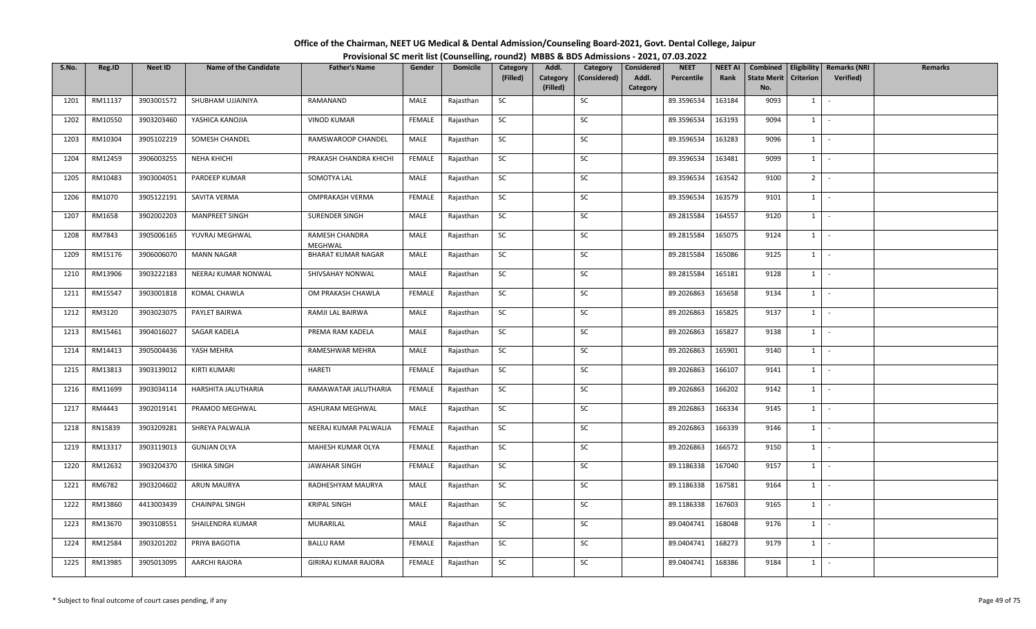| S.No. | Reg.ID  | <b>Neet ID</b> | <b>Name of the Candidate</b> | <b>Father's Name</b>                 | Gender        | <b>Domicile</b> | Category  | Addl.                | Category     | Considered        | <b>NEET</b> | <b>NEET AI</b> | Combined                  |                  | Eligibility   Remarks (NRI | Remarks |
|-------|---------|----------------|------------------------------|--------------------------------------|---------------|-----------------|-----------|----------------------|--------------|-------------------|-------------|----------------|---------------------------|------------------|----------------------------|---------|
|       |         |                |                              |                                      |               |                 | (Filled)  | Category<br>(Filled) | (Considered) | Addl.<br>Category | Percentile  | Rank           | <b>State Merit</b><br>No. | <b>Criterion</b> | <b>Verified</b> )          |         |
| 1201  | RM11137 | 3903001572     | SHUBHAM UJJAINIYA            | RAMANAND                             | MALE          | Rajasthan       | SC        |                      | SC           |                   | 89.3596534  | 163184         | 9093                      | $1 \vert$        | $\sim$                     |         |
|       |         |                |                              |                                      |               |                 |           |                      |              |                   |             |                |                           |                  |                            |         |
| 1202  | RM10550 | 3903203460     | YASHICA KANOJIA              | <b>VINOD KUMAR</b>                   | FEMALE        | Rajasthan       | <b>SC</b> |                      | SC           |                   | 89.3596534  | 163193         | 9094                      | 1                | $\sim$                     |         |
| 1203  | RM10304 | 3905102219     | SOMESH CHANDEL               | RAMSWAROOP CHANDEL                   | MALE          | Rajasthan       | <b>SC</b> |                      | SC           |                   | 89.3596534  | 163283         | 9096                      | 1                | $\sim$                     |         |
| 1204  | RM12459 | 3906003255     | NEHA KHICHI                  | PRAKASH CHANDRA KHICHI               | FEMALE        | Rajasthan       | SC        |                      | SC           |                   | 89.3596534  | 163481         | 9099                      | $1 \mid$         | $\sim$                     |         |
| 1205  | RM10483 | 3903004051     | PARDEEP KUMAR                | SOMOTYA LAL                          | MALE          | Rajasthan       | SC        |                      | SC           |                   | 89.3596534  | 163542         | 9100                      | 2 <sup>1</sup>   | $\sim$ $\sim$              |         |
| 1206  | RM1070  | 3905122191     | SAVITA VERMA                 | OMPRAKASH VERMA                      | FEMALE        | Rajasthan       | SC        |                      | SC           |                   | 89.3596534  | 163579         | 9101                      | $1$ $-$          |                            |         |
| 1207  | RM1658  | 3902002203     | <b>MANPREET SINGH</b>        | SURENDER SINGH                       | MALE          | Rajasthan       | <b>SC</b> |                      | SC           |                   | 89.2815584  | 164557         | 9120                      | 1                | $\sim$                     |         |
| 1208  | RM7843  | 3905006165     | YUVRAJ MEGHWAL               | RAMESH CHANDRA                       | MALE          | Rajasthan       | SC        |                      | SC           |                   | 89.2815584  | 165075         | 9124                      | $1 \vert$        | $\sim$                     |         |
| 1209  | RM15176 | 3906006070     | <b>MANN NAGAR</b>            | MEGHWAL<br><b>BHARAT KUMAR NAGAR</b> | MALE          | Rajasthan       | <b>SC</b> |                      | SC           |                   | 89.2815584  | 165086         | 9125                      | $1 \quad$        | $\sim$                     |         |
| 1210  | RM13906 | 3903222183     | NEERAJ KUMAR NONWAL          | SHIVSAHAY NONWAL                     | MALE          | Rajasthan       | SC        |                      | SC           |                   | 89.2815584  | 165181         | 9128                      | $1 \quad$        | $\sim$                     |         |
| 1211  | RM15547 | 3903001818     | KOMAL CHAWLA                 | OM PRAKASH CHAWLA                    | <b>FEMALE</b> | Rajasthan       | <b>SC</b> |                      | SC           |                   | 89.2026863  | 165658         | 9134                      | $1 \quad$        | $\sim$                     |         |
| 1212  | RM3120  | 3903023075     | PAYLET BAIRWA                | RAMJI LAL BAIRWA                     | MALE          | Rajasthan       | <b>SC</b> |                      | SC           |                   | 89.2026863  | 165825         | 9137                      | 1                | $\sim$                     |         |
| 1213  | RM15461 | 3904016027     | SAGAR KADELA                 | PREMA RAM KADELA                     | MALE          | Rajasthan       | <b>SC</b> |                      | SC           |                   | 89.2026863  | 165827         | 9138                      | $1$ $\cdot$      |                            |         |
| 1214  | RM14413 | 3905004436     | YASH MEHRA                   | RAMESHWAR MEHRA                      | MALE          | Rajasthan       | SC        |                      | SC           |                   | 89.2026863  | 165901         | 9140                      | $1 \quad$        | $\sim$                     |         |
| 1215  | RM13813 | 3903139012     | KIRTI KUMARI                 | <b>HARETI</b>                        | FEMALE        | Rajasthan       | SC        |                      | SC           |                   | 89.2026863  | 166107         | 9141                      | $1 \vert$        | $\sim$                     |         |
| 1216  | RM11699 | 3903034114     | HARSHITA JALUTHARIA          | RAMAWATAR JALUTHARIA                 | FEMALE        | Rajasthan       | <b>SC</b> |                      | SC           |                   | 89.2026863  | 166202         | 9142                      | 1                | $\sim$                     |         |
| 1217  | RM4443  | 3902019141     | PRAMOD MEGHWAL               | ASHURAM MEGHWAL                      | MALE          | Rajasthan       | SC        |                      | SC           |                   | 89.2026863  | 166334         | 9145                      | $1 \vert$        | $\sim$                     |         |
| 1218  | RN15839 | 3903209281     | SHREYA PALWALIA              | NEERAJ KUMAR PALWALIA                | FEMALE        | Rajasthan       | SC        |                      | SC           |                   | 89.2026863  | 166339         | 9146                      | $1 \quad$        | $\sim$                     |         |
| 1219  | RM13317 | 3903119013     | <b>GUNJAN OLYA</b>           | MAHESH KUMAR OLYA                    | <b>FEMALE</b> | Rajasthan       | SC        |                      | SC           |                   | 89.2026863  | 166572         | 9150                      | $1 \quad$        | $\sim$                     |         |
| 1220  | RM12632 | 3903204370     | <b>ISHIKA SINGH</b>          | <b>JAWAHAR SINGH</b>                 | FEMALE        | Rajasthan       | <b>SC</b> |                      | SC           |                   | 89.1186338  | 167040         | 9157                      | $1 \quad$        | $\sim$                     |         |
| 1221  | RM6782  | 3903204602     | <b>ARUN MAURYA</b>           | RADHESHYAM MAURYA                    | MALE          | Rajasthan       | <b>SC</b> |                      | SC           |                   | 89.1186338  | 167581         | 9164                      | 1                | $\sim$                     |         |
| 1222  | RM13860 | 4413003439     | <b>CHAINPAL SINGH</b>        | <b>KRIPAL SINGH</b>                  | MALE          | Rajasthan       | SC        |                      | SC           |                   | 89.1186338  | 167603         | 9165                      | $1 \mid$         | $\sim$                     |         |
| 1223  | RM13670 | 3903108551     | SHAILENDRA KUMAR             | MURARILAL                            | MALE          | Rajasthan       | SC        |                      | <b>SC</b>    |                   | 89.0404741  | 168048         | 9176                      | $1 \quad$        | $\sim$                     |         |
| 1224  | RM12584 | 3903201202     | PRIYA BAGOTIA                | <b>BALLU RAM</b>                     | FEMALE        | Rajasthan       | SC        |                      | SC           |                   | 89.0404741  | 168273         | 9179                      | $1 \vert$        | $\sim$                     |         |
| 1225  | RM13985 | 3905013095     | <b>AARCHI RAJORA</b>         | GIRIRAJ KUMAR RAJORA                 | FEMALE        | Rajasthan       | SC        |                      | SC           |                   | 89.0404741  | 168386         | 9184                      | $1 \quad$        | $\sim$                     |         |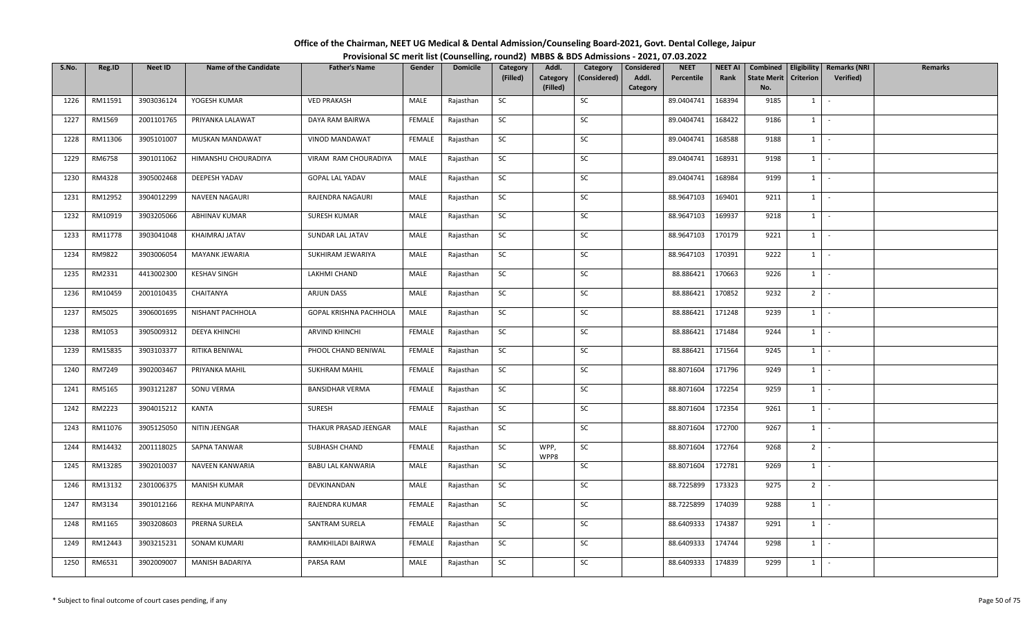| Office of the Chairman, NEET UG Medical & Dental Admission/Counseling Board-2021, Govt. Dental College, Jaipur |  |
|----------------------------------------------------------------------------------------------------------------|--|
| Provisional SC merit list (Counselling, round2) MBBS & BDS Admissions - 2021, 07.03.2022                       |  |

| S.No. | Reg.ID  | <b>Neet ID</b> | <b>Name of the Candidate</b> | <b>Father's Name</b>          | Gender        | <b>Domicile</b> | Category<br>(Filled) | Addl.<br>Category | Category<br>(Considered) | Considered<br>Addl. | <b>NEET</b><br>Percentile | <b>NEET AI</b><br>Rank | Combined<br><b>State Merit</b> | Criterion      | Eligibility   Remarks (NRI<br>Verified) | <b>Remarks</b> |
|-------|---------|----------------|------------------------------|-------------------------------|---------------|-----------------|----------------------|-------------------|--------------------------|---------------------|---------------------------|------------------------|--------------------------------|----------------|-----------------------------------------|----------------|
|       |         |                |                              |                               |               |                 |                      | (Filled)          |                          | Category            |                           |                        | No.                            |                |                                         |                |
| 1226  | RM11591 | 3903036124     | YOGESH KUMAR                 | <b>VED PRAKASH</b>            | MALE          | Rajasthan       | SC                   |                   | SC                       |                     | 89.0404741                | 168394                 | 9185                           | $1 \quad$      | $\sim$                                  |                |
| 1227  | RM1569  | 2001101765     | PRIYANKA LALAWAT             | DAYA RAM BAIRWA               | <b>FEMALE</b> | Rajasthan       | SC                   |                   | SC                       |                     | 89.0404741                | 168422                 | 9186                           | $1 \cdot$      |                                         |                |
| 1228  | RM11306 | 3905101007     | MUSKAN MANDAWAT              | VINOD MANDAWAT                | <b>FEMALE</b> | Rajasthan       | <b>SC</b>            |                   | SC                       |                     | 89.0404741                | 168588                 | 9188                           | $1$ $\cdot$    |                                         |                |
| 1229  | RM6758  | 3901011062     | HIMANSHU CHOURADIYA          | VIRAM RAM CHOURADIYA          | MALE          | Rajasthan       | SC                   |                   | SC                       |                     | 89.0404741                | 168931                 | 9198                           | $1$ $\vert$    |                                         |                |
| 1230  | RM4328  | 3905002468     | DEEPESH YADAV                | <b>GOPAL LAL YADAV</b>        | MALE          | Rajasthan       | SC                   |                   | SC                       |                     | 89.0404741                | 168984                 | 9199                           | $1$ $\vert$    |                                         |                |
| 1231  | RM12952 | 3904012299     | NAVEEN NAGAURI               | RAJENDRA NAGAURI              | MALE          | Rajasthan       | SC                   |                   | SC                       |                     | 88.9647103                | 169401                 | 9211                           | $1$ $\cdot$    |                                         |                |
| 1232  | RM10919 | 3903205066     | ABHINAV KUMAR                | SURESH KUMAR                  | MALE          | Rajasthan       | SC                   |                   | SC                       |                     | 88.9647103                | 169937                 | 9218                           | $1 \quad$      | $\sim$                                  |                |
| 1233  | RM11778 | 3903041048     | KHAIMRAJ JATAV               | SUNDAR LAL JATAV              | MALE          | Rajasthan       | SC                   |                   | SC                       |                     | 88.9647103                | 170179                 | 9221                           | $1$ $\vert$    |                                         |                |
| 1234  | RM9822  | 3903006054     | MAYANK JEWARIA               | SUKHIRAM JEWARIYA             | MALE          | Rajasthan       | SC                   |                   | SC                       |                     | 88.9647103                | 170391                 | 9222                           | $1 \mid$       | $\sim$                                  |                |
| 1235  | RM2331  | 4413002300     | <b>KESHAV SINGH</b>          | LAKHMI CHAND                  | MALE          | Rajasthan       | SC                   |                   | SC                       |                     | 88.886421                 | 170663                 | 9226                           | $1 \cdot$      |                                         |                |
| 1236  | RM10459 | 2001010435     | CHAITANYA                    | ARJUN DASS                    | MALE          | Rajasthan       | SC                   |                   | SC                       |                     | 88.886421                 | 170852                 | 9232                           | $2$ -          |                                         |                |
| 1237  | RM5025  | 3906001695     | NISHANT PACHHOLA             | <b>GOPAL KRISHNA PACHHOLA</b> | MALE          | Rajasthan       | SC                   |                   | SC                       |                     | 88.886421                 | 171248                 | 9239                           | 1              | $\sim$                                  |                |
| 1238  | RM1053  | 3905009312     | DEEYA KHINCHI                | <b>ARVIND KHINCHI</b>         | FEMALE        | Rajasthan       | SC                   |                   | SC                       |                     | 88.886421                 | 171484                 | 9244                           | 1              | $\sim$                                  |                |
| 1239  | RM15835 | 3903103377     | RITIKA BENIWAL               | PHOOL CHAND BENIWAL           | FEMALE        | Rajasthan       | SC                   |                   | SC                       |                     | 88.886421                 | 171564                 | 9245                           | $1 \mid$       | $\sim$                                  |                |
| 1240  | RM7249  | 3902003467     | PRIYANKA MAHIL               | <b>SUKHRAM MAHIL</b>          | FEMALE        | Rajasthan       | SC                   |                   | SC                       |                     | 88.8071604                | 171796                 | 9249                           | $1$ $-$        |                                         |                |
| 1241  | RM5165  | 3903121287     | SONU VERMA                   | <b>BANSIDHAR VERMA</b>        | FEMALE        | Rajasthan       | SC                   |                   | SC                       |                     | 88.8071604                | 172254                 | 9259                           | $1$   -        |                                         |                |
| 1242  | RM2223  | 3904015212     | KANTA                        | <b>SURESH</b>                 | FEMALE        | Rajasthan       | SC                   |                   | SC                       |                     | 88.8071604                | 172354                 | 9261                           | $1 \mid$       | $\sim$                                  |                |
| 1243  | RM11076 | 3905125050     | NITIN JEENGAR                | THAKUR PRASAD JEENGAR         | MALE          | Rajasthan       | SC                   |                   | SC                       |                     | 88.8071604                | 172700                 | 9267                           | 1              | $\sim$                                  |                |
| 1244  | RM14432 | 2001118025     | SAPNA TANWAR                 | SUBHASH CHAND                 | FEMALE        | Rajasthan       | SC                   | WPP,<br>WPP8      | SC                       |                     | 88.8071604                | 172764                 | 9268                           | $2$ -          |                                         |                |
| 1245  | RM13285 | 3902010037     | NAVEEN KANWARIA              | <b>BABU LAL KANWARIA</b>      | MALE          | Rajasthan       | SC                   |                   | SC                       |                     | 88.8071604                | 172781                 | 9269                           | $1$ $-$        |                                         |                |
| 1246  | RM13132 | 2301006375     | <b>MANISH KUMAR</b>          | DEVKINANDAN                   | MALE          | Rajasthan       | SC                   |                   | SC                       |                     | 88.7225899                | 173323                 | 9275                           | 2 <sup>1</sup> | $\sim$                                  |                |
| 1247  | RM3134  | 3901012166     | REKHA MUNPARIYA              | RAJENDRA KUMAR                | <b>FEMALE</b> | Rajasthan       | SC                   |                   | SC                       |                     | 88.7225899                | 174039                 | 9288                           | $1 \mid$       | $\sim$                                  |                |
| 1248  | RM1165  | 3903208603     | PRERNA SURELA                | SANTRAM SURELA                | FEMALE        | Rajasthan       | SC                   |                   | SC                       |                     | 88.6409333                | 174387                 | 9291                           | $1$ $-$        |                                         |                |
| 1249  | RM12443 | 3903215231     | SONAM KUMARI                 | RAMKHILADI BAIRWA             | FEMALE        | Rajasthan       | SC                   |                   | SC                       |                     | 88.6409333                | 174744                 | 9298                           | $1$ $-$        |                                         |                |
| 1250  | RM6531  | 3902009007     | MANISH BADARIYA              | PARSA RAM                     | MALE          | Rajasthan       | SC                   |                   | SC                       |                     | 88.6409333                | 174839                 | 9299                           | $1 \quad$      |                                         |                |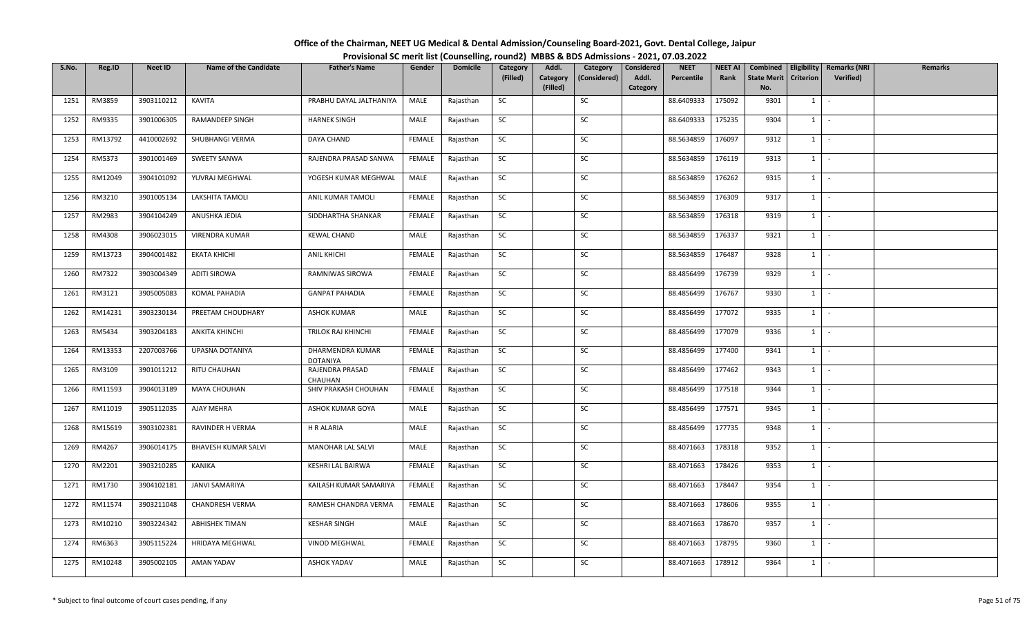| Office of the Chairman, NEET UG Medical & Dental Admission/Counseling Board-2021, Govt. Dental College, Jaipur |  |
|----------------------------------------------------------------------------------------------------------------|--|
| Provisional SC merit list (Counselling, round2) MBBS & BDS Admissions - 2021, 07.03.2022                       |  |

| S.No. | Reg.ID  | <b>Neet ID</b> | <b>Name of the Candidate</b> | <b>Father's Name</b>                | Gender        | <b>Domicile</b> | Category  | Addl.                | Category     | Considered        | <b>NEET</b> | <b>NEET AI</b> | Combined                  |                  | Eligibility   Remarks (NRI | Remarks |
|-------|---------|----------------|------------------------------|-------------------------------------|---------------|-----------------|-----------|----------------------|--------------|-------------------|-------------|----------------|---------------------------|------------------|----------------------------|---------|
|       |         |                |                              |                                     |               |                 | (Filled)  | Category<br>(Filled) | (Considered) | Addl.<br>Category | Percentile  | Rank           | <b>State Merit</b><br>No. | <b>Criterion</b> | <b>Verified</b> )          |         |
| 1251  | RM3859  | 3903110212     | KAVITA                       | PRABHU DAYAL JALTHANIYA             | MALE          | Rajasthan       | SC        |                      | SC           |                   | 88.6409333  | 175092         | 9301                      | 1                | $\sim$                     |         |
|       |         |                |                              |                                     |               |                 |           |                      |              |                   |             |                |                           |                  |                            |         |
| 1252  | RM9335  | 3901006305     | RAMANDEEP SINGH              | <b>HARNEK SINGH</b>                 | MALE          | Rajasthan       | <b>SC</b> |                      | SC           |                   | 88.6409333  | 175235         | 9304                      | $1 \quad$        | $\sim$                     |         |
| 1253  | RM13792 | 4410002692     | SHUBHANGI VERMA              | DAYA CHAND                          | <b>FEMALE</b> | Rajasthan       | <b>SC</b> |                      | SC           |                   | 88.5634859  | 176097         | 9312                      | $1 \mid$         | $\sim$ $-$                 |         |
| 1254  | RM5373  | 3901001469     | <b>SWEETY SANWA</b>          | RAJENDRA PRASAD SANWA               | FEMALE        | Rajasthan       | SC        |                      | SC           |                   | 88.5634859  | 176119         | 9313                      | $1 \mid$         | $\sim$                     |         |
| 1255  | RM12049 | 3904101092     | YUVRAJ MEGHWAL               | YOGESH KUMAR MEGHWAL                | MALE          | Rajasthan       | SC        |                      | SC           |                   | 88.5634859  | 176262         | 9315                      | 1                | $\sim$                     |         |
| 1256  | RM3210  | 3901005134     | LAKSHITA TAMOLI              | ANIL KUMAR TAMOLI                   | FEMALE        | Rajasthan       | SC        |                      | SC           |                   | 88.5634859  | 176309         | 9317                      | $1 \vert$        | $\sim$                     |         |
| 1257  | RM2983  | 3904104249     | ANUSHKA JEDIA                | SIDDHARTHA SHANKAR                  | FEMALE        | Rajasthan       | SC        |                      | SC           |                   | 88.5634859  | 176318         | 9319                      | $1 \quad$        | $\sim$                     |         |
| 1258  | RM4308  | 3906023015     | VIRENDRA KUMAR               | <b>KEWAL CHAND</b>                  | MALE          | Rajasthan       | <b>SC</b> |                      | SC           |                   | 88.5634859  | 176337         | 9321                      | 1                | $\sim$                     |         |
| 1259  | RM13723 | 3904001482     | <b>EKATA KHICHI</b>          | <b>ANIL KHICHI</b>                  | FEMALE        | Rajasthan       | SC        |                      | SC           |                   | 88.5634859  | 176487         | 9328                      | 1                | $\sim$                     |         |
| 1260  | RM7322  | 3903004349     | <b>ADITI SIROWA</b>          | RAMNIWAS SIROWA                     | FEMALE        | Rajasthan       | SC        |                      | SC           |                   | 88.4856499  | 176739         | 9329                      | $1 \quad$        | $\sim$                     |         |
| 1261  | RM3121  | 3905005083     | KOMAL PAHADIA                | <b>GANPAT PAHADIA</b>               | FEMALE        | Rajasthan       | <b>SC</b> |                      | SC           |                   | 88.4856499  | 176767         | 9330                      | $1$ $-$          |                            |         |
| 1262  | RM14231 | 3903230134     | PREETAM CHOUDHARY            | <b>ASHOK KUMAR</b>                  | MALE          | Rajasthan       | SC        |                      | SC           |                   | 88.4856499  | 177072         | 9335                      | $1 \vert$        | $\sim$                     |         |
| 1263  | RM5434  | 3903204183     | <b>ANKITA KHINCHI</b>        | TRILOK RAJ KHINCHI                  | FEMALE        | Rajasthan       | <b>SC</b> |                      | SC           |                   | 88.4856499  | 177079         | 9336                      | 1                | $\sim$                     |         |
| 1264  | RM13353 | 2207003766     | UPASNA DOTANIYA              | DHARMENDRA KUMAR<br><b>DOTANIYA</b> | FEMALE        | Rajasthan       | <b>SC</b> |                      | SC           |                   | 88.4856499  | 177400         | 9341                      | $1 \quad$        | $\sim$                     |         |
| 1265  | RM3109  | 3901011212     | RITU CHAUHAN                 | RAJENDRA PRASAD<br><b>CHAUHAN</b>   | FEMALE        | Rajasthan       | SC        |                      | SC           |                   | 88.4856499  | 177462         | 9343                      | $1 \vert$        | $\sim$                     |         |
| 1266  | RM11593 | 3904013189     | <b>MAYA CHOUHAN</b>          | SHIV PRAKASH CHOUHAN                | FEMALE        | Rajasthan       | <b>SC</b> |                      | SC           |                   | 88.4856499  | 177518         | 9344                      | 1                | $\sim$                     |         |
| 1267  | RM11019 | 3905112035     | AJAY MEHRA                   | ASHOK KUMAR GOYA                    | MALE          | Rajasthan       | <b>SC</b> |                      | SC           |                   | 88.4856499  | 177571         | 9345                      | $1 \vert$        | $\sim$                     |         |
| 1268  | RM15619 | 3903102381     | RAVINDER H VERMA             | H R ALARIA                          | MALE          | Rajasthan       | SC        |                      | SC           |                   | 88.4856499  | 177735         | 9348                      | $1 \quad$        | $\sim$                     |         |
| 1269  | RM4267  | 3906014175     | <b>BHAVESH KUMAR SALVI</b>   | <b>MANOHAR LAL SALVI</b>            | MALE          | Rajasthan       | SC        |                      | SC           |                   | 88.4071663  | 178318         | 9352                      |                  | $1 \cdot$                  |         |
| 1270  | RM2201  | 3903210285     | KANIKA                       | KESHRI LAL BAIRWA                   | FEMALE        | Rajasthan       | SC        |                      | SC           |                   | 88.4071663  | 178426         | 9353                      | $1 \vert$        | $\sim$                     |         |
| 1271  | RM1730  | 3904102181     | <b>JANVI SAMARIYA</b>        | KAILASH KUMAR SAMARIYA              | FEMALE        | Rajasthan       | <b>SC</b> |                      | SC           |                   | 88.4071663  | 178447         | 9354                      | $1 \quad$        | $\sim$                     |         |
| 1272  | RM11574 | 3903211048     | <b>CHANDRESH VERMA</b>       | RAMESH CHANDRA VERMA                | FEMALE        | Rajasthan       | SC        |                      | SC           |                   | 88.4071663  | 178606         | 9355                      | 1                | $\sim$                     |         |
| 1273  | RM10210 | 3903224342     | <b>ABHISHEK TIMAN</b>        | <b>KESHAR SINGH</b>                 | MALE          | Rajasthan       | SC        |                      | SC           |                   | 88.4071663  | 178670         | 9357                      | $1 \quad$        | $\sim$                     |         |
| 1274  | RM6363  | 3905115224     | HRIDAYA MEGHWAL              | VINOD MEGHWAL                       | FEMALE        | Rajasthan       | <b>SC</b> |                      | <b>SC</b>    |                   | 88.4071663  | 178795         | 9360                      | $1 \quad$        | $\sim$                     |         |
| 1275  | RM10248 | 3905002105     | AMAN YADAV                   | <b>ASHOK YADAV</b>                  | MALE          | Rajasthan       | SC        |                      | SC           |                   | 88.4071663  | 178912         | 9364                      | $1 \quad$        | $\sim$                     |         |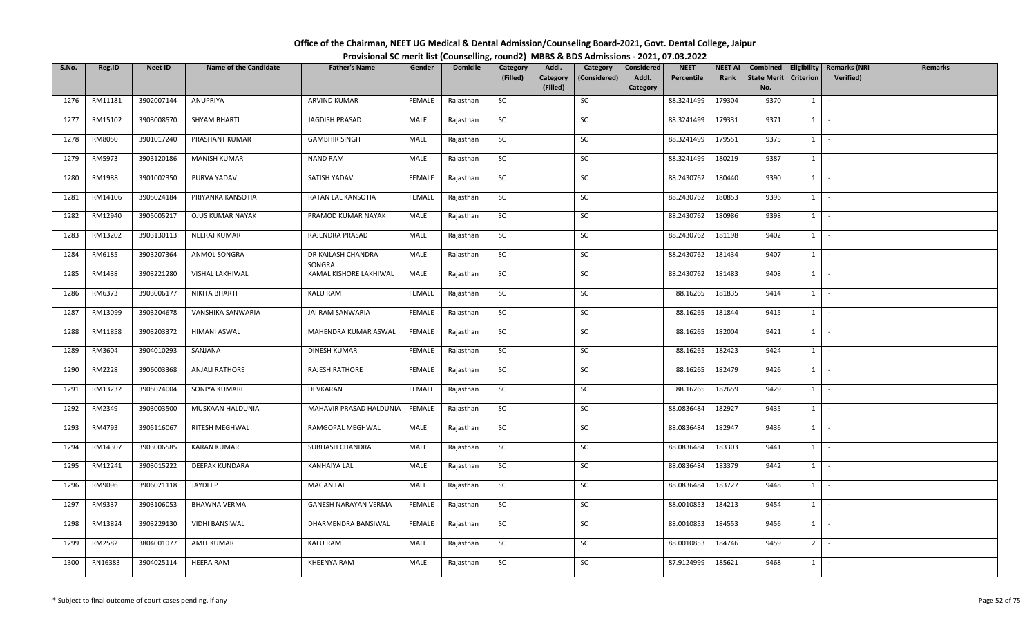| S.No. | Reg.ID  | Neet ID    | <b>Name of the Candidate</b> | <b>Father's Name</b>         | Gender        | <b>Domicile</b> | Category  | Addl.                | Category     | <b>Considered</b> | <b>NEET</b> | <b>NEET AI</b> | Combined                  | Eligibility      | <b>Remarks (NRI</b> | <b>Remarks</b> |
|-------|---------|------------|------------------------------|------------------------------|---------------|-----------------|-----------|----------------------|--------------|-------------------|-------------|----------------|---------------------------|------------------|---------------------|----------------|
|       |         |            |                              |                              |               |                 | (Filled)  | Category<br>(Filled) | (Considered) | Addl.<br>Category | Percentile  | Rank           | <b>State Merit</b><br>No. | <b>Criterion</b> | <b>Verified</b> )   |                |
| 1276  | RM11181 | 3902007144 | ANUPRIYA                     | ARVIND KUMAR                 | FEMALE        | Rajasthan       | SC        |                      | SC           |                   | 88.3241499  | 179304         | 9370                      | $1 \vert$        | $\sim$              |                |
| 1277  | RM15102 | 3903008570 | SHYAM BHARTI                 | JAGDISH PRASAD               | MALE          | Rajasthan       | SC        |                      | <b>SC</b>    |                   | 88.3241499  | 179331         | 9371                      | $1 \vert$        | $\sim$              |                |
| 1278  | RM8050  | 3901017240 | PRASHANT KUMAR               | <b>GAMBHIR SINGH</b>         | MALE          | Rajasthan       | SC        |                      | SC           |                   | 88.3241499  | 179551         | 9375                      | $1 \vert$        | $\sim$              |                |
| 1279  | RM5973  | 3903120186 | <b>MANISH KUMAR</b>          | <b>NAND RAM</b>              | MALE          | Rajasthan       | <b>SC</b> |                      | SC           |                   | 88.3241499  | 180219         | 9387                      | $1 \vert$        | $\sim$              |                |
| 1280  | RM1988  | 3901002350 | PURVA YADAV                  | SATISH YADAV                 | <b>FEMALE</b> | Rajasthan       | SC        |                      | SC           |                   | 88.2430762  | 180440         | 9390                      | $1 \vert$        | $\sim$              |                |
| 1281  | RM14106 | 3905024184 | PRIYANKA KANSOTIA            | RATAN LAL KANSOTIA           | <b>FEMALE</b> | Rajasthan       | <b>SC</b> |                      | SC           |                   | 88.2430762  | 180853         | 9396                      | $1 \vert$        | $\sim$              |                |
| 1282  | RM12940 | 3905005217 | OJUS KUMAR NAYAK             | PRAMOD KUMAR NAYAK           | MALE          | Rajasthan       | SC        |                      | <b>SC</b>    |                   | 88.2430762  | 180986         | 9398                      | $1 \vert$        | $\sim$              |                |
| 1283  | RM13202 | 3903130113 | NEERAJ KUMAR                 | RAJENDRA PRASAD              | MALE          | Rajasthan       | SC        |                      | SC           |                   | 88.2430762  | 181198         | 9402                      | $1 \vert$        | $\sim$              |                |
| 1284  | RM6185  | 3903207364 | ANMOL SONGRA                 | DR KAILASH CHANDRA<br>SONGRA | MALE          | Rajasthan       | SC        |                      | SC           |                   | 88.2430762  | 181434         | 9407                      | $1 \vert$        | $\sim$              |                |
| 1285  | RM1438  | 3903221280 | VISHAL LAKHIWAL              | KAMAL KISHORE LAKHIWAL       | MALE          | Rajasthan       | SC        |                      | SC           |                   | 88.2430762  | 181483         | 9408                      | $1 \vert$        | $\sim$              |                |
| 1286  | RM6373  | 3903006177 | NIKITA BHARTI                | <b>KALU RAM</b>              | <b>FEMALE</b> | Rajasthan       | <b>SC</b> |                      | SC           |                   | 88.16265    | 181835         | 9414                      | $1 \vert$        | $\sim$              |                |
| 1287  | RM13099 | 3903204678 | VANSHIKA SANWARIA            | JAI RAM SANWARIA             | <b>FEMALE</b> | Rajasthan       | SC        |                      | SC           |                   | 88.16265    | 181844         | 9415                      | $\overline{1}$   | $\sim$              |                |
| 1288  | RM11858 | 3903203372 | HIMANI ASWAL                 | MAHENDRA KUMAR ASWAL         | FEMALE        | Rajasthan       | SC        |                      | SC           |                   | 88.16265    | 182004         | 9421                      | $1 \vert$        | $\sim$              |                |
| 1289  | RM3604  | 3904010293 | SANJANA                      | DINESH KUMAR                 | FEMALE        | Rajasthan       | SC        |                      | SC           |                   | 88.16265    | 182423         | 9424                      | $1 \vert$        | $\sim$              |                |
| 1290  | RM2228  | 3906003368 | ANJALI RATHORE               | <b>RAJESH RATHORE</b>        | FEMALE        | Rajasthan       | SC        |                      | SC           |                   | 88.16265    | 182479         | 9426                      | $1 \vert$        | $\sim$              |                |
| 1291  | RM13232 | 3905024004 | SONIYA KUMARI                | DEVKARAN                     | FEMALE        | Rajasthan       | <b>SC</b> |                      | SC           |                   | 88.16265    | 182659         | 9429                      | $1 \vert -$      |                     |                |
| 1292  | RM2349  | 3903003500 | MUSKAAN HALDUNIA             | MAHAVIR PRASAD HALDUNIA      | FEMALE        | Rajasthan       | <b>SC</b> |                      | SC           |                   | 88.0836484  | 182927         | 9435                      | $\overline{1}$   | $\sim$              |                |
| 1293  | RM4793  | 3905116067 | RITESH MEGHWAL               | RAMGOPAL MEGHWAL             | MALE          | Rajasthan       | SC        |                      | SC           |                   | 88.0836484  | 182947         | 9436                      | $1 \vert$        | $\sim$              |                |
| 1294  | RM14307 | 3903006585 | <b>KARAN KUMAR</b>           | SUBHASH CHANDRA              | MALE          | Rajasthan       | SC        |                      | SC           |                   | 88.0836484  | 183303         | 9441                      | $1 \vert$        | $\sim 10^{-1}$      |                |
| 1295  | RM12241 | 3903015222 | <b>DEEPAK KUNDARA</b>        | KANHAIYA LAL                 | MALE          | Rajasthan       | SC        |                      | SC           |                   | 88.0836484  | 183379         | 9442                      | $1 \vert$        | $\sim$              |                |
| 1296  | RM9096  | 3906021118 | JAYDEEP                      | <b>MAGAN LAL</b>             | MALE          | Rajasthan       | <b>SC</b> |                      | SC           |                   | 88.0836484  | 183727         | 9448                      | $1$ $\sim$       |                     |                |
| 1297  | RM9337  | 3903106053 | <b>BHAWNA VERMA</b>          | <b>GANESH NARAYAN VERMA</b>  | <b>FEMALE</b> | Rajasthan       | SC        |                      | SC           |                   | 88.0010853  | 184213         | 9454                      | $1 \vert$        | $\sim$              |                |
| 1298  | RM13824 | 3903229130 | <b>VIDHI BANSIWAL</b>        | DHARMENDRA BANSIWAL          | FEMALE        | Rajasthan       | SC        |                      | SC           |                   | 88.0010853  | 184553         | 9456                      | $1 \vert$        | $\sim$              |                |
| 1299  | RM2582  | 3804001077 | <b>AMIT KUMAR</b>            | <b>KALU RAM</b>              | MALE          | Rajasthan       | SC        |                      | SC           |                   | 88.0010853  | 184746         | 9459                      | 2 <sup>1</sup>   | $\sim$              |                |
| 1300  | RN16383 | 3904025114 | <b>HEERA RAM</b>             | <b>KHEENYA RAM</b>           | MALE          | Rajasthan       | <b>SC</b> |                      | SC           |                   | 87.9124999  | 185621         | 9468                      | $1 \vert$        | $\sim$              |                |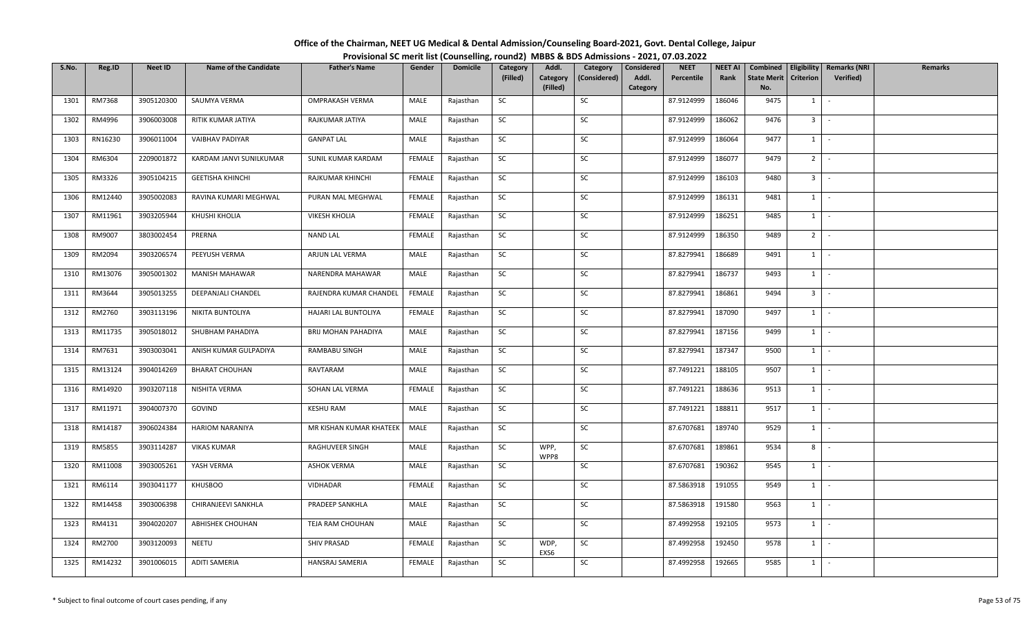| Office of the Chairman, NEET UG Medical & Dental Admission/Counseling Board-2021, Govt. Dental College, Jaipur |                                                                                          |
|----------------------------------------------------------------------------------------------------------------|------------------------------------------------------------------------------------------|
|                                                                                                                | Provisional SC merit list (Counselling, round2) MBBS & BDS Admissions - 2021, 07.03.2022 |

| S.No. | Reg.ID  | <b>Neet ID</b> | <b>Name of the Candidate</b> | <b>Father's Name</b>    | Gender        | <b>Domicile</b> | Category<br>(Filled) | Addl.<br>Category | Category<br>(Considered) | Considered<br>Addl. | <b>NEET</b><br>Percentile | <b>NEET AI</b><br>Rank | Combined<br><b>State Merit</b> | Eligibility<br>Criterion     | <b>Remarks (NRI</b><br>Verified) | <b>Remarks</b> |
|-------|---------|----------------|------------------------------|-------------------------|---------------|-----------------|----------------------|-------------------|--------------------------|---------------------|---------------------------|------------------------|--------------------------------|------------------------------|----------------------------------|----------------|
|       |         |                |                              |                         |               |                 |                      | (Filled)          |                          | Category            |                           |                        | No.                            |                              |                                  |                |
| 1301  | RM7368  | 3905120300     | SAUMYA VERMA                 | OMPRAKASH VERMA         | MALE          | Rajasthan       | SC                   |                   | SC                       |                     | 87.9124999                | 186046                 | 9475                           | $1 \quad$                    | $\sim$                           |                |
| 1302  | RM4996  | 3906003008     | RITIK KUMAR JATIYA           | RAJKUMAR JATIYA         | MALE          | Rajasthan       | SC                   |                   | SC                       |                     | 87.9124999                | 186062                 | 9476                           | $3$ $\overline{\phantom{0}}$ |                                  |                |
| 1303  | RN16230 | 3906011004     | VAIBHAV PADIYAR              | <b>GANPAT LAL</b>       | MALE          | Rajasthan       | SC                   |                   | SC                       |                     | 87.9124999                | 186064                 | 9477                           | $1$ $-$                      |                                  |                |
| 1304  | RM6304  | 2209001872     | KARDAM JANVI SUNILKUMAR      | SUNIL KUMAR KARDAM      | <b>FEMALE</b> | Rajasthan       | SC                   |                   | SC                       |                     | 87.9124999                | 186077                 | 9479                           | 2 <sup>1</sup>               | $\sim$                           |                |
| 1305  | RM3326  | 3905104215     | <b>GEETISHA KHINCHI</b>      | RAJKUMAR KHINCHI        | FEMALE        | Rajasthan       | SC                   |                   | SC                       |                     | 87.9124999                | 186103                 | 9480                           | 3 <sup>1</sup>               | $\sim$                           |                |
| 1306  | RM12440 | 3905002083     | RAVINA KUMARI MEGHWAL        | PURAN MAL MEGHWAL       | FEMALE        | Rajasthan       | <b>SC</b>            |                   | SC                       |                     | 87.9124999                | 186131                 | 9481                           | $1$ $\vert$                  |                                  |                |
| 1307  | RM11961 | 3903205944     | KHUSHI KHOLIA                | <b>VIKESH KHOLIA</b>    | FEMALE        | Rajasthan       | <b>SC</b>            |                   | SC                       |                     | 87.9124999                | 186251                 | 9485                           | $1 \vert$                    | $\sim$                           |                |
| 1308  | RM9007  | 3803002454     | PRERNA                       | NAND LAL                | FEMALE        | Rajasthan       | SC                   |                   | SC                       |                     | 87.9124999                | 186350                 | 9489                           | 2 <sup>1</sup>               | $\sim$                           |                |
| 1309  | RM2094  | 3903206574     | PEEYUSH VERMA                | ARJUN LAL VERMA         | MALE          | Rajasthan       | SC                   |                   | SC                       |                     | 87.8279941                | 186689                 | 9491                           | $1 \mid$                     | $\sim$                           |                |
| 1310  | RM13076 | 3905001302     | <b>MANISH MAHAWAR</b>        | NARENDRA MAHAWAR        | MALE          | Rajasthan       | SC                   |                   | SC                       |                     | 87.8279941                | 186737                 | 9493                           | $1 \vert -$                  |                                  |                |
| 1311  | RM3644  | 3905013255     | DEEPANJALI CHANDEL           | RAJENDRA KUMAR CHANDEL  | FEMALE        | Rajasthan       | SC                   |                   | SC                       |                     | 87.8279941                | 186861                 | 9494                           | $3$ $\overline{\phantom{0}}$ |                                  |                |
| 1312  | RM2760  | 3903113196     | NIKITA BUNTOLIYA             | HAJARI LAL BUNTOLIYA    | <b>FEMALE</b> | Rajasthan       | SC                   |                   | SC                       |                     | 87.8279941                | 187090                 | 9497                           | 1                            | $\sim$                           |                |
| 1313  | RM11735 | 3905018012     | SHUBHAM PAHADIYA             | BRIJ MOHAN PAHADIYA     | MALE          | Rajasthan       | SC                   |                   | SC                       |                     | 87.8279941                | 187156                 | 9499                           | $1 -$                        |                                  |                |
| 1314  | RM7631  | 3903003041     | ANISH KUMAR GULPADIYA        | RAMBABU SINGH           | MALE          | Rajasthan       | SC                   |                   | SC                       |                     | 87.8279941                | 187347                 | 9500                           | $1$ $\vert$                  |                                  |                |
| 1315  | RM13124 | 3904014269     | <b>BHARAT CHOUHAN</b>        | RAVTARAM                | MALE          | Rajasthan       | <b>SC</b>            |                   | SC                       |                     | 87.7491221                | 188105                 | 9507                           | $1 \cdot$                    |                                  |                |
| 1316  | RM14920 | 3903207118     | NISHITA VERMA                | SOHAN LAL VERMA         | FEMALE        | Rajasthan       | SC                   |                   | SC                       |                     | 87.7491221                | 188636                 | 9513                           | $1$ $-$                      |                                  |                |
| 1317  | RM11971 | 3904007370     | GOVIND                       | <b>KESHU RAM</b>        | MALE          | Rajasthan       | SC                   |                   | SC                       |                     | 87.7491221                | 188811                 | 9517                           | 1                            | $\sim$                           |                |
| 1318  | RM14187 | 3906024384     | <b>HARIOM NARANIYA</b>       | MR KISHAN KUMAR KHATEEK | MALE          | Rajasthan       | SC                   |                   | SC                       |                     | 87.6707681                | 189740                 | 9529                           | $1 \mid$                     | $\sim$                           |                |
| 1319  | RM5855  | 3903114287     | <b>VIKAS KUMAR</b>           | RAGHUVEER SINGH         | MALE          | Rajasthan       | SC                   | WPP,<br>WPP8      | SC                       |                     | 87.6707681                | 189861                 | 9534                           | $8 -$                        |                                  |                |
| 1320  | RM11008 | 3903005261     | YASH VERMA                   | <b>ASHOK VERMA</b>      | MALE          | Rajasthan       | <b>SC</b>            |                   | SC                       |                     | 87.6707681                | 190362                 | 9545                           | 1                            | $\overline{\phantom{a}}$         |                |
| 1321  | RM6114  | 3903041177     | <b>KHUSBOO</b>               | VIDHADAR                | <b>FEMALE</b> | Rajasthan       | SC                   |                   | SC                       |                     | 87.5863918                | 191055                 | 9549                           | $1$ $\vert$                  |                                  |                |
| 1322  | RM14458 | 3903006398     | CHIRANJEEVI SANKHLA          | PRADEEP SANKHLA         | MALE          | Rajasthan       | <b>SC</b>            |                   | SC                       |                     | 87.5863918                | 191580                 | 9563                           | $1 \mid$                     | $\sim$                           |                |
| 1323  | RM4131  | 3904020207     | <b>ABHISHEK CHOUHAN</b>      | TEJA RAM CHOUHAN        | MALE          | Rajasthan       | <b>SC</b>            |                   | SC                       |                     | 87.4992958                | 192105                 | 9573                           | $1 \quad$                    |                                  |                |
| 1324  | RM2700  | 3903120093     | NEETU                        | SHIV PRASAD             | FEMALE        | Rajasthan       | SC                   | WDP,<br>EXS6      | SC                       |                     | 87.4992958                | 192450                 | 9578                           | $1 \cdot$                    |                                  |                |
| 1325  | RM14232 | 3901006015     | ADITI SAMERIA                | HANSRAJ SAMERIA         | FEMALE        | Rajasthan       | SC                   |                   | SC                       |                     | 87.4992958                | 192665                 | 9585                           | $1 \mid$                     |                                  |                |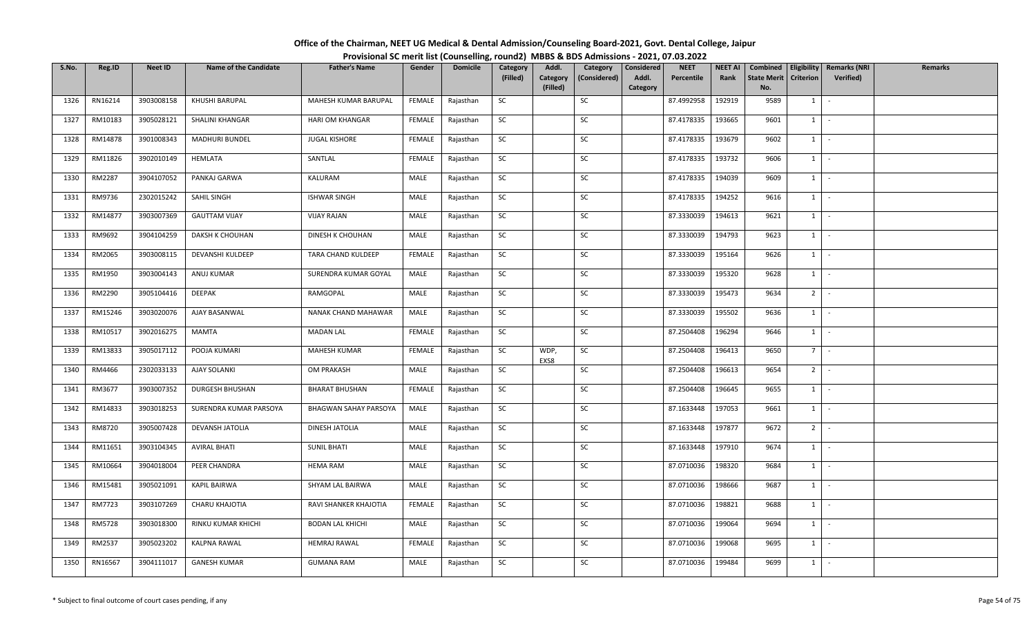| Office of the Chairman, NEET UG Medical & Dental Admission/Counseling Board-2021, Govt. Dental College, Jaipur |  |
|----------------------------------------------------------------------------------------------------------------|--|
| Provisional SC merit list (Counselling, round2) MBBS & BDS Admissions - 2021, 07.03.2022                       |  |

| S.No. | Reg.ID        | <b>Neet ID</b> | <b>Name of the Candidate</b> | <b>Father's Name</b>         | Gender        | <b>Domicile</b> | Category  | Addl.                | Category     | Considered        | <b>NEET</b> | <b>NEET AI</b> | Combined                  |                  | Eligibility   Remarks (NRI | <b>Remarks</b> |
|-------|---------------|----------------|------------------------------|------------------------------|---------------|-----------------|-----------|----------------------|--------------|-------------------|-------------|----------------|---------------------------|------------------|----------------------------|----------------|
|       |               |                |                              |                              |               |                 | (Filled)  | Category<br>(Filled) | (Considered) | Addl.<br>Category | Percentile  | Rank           | <b>State Merit</b><br>No. | <b>Criterion</b> | <b>Verified</b> )          |                |
| 1326  | RN16214       | 3903008158     | KHUSHI BARUPAL               | MAHESH KUMAR BARUPAL         | FEMALE        | Rajasthan       | SC        |                      | SC           |                   | 87.4992958  | 192919         | 9589                      | 1                | $\sim$                     |                |
|       |               |                |                              |                              |               |                 |           |                      |              |                   |             |                |                           |                  |                            |                |
| 1327  | RM10183       | 3905028121     | SHALINI KHANGAR              | HARI OM KHANGAR              | FEMALE        | Rajasthan       | SC        |                      | SC           |                   | 87.4178335  | 193665         | 9601                      | 1                | $\sim$                     |                |
| 1328  | RM14878       | 3901008343     | MADHURI BUNDEL               | JUGAL KISHORE                | FEMALE        | Rajasthan       | <b>SC</b> |                      | SC           |                   | 87.4178335  | 193679         | 9602                      | $1 \mid$         | $\sim$ $-$                 |                |
| 1329  | RM11826       | 3902010149     | HEMLATA                      | SANTLAL                      | <b>FEMALE</b> | Rajasthan       | SC        |                      | SC           |                   | 87.4178335  | 193732         | 9606                      | $1 \mid$         | $\sim$                     |                |
| 1330  | RM2287        | 3904107052     | PANKAJ GARWA                 | KALURAM                      | MALE          | Rajasthan       | SC        |                      | SC           |                   | 87.4178335  | 194039         | 9609                      | $1 \mid$         | $\sim$                     |                |
| 1331  | RM9736        | 2302015242     | SAHIL SINGH                  | <b>ISHWAR SINGH</b>          | MALE          | Rajasthan       | SC        |                      | SC           |                   | 87.4178335  | 194252         | 9616                      | 1                | $\sim$                     |                |
| 1332  | RM14877       | 3903007369     | <b>GAUTTAM VIJAY</b>         | <b>VIJAY RAJAN</b>           | MALE          | Rajasthan       | SC        |                      | SC           |                   | 87.3330039  | 194613         | 9621                      | $1 \quad$        | $\sim$                     |                |
| 1333  | RM9692        | 3904104259     | DAKSH K CHOUHAN              | DINESH K CHOUHAN             | MALE          | Rajasthan       | <b>SC</b> |                      | SC           |                   | 87.3330039  | 194793         | 9623                      | 1                | $\sim$                     |                |
| 1334  | RM2065        | 3903008115     | DEVANSHI KULDEEP             | TARA CHAND KULDEEP           | FEMALE        | Rajasthan       | SC        |                      | SC           |                   | 87.3330039  | 195164         | 9626                      | 1                | $\sim$                     |                |
| 1335  | RM1950        | 3903004143     | ANUJ KUMAR                   | SURENDRA KUMAR GOYAL         | MALE          | Rajasthan       | SC        |                      | SC           |                   | 87.3330039  | 195320         | 9628                      | 1                | $\sim$                     |                |
| 1336  | RM2290        | 3905104416     | DEEPAK                       | RAMGOPAL                     | MALE          | Rajasthan       | <b>SC</b> |                      | SC           |                   | 87.3330039  | 195473         | 9634                      | $2$ -            |                            |                |
| 1337  | RM15246       | 3903020076     | AJAY BASANWAL                | NANAK CHAND MAHAWAR          | MALE          | Rajasthan       | SC        |                      | SC           |                   | 87.3330039  | 195502         | 9636                      | $1 \vert$        | $\sim$                     |                |
| 1338  | RM10517       | 3902016275     | MAMTA                        | <b>MADAN LAL</b>             | <b>FEMALE</b> | Rajasthan       | <b>SC</b> |                      | SC           |                   | 87.2504408  | 196294         | 9646                      | 1                | $\sim$                     |                |
| 1339  | RM13833       | 3905017112     | POOJA KUMARI                 | MAHESH KUMAR                 | FEMALE        | Rajasthan       | SC        | WDP,<br>EXS8         | SC           |                   | 87.2504408  | 196413         | 9650                      | 7 I              | $\sim$                     |                |
| 1340  | RM4466        | 2302033133     | <b>AJAY SOLANKI</b>          | OM PRAKASH                   | MALE          | Rajasthan       | SC        |                      | SC           |                   | 87.2504408  | 196613         | 9654                      | 2 <sup>1</sup>   | $\sim$                     |                |
| 1341  | RM3677        | 3903007352     | <b>DURGESH BHUSHAN</b>       | <b>BHARAT BHUSHAN</b>        | FEMALE        | Rajasthan       | <b>SC</b> |                      | SC           |                   | 87.2504408  | 196645         | 9655                      | $1 \mid$         | $\sim$                     |                |
| 1342  | RM14833       | 3903018253     | SURENDRA KUMAR PARSOYA       | <b>BHAGWAN SAHAY PARSOYA</b> | MALE          | Rajasthan       | <b>SC</b> |                      | SC           |                   | 87.1633448  | 197053         | 9661                      | 1                | $\sim$                     |                |
| 1343  | RM8720        | 3905007428     | DEVANSH JATOLIA              | DINESH JATOLIA               | MALE          | Rajasthan       | SC        |                      | SC           |                   | 87.1633448  | 197877         | 9672                      | 2 <sup>1</sup>   | $\sim$                     |                |
| 1344  | RM11651       | 3903104345     | <b>AVIRAL BHATI</b>          | <b>SUNIL BHATI</b>           | MALE          | Rajasthan       | SC        |                      | SC           |                   | 87.1633448  | 197910         | 9674                      |                  | $1 \cdot$                  |                |
| 1345  | RM10664       | 3904018004     | PEER CHANDRA                 | <b>HEMA RAM</b>              | MALE          | Rajasthan       | SC        |                      | SC           |                   | 87.0710036  | 198320         | 9684                      | $1 \vert$        | $\sim$                     |                |
| 1346  | RM15481       | 3905021091     | KAPIL BAIRWA                 | SHYAM LAL BAIRWA             | MALE          | Rajasthan       | SC        |                      | SC           |                   | 87.0710036  | 198666         | 9687                      | $1 \quad$        | $\sim$                     |                |
| 1347  | RM7723        | 3903107269     | CHARU KHAJOTIA               | RAVI SHANKER KHAJOTIA        | <b>FEMALE</b> | Rajasthan       | SC        |                      | SC           |                   | 87.0710036  | 198821         | 9688                      | 1                | $\sim$                     |                |
| 1348  | <b>RM5728</b> | 3903018300     | RINKU KUMAR KHICHI           | <b>BODAN LAL KHICHI</b>      | MALE          | Rajasthan       | SC        |                      | SC           |                   | 87.0710036  | 199064         | 9694                      | $1 \quad$        | $\sim$                     |                |
| 1349  | RM2537        | 3905023202     | KALPNA RAWAL                 | <b>HEMRAJ RAWAL</b>          | FEMALE        | Rajasthan       | SC        |                      | SC           |                   | 87.0710036  | 199068         | 9695                      | $1 \quad$        | $\sim$                     |                |
| 1350  | RN16567       | 3904111017     | <b>GANESH KUMAR</b>          | <b>GUMANA RAM</b>            | MALE          | Rajasthan       | SC        |                      | SC           |                   | 87.0710036  | 199484         | 9699                      | $1 \quad$        | $\sim$                     |                |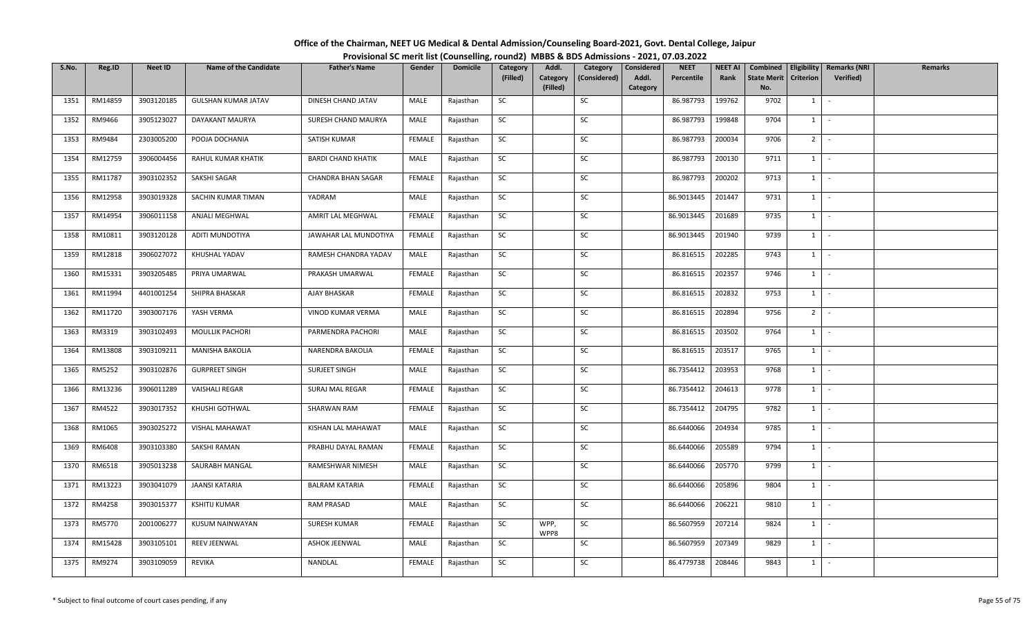| Office of the Chairman, NEET UG Medical & Dental Admission/Counseling Board-2021, Govt. Dental College, Jaipur |                                                                                          |
|----------------------------------------------------------------------------------------------------------------|------------------------------------------------------------------------------------------|
|                                                                                                                | Provisional SC merit list (Counselling, round2) MBBS & BDS Admissions - 2021, 07.03.2022 |

| S.No. | Reg.ID  | <b>Neet ID</b> | <b>Name of the Candidate</b> | <b>Father's Name</b>      | Gender        | <b>Domicile</b> | Category<br>(Filled) | Addl.<br>Category | Category<br>(Considered) | Considered<br>Addl. | <b>NEET</b><br>Percentile | <b>NEET AI</b><br>Rank | Combined<br><b>State Merit</b> | Criterion   | Eligibility   Remarks (NRI<br><b>Verified</b> ) | <b>Remarks</b> |
|-------|---------|----------------|------------------------------|---------------------------|---------------|-----------------|----------------------|-------------------|--------------------------|---------------------|---------------------------|------------------------|--------------------------------|-------------|-------------------------------------------------|----------------|
|       |         |                |                              |                           |               |                 |                      | (Filled)          |                          | Category            |                           |                        | No.                            |             |                                                 |                |
| 1351  | RM14859 | 3903120185     | <b>GULSHAN KUMAR JATAV</b>   | DINESH CHAND JATAV        | MALE          | Rajasthan       | SC                   |                   | SC                       |                     | 86.987793                 | 199762                 | 9702                           | $1 \quad$   | $\sim$                                          |                |
| 1352  | RM9466  | 3905123027     | DAYAKANT MAURYA              | SURESH CHAND MAURYA       | MALE          | Rajasthan       | SC                   |                   | SC                       |                     | 86.987793                 | 199848                 | 9704                           | $1 \cdot$   |                                                 |                |
| 1353  | RM9484  | 2303005200     | POOJA DOCHANIA               | SATISH KUMAR              | <b>FEMALE</b> | Rajasthan       | <b>SC</b>            |                   | SC                       |                     | 86.987793                 | 200034                 | 9706                           | $2$ -       |                                                 |                |
| 1354  | RM12759 | 3906004456     | RAHUL KUMAR KHATIK           | <b>BARDI CHAND KHATIK</b> | MALE          | Rajasthan       | SC                   |                   | SC                       |                     | 86.987793                 | 200130                 | 9711                           | $1$ $\vert$ |                                                 |                |
| 1355  | RM11787 | 3903102352     | SAKSHI SAGAR                 | CHANDRA BHAN SAGAR        | FEMALE        | Rajasthan       | SC                   |                   | SC                       |                     | 86.987793                 | 200202                 | 9713                           | $1$ $\vert$ |                                                 |                |
| 1356  | RM12958 | 3903019328     | SACHIN KUMAR TIMAN           | YADRAM                    | MALE          | Rajasthan       | SC                   |                   | SC                       |                     | 86.9013445                | 201447                 | 9731                           | $1$ $\cdot$ |                                                 |                |
| 1357  | RM14954 | 3906011158     | ANJALI MEGHWAL               | AMRIT LAL MEGHWAL         | <b>FEMALE</b> | Rajasthan       | SC                   |                   | SC                       |                     | 86.9013445                | 201689                 | 9735                           | $1 \quad$   | $\sim$                                          |                |
| 1358  | RM10811 | 3903120128     | ADITI MUNDOTIYA              | JAWAHAR LAL MUNDOTIYA     | FEMALE        | Rajasthan       | SC                   |                   | SC                       |                     | 86.9013445                | 201940                 | 9739                           | $1$ $\cdot$ |                                                 |                |
| 1359  | RM12818 | 3906027072     | KHUSHAL YADAV                | RAMESH CHANDRA YADAV      | MALE          | Rajasthan       | SC                   |                   | SC                       |                     | 86.816515                 | 202285                 | 9743                           | $1 \mid$    | $\sim$                                          |                |
| 1360  | RM15331 | 3903205485     | PRIYA UMARWAL                | PRAKASH UMARWAL           | FEMALE        | Rajasthan       | SC                   |                   | SC                       |                     | 86.816515                 | 202357                 | 9746                           | $1 \cdot$   |                                                 |                |
| 1361  | RM11994 | 4401001254     | SHIPRA BHASKAR               | AJAY BHASKAR              | FEMALE        | Rajasthan       | SC                   |                   | SC                       |                     | 86.816515                 | 202832                 | 9753                           | $1$ $\cdot$ |                                                 |                |
| 1362  | RM11720 | 3903007176     | YASH VERMA                   | VINOD KUMAR VERMA         | MALE          | Rajasthan       | SC                   |                   | SC                       |                     | 86.816515                 | 202894                 | 9756                           | $2$ -       |                                                 |                |
| 1363  | RM3319  | 3903102493     | MOULLIK PACHORI              | PARMENDRA PACHORI         | MALE          | Rajasthan       | <b>SC</b>            |                   | SC                       |                     | 86.816515                 | 203502                 | 9764                           | 1           | $\sim$                                          |                |
| 1364  | RM13808 | 3903109211     | <b>MANISHA BAKOLIA</b>       | NARENDRA BAKOLIA          | FEMALE        | Rajasthan       | <b>SC</b>            |                   | SC                       |                     | 86.816515                 | 203517                 | 9765                           | $1$ $-$     |                                                 |                |
| 1365  | RM5252  | 3903102876     | <b>GURPREET SINGH</b>        | SURJEET SINGH             | MALE          | Rajasthan       | SC                   |                   | SC                       |                     | 86.7354412                | 203953                 | 9768                           | $1$ $-$     |                                                 |                |
| 1366  | RM13236 | 3906011289     | <b>VAISHALI REGAR</b>        | SURAJ MAL REGAR           | FEMALE        | Rajasthan       | SC                   |                   | SC                       |                     | 86.7354412                | 204613                 | 9778                           | $1$   -     |                                                 |                |
| 1367  | RM4522  | 3903017352     | KHUSHI GOTHWAL               | SHARWAN RAM               | <b>FEMALE</b> | Rajasthan       | SC                   |                   | SC                       |                     | 86.7354412                | 204795                 | 9782                           | $1$ $\cdot$ |                                                 |                |
| 1368  | RM1065  | 3903025272     | VISHAL MAHAWAT               | KISHAN LAL MAHAWAT        | MALE          | Rajasthan       | SC                   |                   | SC                       |                     | 86.6440066                | 204934                 | 9785                           | 1           | $\sim$                                          |                |
| 1369  | RM6408  | 3903103380     | SAKSHI RAMAN                 | PRABHU DAYAL RAMAN        | FEMALE        | Rajasthan       | SC                   |                   | SC                       |                     | 86.6440066                | 205589                 | 9794                           | $1$ $\cdot$ |                                                 |                |
| 1370  | RM6518  | 3905013238     | SAURABH MANGAL               | RAMESHWAR NIMESH          | MALE          | Rajasthan       | <b>SC</b>            |                   | SC                       |                     | 86.6440066                | 205770                 | 9799                           | $1$ $-$     |                                                 |                |
| 1371  | RM13223 | 3903041079     | JAANSI KATARIA               | <b>BALRAM KATARIA</b>     | FEMALE        | Rajasthan       | <b>SC</b>            |                   | SC                       |                     | 86.6440066                | 205896                 | 9804                           | $1 \quad$   | $\sim$                                          |                |
| 1372  | RM4258  | 3903015377     | <b>KSHITIJ KUMAR</b>         | <b>RAM PRASAD</b>         | MALE          | Rajasthan       | SC                   |                   | SC                       |                     | 86.6440066                | 206221                 | 9810                           | 1           | $\sim$                                          |                |
| 1373  | RM5770  | 2001006277     | KUSUM NAINWAYAN              | SURESH KUMAR              | <b>FEMALE</b> | Rajasthan       | SC                   | WPP,<br>WPP8      | SC                       |                     | 86.5607959                | 207214                 | 9824                           | $1$ $-$     |                                                 |                |
| 1374  | RM15428 | 3903105101     | REEV JEENWAL                 | ASHOK JEENWAL             | MALE          | Rajasthan       | SC                   |                   | SC                       |                     | 86.5607959                | 207349                 | 9829                           | $1$ $-$     |                                                 |                |
| 1375  | RM9274  | 3903109059     | <b>REVIKA</b>                | NANDLAL                   | FEMALE        | Rajasthan       | SC                   |                   | SC                       |                     | 86.4779738                | 208446                 | 9843                           | $1 \quad$   |                                                 |                |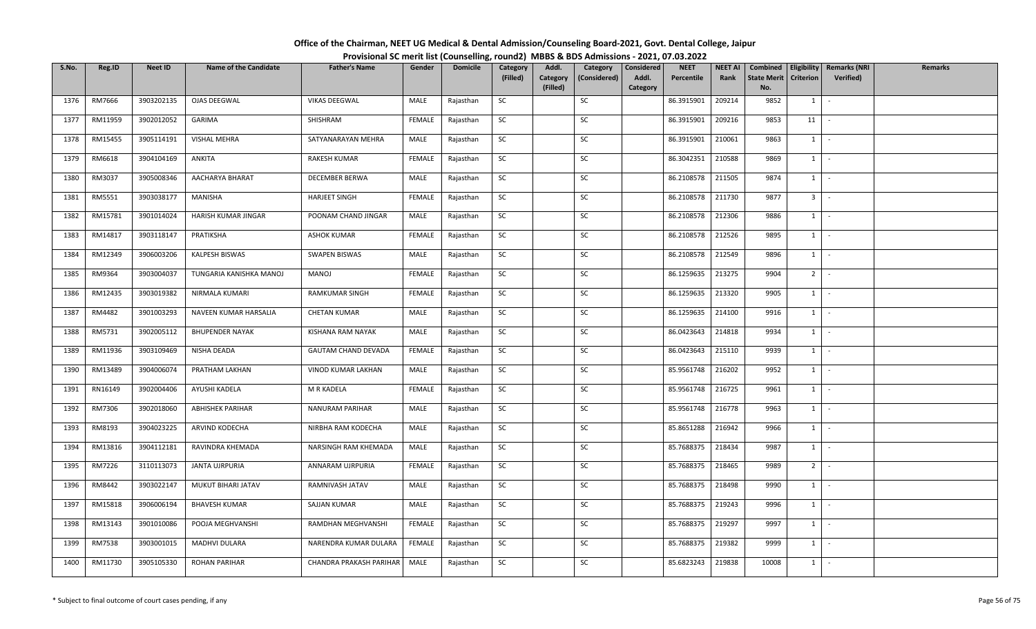| Office of the Chairman, NEET UG Medical & Dental Admission/Counseling Board-2021, Govt. Dental College, Jaipur |  |
|----------------------------------------------------------------------------------------------------------------|--|
| Provisional SC merit list (Counselling, round2) MBBS & BDS Admissions - 2021, 07.03.2022                       |  |

| S.No. | Reg.ID  | <b>Neet ID</b> | <b>Name of the Candidate</b> | <b>Father's Name</b>       | Gender        | <b>Domicile</b> | Category  | Addl.                | Category     | Considered | <b>NEET</b> | <b>NEET AI</b> | Combined                  |                  | Eligibility   Remarks (NRI | Remarks |
|-------|---------|----------------|------------------------------|----------------------------|---------------|-----------------|-----------|----------------------|--------------|------------|-------------|----------------|---------------------------|------------------|----------------------------|---------|
|       |         |                |                              |                            |               |                 | (Filled)  | Category<br>(Filled) | (Considered) | Addl.      | Percentile  | Rank           | <b>State Merit</b><br>No. | <b>Criterion</b> | Verified)                  |         |
| 1376  | RM7666  | 3903202135     | OJAS DEEGWAL                 | <b>VIKAS DEEGWAL</b>       | MALE          | Rajasthan       | SC        |                      | SC           | Category   | 86.3915901  | 209214         | 9852                      | $1 \quad$        | $\sim$                     |         |
|       |         |                |                              |                            |               |                 |           |                      |              |            |             |                |                           |                  |                            |         |
| 1377  | RM11959 | 3902012052     | GARIMA                       | SHISHRAM                   | FEMALE        | Rajasthan       | SC        |                      | SC           |            | 86.3915901  | 209216         | 9853                      | 11               | $\sim$                     |         |
| 1378  | RM15455 | 3905114191     | VISHAL MEHRA                 | SATYANARAYAN MEHRA         | MALE          | Rajasthan       | <b>SC</b> |                      | SC           |            | 86.3915901  | 210061         | 9863                      | $1 \mid$         | $\sim$ $-$                 |         |
| 1379  | RM6618  | 3904104169     | ANKITA                       | RAKESH KUMAR               | <b>FEMALE</b> | Rajasthan       | SC        |                      | SC           |            | 86.3042351  | 210588         | 9869                      | $1 \mid$         | $\sim$                     |         |
| 1380  | RM3037  | 3905008346     | AACHARYA BHARAT              | DECEMBER BERWA             | MALE          | Rajasthan       | SC        |                      | SC           |            | 86.2108578  | 211505         | 9874                      | $1 \mid$         | $\sim$                     |         |
| 1381  | RM5551  | 3903038177     | MANISHA                      | <b>HARJEET SINGH</b>       | FEMALE        | Rajasthan       | SC        |                      | SC           |            | 86.2108578  | 211730         | 9877                      | 3 <sup>1</sup>   | $\sim$                     |         |
| 1382  | RM15781 | 3901014024     | HARISH KUMAR JINGAR          | POONAM CHAND JINGAR        | MALE          | Rajasthan       | SC        |                      | SC           |            | 86.2108578  | 212306         | 9886                      | $1 \quad$        | $\sim$                     |         |
| 1383  | RM14817 | 3903118147     | PRATIKSHA                    | <b>ASHOK KUMAR</b>         | FEMALE        | Rajasthan       | SC        |                      | SC           |            | 86.2108578  | 212526         | 9895                      | 1                | $\sim$                     |         |
| 1384  | RM12349 | 3906003206     | KALPESH BISWAS               | <b>SWAPEN BISWAS</b>       | MALE          | Rajasthan       | SC        |                      | SC           |            | 86.2108578  | 212549         | 9896                      | 1                | $\sim$                     |         |
| 1385  | RM9364  | 3903004037     | TUNGARIA KANISHKA MANOJ      | MANOJ                      | FEMALE        | Rajasthan       | SC        |                      | SC           |            | 86.1259635  | 213275         | 9904                      | 2 <sup>1</sup>   | $\sim$                     |         |
| 1386  | RM12435 | 3903019382     | NIRMALA KUMARI               | <b>RAMKUMAR SINGH</b>      | FEMALE        | Rajasthan       | <b>SC</b> |                      | SC           |            | 86.1259635  | 213320         | 9905                      | $1$ $-$          |                            |         |
| 1387  | RM4482  | 3901003293     | NAVEEN KUMAR HARSALIA        | <b>CHETAN KUMAR</b>        | MALE          | Rajasthan       | SC        |                      | SC           |            | 86.1259635  | 214100         | 9916                      | $1 \quad$        | $\sim$                     |         |
| 1388  | RM5731  | 3902005112     | <b>BHUPENDER NAYAK</b>       | KISHANA RAM NAYAK          | MALE          | Rajasthan       | SC        |                      | SC           |            | 86.0423643  | 214818         | 9934                      | 1                | $\sim$                     |         |
| 1389  | RM11936 | 3903109469     | NISHA DEADA                  | <b>GAUTAM CHAND DEVADA</b> | FEMALE        | Rajasthan       | SC        |                      | SC           |            | 86.0423643  | 215110         | 9939                      | $1 \quad$        | $\sim$                     |         |
| 1390  | RM13489 | 3904006074     | PRATHAM LAKHAN               | VINOD KUMAR LAKHAN         | MALE          | Rajasthan       | SC        |                      | SC           |            | 85.9561748  | 216202         | 9952                      | $1 \quad$        | $\sim$                     |         |
| 1391  | RN16149 | 3902004406     | AYUSHI KADELA                | M R KADELA                 | <b>FEMALE</b> | Rajasthan       | SC        |                      | SC           |            | 85.9561748  | 216725         | 9961                      | 1                | $\sim$                     |         |
| 1392  | RM7306  | 3902018060     | <b>ABHISHEK PARIHAR</b>      | NANURAM PARIHAR            | MALE          | Rajasthan       | <b>SC</b> |                      | SC           |            | 85.9561748  | 216778         | 9963                      | 1                | $\sim$                     |         |
| 1393  | RM8193  | 3904023225     | ARVIND KODECHA               | NIRBHA RAM KODECHA         | MALE          | Rajasthan       | SC        |                      | SC           |            | 85.8651288  | 216942         | 9966                      | 1                | $\sim$                     |         |
| 1394  | RM13816 | 3904112181     | RAVINDRA KHEMADA             | NARSINGH RAM KHEMADA       | MALE          | Rajasthan       | SC        |                      | SC           |            | 85.7688375  | 218434         | 9987                      |                  | $1 \cdot$                  |         |
| 1395  | RM7226  | 3110113073     | JANTA UJRPURIA               | ANNARAM UJRPURIA           | FEMALE        | Rajasthan       | SC        |                      | SC           |            | 85.7688375  | 218465         | 9989                      | $2^{\circ}$      | $\sim$                     |         |
| 1396  | RM8442  | 3903022147     | MUKUT BIHARI JATAV           | RAMNIVASH JATAV            | MALE          | Rajasthan       | SC        |                      | SC           |            | 85.7688375  | 218498         | 9990                      | 1                | $\sim$                     |         |
| 1397  | RM15818 | 3906006194     | <b>BHAVESH KUMAR</b>         | SAJJAN KUMAR               | MALE          | Rajasthan       | SC        |                      | SC           |            | 85.7688375  | 219243         | 9996                      | 1                | $\sim$                     |         |
| 1398  | RM13143 | 3901010086     | POOJA MEGHVANSHI             | RAMDHAN MEGHVANSHI         | FEMALE        | Rajasthan       | SC        |                      | SC           |            | 85.7688375  | 219297         | 9997                      | $1 \quad$        | $\sim$                     |         |
| 1399  | RM7538  | 3903001015     | MADHVI DULARA                | NARENDRA KUMAR DULARA      | FEMALE        | Rajasthan       | SC        |                      | SC           |            | 85.7688375  | 219382         | 9999                      | $1 \quad$        | $\sim$                     |         |
| 1400  | RM11730 | 3905105330     | <b>ROHAN PARIHAR</b>         | CHANDRA PRAKASH PARIHAR    | MALE          | Rajasthan       | SC        |                      | SC           |            | 85.6823243  | 219838         | 10008                     | $1 \quad$        | $\sim$                     |         |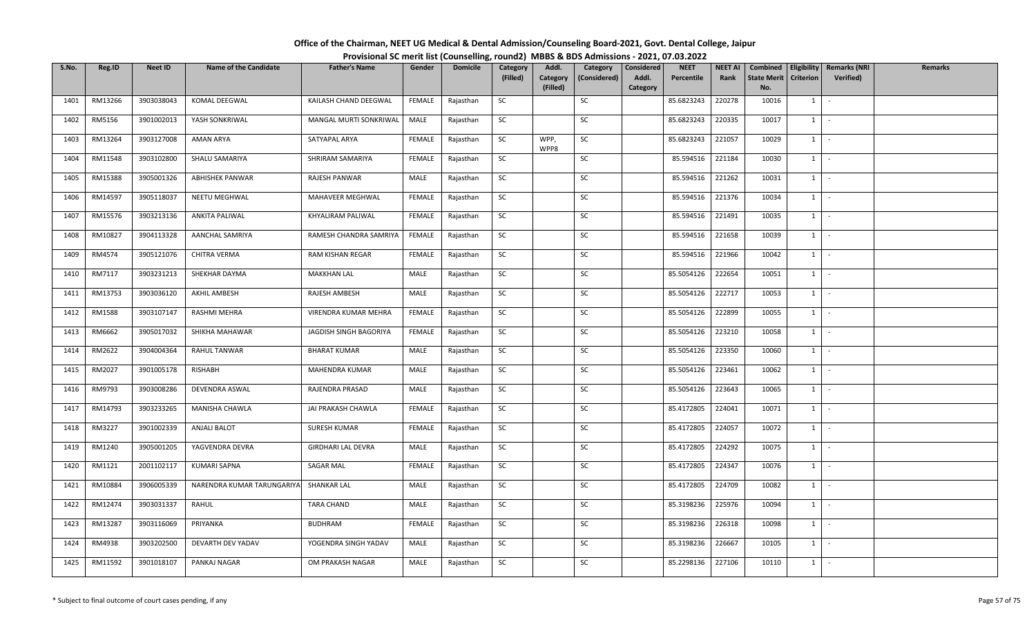| Office of the Chairman, NEET UG Medical & Dental Admission/Counseling Board-2021, Govt. Dental College, Jaipur |                                                                                          |
|----------------------------------------------------------------------------------------------------------------|------------------------------------------------------------------------------------------|
|                                                                                                                | Provisional SC merit list (Counselling, round2) MBBS & BDS Admissions - 2021, 07.03.2022 |

| S.No. | Reg.ID        | <b>Neet ID</b> | <b>Name of the Candidate</b> | <b>Father's Name</b>      | Gender        | <b>Domicile</b> | Category<br>(Filled) | Addl.<br>Category | Category<br>(Considered) | Considered<br>Addl. | <b>NEET</b><br>Percentile | <b>NEET AI</b><br>Rank | Combined<br><b>State Merit</b> | Criterion     | Eligibility   Remarks (NRI<br><b>Verified</b> ) | <b>Remarks</b> |
|-------|---------------|----------------|------------------------------|---------------------------|---------------|-----------------|----------------------|-------------------|--------------------------|---------------------|---------------------------|------------------------|--------------------------------|---------------|-------------------------------------------------|----------------|
|       |               |                |                              |                           |               |                 |                      | (Filled)          |                          | Category            |                           |                        | No.                            |               |                                                 |                |
| 1401  | RM13266       | 3903038043     | KOMAL DEEGWAL                | KAILASH CHAND DEEGWAL     | FEMALE        | Rajasthan       | SC                   |                   | SC                       |                     | 85.6823243                | 220278                 | 10016                          | $1 \quad$     | $\sim$                                          |                |
| 1402  | RM5156        | 3901002013     | YASH SONKRIWAL               | MANGAL MURTI SONKRIWAL    | MALE          | Rajasthan       | SC                   |                   | SC                       |                     | 85.6823243                | 220335                 | 10017                          | $1 \mid$      | $\sim$                                          |                |
| 1403  | RM13264       | 3903127008     | AMAN ARYA                    | SATYAPAL ARYA             | FEMALE        | Rajasthan       | <b>SC</b>            | WPP,<br>WPP8      | SC                       |                     | 85.6823243                | 221057                 | 10029                          | $1$ $\cdot$   |                                                 |                |
| 1404  | RM11548       | 3903102800     | SHALU SAMARIYA               | SHRIRAM SAMARIYA          | FEMALE        | Rajasthan       | SC                   |                   | SC                       |                     | 85.594516                 | 221184                 | 10030                          | $1$ $\vert$   |                                                 |                |
| 1405  | RM15388       | 3905001326     | <b>ABHISHEK PANWAR</b>       | RAJESH PANWAR             | MALE          | Rajasthan       | SC                   |                   | SC                       |                     | 85.594516                 | 221262                 | 10031                          | $1$ $\vert$   |                                                 |                |
| 1406  | RM14597       | 3905118037     | NEETU MEGHWAL                | MAHAVEER MEGHWAL          | FEMALE        | Rajasthan       | SC                   |                   | SC                       |                     | 85.594516                 | 221376                 | 10034                          | $1 \mid$      | $\sim$                                          |                |
| 1407  | RM15576       | 3903213136     | ANKITA PALIWAL               | KHYALIRAM PALIWAL         | FEMALE        | Rajasthan       | SC                   |                   | SC                       |                     | 85.594516                 | 221491                 | 10035                          | $1 \quad$     | $\sim$                                          |                |
| 1408  | RM10827       | 3904113328     | AANCHAL SAMRIYA              | RAMESH CHANDRA SAMRIYA    | FEMALE        | Rajasthan       | SC                   |                   | SC                       |                     | 85.594516                 | 221658                 | 10039                          | $1$ $\vert$   |                                                 |                |
| 1409  | RM4574        | 3905121076     | CHITRA VERMA                 | RAM KISHAN REGAR          | FEMALE        | Rajasthan       | SC                   |                   | SC                       |                     | 85.594516                 | 221966                 | 10042                          | 1             | $\sim$                                          |                |
| 1410  | RM7117        | 3903231213     | SHEKHAR DAYMA                | <b>MAKKHAN LAL</b>        | MALE          | Rajasthan       | SC                   |                   | SC                       |                     | 85.5054126                | 222654                 | 10051                          | $1 \cdot$     |                                                 |                |
| 1411  | RM13753       | 3903036120     | AKHIL AMBESH                 | RAJESH AMBESH             | MALE          | Rajasthan       | SC                   |                   | SC                       |                     | 85.5054126                | 222717                 | 10053                          | $1$ $\vert$   |                                                 |                |
| 1412  | <b>RM1588</b> | 3903107147     | RASHMI MEHRA                 | VIRENDRA KUMAR MEHRA      | <b>FEMALE</b> | Rajasthan       | SC                   |                   | SC                       |                     | 85.5054126                | 222899                 | 10055                          | $1\quad$      | $\sim$                                          |                |
| 1413  | RM6662        | 3905017032     | SHIKHA MAHAWAR               | JAGDISH SINGH BAGORIYA    | FEMALE        | Rajasthan       | SC                   |                   | SC                       |                     | 85.5054126                | 223210                 | 10058                          | 1             | $\sim$                                          |                |
| 1414  | RM2622        | 3904004364     | RAHUL TANWAR                 | <b>BHARAT KUMAR</b>       | MALE          | Rajasthan       | SC                   |                   | SC                       |                     | 85.5054126                | 223350                 | 10060                          | $1 \quad$     | $\sim$                                          |                |
| 1415  | RM2027        | 3901005178     | RISHABH                      | MAHENDRA KUMAR            | MALE          | Rajasthan       | SC                   |                   | SC                       |                     | 85.5054126                | 223461                 | 10062                          | $1$ $-$       |                                                 |                |
| 1416  | RM9793        | 3903008286     | DEVENDRA ASWAL               | RAJENDRA PRASAD           | MALE          | Rajasthan       | SC                   |                   | SC                       |                     | 85.5054126                | 223643                 | 10065                          | $1$   -       |                                                 |                |
| 1417  | RM14793       | 3903233265     | MANISHA CHAWLA               | JAI PRAKASH CHAWLA        | <b>FEMALE</b> | Rajasthan       | SC                   |                   | SC                       |                     | 85.4172805                | 224041                 | 10071                          | $1 \mid$      | $\sim$                                          |                |
| 1418  | RM3227        | 3901002339     | <b>ANJALI BALOT</b>          | SURESH KUMAR              | FEMALE        | Rajasthan       | SC                   |                   | SC                       |                     | 85.4172805                | 224057                 | 10072                          | 1             | $\sim$                                          |                |
| 1419  | RM1240        | 3905001205     | YAGVENDRA DEVRA              | <b>GIRDHARI LAL DEVRA</b> | MALE          | Rajasthan       | SC                   |                   | SC                       |                     | 85.4172805                | 224292                 | 10075                          | $1$ $\cdot$   |                                                 |                |
| 1420  | RM1121        | 2001102117     | <b>KUMARI SAPNA</b>          | <b>SAGAR MAL</b>          | FEMALE        | Rajasthan       | <b>SC</b>            |                   | SC                       |                     | 85.4172805                | 224347                 | 10076                          | $1$ $\vert$ - |                                                 |                |
| 1421  | RM10884       | 3906005339     | NARENDRA KUMAR TARUNGARIYA   | <b>SHANKAR LAL</b>        | MALE          | Rajasthan       | SC                   |                   | SC                       |                     | 85.4172805                | 224709                 | 10082                          | $1 \quad$     | $\sim$                                          |                |
| 1422  | RM12474       | 3903031337     | RAHUL                        | <b>TARA CHAND</b>         | MALE          | Rajasthan       | SC                   |                   | SC                       |                     | 85.3198236                | 225976                 | 10094                          | 1             | $\sim$                                          |                |
| 1423  | RM13287       | 3903116069     | PRIYANKA                     | <b>BUDHRAM</b>            | <b>FEMALE</b> | Rajasthan       | SC                   |                   | SC                       |                     | 85.3198236                | 226318                 | 10098                          | $1 \mid$      | $\sim$                                          |                |
| 1424  | RM4938        | 3903202500     | DEVARTH DEV YADAV            | YOGENDRA SINGH YADAV      | MALE          | Rajasthan       | SC                   |                   | SC                       |                     | 85.3198236                | 226667                 | 10105                          | $1$ $-$       |                                                 |                |
| 1425  | RM11592       | 3901018107     | PANKAJ NAGAR                 | OM PRAKASH NAGAR          | MALE          | Rajasthan       | SC                   |                   | SC                       |                     | 85.2298136                | 227106                 | 10110                          | $1 \quad$     |                                                 |                |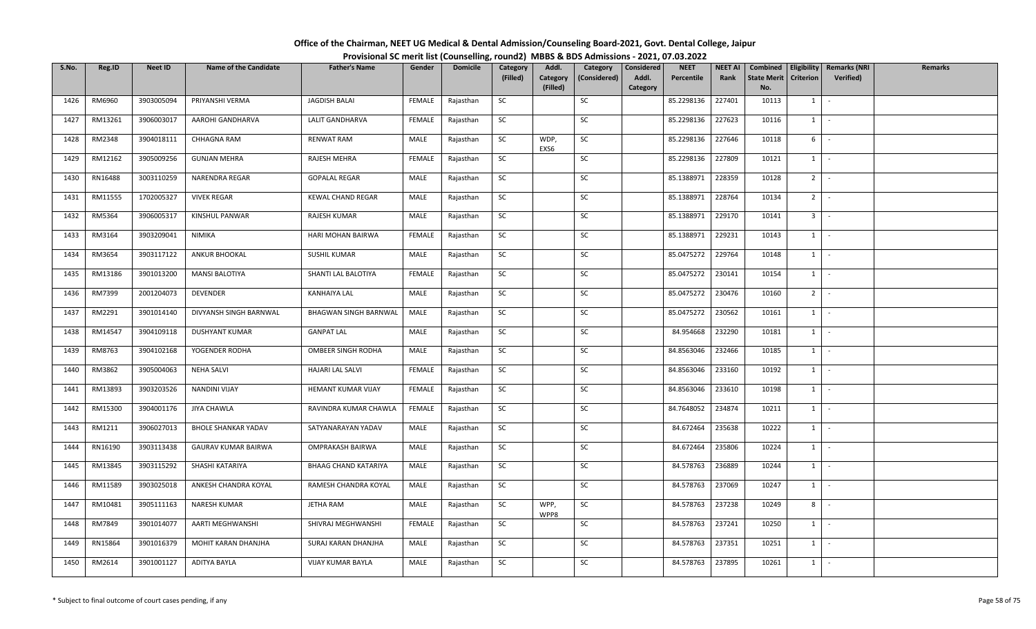| Office of the Chairman, NEET UG Medical & Dental Admission/Counseling Board-2021, Govt. Dental College, Jaipur |                                                                                          |
|----------------------------------------------------------------------------------------------------------------|------------------------------------------------------------------------------------------|
|                                                                                                                | Provisional SC merit list (Counselling, round2) MBBS & BDS Admissions - 2021, 07.03.2022 |

| S.No. | Reg.ID  | <b>Neet ID</b> | <b>Name of the Candidate</b> | <b>Father's Name</b>         | Gender        | <b>Domicile</b> | Category<br>(Filled) | Addl.<br>Category | Category<br>(Considered) | Considered<br>Addl. | <b>NEET</b><br>Percentile | <b>NEET AI</b><br>Rank | Combined<br><b>State Merit</b> | Criterion      | Eligibility   Remarks (NRI<br>Verified) | <b>Remarks</b> |
|-------|---------|----------------|------------------------------|------------------------------|---------------|-----------------|----------------------|-------------------|--------------------------|---------------------|---------------------------|------------------------|--------------------------------|----------------|-----------------------------------------|----------------|
|       |         |                |                              |                              |               |                 |                      | (Filled)          |                          | Category            |                           |                        | No.                            |                |                                         |                |
| 1426  | RM6960  | 3903005094     | PRIYANSHI VERMA              | JAGDISH BALAI                | FEMALE        | Rajasthan       | SC                   |                   | SC                       |                     | 85.2298136                | 227401                 | 10113                          | $1 \quad$      | $\sim$                                  |                |
| 1427  | RM13261 | 3906003017     | AAROHI GANDHARVA             | LALIT GANDHARVA              | FEMALE        | Rajasthan       | SC                   |                   | SC                       |                     | 85.2298136                | 227623                 | 10116                          | $1 \mid$       | $\sim$                                  |                |
| 1428  | RM2348  | 3904018111     | CHHAGNA RAM                  | RENWAT RAM                   | MALE          | Rajasthan       | <b>SC</b>            | WDP,<br>EXS6      | SC                       |                     | 85.2298136                | 227646                 | 10118                          | 6              | $\sim$                                  |                |
| 1429  | RM12162 | 3905009256     | <b>GUNJAN MEHRA</b>          | RAJESH MEHRA                 | <b>FEMALE</b> | Rajasthan       | SC                   |                   | SC                       |                     | 85.2298136                | 227809                 | 10121                          | $1 \cdot$      |                                         |                |
| 1430  | RN16488 | 3003110259     | NARENDRA REGAR               | <b>GOPALAL REGAR</b>         | MALE          | Rajasthan       | SC                   |                   | SC                       |                     | 85.1388971                | 228359                 | 10128                          | $2$ -          |                                         |                |
| 1431  | RM11555 | 1702005327     | <b>VIVEK REGAR</b>           | <b>KEWAL CHAND REGAR</b>     | MALE          | Rajasthan       | SC                   |                   | SC                       |                     | 85.1388971                | 228764                 | 10134                          | $2$ -          |                                         |                |
| 1432  | RM5364  | 3906005317     | KINSHUL PANWAR               | RAJESH KUMAR                 | MALE          | Rajasthan       | SC                   |                   | SC                       |                     | 85.1388971                | 229170                 | 10141                          | 3 <sup>1</sup> |                                         |                |
| 1433  | RM3164  | 3903209041     | NIMIKA                       | HARI MOHAN BAIRWA            | <b>FEMALE</b> | Rajasthan       | SC                   |                   | SC                       |                     | 85.1388971                | 229231                 | 10143                          | $1$ $\vert$    |                                         |                |
| 1434  | RM3654  | 3903117122     | ANKUR BHOOKAL                | <b>SUSHIL KUMAR</b>          | MALE          | Rajasthan       | SC                   |                   | SC                       |                     | 85.0475272                | 229764                 | 10148                          | 1              | $\sim$                                  |                |
| 1435  | RM13186 | 3901013200     | <b>MANSI BALOTIYA</b>        | SHANTI LAL BALOTIYA          | FEMALE        | Rajasthan       | SC                   |                   | SC                       |                     | 85.0475272                | 230141                 | 10154                          | $1 \cdot$      |                                         |                |
| 1436  | RM7399  | 2001204073     | DEVENDER                     | <b>KANHAIYA LAL</b>          | MALE          | Rajasthan       | SC                   |                   | SC                       |                     | 85.0475272                | 230476                 | 10160                          | $2$ -          |                                         |                |
| 1437  | RM2291  | 3901014140     | DIVYANSH SINGH BARNWAL       | <b>BHAGWAN SINGH BARNWAL</b> | MALE          | Rajasthan       | SC                   |                   | SC                       |                     | 85.0475272                | 230562                 | 10161                          | $1\quad$       | $\sim$                                  |                |
| 1438  | RM14547 | 3904109118     | <b>DUSHYANT KUMAR</b>        | <b>GANPAT LAL</b>            | MALE          | Rajasthan       | SC                   |                   | SC                       |                     | 84.954668                 | 232290                 | 10181                          | 1              | $\sim$                                  |                |
| 1439  | RM8763  | 3904102168     | YOGENDER RODHA               | OMBEER SINGH RODHA           | MALE          | Rajasthan       | SC                   |                   | SC                       |                     | 84.8563046                | 232466                 | 10185                          | $1 \quad$      | $\sim$                                  |                |
| 1440  | RM3862  | 3905004063     | <b>NEHA SALVI</b>            | HAJARI LAL SALVI             | FEMALE        | Rajasthan       | SC                   |                   | SC                       |                     | 84.8563046                | 233160                 | 10192                          | $1$ $-$        |                                         |                |
| 1441  | RM13893 | 3903203526     | NANDINI VIJAY                | HEMANT KUMAR VIJAY           | FEMALE        | Rajasthan       | SC                   |                   | SC                       |                     | 84.8563046                | 233610                 | 10198                          | $1$   -        |                                         |                |
| 1442  | RM15300 | 3904001176     | <b>JIYA CHAWLA</b>           | RAVINDRA KUMAR CHAWLA        | <b>FEMALE</b> | Rajasthan       | SC                   |                   | SC                       |                     | 84.7648052                | 234874                 | 10211                          | $1 \mid$       | $\sim$                                  |                |
| 1443  | RM1211  | 3906027013     | <b>BHOLE SHANKAR YADAV</b>   | SATYANARAYAN YADAV           | MALE          | Rajasthan       | SC                   |                   | SC                       |                     | 84.672464                 | 235638                 | 10222                          | 1              | $\sim$                                  |                |
| 1444  | RN16190 | 3903113438     | <b>GAURAV KUMAR BAIRWA</b>   | OMPRAKASH BAIRWA             | MALE          | Rajasthan       | SC                   |                   | SC                       |                     | 84.672464                 | 235806                 | 10224                          | $1$ $\cdot$    |                                         |                |
| 1445  | RM13845 | 3903115292     | SHASHI KATARIYA              | <b>BHAAG CHAND KATARIYA</b>  | MALE          | Rajasthan       | SC                   |                   | SC                       |                     | 84.578763                 | 236889                 | 10244                          | $1$ $-$        |                                         |                |
| 1446  | RM11589 | 3903025018     | ANKESH CHANDRA KOYAL         | RAMESH CHANDRA KOYAL         | MALE          | Rajasthan       | SC                   |                   | SC                       |                     | 84.578763                 | 237069                 | 10247                          | $1 \quad$      | $\sim$                                  |                |
| 1447  | RM10481 | 3905111163     | NARESH KUMAR                 | JETHA RAM                    | MALE          | Rajasthan       | SC                   | WPP,<br>WPP8      | SC                       |                     | 84.578763                 | 237238                 | 10249                          | 8              | $\sim$                                  |                |
| 1448  | RM7849  | 3901014077     | AARTI MEGHWANSHI             | SHIVRAJ MEGHWANSHI           | FEMALE        | Rajasthan       | SC                   |                   | SC                       |                     | 84.578763                 | 237241                 | 10250                          | $1$ $-$        |                                         |                |
| 1449  | RN15864 | 3901016379     | MOHIT KARAN DHANJHA          | SURAJ KARAN DHANJHA          | MALE          | Rajasthan       | SC                   |                   | SC                       |                     | 84.578763                 | 237351                 | 10251                          | $1$ $\cdot$    |                                         |                |
| 1450  | RM2614  | 3901001127     | ADITYA BAYLA                 | VIJAY KUMAR BAYLA            | MALE          | Rajasthan       | SC                   |                   | SC                       |                     | 84.578763                 | 237895                 | 10261                          | $1 \quad$      |                                         |                |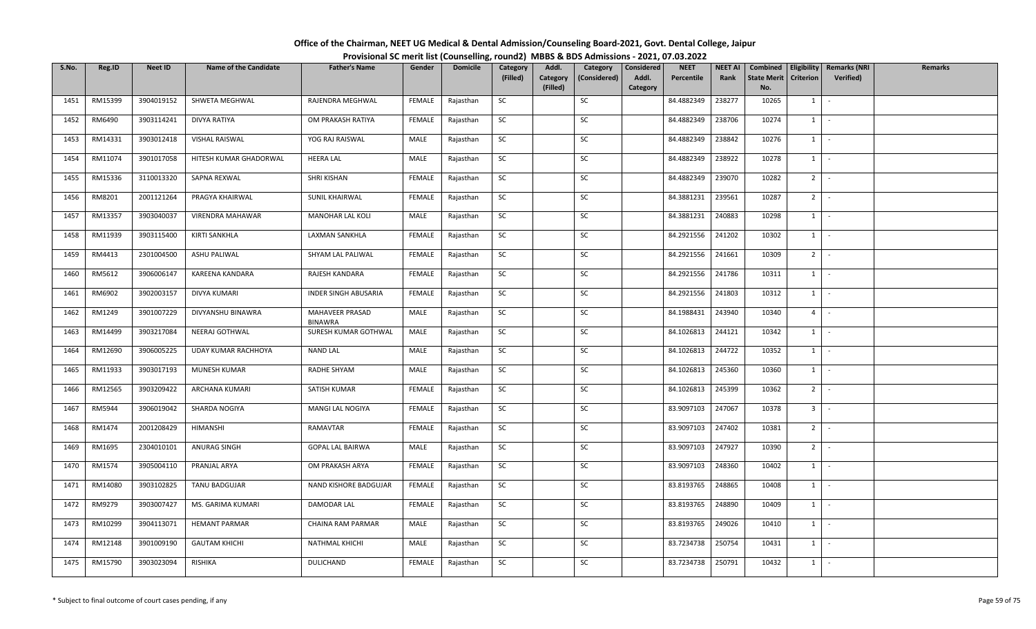| Office of the Chairman, NEET UG Medical & Dental Admission/Counseling Board-2021, Govt. Dental College, Jaipur |  |
|----------------------------------------------------------------------------------------------------------------|--|
| Provisional SC merit list (Counselling, round2) MBBS & BDS Admissions - 2021, 07.03.2022                       |  |

| S.No. | Reg.ID  | <b>Neet ID</b> | <b>Name of the Candidate</b> | <b>Father's Name</b>              | Gender        | <b>Domicile</b> | Category<br>(Filled) | Addl.<br>Category | Category<br>(Considered) | Considered<br>Addl. | <b>NEET</b><br>Percentile | <b>NEET AI</b><br>Rank | Combined<br><b>State Merit</b> | Criterion      | Eligibility   Remarks (NRI<br><b>Verified</b> ) | <b>Remarks</b> |
|-------|---------|----------------|------------------------------|-----------------------------------|---------------|-----------------|----------------------|-------------------|--------------------------|---------------------|---------------------------|------------------------|--------------------------------|----------------|-------------------------------------------------|----------------|
|       |         |                |                              |                                   |               |                 |                      | (Filled)          |                          | Category            |                           |                        | No.                            |                |                                                 |                |
| 1451  | RM15399 | 3904019152     | SHWETA MEGHWAL               | RAJENDRA MEGHWAL                  | FEMALE        | Rajasthan       | SC                   |                   | SC                       |                     | 84.4882349                | 238277                 | 10265                          | $1 \quad$      | $\sim$                                          |                |
| 1452  | RM6490  | 3903114241     | DIVYA RATIYA                 | OM PRAKASH RATIYA                 | FEMALE        | Rajasthan       | SC                   |                   | SC                       |                     | 84.4882349                | 238706                 | 10274                          | $1 \mid$       | $\sim$                                          |                |
| 1453  | RM14331 | 3903012418     | <b>VISHAL RAISWAL</b>        | YOG RAJ RAISWAL                   | MALE          | Rajasthan       | SC                   |                   | SC                       |                     | 84.4882349                | 238842                 | 10276                          | $1$ $\cdot$    |                                                 |                |
| 1454  | RM11074 | 3901017058     | HITESH KUMAR GHADORWAL       | <b>HEERA LAL</b>                  | MALE          | Rajasthan       | SC                   |                   | SC                       |                     | 84.4882349                | 238922                 | 10278                          | $1$ $\vert$    |                                                 |                |
| 1455  | RM15336 | 3110013320     | SAPNA REXWAL                 | SHRI KISHAN                       | FEMALE        | Rajasthan       | SC                   |                   | SC                       |                     | 84.4882349                | 239070                 | 10282                          | $2$ -          |                                                 |                |
| 1456  | RM8201  | 2001121264     | PRAGYA KHAIRWAL              | SUNIL KHAIRWAL                    | FEMALE        | Rajasthan       | SC                   |                   | SC                       |                     | 84.3881231                | 239561                 | 10287                          | $2$ -          |                                                 |                |
| 1457  | RM13357 | 3903040037     | VIRENDRA MAHAWAR             | MANOHAR LAL KOLI                  | MALE          | Rajasthan       | SC                   |                   | SC                       |                     | 84.3881231                | 240883                 | 10298                          | $1 \quad$      | $\sim$                                          |                |
| 1458  | RM11939 | 3903115400     | KIRTI SANKHLA                | LAXMAN SANKHLA                    | FEMALE        | Rajasthan       | SC                   |                   | SC                       |                     | 84.2921556                | 241202                 | 10302                          | $1 \mid$       | $\sim$                                          |                |
| 1459  | RM4413  | 2301004500     | <b>ASHU PALIWAL</b>          | SHYAM LAL PALIWAL                 | FEMALE        | Rajasthan       | SC                   |                   | SC                       |                     | 84.2921556                | 241661                 | 10309                          | 2 <sup>1</sup> | $\sim$                                          |                |
| 1460  | RM5612  | 3906006147     | KAREENA KANDARA              | RAJESH KANDARA                    | FEMALE        | Rajasthan       | SC                   |                   | SC                       |                     | 84.2921556                | 241786                 | 10311                          | $1$ $-$        |                                                 |                |
| 1461  | RM6902  | 3902003157     | DIVYA KUMARI                 | <b>INDER SINGH ABUSARIA</b>       | FEMALE        | Rajasthan       | SC                   |                   | SC                       |                     | 84.2921556                | 241803                 | 10312                          | $1$ $\vert$    |                                                 |                |
| 1462  | RM1249  | 3901007229     | DIVYANSHU BINAWRA            | MAHAVEER PRASAD<br><b>BINAWRA</b> | MALE          | Rajasthan       | SC                   |                   | SC                       |                     | 84.1988431                | 243940                 | 10340                          | 4 <sup>1</sup> | $\sim$                                          |                |
| 1463  | RM14499 | 3903217084     | NEERAJ GOTHWAL               | SURESH KUMAR GOTHWAL              | MALE          | Rajasthan       | SC                   |                   | SC                       |                     | 84.1026813                | 244121                 | 10342                          | 1              | $\sim$                                          |                |
| 1464  | RM12690 | 3906005225     | UDAY KUMAR RACHHOYA          | <b>NAND LAL</b>                   | MALE          | Rajasthan       | SC                   |                   | SC                       |                     | 84.1026813                | 244722                 | 10352                          | $1 \quad$      | $\sim$                                          |                |
| 1465  | RM11933 | 3903017193     | MUNESH KUMAR                 | RADHE SHYAM                       | MALE          | Rajasthan       | SC                   |                   | SC                       |                     | 84.1026813                | 245360                 | 10360                          | $1 \mid$       | $\sim$                                          |                |
| 1466  | RM12565 | 3903209422     | ARCHANA KUMARI               | SATISH KUMAR                      | <b>FEMALE</b> | Rajasthan       | SC                   |                   | SC                       |                     | 84.1026813                | 245399                 | 10362                          | $2$ -          |                                                 |                |
| 1467  | RM5944  | 3906019042     | SHARDA NOGIYA                | MANGI LAL NOGIYA                  | FEMALE        | Rajasthan       | SC                   |                   | SC                       |                     | 83.9097103                | 247067                 | 10378                          | 3 <sup>1</sup> | $\sim$                                          |                |
| 1468  | RM1474  | 2001208429     | HIMANSHI                     | RAMAVTAR                          | FEMALE        | Rajasthan       | SC                   |                   | SC                       |                     | 83.9097103                | 247402                 | 10381                          | $2^{\circ}$    | $\sim$                                          |                |
| 1469  | RM1695  | 2304010101     | ANURAG SINGH                 | <b>GOPAL LAL BAIRWA</b>           | MALE          | Rajasthan       | <b>SC</b>            |                   | SC                       |                     | 83.9097103                | 247927                 | 10390                          | $2$ -          |                                                 |                |
| 1470  | RM1574  | 3905004110     | PRANJAL ARYA                 | OM PRAKASH ARYA                   | FEMALE        | Rajasthan       | <b>SC</b>            |                   | SC                       |                     | 83.9097103                | 248360                 | 10402                          | $1$ $\vert$ -  |                                                 |                |
| 1471  | RM14080 | 3903102825     | TANU BADGUJAR                | NAND KISHORE BADGUJAR             | FEMALE        | Rajasthan       | SC                   |                   | SC                       |                     | 83.8193765                | 248865                 | 10408                          | $1 \quad$      | $\sim$                                          |                |
| 1472  | RM9279  | 3903007427     | MS. GARIMA KUMARI            | DAMODAR LAL                       | FEMALE        | Rajasthan       | SC                   |                   | SC                       |                     | 83.8193765                | 248890                 | 10409                          | 1              | $\sim$                                          |                |
| 1473  | RM10299 | 3904113071     | <b>HEMANT PARMAR</b>         | CHAINA RAM PARMAR                 | MALE          | Rajasthan       | SC                   |                   | SC                       |                     | 83.8193765                | 249026                 | 10410                          | $1 \mid$       | $\sim$                                          |                |
| 1474  | RM12148 | 3901009190     | <b>GAUTAM KHICHI</b>         | NATHMAL KHICHI                    | MALE          | Rajasthan       | SC                   |                   | SC                       |                     | 83.7234738                | 250754                 | 10431                          | $1$ $\cdot$    |                                                 |                |
| 1475  | RM15790 | 3903023094     | RISHIKA                      | <b>DULICHAND</b>                  | FEMALE        | Rajasthan       | SC                   |                   | SC                       |                     | 83.7234738                | 250791                 | 10432                          | $1 \quad$      |                                                 |                |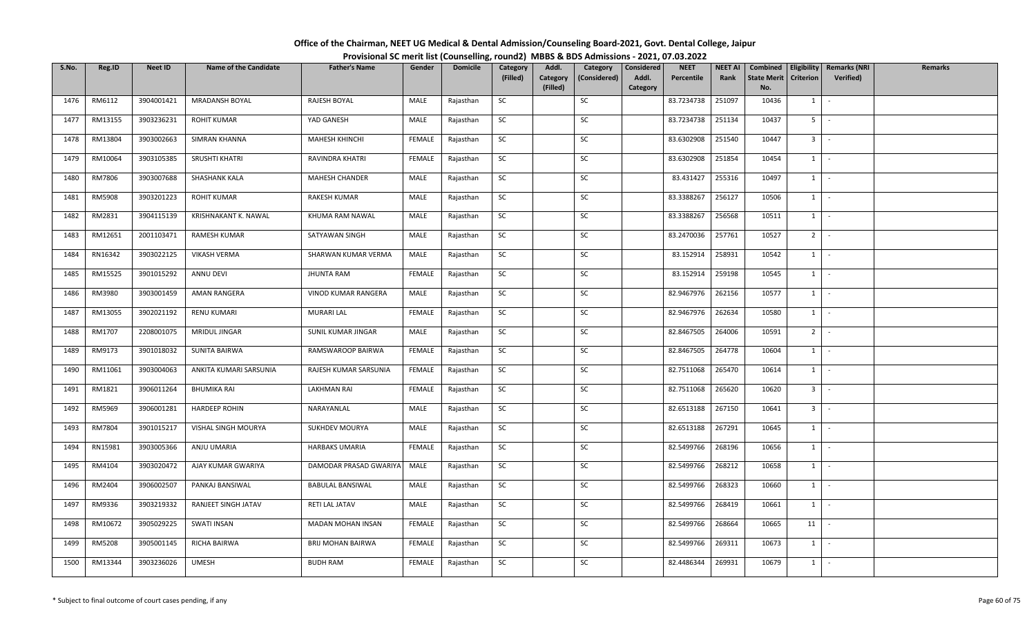| Office of the Chairman, NEET UG Medical & Dental Admission/Counseling Board-2021, Govt. Dental College, Jaipur |                                                                                          |
|----------------------------------------------------------------------------------------------------------------|------------------------------------------------------------------------------------------|
|                                                                                                                | Provisional SC merit list (Counselling, round2) MBBS & BDS Admissions - 2021, 07.03.2022 |

| S.No. | Reg.ID        | Neet ID    | <b>Name of the Candidate</b> | <b>Father's Name</b>    | Gender        | <b>Domicile</b> | Category  | Addl.                | Category     | Considered        | <b>NEET</b> | <b>NEET AI</b> | Combined                  |                     | Eligibility   Remarks (NRI | <b>Remarks</b> |
|-------|---------------|------------|------------------------------|-------------------------|---------------|-----------------|-----------|----------------------|--------------|-------------------|-------------|----------------|---------------------------|---------------------|----------------------------|----------------|
|       |               |            |                              |                         |               |                 | (Filled)  | Category<br>(Filled) | (Considered) | Addl.<br>Category | Percentile  | Rank           | <b>State Merit</b><br>No. | <b>Criterion</b>    | Verified)                  |                |
| 1476  | RM6112        | 3904001421 | <b>MRADANSH BOYAL</b>        | RAJESH BOYAL            | MALE          | Rajasthan       | SC        |                      | SC           |                   | 83.7234738  | 251097         | 10436                     | $1 \mid -$          |                            |                |
| 1477  | RM13155       | 3903236231 | <b>ROHIT KUMAR</b>           | YAD GANESH              | MALE          | Rajasthan       | SC        |                      | SC           |                   | 83.7234738  | 251134         | 10437                     | $5$ $-$             |                            |                |
| 1478  | RM13804       | 3903002663 | SIMRAN KHANNA                | MAHESH KHINCHI          | <b>FEMALE</b> | Rajasthan       | SC        |                      | SC           |                   | 83.6302908  | 251540         | 10447                     | $3$ $\vert$ $\vert$ |                            |                |
| 1479  | RM10064       | 3903105385 | SRUSHTI KHATRI               | RAVINDRA KHATRI         | <b>FEMALE</b> | Rajasthan       | <b>SC</b> |                      | SC           |                   | 83.6302908  | 251854         | 10454                     | $1$ $-$             |                            |                |
| 1480  | RM7806        | 3903007688 | SHASHANK KALA                | <b>MAHESH CHANDER</b>   | MALE          | Rajasthan       | SC        |                      | SC           |                   | 83.431427   | 255316         | 10497                     | $1$ $-$             |                            |                |
| 1481  | <b>RM5908</b> | 3903201223 | <b>ROHIT KUMAR</b>           | RAKESH KUMAR            | MALE          | Rajasthan       | SC        |                      | SC           |                   | 83.3388267  | 256127         | 10506                     | $1$ $\vert$ $\vert$ |                            |                |
| 1482  | RM2831        | 3904115139 | KRISHNAKANT K. NAWAL         | KHUMA RAM NAWAL         | MALE          | Rajasthan       | SC        |                      | SC           |                   | 83.3388267  | 256568         | 10511                     | $1 \mid$            | $\sim$                     |                |
| 1483  | RM12651       | 2001103471 | RAMESH KUMAR                 | SATYAWAN SINGH          | MALE          | Rajasthan       | <b>SC</b> |                      | SC           |                   | 83.2470036  | 257761         | 10527                     | $2$ -               |                            |                |
| 1484  | RN16342       | 3903022125 | <b>VIKASH VERMA</b>          | SHARWAN KUMAR VERMA     | MALE          | Rajasthan       | <b>SC</b> |                      | SC           |                   | 83.152914   | 258931         | 10542                     | $1$ $-$             |                            |                |
| 1485  | RM15525       | 3901015292 | ANNU DEVI                    | <b>JHUNTA RAM</b>       | FEMALE        | Rajasthan       | SC        |                      | SC           |                   | 83.152914   | 259198         | 10545                     | $1 \mid -$          |                            |                |
| 1486  | RM3980        | 3903001459 | AMAN RANGERA                 | VINOD KUMAR RANGERA     | MALE          | Rajasthan       | <b>SC</b> |                      | SC           |                   | 82.9467976  | 262156         | 10577                     | $1$ $\vert$ $\vert$ |                            |                |
| 1487  | RM13055       | 3902021192 | <b>RENU KUMARI</b>           | <b>MURARI LAL</b>       | <b>FEMALE</b> | Rajasthan       | SC        |                      | SC           |                   | 82.9467976  | 262634         | 10580                     | $1 \cdot$           |                            |                |
| 1488  | RM1707        | 2208001075 | MRIDUL JINGAR                | SUNIL KUMAR JINGAR      | MALE          | Rajasthan       | SC        |                      | SC           |                   | 82.8467505  | 264006         | 10591                     | 2 <sup>1</sup>      |                            |                |
| 1489  | RM9173        | 3901018032 | SUNITA BAIRWA                | RAMSWAROOP BAIRWA       | FEMALE        | Rajasthan       | SC        |                      | SC           |                   | 82.8467505  | 264778         | 10604                     | $1 \cdot$           |                            |                |
| 1490  | RM11061       | 3903004063 | ANKITA KUMARI SARSUNIA       | RAJESH KUMAR SARSUNIA   | FEMALE        | Rajasthan       | SC        |                      | SC           |                   | 82.7511068  | 265470         | 10614                     | $1 \cdot$           |                            |                |
| 1491  | RM1821        | 3906011264 | <b>BHUMIKA RAI</b>           | <b>LAKHMAN RAI</b>      | FEMALE        | Rajasthan       | SC        |                      | SC           |                   | 82.7511068  | 265620         | 10620                     | $3 -$               |                            |                |
| 1492  | RM5969        | 3906001281 | <b>HARDEEP ROHIN</b>         | NARAYANLAL              | MALE          | Rajasthan       | SC        |                      | SC           |                   | 82.6513188  | 267150         | 10641                     | $3$ $-$             |                            |                |
| 1493  | RM7804        | 3901015217 | VISHAL SINGH MOURYA          | <b>SUKHDEV MOURYA</b>   | MALE          | Rajasthan       | SC        |                      | SC           |                   | 82.6513188  | 267291         | 10645                     | $1 \mid$            | $\sim$                     |                |
| 1494  | RN15981       | 3903005366 | ANJU UMARIA                  | <b>HARBAKS UMARIA</b>   | FEMALE        | Rajasthan       | SC        |                      | SC           |                   | 82.5499766  | 268196         | 10656                     | $1$ $\vert$ $\vert$ |                            |                |
| 1495  | RM4104        | 3903020472 | AJAY KUMAR GWARIYA           | DAMODAR PRASAD GWARIYA  | MALE          | Rajasthan       | <b>SC</b> |                      | SC           |                   | 82.5499766  | 268212         | 10658                     | $1 \mid$            | $\sim$                     |                |
| 1496  | RM2404        | 3906002507 | PANKAJ BANSIWAL              | <b>BABULAL BANSIWAL</b> | MALE          | Rajasthan       | SC        |                      | SC           |                   | 82.5499766  | 268323         | 10660                     | $1 \mid -$          |                            |                |
| 1497  | RM9336        | 3903219332 | RANJEET SINGH JATAV          | RETI LAL JATAV          | MALE          | Rajasthan       | SC        |                      | SC           |                   | 82.5499766  | 268419         | 10661                     | 1                   | $\sim$                     |                |
| 1498  | RM10672       | 3905029225 | <b>SWATI INSAN</b>           | MADAN MOHAN INSAN       | FEMALE        | Rajasthan       | SC        |                      | SC           |                   | 82.5499766  | 268664         | 10665                     | 11 <sup>1</sup>     |                            |                |
| 1499  | RM5208        | 3905001145 | RICHA BAIRWA                 | BRIJ MOHAN BAIRWA       | FEMALE        | Rajasthan       | SC        |                      | SC           |                   | 82.5499766  | 269311         | 10673                     | $1$ $\sim$          |                            |                |
| 1500  | RM13344       | 3903236026 | <b>UMESH</b>                 | <b>BUDH RAM</b>         | FEMALE        | Rajasthan       | SC        |                      | SC           |                   | 82.4486344  | 269931         | 10679                     | $1 \mid$            |                            |                |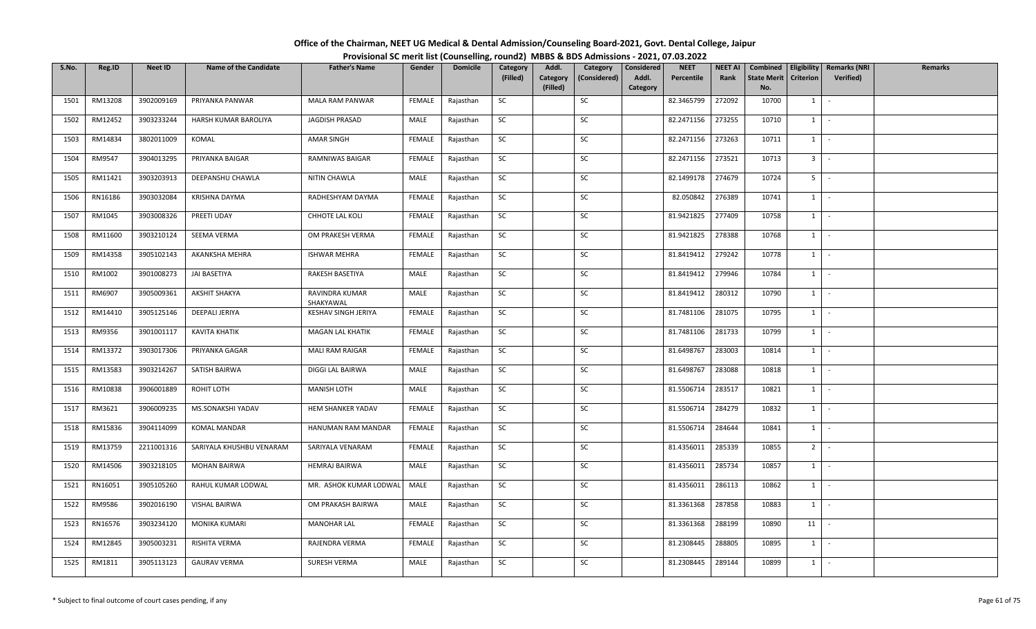| Office of the Chairman, NEET UG Medical & Dental Admission/Counseling Board-2021, Govt. Dental College, Jaipur |  |
|----------------------------------------------------------------------------------------------------------------|--|
| Provisional SC merit list (Counselling, round2) MBBS & BDS Admissions - 2021, 07.03.2022                       |  |

| S.No. | Reg.ID  | Neet ID    | <b>Name of the Candidate</b> | <b>Father's Name</b>        | Gender        | <b>Domicile</b> | Category<br>(Filled) | Addl.<br>Category | Category<br>(Considered) | Considered<br>Addl. | <b>NEET</b><br>Percentile | <b>NEET AI</b><br>Rank | Combined<br><b>State Merit</b> | Eligibility<br>Criterion     | <b>Remarks (NRI</b><br>Verified) | <b>Remarks</b> |
|-------|---------|------------|------------------------------|-----------------------------|---------------|-----------------|----------------------|-------------------|--------------------------|---------------------|---------------------------|------------------------|--------------------------------|------------------------------|----------------------------------|----------------|
|       |         |            |                              |                             |               |                 |                      | (Filled)          |                          | Category            |                           |                        | No.                            |                              |                                  |                |
| 1501  | RM13208 | 3902009169 | PRIYANKA PANWAR              | MALA RAM PANWAR             | FEMALE        | Rajasthan       | SC                   |                   | SC                       |                     | 82.3465799                | 272092                 | 10700                          | $1 \quad$                    | $\sim$                           |                |
| 1502  | RM12452 | 3903233244 | HARSH KUMAR BAROLIYA         | <b>JAGDISH PRASAD</b>       | MALE          | Rajasthan       | SC                   |                   | SC                       |                     | 82.2471156                | 273255                 | 10710                          | $1$ $-$                      |                                  |                |
| 1503  | RM14834 | 3802011009 | KOMAL                        | AMAR SINGH                  | FEMALE        | Rajasthan       | SC                   |                   | SC                       |                     | 82.2471156                | 273263                 | 10711                          | $1 \mid$                     | $\sim$                           |                |
| 1504  | RM9547  | 3904013295 | PRIYANKA BAIGAR              | RAMNIWAS BAIGAR             | <b>FEMALE</b> | Rajasthan       | SC                   |                   | SC                       |                     | 82.2471156                | 273521                 | 10713                          | $3$ $\overline{\phantom{0}}$ |                                  |                |
| 1505  | RM11421 | 3903203913 | DEEPANSHU CHAWLA             | NITIN CHAWLA                | MALE          | Rajasthan       | SC                   |                   | SC                       |                     | 82.1499178                | 274679                 | 10724                          | $5 -$                        |                                  |                |
| 1506  | RN16186 | 3903032084 | KRISHNA DAYMA                | RADHESHYAM DAYMA            | FEMALE        | Rajasthan       | SC                   |                   | SC                       |                     | 82.050842                 | 276389                 | 10741                          | $1$ $\cdot$                  |                                  |                |
| 1507  | RM1045  | 3903008326 | PREETI UDAY                  | CHHOTE LAL KOLI             | FEMALE        | Rajasthan       | SC                   |                   | SC                       |                     | 81.9421825                | 277409                 | 10758                          | $1 \quad$                    | $\sim$                           |                |
| 1508  | RM11600 | 3903210124 | SEEMA VERMA                  | OM PRAKESH VERMA            | FEMALE        | Rajasthan       | SC                   |                   | SC                       |                     | 81.9421825                | 278388                 | 10768                          | 1                            | $\sim$                           |                |
| 1509  | RM14358 | 3905102143 | AKANKSHA MEHRA               | <b>ISHWAR MEHRA</b>         | <b>FEMALE</b> | Rajasthan       | SC                   |                   | SC                       |                     | 81.8419412                | 279242                 | 10778                          | $1 \mid$                     | $\sim$                           |                |
| 1510  | RM1002  | 3901008273 | JAI BASETIYA                 | RAKESH BASETIYA             | MALE          | Rajasthan       | SC                   |                   | SC                       |                     | 81.8419412                | 279946                 | 10784                          | $1 \mid$                     | $\sim$                           |                |
| 1511  | RM6907  | 3905009361 | <b>AKSHIT SHAKYA</b>         | RAVINDRA KUMAR<br>SHAKYAWAL | MALE          | Rajasthan       | <b>SC</b>            |                   | SC                       |                     | 81.8419412                | 280312                 | 10790                          | $1$ $\vert$                  |                                  |                |
| 1512  | RM14410 | 3905125146 | DEEPALI JERIYA               | KESHAV SINGH JERIYA         | <b>FEMALE</b> | Rajasthan       | <b>SC</b>            |                   | SC                       |                     | 81.7481106                | 281075                 | 10795                          | $1 \vert$                    | $\sim$                           |                |
| 1513  | RM9356  | 3901001117 | KAVITA KHATIK                | MAGAN LAL KHATIK            | FEMALE        | Rajasthan       | SC                   |                   | SC                       |                     | 81.7481106                | 281733                 | 10799                          | $1\phantom{0}$               | $\sim$                           |                |
| 1514  | RM13372 | 3903017306 | PRIYANKA GAGAR               | <b>MALI RAM RAIGAR</b>      | FEMALE        | Rajasthan       | SC                   |                   | SC                       |                     | 81.6498767                | 283003                 | 10814                          | $1 \quad$                    | $\sim$                           |                |
| 1515  | RM13583 | 3903214267 | SATISH BAIRWA                | DIGGI LAL BAIRWA            | MALE          | Rajasthan       | SC                   |                   | SC                       |                     | 81.6498767                | 283088                 | 10818                          | 1                            | $\sim$                           |                |
| 1516  | RM10838 | 3906001889 | ROHIT LOTH                   | MANISH LOTH                 | MALE          | Rajasthan       | SC                   |                   | SC                       |                     | 81.5506714                | 283517                 | 10821                          | $1 \vert -$                  |                                  |                |
| 1517  | RM3621  | 3906009235 | MS.SONAKSHI YADAV            | HEM SHANKER YADAV           | FEMALE        | Rajasthan       | <b>SC</b>            |                   | SC                       |                     | 81.5506714                | 284279                 | 10832                          | 1                            | $\sim$                           |                |
| 1518  | RM15836 | 3904114099 | KOMAL MANDAR                 | HANUMAN RAM MANDAR          | <b>FEMALE</b> | Rajasthan       | SC                   |                   | SC                       |                     | 81.5506714                | 284644                 | 10841                          | $1$ $\vert$                  |                                  |                |
| 1519  | RM13759 | 2211001316 | SARIYALA KHUSHBU VENARAM     | SARIYALA VENARAM            | FEMALE        | Rajasthan       | SC                   |                   | SC                       |                     | 81.4356011                | 285339                 | 10855                          | $2$ $-$                      |                                  |                |
| 1520  | RM14506 | 3903218105 | MOHAN BAIRWA                 | <b>HEMRAJ BAIRWA</b>        | MALE          | Rajasthan       | SC                   |                   | SC                       |                     | 81.4356011                | 285734                 | 10857                          | $1 \quad$                    | $\sim$                           |                |
| 1521  | RN16051 | 3905105260 | RAHUL KUMAR LODWAL           | MR. ASHOK KUMAR LODWAL      | MALE          | Rajasthan       | SC                   |                   | SC                       |                     | 81.4356011                | 286113                 | 10862                          | $1 \quad$                    | $\sim$                           |                |
| 1522  | RM9586  | 3902016190 | <b>VISHAL BAIRWA</b>         | OM PRAKASH BAIRWA           | MALE          | Rajasthan       | SC                   |                   | SC                       |                     | 81.3361368                | 287858                 | 10883                          | $1$ $\vert$ $\vert$          |                                  |                |
| 1523  | RN16576 | 3903234120 | MONIKA KUMARI                | <b>MANOHAR LAL</b>          | FEMALE        | Rajasthan       | SC                   |                   | SC                       |                     | 81.3361368                | 288199                 | 10890                          | 11                           |                                  |                |
| 1524  | RM12845 | 3905003231 | RISHITA VERMA                | RAJENDRA VERMA              | FEMALE        | Rajasthan       | SC                   |                   | SC                       |                     | 81.2308445                | 288805                 | 10895                          | $1 \quad$                    | $\sim$                           |                |
| 1525  | RM1811  | 3905113123 | <b>GAURAV VERMA</b>          | <b>SURESH VERMA</b>         | MALE          | Rajasthan       | SC                   |                   | SC                       |                     | 81.2308445                | 289144                 | 10899                          | $1 \mid$                     | $\sim$                           |                |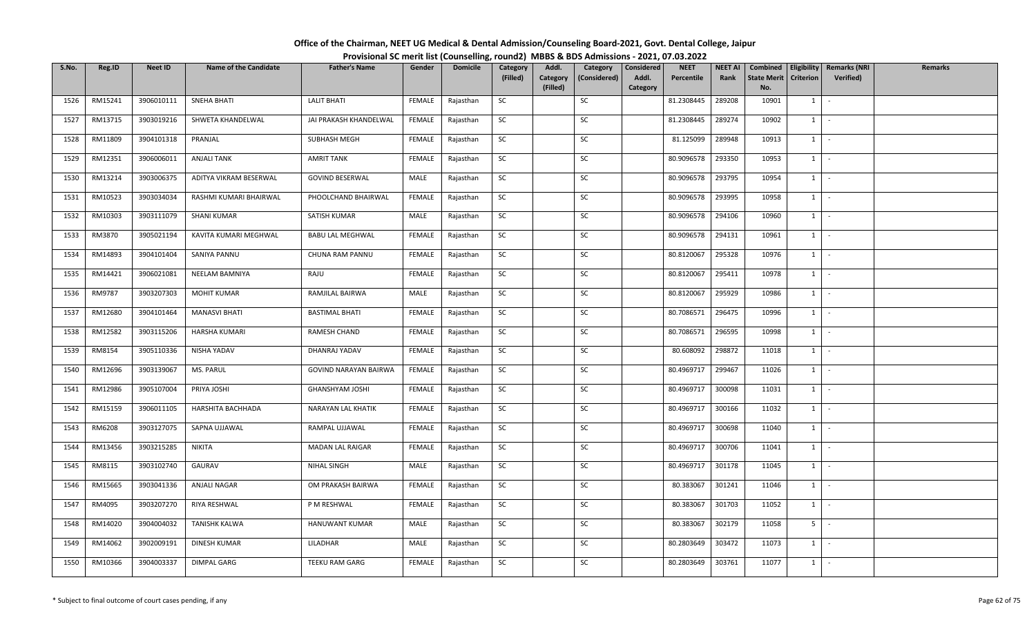| Office of the Chairman, NEET UG Medical & Dental Admission/Counseling Board-2021, Govt. Dental College, Jaipur |  |
|----------------------------------------------------------------------------------------------------------------|--|
| Provisional SC merit list (Counselling, round2) MBBS & BDS Admissions - 2021, 07.03.2022                       |  |

| S.No. | Reg.ID  | <b>Neet ID</b> | <b>Name of the Candidate</b> | <b>Father's Name</b>    | Gender        | <b>Domicile</b> | Category  | Addl.                | Category     | Considered        | <b>NEET</b> | <b>NEET AI</b> | Combined                  |                  | Eligibility   Remarks (NRI | Remarks |
|-------|---------|----------------|------------------------------|-------------------------|---------------|-----------------|-----------|----------------------|--------------|-------------------|-------------|----------------|---------------------------|------------------|----------------------------|---------|
|       |         |                |                              |                         |               |                 | (Filled)  | Category<br>(Filled) | (Considered) | Addl.<br>Category | Percentile  | Rank           | <b>State Merit</b><br>No. | <b>Criterion</b> | <b>Verified</b> )          |         |
| 1526  | RM15241 | 3906010111     | <b>SNEHA BHATI</b>           | <b>LALIT BHATI</b>      | FEMALE        | Rajasthan       | SC        |                      | SC           |                   | 81.2308445  | 289208         | 10901                     | 1                | $\sim$                     |         |
|       |         |                |                              |                         |               |                 |           |                      |              |                   |             |                |                           |                  |                            |         |
| 1527  | RM13715 | 3903019216     | SHWETA KHANDELWAL            | JAI PRAKASH KHANDELWAL  | FEMALE        | Rajasthan       | SC        |                      | SC           |                   | 81.2308445  | 289274         | 10902                     | 1                | $\sim$                     |         |
| 1528  | RM11809 | 3904101318     | PRANJAL                      | SUBHASH MEGH            | FEMALE        | Rajasthan       | <b>SC</b> |                      | SC           |                   | 81.125099   | 289948         | 10913                     | $1 \mid$         | $\sim$ $-$                 |         |
| 1529  | RM12351 | 3906006011     | <b>ANJALI TANK</b>           | <b>AMRIT TANK</b>       | <b>FEMALE</b> | Rajasthan       | SC        |                      | SC           |                   | 80.9096578  | 293350         | 10953                     | $1 \mid$         | $\sim$                     |         |
| 1530  | RM13214 | 3903006375     | ADITYA VIKRAM BESERWAL       | <b>GOVIND BESERWAL</b>  | MALE          | Rajasthan       | SC        |                      | SC           |                   | 80.9096578  | 293795         | 10954                     | $1 \mid$         | $\sim$                     |         |
| 1531  | RM10523 | 3903034034     | RASHMI KUMARI BHAIRWAL       | PHOOLCHAND BHAIRWAL     | FEMALE        | Rajasthan       | SC        |                      | SC           |                   | 80.9096578  | 293995         | 10958                     | 1                | $\sim$                     |         |
| 1532  | RM10303 | 3903111079     | <b>SHANI KUMAR</b>           | SATISH KUMAR            | MALE          | Rajasthan       | SC        |                      | SC           |                   | 80.9096578  | 294106         | 10960                     | $1 \quad$        | $\sim$                     |         |
| 1533  | RM3870  | 3905021194     | KAVITA KUMARI MEGHWAL        | <b>BABU LAL MEGHWAL</b> | <b>FEMALE</b> | Rajasthan       | <b>SC</b> |                      | SC           |                   | 80.9096578  | 294131         | 10961                     | 1                | $\sim$                     |         |
| 1534  | RM14893 | 3904101404     | SANIYA PANNU                 | CHUNA RAM PANNU         | FEMALE        | Rajasthan       | SC        |                      | SC           |                   | 80.8120067  | 295328         | 10976                     | 1                | $\sim$                     |         |
| 1535  | RM14421 | 3906021081     | NEELAM BAMNIYA               | RAJU                    | FEMALE        | Rajasthan       | SC        |                      | SC           |                   | 80.8120067  | 295411         | 10978                     | 1                | $\sim$                     |         |
| 1536  | RM9787  | 3903207303     | <b>MOHIT KUMAR</b>           | RAMJILAL BAIRWA         | MALE          | Rajasthan       | <b>SC</b> |                      | SC           |                   | 80.8120067  | 295929         | 10986                     | $1$ $-$          |                            |         |
| 1537  | RM12680 | 3904101464     | <b>MANASVI BHATI</b>         | <b>BASTIMAL BHATI</b>   | <b>FEMALE</b> | Rajasthan       | SC        |                      | SC           |                   | 80.7086571  | 296475         | 10996                     | $1 \vert$        | $\sim$                     |         |
| 1538  | RM12582 | 3903115206     | <b>HARSHA KUMARI</b>         | RAMESH CHAND            | FEMALE        | Rajasthan       | <b>SC</b> |                      | SC           |                   | 80.7086571  | 296595         | 10998                     | 1                | $\sim$                     |         |
| 1539  | RM8154  | 3905110336     | NISHA YADAV                  | DHANRAJ YADAV           | FEMALE        | Rajasthan       | SC        |                      | <b>SC</b>    |                   | 80.608092   | 298872         | 11018                     | $1 \quad$        | $\sim$                     |         |
| 1540  | RM12696 | 3903139067     | MS. PARUL                    | GOVIND NARAYAN BAIRWA   | FEMALE        | Rajasthan       | SC        |                      | SC           |                   | 80.4969717  | 299467         | 11026                     | $1 \vert$        | $\sim$                     |         |
| 1541  | RM12986 | 3905107004     | PRIYA JOSHI                  | <b>GHANSHYAM JOSHI</b>  | FEMALE        | Rajasthan       | <b>SC</b> |                      | SC           |                   | 80.4969717  | 300098         | 11031                     | 1                | $\sim$                     |         |
| 1542  | RM15159 | 3906011105     | HARSHITA BACHHADA            | NARAYAN LAL KHATIK      | FEMALE        | Rajasthan       | <b>SC</b> |                      | SC           |                   | 80.4969717  | 300166         | 11032                     | 1                | $\sim$                     |         |
| 1543  | RM6208  | 3903127075     | SAPNA UJJAWAL                | RAMPAL UJJAWAL          | FEMALE        | Rajasthan       | SC        |                      | SC           |                   | 80.4969717  | 300698         | 11040                     | 1                | $\sim$                     |         |
| 1544  | RM13456 | 3903215285     | <b>NIKITA</b>                | <b>MADAN LAL RAIGAR</b> | FEMALE        | Rajasthan       | SC        |                      | SC           |                   | 80.4969717  | 300706         | 11041                     |                  | $1 \cdot$                  |         |
| 1545  | RM8115  | 3903102740     | GAURAV                       | NIHAL SINGH             | MALE          | Rajasthan       | SC        |                      | SC           |                   | 80.4969717  | 301178         | 11045                     | $1 \vert$        | $\sim$                     |         |
| 1546  | RM15665 | 3903041336     | ANJALI NAGAR                 | OM PRAKASH BAIRWA       | <b>FEMALE</b> | Rajasthan       | <b>SC</b> |                      | SC           |                   | 80.383067   | 301241         | 11046                     | $1 \quad$        | $\sim$                     |         |
| 1547  | RM4095  | 3903207270     | RIYA RESHWAL                 | P M RESHWAL             | <b>FEMALE</b> | Rajasthan       | SC        |                      | SC           |                   | 80.383067   | 301703         | 11052                     | 1                | $\sim$                     |         |
| 1548  | RM14020 | 3904004032     | <b>TANISHK KALWA</b>         | HANUWANT KUMAR          | MALE          | Rajasthan       | SC        |                      | SC           |                   | 80.383067   | 302179         | 11058                     | 5 <sub>1</sub>   | $\sim$                     |         |
| 1549  | RM14062 | 3902009191     | DINESH KUMAR                 | LILADHAR                | MALE          | Rajasthan       | SC        |                      | SC           |                   | 80.2803649  | 303472         | 11073                     | 1                | $\sim$                     |         |
| 1550  | RM10366 | 3904003337     | DIMPAL GARG                  | TEEKU RAM GARG          | <b>FEMALE</b> | Rajasthan       | SC        |                      | SC           |                   | 80.2803649  | 303761         | 11077                     | $1 \quad$        | $\sim$                     |         |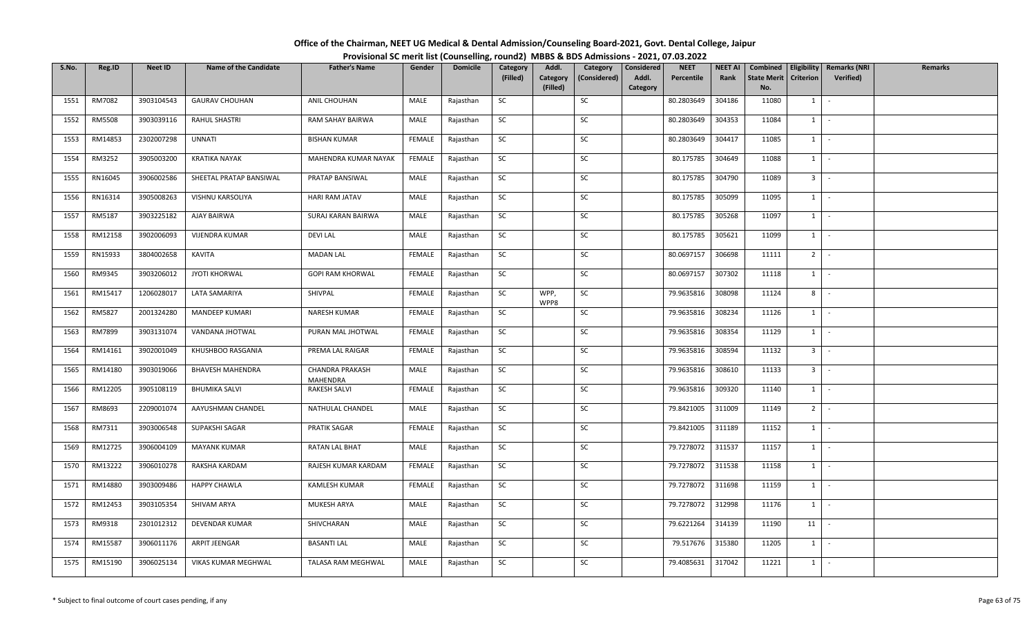| Office of the Chairman, NEET UG Medical & Dental Admission/Counseling Board-2021, Govt. Dental College, Jaipur |                                                                                          |
|----------------------------------------------------------------------------------------------------------------|------------------------------------------------------------------------------------------|
|                                                                                                                | Provisional SC merit list (Counselling, round2) MBBS & BDS Admissions - 2021, 07.03.2022 |

| S.No. | Reg.ID  | <b>Neet ID</b> | <b>Name of the Candidate</b> | <b>Father's Name</b>               | Gender        | <b>Domicile</b> | Category  | Addl.                | Category     | Considered        | <b>NEET</b> | <b>NEET AI</b> | Combined                  |                              | Eligibility   Remarks (NRI | <b>Remarks</b> |
|-------|---------|----------------|------------------------------|------------------------------------|---------------|-----------------|-----------|----------------------|--------------|-------------------|-------------|----------------|---------------------------|------------------------------|----------------------------|----------------|
|       |         |                |                              |                                    |               |                 | (Filled)  | Category<br>(Filled) | (Considered) | Addl.<br>Category | Percentile  | Rank           | <b>State Merit</b><br>No. | Criterion                    | <b>Verified</b> )          |                |
| 1551  | RM7082  | 3903104543     | <b>GAURAV CHOUHAN</b>        | ANIL CHOUHAN                       | MALE          | Rajasthan       | SC        |                      | SC           |                   | 80.2803649  | 304186         | 11080                     | $1 \quad$                    | $\sim$                     |                |
| 1552  | RM5508  | 3903039116     | <b>RAHUL SHASTRI</b>         | RAM SAHAY BAIRWA                   | MALE          | Rajasthan       | SC        |                      | SC           |                   | 80.2803649  | 304353         | 11084                     | $1 \mid$                     | $\sim$                     |                |
| 1553  | RM14853 | 2302007298     | <b>UNNATI</b>                | <b>BISHAN KUMAR</b>                | <b>FEMALE</b> | Rajasthan       | <b>SC</b> |                      | SC           |                   | 80.2803649  | 304417         | 11085                     | $1$ $\cdot$                  |                            |                |
| 1554  | RM3252  | 3905003200     | <b>KRATIKA NAYAK</b>         | MAHENDRA KUMAR NAYAK               | <b>FEMALE</b> | Rajasthan       | SC        |                      | SC           |                   | 80.175785   | 304649         | 11088                     | $1$ $\vert$                  |                            |                |
| 1555  | RN16045 | 3906002586     | SHEETAL PRATAP BANSIWAL      | PRATAP BANSIWAL                    | MALE          | Rajasthan       | SC        |                      | SC           |                   | 80.175785   | 304790         | 11089                     | $3$ $\overline{\phantom{0}}$ |                            |                |
| 1556  | RN16314 | 3905008263     | VISHNU KARSOLIYA             | <b>HARI RAM JATAV</b>              | MALE          | Rajasthan       | SC        |                      | SC           |                   | 80.175785   | 305099         | 11095                     | $1 \mid$                     | $\sim$                     |                |
| 1557  | RM5187  | 3903225182     | AJAY BAIRWA                  | SURAJ KARAN BAIRWA                 | MALE          | Rajasthan       | SC        |                      | SC           |                   | 80.175785   | 305268         | 11097                     | $1 \quad$                    | $\sim$                     |                |
| 1558  | RM12158 | 3902006093     | <b>VIJENDRA KUMAR</b>        | <b>DEVI LAL</b>                    | MALE          | Rajasthan       | SC        |                      | SC           |                   | 80.175785   | 305621         | 11099                     | $1 \mid$                     | $\sim$                     |                |
| 1559  | RN15933 | 3804002658     | KAVITA                       | <b>MADAN LAL</b>                   | FEMALE        | Rajasthan       | SC        |                      | SC           |                   | 80.0697157  | 306698         | 11111                     | 2 <sup>1</sup>               | $\sim$                     |                |
| 1560  | RM9345  | 3903206012     | JYOTI KHORWAL                | GOPI RAM KHORWAL                   | FEMALE        | Rajasthan       | SC        |                      | SC           |                   | 80.0697157  | 307302         | 11118                     | $1 \cdot$                    |                            |                |
| 1561  | RM15417 | 1206028017     | LATA SAMARIYA                | SHIVPAL                            | FEMALE        | Rajasthan       | SC        | WPP,<br>WPP8         | SC           |                   | 79.9635816  | 308098         | 11124                     | $8$ -                        |                            |                |
| 1562  | RM5827  | 2001324280     | MANDEEP KUMARI               | NARESH KUMAR                       | <b>FEMALE</b> | Rajasthan       | SC        |                      | SC           |                   | 79.9635816  | 308234         | 11126                     | $1 \vert$                    | $\sim$                     |                |
| 1563  | RM7899  | 3903131074     | VANDANA JHOTWAL              | PURAN MAL JHOTWAL                  | FEMALE        | Rajasthan       | SC        |                      | SC           |                   | 79.9635816  | 308354         | 11129                     | 1                            | $\sim$                     |                |
| 1564  | RM14161 | 3902001049     | KHUSHBOO RASGANIA            | PREMA LAL RAIGAR                   | FEMALE        | Rajasthan       | SC        |                      | SC           |                   | 79.9635816  | 308594         | 11132                     | $3$ $\overline{\phantom{0}}$ |                            |                |
| 1565  | RM14180 | 3903019066     | BHAVESH MAHENDRA             | <b>CHANDRA PRAKASH</b><br>MAHENDRA | MALE          | Rajasthan       | SC        |                      | SC           |                   | 79.9635816  | 308610         | 11133                     | $3 -$                        |                            |                |
| 1566  | RM12205 | 3905108119     | <b>BHUMIKA SALVI</b>         | RAKESH SALVI                       | FEMALE        | Rajasthan       | SC        |                      | SC           |                   | 79.9635816  | 309320         | 11140                     | $1$   -                      |                            |                |
| 1567  | RM8693  | 2209001074     | AAYUSHMAN CHANDEL            | NATHULAL CHANDEL                   | MALE          | Rajasthan       | SC        |                      | SC           |                   | 79.8421005  | 311009         | 11149                     | $2^{\circ}$                  | $\sim$                     |                |
| 1568  | RM7311  | 3903006548     | SUPAKSHI SAGAR               | PRATIK SAGAR                       | FEMALE        | Rajasthan       | SC        |                      | SC           |                   | 79.8421005  | 311189         | 11152                     | 1                            | $\sim$                     |                |
| 1569  | RM12725 | 3906004109     | <b>MAYANK KUMAR</b>          | <b>RATAN LAL BHAT</b>              | MALE          | Rajasthan       | SC        |                      | SC           |                   | 79.7278072  | 311537         | 11157                     | $1$ $\cdot$                  |                            |                |
| 1570  | RM13222 | 3906010278     | RAKSHA KARDAM                | RAJESH KUMAR KARDAM                | FEMALE        | Rajasthan       | <b>SC</b> |                      | SC           |                   | 79.7278072  | 311538         | 11158                     | $1$ $-$                      |                            |                |
| 1571  | RM14880 | 3903009486     | <b>HAPPY CHAWLA</b>          | <b>KAMLESH KUMAR</b>               | FEMALE        | Rajasthan       | SC        |                      | SC           |                   | 79.7278072  | 311698         | 11159                     | $1 \quad$                    | $\sim$                     |                |
| 1572  | RM12453 | 3903105354     | SHIVAM ARYA                  | MUKESH ARYA                        | MALE          | Rajasthan       | SC        |                      | SC           |                   | 79.7278072  | 312998         | 11176                     | 1                            | $\sim$                     |                |
| 1573  | RM9318  | 2301012312     | <b>DEVENDAR KUMAR</b>        | SHIVCHARAN                         | MALE          | Rajasthan       | SC        |                      | SC           |                   | 79.6221264  | 314139         | 11190                     | 11                           |                            |                |
| 1574  | RM15587 | 3906011176     | ARPIT JEENGAR                | <b>BASANTI LAL</b>                 | MALE          | Rajasthan       | SC        |                      | SC           |                   | 79.517676   | 315380         | 11205                     | $1$ $\cdot$                  |                            |                |
| 1575  | RM15190 | 3906025134     | VIKAS KUMAR MEGHWAL          | TALASA RAM MEGHWAL                 | MALE          | Rajasthan       | SC        |                      | SC           |                   | 79.4085631  | 317042         | 11221                     | $1 \quad$                    |                            |                |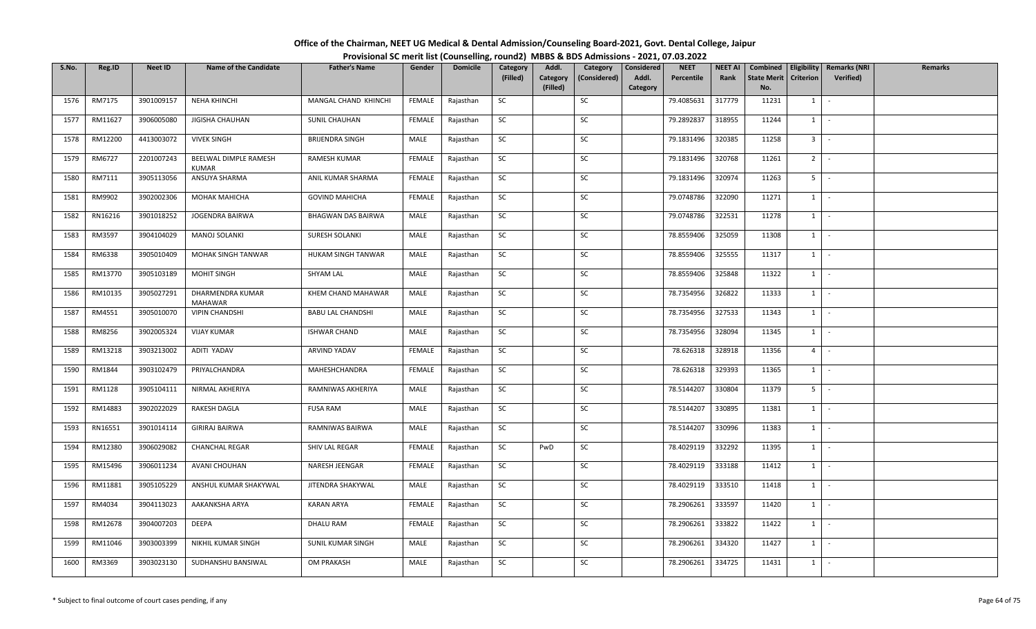| S.No. | Reg.ID  | <b>Neet ID</b> | <b>Name of the Candidate</b>       | <b>Father's Name</b>      | Gender        | <b>Domicile</b> | Category  | Addl.                | Category     | Considered        | <b>NEET</b> | <b>NEET AI</b> | Combined                  |                  | Eligibility   Remarks (NRI | Remarks |
|-------|---------|----------------|------------------------------------|---------------------------|---------------|-----------------|-----------|----------------------|--------------|-------------------|-------------|----------------|---------------------------|------------------|----------------------------|---------|
|       |         |                |                                    |                           |               |                 | (Filled)  | Category<br>(Filled) | (Considered) | Addl.<br>Category | Percentile  | Rank           | <b>State Merit</b><br>No. | <b>Criterion</b> | <b>Verified</b> )          |         |
| 1576  | RM7175  | 3901009157     | NEHA KHINCHI                       | MANGAL CHAND KHINCHI      | FEMALE        | Rajasthan       | SC        |                      | SC           |                   | 79.4085631  | 317779         | 11231                     | $1 \vert$        | $\sim$                     |         |
|       |         |                |                                    |                           |               |                 |           |                      |              |                   |             |                |                           |                  |                            |         |
| 1577  | RM11627 | 3906005080     | JIGISHA CHAUHAN                    | <b>SUNIL CHAUHAN</b>      | FEMALE        | Rajasthan       | <b>SC</b> |                      | SC           |                   | 79.2892837  | 318955         | 11244                     | 1                | $\sim$                     |         |
| 1578  | RM12200 | 4413003072     | <b>VIVEK SINGH</b>                 | <b>BRIJENDRA SINGH</b>    | MALE          | Rajasthan       | <b>SC</b> |                      | SC           |                   | 79.1831496  | 320385         | 11258                     | 3 <sup>1</sup>   | $\sim$                     |         |
| 1579  | RM6727  | 2201007243     | BEELWAL DIMPLE RAMESH<br>KUMAR     | RAMESH KUMAR              | FEMALE        | Rajasthan       | <b>SC</b> |                      | SC           |                   | 79.1831496  | 320768         | 11261                     | $2$ -            |                            |         |
| 1580  | RM7111  | 3905113056     | ANSUYA SHARMA                      | ANIL KUMAR SHARMA         | FEMALE        | Rajasthan       | SC        |                      | SC           |                   | 79.1831496  | 320974         | 11263                     | 5 <sub>1</sub>   | $\sim$                     |         |
| 1581  | RM9902  | 3902002306     | <b>MOHAK MAHICHA</b>               | <b>GOVIND MAHICHA</b>     | FEMALE        | Rajasthan       | SC        |                      | SC           |                   | 79.0748786  | 322090         | 11271                     | $1$ $-$          |                            |         |
| 1582  | RN16216 | 3901018252     | JOGENDRA BAIRWA                    | <b>BHAGWAN DAS BAIRWA</b> | MALE          | Rajasthan       | SC        |                      | SC           |                   | 79.0748786  | 322531         | 11278                     | 1                | $\sim$                     |         |
| 1583  | RM3597  | 3904104029     | <b>MANOJ SOLANKI</b>               | SURESH SOLANKI            | MALE          | Rajasthan       | SC        |                      | SC           |                   | 78.8559406  | 325059         | 11308                     | $1 \vert$        | $\sim$                     |         |
| 1584  | RM6338  | 3905010409     | MOHAK SINGH TANWAR                 | HUKAM SINGH TANWAR        | MALE          | Rajasthan       | SC        |                      | SC           |                   | 78.8559406  | 325555         | 11317                     | $1 \quad$        | $\sim$                     |         |
| 1585  | RM13770 | 3905103189     | MOHIT SINGH                        | SHYAM LAL                 | MALE          | Rajasthan       | SC        |                      | SC           |                   | 78.8559406  | 325848         | 11322                     | $1 \quad$        | $\sim$                     |         |
| 1586  | RM10135 | 3905027291     | DHARMENDRA KUMAR<br><b>MAHAWAR</b> | KHEM CHAND MAHAWAR        | MALE          | Rajasthan       | <b>SC</b> |                      | SC           |                   | 78.7354956  | 326822         | 11333                     | $1 \vert$        | $\sim$                     |         |
| 1587  | RM4551  | 3905010070     | <b>VIPIN CHANDSHI</b>              | <b>BABU LAL CHANDSHI</b>  | MALE          | Rajasthan       | SC        |                      | SC           |                   | 78.7354956  | 327533         | 11343                     | 1                | $\sim$                     |         |
| 1588  | RM8256  | 3902005324     | <b>VIJAY KUMAR</b>                 | <b>ISHWAR CHAND</b>       | MALE          | Rajasthan       | <b>SC</b> |                      | SC           |                   | 78.7354956  | 328094         | 11345                     | $1$ $\cdot$      |                            |         |
| 1589  | RM13218 | 3903213002     | ADITI YADAV                        | ARVIND YADAV              | FEMALE        | Rajasthan       | SC        |                      | SC           |                   | 78.626318   | 328918         | 11356                     | $4 \mid$         | $\sim$                     |         |
| 1590  | RM1844  | 3903102479     | PRIYALCHANDRA                      | MAHESHCHANDRA             | FEMALE        | Rajasthan       | SC        |                      | SC           |                   | 78.626318   | 329393         | 11365                     | $1 \vert$        | $\sim$                     |         |
| 1591  | RM1128  | 3905104111     | NIRMAL AKHERIYA                    | RAMNIWAS AKHERIYA         | MALE          | Rajasthan       | <b>SC</b> |                      | SC           |                   | 78.5144207  | 330804         | 11379                     | 5 <sub>1</sub>   | $\sim$                     |         |
| 1592  | RM14883 | 3902022029     | RAKESH DAGLA                       | <b>FUSA RAM</b>           | MALE          | Rajasthan       | SC        |                      | SC           |                   | 78.5144207  | 330895         | 11381                     | $1 \vert$        | $\sim$                     |         |
| 1593  | RN16551 | 3901014114     | <b>GIRIRAJ BAIRWA</b>              | RAMNIWAS BAIRWA           | MALE          | Rajasthan       | SC        |                      | SC           |                   | 78.5144207  | 330996         | 11383                     | $1 \quad$        | $\sim$                     |         |
| 1594  | RM12380 | 3906029082     | <b>CHANCHAL REGAR</b>              | SHIV LAL REGAR            | FEMALE        | Rajasthan       | SC        | PwD                  | SC           |                   | 78.4029119  | 332292         | 11395                     | $1 \quad$        | $\sim$                     |         |
| 1595  | RM15496 | 3906011234     | AVANI CHOUHAN                      | NARESH JEENGAR            | <b>FEMALE</b> | Rajasthan       | <b>SC</b> |                      | SC           |                   | 78.4029119  | 333188         | 11412                     | $1 \quad$        | $\sim$                     |         |
| 1596  | RM11881 | 3905105229     | ANSHUL KUMAR SHAKYWAL              | JITENDRA SHAKYWAL         | MALE          | Rajasthan       | <b>SC</b> |                      | SC           |                   | 78.4029119  | 333510         | 11418                     | 1                | $\sim$                     |         |
| 1597  | RM4034  | 3904113023     | AAKANKSHA ARYA                     | <b>KARAN ARYA</b>         | <b>FEMALE</b> | Rajasthan       | SC        |                      | SC           |                   | 78.2906261  | 333597         | 11420                     | $1 \mid$         | $\sim$                     |         |
| 1598  | RM12678 | 3904007203     | DEEPA                              | DHALU RAM                 | FEMALE        | Rajasthan       | SC        |                      | SC           |                   | 78.2906261  | 333822         | 11422                     | $1 \quad$        | $\sim$                     |         |
| 1599  | RM11046 | 3903003399     | NIKHIL KUMAR SINGH                 | SUNIL KUMAR SINGH         | MALE          | Rajasthan       | SC        |                      | SC           |                   | 78.2906261  | 334320         | 11427                     | $1 \vert$        | $\sim$                     |         |
| 1600  | RM3369  | 3903023130     | SUDHANSHU BANSIWAL                 | <b>OM PRAKASH</b>         | MALE          | Rajasthan       | SC        |                      | SC           |                   | 78.2906261  | 334725         | 11431                     | $1 \quad$        | $\sim$                     |         |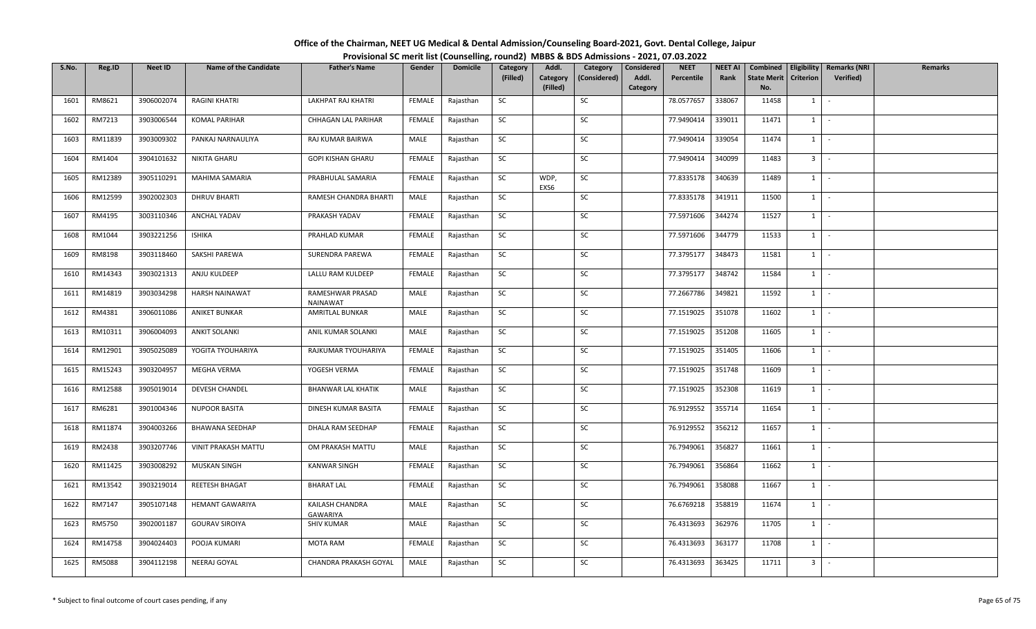| Office of the Chairman, NEET UG Medical & Dental Admission/Counseling Board-2021, Govt. Dental College, Jaipur |                                                                                          |
|----------------------------------------------------------------------------------------------------------------|------------------------------------------------------------------------------------------|
|                                                                                                                | Provisional SC merit list (Counselling, round2) MBBS & BDS Admissions - 2021, 07.03.2022 |

| S.No. | Reg.ID        | <b>Neet ID</b> | <b>Name of the Candidate</b> | <b>Father's Name</b>         | Gender        | <b>Domicile</b> | Category<br>(Filled) | Addl.<br>Category | Category<br>(Considered) | Considered<br>Addl. | <b>NEET</b><br>Percentile | <b>NEET AI</b><br>Rank | Combined<br><b>State Merit</b> | Eligibility<br><b>Criterion</b> | <b>Remarks (NRI</b><br><b>Verified</b> ) | <b>Remarks</b> |
|-------|---------------|----------------|------------------------------|------------------------------|---------------|-----------------|----------------------|-------------------|--------------------------|---------------------|---------------------------|------------------------|--------------------------------|---------------------------------|------------------------------------------|----------------|
|       |               |                |                              |                              |               |                 |                      | (Filled)          |                          | Category            |                           |                        | No.                            |                                 |                                          |                |
| 1601  | RM8621        | 3906002074     | RAGINI KHATRI                | LAKHPAT RAJ KHATRI           | FEMALE        | Rajasthan       | SC                   |                   | SC                       |                     | 78.0577657                | 338067                 | 11458                          | $1 \quad$                       | $\sim$                                   |                |
| 1602  | RM7213        | 3903006544     | <b>KOMAL PARIHAR</b>         | CHHAGAN LAL PARIHAR          | FEMALE        | Rajasthan       | SC                   |                   | SC                       |                     | 77.9490414                | 339011                 | 11471                          | $1 \mid$                        | $\sim$                                   |                |
| 1603  | RM11839       | 3903009302     | PANKAJ NARNAULIYA            | RAJ KUMAR BAIRWA             | MALE          | Rajasthan       | SC                   |                   | SC                       |                     | 77.9490414                | 339054                 | 11474                          | $1 \quad$                       | $\sim$                                   |                |
| 1604  | RM1404        | 3904101632     | NIKITA GHARU                 | <b>GOPI KISHAN GHARU</b>     | <b>FEMALE</b> | Rajasthan       | SC                   |                   | SC                       |                     | 77.9490414                | 340099                 | 11483                          | $3$ $\overline{\phantom{0}}$    |                                          |                |
| 1605  | RM12389       | 3905110291     | MAHIMA SAMARIA               | PRABHULAL SAMARIA            | FEMALE        | Rajasthan       | SC                   | WDP,<br>EXS6      | SC                       |                     | 77.8335178                | 340639                 | 11489                          | 1                               | $\sim$                                   |                |
| 1606  | RM12599       | 3902002303     | <b>DHRUV BHARTI</b>          | RAMESH CHANDRA BHARTI        | MALE          | Rajasthan       | SC                   |                   | SC                       |                     | 77.8335178                | 341911                 | 11500                          | $1$ $\cdot$                     |                                          |                |
| 1607  | RM4195        | 3003110346     | <b>ANCHAL YADAV</b>          | PRAKASH YADAV                | FEMALE        | Rajasthan       | SC                   |                   | SC                       |                     | 77.5971606                | 344274                 | 11527                          | $1 \quad$                       | $\sim$                                   |                |
| 1608  | RM1044        | 3903221256     | <b>ISHIKA</b>                | PRAHLAD KUMAR                | FEMALE        | Rajasthan       | SC                   |                   | SC                       |                     | 77.5971606                | 344779                 | 11533                          | 1                               | $\sim$                                   |                |
| 1609  | RM8198        | 3903118460     | SAKSHI PAREWA                | SURENDRA PAREWA              | <b>FEMALE</b> | Rajasthan       | SC                   |                   | SC                       |                     | 77.3795177                | 348473                 | 11581                          | $1 \mid$                        | $\sim$                                   |                |
| 1610  | RM14343       | 3903021313     | ANJU KULDEEP                 | LALLU RAM KULDEEP            | FEMALE        | Rajasthan       | <b>SC</b>            |                   | SC                       |                     | 77.3795177                | 348742                 | 11584                          | $1 \mid$                        | $\sim$                                   |                |
| 1611  | RM14819       | 3903034298     | <b>HARSH NAINAWAT</b>        | RAMESHWAR PRASAD<br>NAINAWAT | MALE          | Rajasthan       | <b>SC</b>            |                   | SC                       |                     | 77.2667786                | 349821                 | 11592                          | $1$ $\vert$                     |                                          |                |
| 1612  | RM4381        | 3906011086     | <b>ANIKET BUNKAR</b>         | AMRITLAL BUNKAR              | MALE          | Rajasthan       | <b>SC</b>            |                   | SC                       |                     | 77.1519025                | 351078                 | 11602                          | $1\phantom{0}$                  | $\sim$                                   |                |
| 1613  | RM10311       | 3906004093     | <b>ANKIT SOLANKI</b>         | ANIL KUMAR SOLANKI           | MALE          | Rajasthan       | SC                   |                   | SC                       |                     | 77.1519025                | 351208                 | 11605                          | $1\phantom{0}$                  | $\sim$                                   |                |
| 1614  | RM12901       | 3905025089     | YOGITA TYOUHARIYA            | RAJKUMAR TYOUHARIYA          | FEMALE        | Rajasthan       | SC                   |                   | SC                       |                     | 77.1519025                | 351405                 | 11606                          | $1 \quad$                       | $\sim$                                   |                |
| 1615  | RM15243       | 3903204957     | MEGHA VERMA                  | YOGESH VERMA                 | FEMALE        | Rajasthan       | SC                   |                   | SC                       |                     | 77.1519025                | 351748                 | 11609                          | 1                               | $\sim$                                   |                |
| 1616  | RM12588       | 3905019014     | DEVESH CHANDEL               | <b>BHANWAR LAL KHATIK</b>    | MALE          | Rajasthan       | SC                   |                   | SC                       |                     | 77.1519025                | 352308                 | 11619                          | $1 \vert -$                     |                                          |                |
| 1617  | RM6281        | 3901004346     | <b>NUPOOR BASITA</b>         | DINESH KUMAR BASITA          | FEMALE        | Rajasthan       | <b>SC</b>            |                   | SC                       |                     | 76.9129552                | 355714                 | 11654                          | 1                               | $\sim$                                   |                |
| 1618  | RM11874       | 3904003266     | <b>BHAWANA SEEDHAP</b>       | DHALA RAM SEEDHAP            | FEMALE        | Rajasthan       | SC                   |                   | SC                       |                     | 76.9129552                | 356212                 | 11657                          | $1$ $\vert$                     |                                          |                |
| 1619  | RM2438        | 3903207746     | <b>VINIT PRAKASH MATTU</b>   | OM PRAKASH MATTU             | MALE          | Rajasthan       | SC                   |                   | SC                       |                     | 76.7949061                | 356827                 | 11661                          | $1$ $\vert$ $\vert$             |                                          |                |
| 1620  | RM11425       | 3903008292     | MUSKAN SINGH                 | <b>KANWAR SINGH</b>          | FEMALE        | Rajasthan       | SC                   |                   | SC                       |                     | 76.7949061                | 356864                 | 11662                          | $1 \quad$                       | $\sim$                                   |                |
| 1621  | RM13542       | 3903219014     | REETESH BHAGAT               | <b>BHARAT LAL</b>            | FEMALE        | Rajasthan       | SC                   |                   | SC                       |                     | 76.7949061                | 358088                 | 11667                          | $1 \quad$                       | $\sim$                                   |                |
| 1622  | RM7147        | 3905107148     | <b>HEMANT GAWARIYA</b>       | KAILASH CHANDRA<br>GAWARIYA  | MALE          | Rajasthan       | SC                   |                   | SC                       |                     | 76.6769218                | 358819                 | 11674                          | $1$ $\vert$ $\vert$             |                                          |                |
| 1623  | RM5750        | 3902001187     | <b>GOURAV SIROIYA</b>        | <b>SHIV KUMAR</b>            | MALE          | Rajasthan       | SC                   |                   | SC                       |                     | 76.4313693                | 362976                 | 11705                          | 1                               | $\sim$                                   |                |
| 1624  | RM14758       | 3904024403     | POOJA KUMARI                 | <b>MOTA RAM</b>              | FEMALE        | Rajasthan       | SC                   |                   | SC                       |                     | 76.4313693                | 363177                 | 11708                          | $1 \mid$                        | $\sim$                                   |                |
| 1625  | <b>RM5088</b> | 3904112198     | NEERAJ GOYAL                 | CHANDRA PRAKASH GOYAL        | MALE          | Rajasthan       | <b>SC</b>            |                   | SC                       |                     | 76.4313693                | 363425                 | 11711                          | $3$ $-$                         |                                          |                |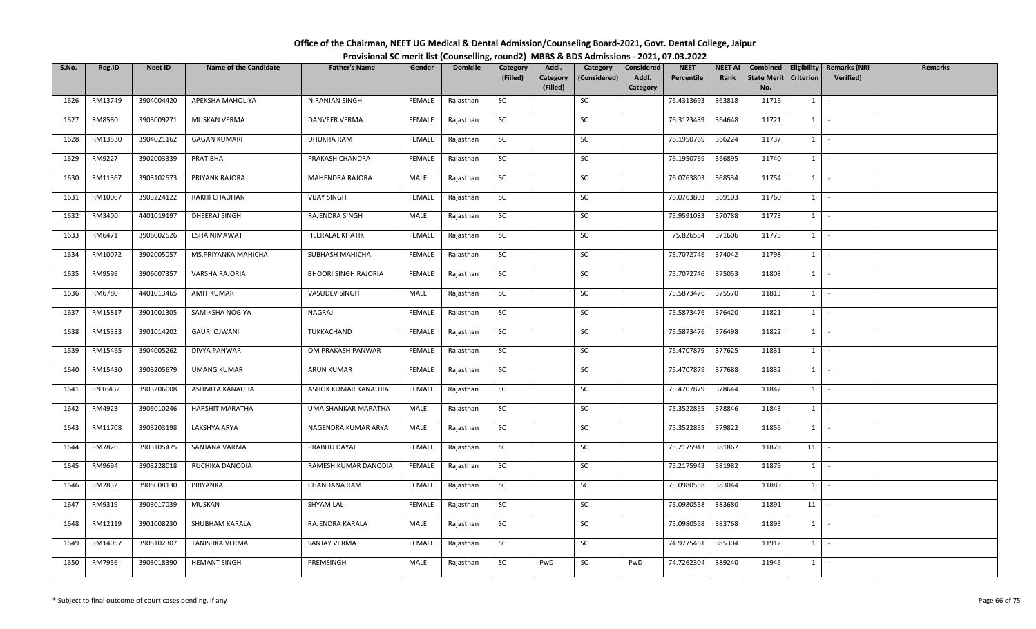| Office of the Chairman, NEET UG Medical & Dental Admission/Counseling Board-2021, Govt. Dental College, Jaipur |                                                                                          |
|----------------------------------------------------------------------------------------------------------------|------------------------------------------------------------------------------------------|
|                                                                                                                | Provisional SC merit list (Counselling, round2) MBBS & BDS Admissions - 2021, 07.03.2022 |

| S.No. | Reg.ID  | <b>Neet ID</b> | <b>Name of the Candidate</b> | <b>Father's Name</b>        | Gender        | <b>Domicile</b> | Category<br>(Filled) | Addl.<br>Category | Category<br>(Considered) | Considered<br>Addl. | <b>NEET</b><br>Percentile | <b>NEET AI</b><br>Rank | Combined<br><b>State Merit</b> | Eligibility<br><b>Criterion</b> | <b>Remarks (NRI</b><br>Verified) | <b>Remarks</b> |
|-------|---------|----------------|------------------------------|-----------------------------|---------------|-----------------|----------------------|-------------------|--------------------------|---------------------|---------------------------|------------------------|--------------------------------|---------------------------------|----------------------------------|----------------|
|       |         |                |                              |                             |               |                 |                      | (Filled)          |                          | Category            |                           |                        | No.                            |                                 |                                  |                |
| 1626  | RM13749 | 3904004420     | APEKSHA MAHOLIYA             | NIRANJAN SINGH              | FEMALE        | Rajasthan       | SC                   |                   | SC                       |                     | 76.4313693                | 363818                 | 11716                          | $1 \mid$                        | $\sim$                           |                |
| 1627  | RM8580  | 3903009271     | MUSKAN VERMA                 | <b>DANVEER VERMA</b>        | FEMALE        | Rajasthan       | <b>SC</b>            |                   | SC                       |                     | 76.3123489                | 364648                 | 11721                          | $1$ $-$                         |                                  |                |
| 1628  | RM13530 | 3904021162     | <b>GAGAN KUMARI</b>          | DHUKHA RAM                  | FEMALE        | Rajasthan       | SC                   |                   | SC                       |                     | 76.1950769                | 366224                 | 11737                          | $1 \mid$                        | $\sim$                           |                |
| 1629  | RM9227  | 3902003339     | PRATIBHA                     | PRAKASH CHANDRA             | FEMALE        | Rajasthan       | SC                   |                   | SC                       |                     | 76.1950769                | 366895                 | 11740                          | $1$ $\vert$                     |                                  |                |
| 1630  | RM11367 | 3903102673     | PRIYANK RAJORA               | MAHENDRA RAJORA             | MALE          | Rajasthan       | SC                   |                   | SC                       |                     | 76.0763803                | 368534                 | 11754                          | $1 \mid$                        | $\sim$                           |                |
| 1631  | RM10067 | 3903224122     | RAKHI CHAUHAN                | <b>VIJAY SINGH</b>          | FEMALE        | Rajasthan       | SC                   |                   | SC                       |                     | 76.0763803                | 369103                 | 11760                          | $1$ $\cdot$                     |                                  |                |
| 1632  | RM3400  | 4401019197     | DHEERAJ SINGH                | RAJENDRA SINGH              | MALE          | Rajasthan       | SC                   |                   | SC                       |                     | 75.9591083                | 370788                 | 11773                          | $1 \quad$                       | $\sim$                           |                |
| 1633  | RM6471  | 3906002526     | ESHA NIMAWAT                 | HEERALAL KHATIK             | FEMALE        | Rajasthan       | SC                   |                   | SC                       |                     | 75.826554                 | 371606                 | 11775                          | 1                               | $\sim$                           |                |
| 1634  | RM10072 | 3902005057     | MS.PRIYANKA MAHICHA          | SUBHASH MAHICHA             | FEMALE        | Rajasthan       | SC                   |                   | SC                       |                     | 75.7072746                | 374042                 | 11798                          | $1$ $\vert$ $\vert$             |                                  |                |
| 1635  | RM9599  | 3906007357     | VARSHA RAJORIA               | <b>BHOORI SINGH RAJORIA</b> | FEMALE        | Rajasthan       | SC                   |                   | SC                       |                     | 75.7072746                | 375053                 | 11808                          | $1$ $-$                         |                                  |                |
| 1636  | RM6780  | 4401013465     | <b>AMIT KUMAR</b>            | VASUDEV SINGH               | MALE          | Rajasthan       | SC                   |                   | SC                       |                     | 75.5873476                | 375570                 | 11813                          | $1$ $\vert$                     |                                  |                |
| 1637  | RM15817 | 3901001305     | SAMIKSHA NOGIYA              | NAGRAJ                      | <b>FEMALE</b> | Rajasthan       | SC                   |                   | SC                       |                     | 75.5873476                | 376420                 | 11821                          | $1$ $\vert$ -                   |                                  |                |
| 1638  | RM15333 | 3901014202     | <b>GAURI OJWANI</b>          | TUKKACHAND                  | FEMALE        | Rajasthan       | SC                   |                   | SC                       |                     | 75.5873476                | 376498                 | 11822                          | $1 \quad$                       | $\sim$                           |                |
| 1639  | RM15465 | 3904005262     | <b>DIVYA PANWAR</b>          | OM PRAKASH PANWAR           | FEMALE        | Rajasthan       | SC                   |                   | SC                       |                     | 75.4707879                | 377625                 | 11831                          | $1 \quad$                       | $\sim$                           |                |
| 1640  | RM15430 | 3903205679     | <b>UMANG KUMAR</b>           | ARUN KUMAR                  | <b>FEMALE</b> | Rajasthan       | SC                   |                   | SC                       |                     | 75.4707879                | 377688                 | 11832                          | $1 \mid$                        | $\sim$                           |                |
| 1641  | RN16432 | 3903206008     | ASHMITA KANAUJIA             | ASHOK KUMAR KANAUJIA        | FEMALE        | Rajasthan       | SC                   |                   | SC                       |                     | 75.4707879                | 378644                 | 11842                          | $1 \cdot$                       |                                  |                |
| 1642  | RM4923  | 3905010246     | <b>HARSHIT MARATHA</b>       | UMA SHANKAR MARATHA         | MALE          | Rajasthan       | <b>SC</b>            |                   | SC                       |                     | 75.3522855                | 378846                 | 11843                          | 1                               | $\sim$                           |                |
| 1643  | RM11708 | 3903203198     | LAKSHYA ARYA                 | NAGENDRA KUMAR ARYA         | MALE          | Rajasthan       | SC                   |                   | SC                       |                     | 75.3522855                | 379822                 | 11856                          | $1$ $\vert$                     |                                  |                |
| 1644  | RM7826  | 3903105475     | SANJANA VARMA                | PRABHU DAYAL                | FEMALE        | Rajasthan       | SC                   |                   | SC                       |                     | 75.2175943                | 381867                 | 11878                          | $11$ $-$                        |                                  |                |
| 1645  | RM9694  | 3903228018     | RUCHIKA DANODIA              | RAMESH KUMAR DANODIA        | FEMALE        | Rajasthan       | SC                   |                   | SC                       |                     | 75.2175943                | 381982                 | 11879                          | $1 \quad$                       | $\sim$                           |                |
| 1646  | RM2832  | 3905008130     | PRIYANKA                     | CHANDANA RAM                | FEMALE        | Rajasthan       | <b>SC</b>            |                   | SC                       |                     | 75.0980558                | 383044                 | 11889                          | 1                               | $\sim$                           |                |
| 1647  | RM9319  | 3903017039     | MUSKAN                       | <b>SHYAM LAL</b>            | FEMALE        | Rajasthan       | SC                   |                   | SC                       |                     | 75.0980558                | 383680                 | 11891                          | 11                              | $\sim$                           |                |
| 1648  | RM12119 | 3901008230     | SHUBHAM KARALA               | RAJENDRA KARALA             | MALE          | Rajasthan       | SC                   |                   | SC                       |                     | 75.0980558                | 383768                 | 11893                          | 1                               |                                  |                |
| 1649  | RM14057 | 3905102307     | TANISHKA VERMA               | SANJAY VERMA                | FEMALE        | Rajasthan       | SC                   |                   | SC                       |                     | 74.9775461                | 385304                 | 11912                          | $1 \mid$                        | $\sim$                           |                |
| 1650  | RM7956  | 3903018390     | <b>HEMANT SINGH</b>          | PREMSINGH                   | MALE          | Rajasthan       | SC                   | PwD               | SC                       | PwD                 | 74.7262304                | 389240                 | 11945                          | $1$ $-$                         |                                  |                |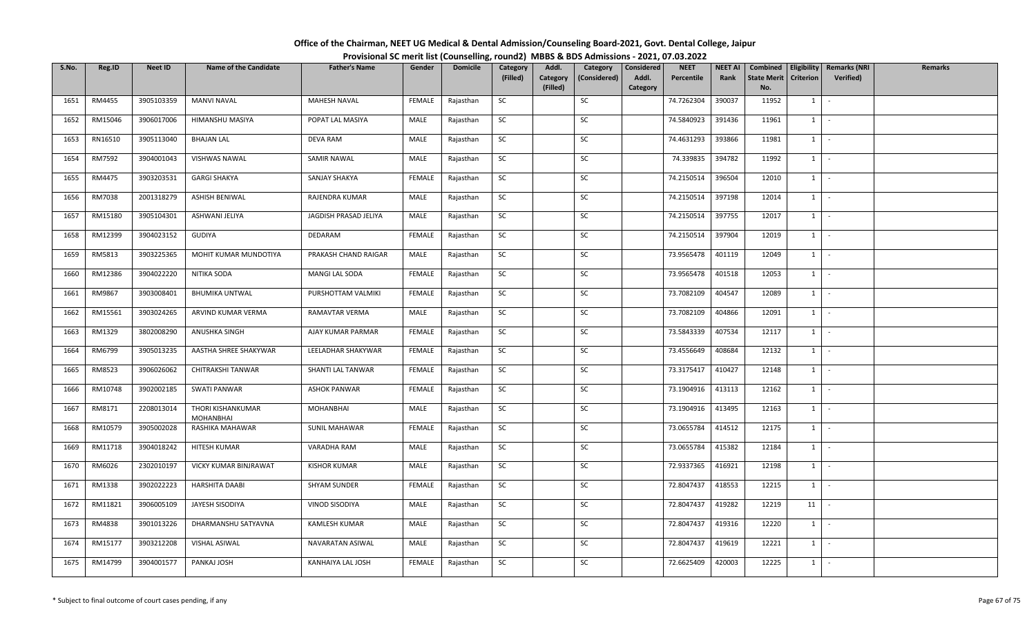| S.No. | Reg.ID  | <b>Neet ID</b> | <b>Name of the Candidate</b>          | <b>Father's Name</b>  | Gender        | <b>Domicile</b> | Category  | Addl.    | Category     | Considered | <b>NEET</b> | <b>NEET AI</b> | Combined           | Eligibility      | <b>Remarks (NRI</b> | <b>Remarks</b> |
|-------|---------|----------------|---------------------------------------|-----------------------|---------------|-----------------|-----------|----------|--------------|------------|-------------|----------------|--------------------|------------------|---------------------|----------------|
|       |         |                |                                       |                       |               |                 | (Filled)  | Category | (Considered) | Addl.      | Percentile  | Rank           | <b>State Merit</b> | <b>Criterion</b> | <b>Verified</b> )   |                |
|       | RM4455  |                |                                       |                       |               |                 | SC        | (Filled) | SC           | Category   |             |                | No.                | $1 \quad$        |                     |                |
| 1651  |         | 3905103359     | MANVI NAVAL                           | <b>MAHESH NAVAL</b>   | FEMALE        | Rajasthan       |           |          |              |            | 74.7262304  | 390037         | 11952              |                  | $\sim$              |                |
| 1652  | RM15046 | 3906017006     | HIMANSHU MASIYA                       | POPAT LAL MASIYA      | MALE          | Rajasthan       | SC        |          | SC           |            | 74.5840923  | 391436         | 11961              | $1 \quad$        | $\sim$              |                |
| 1653  | RN16510 | 3905113040     | <b>BHAJAN LAL</b>                     | DEVA RAM              | MALE          | Rajasthan       | SC        |          | SC           |            | 74.4631293  | 393866         | 11981              | 1                | $\sim$              |                |
| 1654  | RM7592  | 3904001043     | VISHWAS NAWAL                         | <b>SAMIR NAWAL</b>    | MALE          | Rajasthan       | <b>SC</b> |          | SC           |            | 74.339835   | 394782         | 11992              | $1 \vert$        | $\sim$              |                |
| 1655  | RM4475  | 3903203531     | <b>GARGI SHAKYA</b>                   | SANJAY SHAKYA         | FEMALE        | Rajasthan       | SC        |          | SC           |            | 74.2150514  | 396504         | 12010              | $1 \quad$        | $\sim$              |                |
| 1656  | RM7038  | 2001318279     | ASHISH BENIWAL                        | RAJENDRA KUMAR        | MALE          | Rajasthan       | <b>SC</b> |          | <b>SC</b>    |            | 74.2150514  | 397198         | 12014              | $1 \quad$        | $\sim$              |                |
| 1657  | RM15180 | 3905104301     | ASHWANI JELIYA                        | JAGDISH PRASAD JELIYA | MALE          | Rajasthan       | SC        |          | SC           |            | 74.2150514  | 397755         | 12017              | 1                | $\sim$              |                |
| 1658  | RM12399 | 3904023152     | GUDIYA                                | DEDARAM               | FEMALE        | Rajasthan       | <b>SC</b> |          | SC           |            | 74.2150514  | 397904         | 12019              | $1\quad$         | $\sim$              |                |
| 1659  | RM5813  | 3903225365     | MOHIT KUMAR MUNDOTIYA                 | PRAKASH CHAND RAIGAR  | MALE          | Rajasthan       | SC        |          | SC           |            | 73.9565478  | 401119         | 12049              | $1 \quad$        | $\sim$              |                |
| 1660  | RM12386 | 3904022220     | NITIKA SODA                           | MANGI LAL SODA        | FEMALE        | Rajasthan       | <b>SC</b> |          | SC           |            | 73.9565478  | 401518         | 12053              | $1 \vert$        | $\sim$              |                |
| 1661  | RM9867  | 3903008401     | <b>BHUMIKA UNTWAL</b>                 | PURSHOTTAM VALMIKI    | FEMALE        | Rajasthan       | SC        |          | SC           |            | 73.7082109  | 404547         | 12089              | 1                | $\sim$              |                |
| 1662  | RM15561 | 3903024265     | ARVIND KUMAR VERMA                    | RAMAVTAR VERMA        | MALE          | Rajasthan       | SC        |          | SC           |            | 73.7082109  | 404866         | 12091              | $1 \vert$        | $\sim$              |                |
| 1663  | RM1329  | 3802008290     | ANUSHKA SINGH                         | AJAY KUMAR PARMAR     | <b>FEMALE</b> | Rajasthan       | SC        |          | SC           |            | 73.5843339  | 407534         | 12117              | $1\vert$         | $\sim$              |                |
| 1664  | RM6799  | 3905013235     | AASTHA SHREE SHAKYWAR                 | LEELADHAR SHAKYWAR    | FEMALE        | Rajasthan       | SC        |          | SC           |            | 73.4556649  | 408684         | 12132              | $1 \quad$        | $\sim$              |                |
| 1665  | RM8523  | 3906026062     | CHITRAKSHI TANWAR                     | SHANTI LAL TANWAR     | FEMALE        | Rajasthan       | <b>SC</b> |          | <b>SC</b>    |            | 73.3175417  | 410427         | 12148              | $1 \quad$        | $\sim$              |                |
| 1666  | RM10748 | 3902002185     | <b>SWATI PANWAR</b>                   | <b>ASHOK PANWAR</b>   | <b>FEMALE</b> | Rajasthan       | <b>SC</b> |          | SC           |            | 73.1904916  | 413113         | 12162              | 1                | $\sim$              |                |
| 1667  | RM8171  | 2208013014     | THORI KISHANKUMAR<br><b>MOHANBHAI</b> | MOHANBHAI             | MALE          | Rajasthan       | <b>SC</b> |          | SC           |            | 73.1904916  | 413495         | 12163              | $1 \quad$        | $\sim$              |                |
| 1668  | RM10579 | 3905002028     | RASHIKA MAHAWAR                       | <b>SUNIL MAHAWAR</b>  | FEMALE        | Rajasthan       | SC        |          | SC           |            | 73.0655784  | 414512         | 12175              | $1 \quad$        | $\sim$              |                |
| 1669  | RM11718 | 3904018242     | HITESH KUMAR                          | VARADHA RAM           | MALE          | Rajasthan       | <b>SC</b> |          | SC           |            | 73.0655784  | 415382         | 12184              | $1 \vert$        | $\sim$              |                |
| 1670  | RM6026  | 2302010197     | VICKY KUMAR BINJRAWAT                 | <b>KISHOR KUMAR</b>   | MALE          | Rajasthan       | <b>SC</b> |          | SC           |            | 72.9337365  | 416921         | 12198              | 1                | $\sim$              |                |
| 1671  | RM1338  | 3902022223     | HARSHITA DAABI                        | SHYAM SUNDER          | <b>FEMALE</b> | Rajasthan       | <b>SC</b> |          | SC           |            | 72.8047437  | 418553         | 12215              | 1                | $\sim$              |                |
| 1672  | RM11821 | 3906005109     | JAYESH SISODIYA                       | VINOD SISODIYA        | MALE          | Rajasthan       | <b>SC</b> |          | SC           |            | 72.8047437  | 419282         | 12219              | 11               | $\sim$              |                |
| 1673  | RM4838  | 3901013226     | DHARMANSHU SATYAVNA                   | KAMLESH KUMAR         | MALE          | Rajasthan       | SC        |          | SC           |            | 72.8047437  | 419316         | 12220              | $1 \quad$        | $\sim$              |                |
| 1674  | RM15177 | 3903212208     | VISHAL ASIWAL                         | NAVARATAN ASIWAL      | MALE          | Rajasthan       | SC        |          | <b>SC</b>    |            | 72.8047437  | 419619         | 12221              | $1 \mid$         | $\sim$              |                |
| 1675  | RM14799 | 3904001577     | PANKAJ JOSH                           | KANHAIYA LAL JOSH     | FEMALE        | Rajasthan       | SC        |          | SC           |            | 72.6625409  | 420003         | 12225              | $1 \quad$        | $\sim$              |                |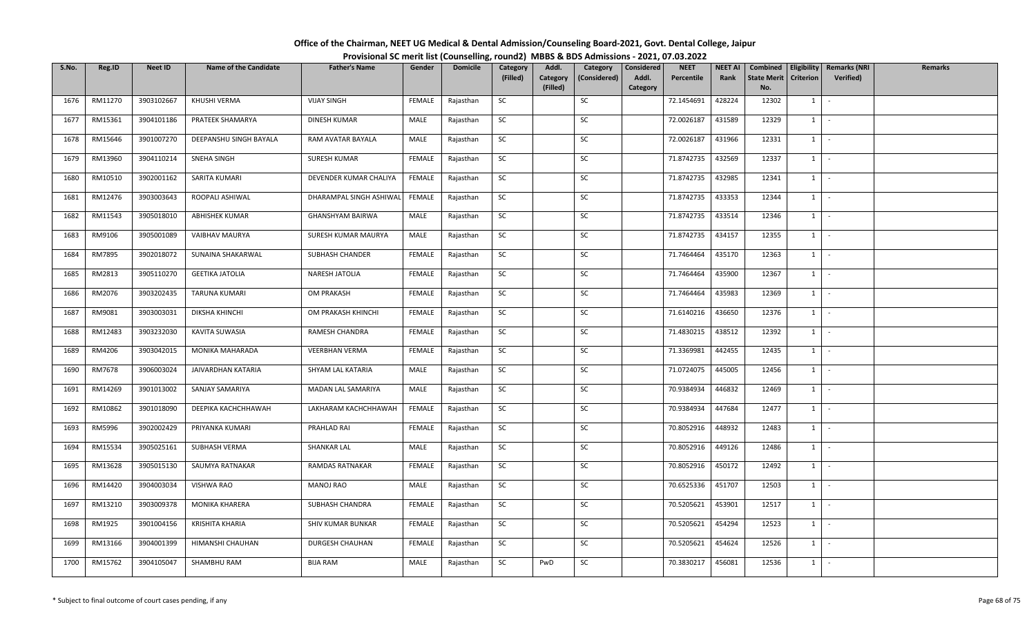| Office of the Chairman, NEET UG Medical & Dental Admission/Counseling Board-2021, Govt. Dental College, Jaipur |  |
|----------------------------------------------------------------------------------------------------------------|--|
| Provisional SC merit list (Counselling, round2) MBBS & BDS Admissions - 2021, 07.03.2022                       |  |

| S.No. | Reg.ID  | <b>Neet ID</b> | <b>Name of the Candidate</b> | <b>Father's Name</b>    | Gender        | <b>Domicile</b> | Category<br>(Filled) | Addl.<br>Category | Category<br>(Considered) | Considered<br>Addl. | <b>NEET</b><br>Percentile | <b>NEET AI</b><br>Rank | Combined<br><b>State Merit</b> | Eligibility<br><b>Criterion</b> | <b>Remarks (NRI</b><br>Verified) | <b>Remarks</b> |
|-------|---------|----------------|------------------------------|-------------------------|---------------|-----------------|----------------------|-------------------|--------------------------|---------------------|---------------------------|------------------------|--------------------------------|---------------------------------|----------------------------------|----------------|
|       |         |                |                              |                         |               |                 |                      | (Filled)          |                          | Category            |                           |                        | No.                            |                                 |                                  |                |
| 1676  | RM11270 | 3903102667     | KHUSHI VERMA                 | <b>VIJAY SINGH</b>      | FEMALE        | Rajasthan       | SC                   |                   | SC                       |                     | 72.1454691                | 428224                 | 12302                          | $1 \quad$                       | $\sim$                           |                |
| 1677  | RM15361 | 3904101186     | PRATEEK SHAMARYA             | <b>DINESH KUMAR</b>     | MALE          | Rajasthan       | <b>SC</b>            |                   | SC                       |                     | 72.0026187                | 431589                 | 12329                          | $1$ $-$                         |                                  |                |
| 1678  | RM15646 | 3901007270     | DEEPANSHU SINGH BAYALA       | RAM AVATAR BAYALA       | MALE          | Rajasthan       | SC                   |                   | SC                       |                     | 72.0026187                | 431966                 | 12331                          | $1$ $-$                         |                                  |                |
| 1679  | RM13960 | 3904110214     | SNEHA SINGH                  | SURESH KUMAR            | FEMALE        | Rajasthan       | SC                   |                   | SC                       |                     | 71.8742735                | 432569                 | 12337                          | $1$ $\vert$                     |                                  |                |
| 1680  | RM10510 | 3902001162     | SARITA KUMARI                | DEVENDER KUMAR CHALIYA  | FEMALE        | Rajasthan       | SC                   |                   | SC                       |                     | 71.8742735                | 432985                 | 12341                          | $1$ $\cdot$                     |                                  |                |
| 1681  | RM12476 | 3903003643     | ROOPALI ASHIWAL              | DHARAMPAL SINGH ASHIWAL | FEMALE        | Rajasthan       | SC                   |                   | SC                       |                     | 71.8742735                | 433353                 | 12344                          | $1$ $\cdot$                     |                                  |                |
| 1682  | RM11543 | 3905018010     | <b>ABHISHEK KUMAR</b>        | GHANSHYAM BAIRWA        | MALE          | Rajasthan       | SC                   |                   | SC                       |                     | 71.8742735                | 433514                 | 12346                          | $1 \quad$                       | $\sim$                           |                |
| 1683  | RM9106  | 3905001089     | VAIBHAV MAURYA               | SURESH KUMAR MAURYA     | MALE          | Rajasthan       | SC                   |                   | SC                       |                     | 71.8742735                | 434157                 | 12355                          | 1                               | $\sim$                           |                |
| 1684  | RM7895  | 3902018072     | SUNAINA SHAKARWAL            | SUBHASH CHANDER         | <b>FEMALE</b> | Rajasthan       | SC                   |                   | SC                       |                     | 71.7464464                | 435170                 | 12363                          | $1$ $-$                         |                                  |                |
| 1685  | RM2813  | 3905110270     | <b>GEETIKA JATOLIA</b>       | NARESH JATOLIA          | FEMALE        | Rajasthan       | SC                   |                   | SC                       |                     | 71.7464464                | 435900                 | 12367                          | $1$ $-$                         |                                  |                |
| 1686  | RM2076  | 3903202435     | <b>TARUNA KUMARI</b>         | OM PRAKASH              | FEMALE        | Rajasthan       | SC                   |                   | SC                       |                     | 71.7464464                | 435983                 | 12369                          | $1$ $\cdot$                     |                                  |                |
| 1687  | RM9081  | 3903003031     | DIKSHA KHINCHI               | OM PRAKASH KHINCHI      | <b>FEMALE</b> | Rajasthan       | SC                   |                   | SC                       |                     | 71.6140216                | 436650                 | 12376                          | $1$ $\vert$ -                   |                                  |                |
| 1688  | RM12483 | 3903232030     | KAVITA SUWASIA               | RAMESH CHANDRA          | FEMALE        | Rajasthan       | SC                   |                   | SC                       |                     | 71.4830215                | 438512                 | 12392                          | $1 \quad$                       | $\sim$                           |                |
| 1689  | RM4206  | 3903042015     | MONIKA MAHARADA              | <b>VEERBHAN VERMA</b>   | FEMALE        | Rajasthan       | SC                   |                   | SC                       |                     | 71.3369981                | 442455                 | 12435                          | $1 \mid$                        | $\sim$                           |                |
| 1690  | RM7678  | 3906003024     | JAIVARDHAN KATARIA           | SHYAM LAL KATARIA       | MALE          | Rajasthan       | SC                   |                   | SC                       |                     | 71.0724075                | 445005                 | 12456                          | $1 \mid$                        | $\sim$                           |                |
| 1691  | RM14269 | 3901013002     | SANJAY SAMARIYA              | MADAN LAL SAMARIYA      | MALE          | Rajasthan       | SC                   |                   | SC                       |                     | 70.9384934                | 446832                 | 12469                          | $1 \cdot$                       |                                  |                |
| 1692  | RM10862 | 3901018090     | DEEPIKA KACHCHHAWAH          | LAKHARAM KACHCHHAWAH    | FEMALE        | Rajasthan       | <b>SC</b>            |                   | SC                       |                     | 70.9384934                | 447684                 | 12477                          | 1                               | $\sim$                           |                |
| 1693  | RM5996  | 3902002429     | PRIYANKA KUMARI              | PRAHLAD RAI             | <b>FEMALE</b> | Rajasthan       | SC                   |                   | SC                       |                     | 70.8052916                | 448932                 | 12483                          | $1$ $\vert$                     |                                  |                |
| 1694  | RM15534 | 3905025161     | SUBHASH VERMA                | <b>SHANKAR LAL</b>      | MALE          | Rajasthan       | SC                   |                   | SC                       |                     | 70.8052916                | 449126                 | 12486                          | $1$ $\vert$ $\vert$             |                                  |                |
| 1695  | RM13628 | 3905015130     | SAUMYA RATNAKAR              | RAMDAS RATNAKAR         | <b>FEMALE</b> | Rajasthan       | SC                   |                   | SC                       |                     | 70.8052916                | 450172                 | 12492                          | $1 \quad$                       | $\sim$                           |                |
| 1696  | RM14420 | 3904003034     | VISHWA RAO                   | <b>MANOJ RAO</b>        | MALE          | Rajasthan       | <b>SC</b>            |                   | SC                       |                     | 70.6525336                | 451707                 | 12503                          | $1 \mid$                        | $\sim$                           |                |
| 1697  | RM13210 | 3903009378     | <b>MONIKA KHARERA</b>        | SUBHASH CHANDRA         | FEMALE        | Rajasthan       | SC                   |                   | SC                       |                     | 70.5205621                | 453901                 | 12517                          | $1$ $\vert$ $\vert$             |                                  |                |
| 1698  | RM1925  | 3901004156     | KRISHITA KHARIA              | SHIV KUMAR BUNKAR       | FEMALE        | Rajasthan       | SC                   |                   | SC                       |                     | 70.5205621                | 454294                 | 12523                          | 1                               | $\sim$                           |                |
| 1699  | RM13166 | 3904001399     | HIMANSHI CHAUHAN             | DURGESH CHAUHAN         | FEMALE        | Rajasthan       | SC                   |                   | SC                       |                     | 70.5205621                | 454624                 | 12526                          | $1$ $-$                         |                                  |                |
| 1700  | RM15762 | 3904105047     | SHAMBHU RAM                  | <b>BIJA RAM</b>         | MALE          | Rajasthan       | SC                   | PwD               | SC                       |                     | 70.3830217                | 456081                 | 12536                          | $1$ $-$                         |                                  |                |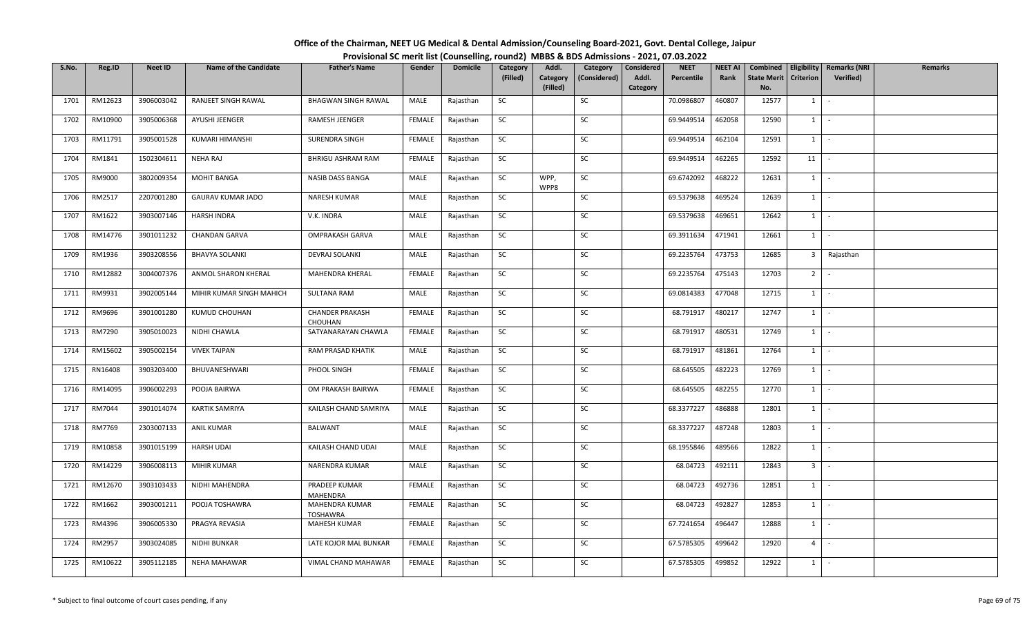| Office of the Chairman, NEET UG Medical & Dental Admission/Counseling Board-2021, Govt. Dental College, Jaipur |  |
|----------------------------------------------------------------------------------------------------------------|--|
| Provisional SC merit list (Counselling, round2) MBBS & BDS Admissions - 2021, 07.03.2022                       |  |

| S.No. | Reg.ID  | <b>Neet ID</b> | <b>Name of the Candidate</b> | <b>Father's Name</b>              | Gender        | <b>Domicile</b> | Category  | Addl.                | Category     | Considered        | <b>NEET</b> | <b>NEET AI</b> | Combined                  |                | Eligibility   Remarks (NRI | <b>Remarks</b> |
|-------|---------|----------------|------------------------------|-----------------------------------|---------------|-----------------|-----------|----------------------|--------------|-------------------|-------------|----------------|---------------------------|----------------|----------------------------|----------------|
|       |         |                |                              |                                   |               |                 | (Filled)  | Category<br>(Filled) | (Considered) | Addl.<br>Category | Percentile  | Rank           | <b>State Merit</b><br>No. | Criterion      | Verified)                  |                |
| 1701  | RM12623 | 3906003042     | RANJEET SINGH RAWAL          | <b>BHAGWAN SINGH RAWAL</b>        | MALE          | Rajasthan       | SC        |                      | SC           |                   | 70.0986807  | 460807         | 12577                     | $1 \quad$      | $\sim$                     |                |
| 1702  | RM10900 | 3905006368     | AYUSHI JEENGER               | RAMESH JEENGER                    | FEMALE        | Rajasthan       | SC        |                      | SC           |                   | 69.9449514  | 462058         | 12590                     | $1 \quad$      | $\sim$                     |                |
| 1703  | RM11791 | 3905001528     | KUMARI HIMANSHI              | SURENDRA SINGH                    | FEMALE        | Rajasthan       | <b>SC</b> |                      | SC           |                   | 69.9449514  | 462104         | 12591                     | $1 \mid$       | $\sim$                     |                |
| 1704  | RM1841  | 1502304611     | NEHA RAJ                     | <b>BHRIGU ASHRAM RAM</b>          | FEMALE        | Rajasthan       | SC        |                      | SC           |                   | 69.9449514  | 462265         | 12592                     | 11             |                            |                |
| 1705  | RM9000  | 3802009354     | <b>MOHIT BANGA</b>           | NASIB DASS BANGA                  | MALE          | Rajasthan       | SC        | WPP,<br>WPP8         | SC           |                   | 69.6742092  | 468222         | 12631                     | $1 \quad$      | $\sim$                     |                |
| 1706  | RM2517  | 2207001280     | <b>GAURAV KUMAR JADO</b>     | NARESH KUMAR                      | MALE          | Rajasthan       | SC        |                      | SC           |                   | 69.5379638  | 469524         | 12639                     | $1 \vert$      | $\sim$                     |                |
| 1707  | RM1622  | 3903007146     | HARSH INDRA                  | V.K. INDRA                        | MALE          | Rajasthan       | SC        |                      | SC           |                   | 69.5379638  | 469651         | 12642                     | $1 \quad$      | $\sim$                     |                |
| 1708  | RM14776 | 3901011232     | <b>CHANDAN GARVA</b>         | <b>OMPRAKASH GARVA</b>            | MALE          | Rajasthan       | <b>SC</b> |                      | SC           |                   | 69.3911634  | 471941         | 12661                     | $1$ $\cdot$    |                            |                |
| 1709  | RM1936  | 3903208556     | <b>BHAVYA SOLANKI</b>        | <b>DEVRAJ SOLANKI</b>             | MALE          | Rajasthan       | SC        |                      | SC           |                   | 69.2235764  | 473753         | 12685                     |                | 3 Rajasthan                |                |
| 1710  | RM12882 | 3004007376     | ANMOL SHARON KHERAL          | MAHENDRA KHERAL                   | FEMALE        | Rajasthan       | SC        |                      | SC           |                   | 69.2235764  | 475143         | 12703                     | 2 <sup>1</sup> | $\sim$                     |                |
| 1711  | RM9931  | 3902005144     | MIHIR KUMAR SINGH MAHICH     | <b>SULTANA RAM</b>                | MALE          | Rajasthan       | SC        |                      | SC           |                   | 69.0814383  | 477048         | 12715                     | $1$ $\vert$    |                            |                |
| 1712  | RM9696  | 3901001280     | KUMUD CHOUHAN                | <b>CHANDER PRAKASH</b><br>CHOUHAN | <b>FEMALE</b> | Rajasthan       | <b>SC</b> |                      | SC           |                   | 68.791917   | 480217         | 12747                     | $1 \vert$      | $\sim$                     |                |
| 1713  | RM7290  | 3905010023     | NIDHI CHAWLA                 | SATYANARAYAN CHAWLA               | FEMALE        | Rajasthan       | SC        |                      | SC           |                   | 68.791917   | 480531         | 12749                     | 1              |                            |                |
| 1714  | RM15602 | 3905002154     | <b>VIVEK TAIPAN</b>          | RAM PRASAD KHATIK                 | MALE          | Rajasthan       | SC        |                      | SC           |                   | 68.791917   | 481861         | 12764                     | $1 \quad$      | $\sim$                     |                |
| 1715  | RN16408 | 3903203400     | BHUVANESHWARI                | PHOOL SINGH                       | FEMALE        | Rajasthan       | SC        |                      | SC           |                   | 68.645505   | 482223         | 12769                     | $1 \mid$       | $\sim$                     |                |
| 1716  | RM14095 | 3906002293     | POOJA BAIRWA                 | OM PRAKASH BAIRWA                 | <b>FEMALE</b> | Rajasthan       | SC        |                      | SC           |                   | 68.645505   | 482255         | 12770                     | $1$   -        |                            |                |
| 1717  | RM7044  | 3901014074     | <b>KARTIK SAMRIYA</b>        | KAILASH CHAND SAMRIYA             | MALE          | Rajasthan       | SC        |                      | SC           |                   | 68.3377227  | 486888         | 12801                     | $1 \vert$      | $\sim$                     |                |
| 1718  | RM7769  | 2303007133     | <b>ANIL KUMAR</b>            | <b>BALWANT</b>                    | MALE          | Rajasthan       | SC        |                      | SC           |                   | 68.3377227  | 487248         | 12803                     | $1 \quad$      | $\sim$                     |                |
| 1719  | RM10858 | 3901015199     | <b>HARSH UDAI</b>            | KAILASH CHAND UDAI                | MALE          | Rajasthan       | SC        |                      | SC           |                   | 68.1955846  | 489566         | 12822                     | $1$ $\cdot$    |                            |                |
| 1720  | RM14229 | 3906008113     | <b>MIHIR KUMAR</b>           | NARENDRA KUMAR                    | MALE          | Rajasthan       | <b>SC</b> |                      | SC           |                   | 68.04723    | 492111         | 12843                     | $3$ $-$        |                            |                |
| 1721  | RM12670 | 3903103433     | NIDHI MAHENDRA               | PRADEEP KUMAR<br>MAHENDRA         | FEMALE        | Rajasthan       | SC        |                      | SC           |                   | 68.04723    | 492736         | 12851                     | $1 \quad$      |                            |                |
| 1722  | RM1662  | 3903001211     | POOJA TOSHAWRA               | MAHENDRA KUMAR<br><b>TOSHAWRA</b> | FEMALE        | Rajasthan       | <b>SC</b> |                      | SC           |                   | 68.04723    | 492827         | 12853                     | $1 \quad$      | $\sim$                     |                |
| 1723  | RM4396  | 3906005330     | PRAGYA REVASIA               | MAHESH KUMAR                      | FEMALE        | Rajasthan       | SC        |                      | SC           |                   | 67.7241654  | 496447         | 12888                     | $1 \quad$      | $\sim$                     |                |
| 1724  | RM2957  | 3903024085     | NIDHI BUNKAR                 | LATE KOJOR MAL BUNKAR             | FEMALE        | Rajasthan       | SC        |                      | SC           |                   | 67.5785305  | 499642         | 12920                     | 4              | $\sim$                     |                |
| 1725  | RM10622 | 3905112185     | NEHA MAHAWAR                 | VIMAL CHAND MAHAWAR               | <b>FEMALE</b> | Rajasthan       | SC        |                      | SC           |                   | 67.5785305  | 499852         | 12922                     | $1 \mid$       |                            |                |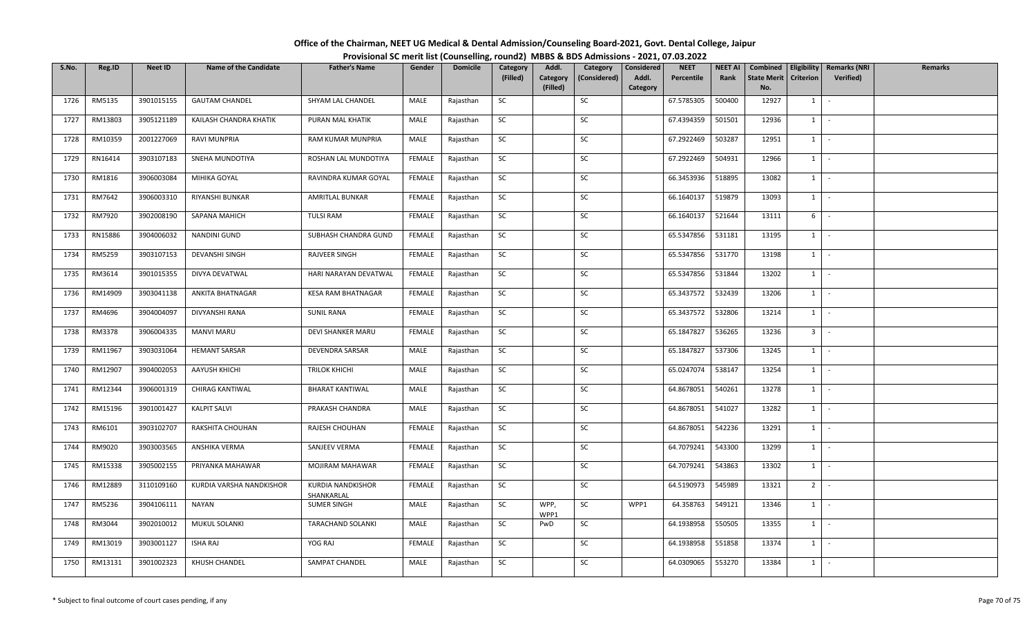| Office of the Chairman, NEET UG Medical & Dental Admission/Counseling Board-2021, Govt. Dental College, Jaipur |                                                                                          |
|----------------------------------------------------------------------------------------------------------------|------------------------------------------------------------------------------------------|
|                                                                                                                | Provisional SC merit list (Counselling, round2) MBBS & BDS Admissions - 2021, 07.03.2022 |

| S.No. | Reg.ID  | <b>Neet ID</b> | <b>Name of the Candidate</b> | <b>Father's Name</b>                   | Gender        | <b>Domicile</b> | Category  | Addl.                | Category     | Considered        | <b>NEET</b> | <b>NEET AI</b> | Combined                  | Eligibility      | <b>Remarks (NRI</b> | <b>Remarks</b> |
|-------|---------|----------------|------------------------------|----------------------------------------|---------------|-----------------|-----------|----------------------|--------------|-------------------|-------------|----------------|---------------------------|------------------|---------------------|----------------|
|       |         |                |                              |                                        |               |                 | (Filled)  | Category<br>(Filled) | (Considered) | Addl.<br>Category | Percentile  | Rank           | <b>State Merit</b><br>No. | <b>Criterion</b> | Verified)           |                |
| 1726  | RM5135  | 3901015155     | <b>GAUTAM CHANDEL</b>        | SHYAM LAL CHANDEL                      | MALE          | Rajasthan       | SC        |                      | SC           |                   | 67.5785305  | 500400         | 12927                     | $1 \quad$        | $\sim$              |                |
|       |         |                |                              |                                        |               |                 |           |                      |              |                   |             |                |                           |                  |                     |                |
| 1727  | RM13803 | 3905121189     | KAILASH CHANDRA KHATIK       | PURAN MAL KHATIK                       | MALE          | Rajasthan       | <b>SC</b> |                      | SC           |                   | 67.4394359  | 501501         | 12936                     | 1                | $\sim$              |                |
| 1728  | RM10359 | 2001227069     | <b>RAVI MUNPRIA</b>          | RAM KUMAR MUNPRIA                      | MALE          | Rajasthan       | SC        |                      | SC           |                   | 67.2922469  | 503287         | 12951                     | 1                | $\sim$              |                |
| 1729  | RN16414 | 3903107183     | SNEHA MUNDOTIYA              | ROSHAN LAL MUNDOTIYA                   | FEMALE        | Rajasthan       | SC        |                      | SC           |                   | 67.2922469  | 504931         | 12966                     | $1 \quad$        | $\sim$              |                |
| 1730  | RM1816  | 3906003084     | MIHIKA GOYAL                 | RAVINDRA KUMAR GOYAL                   | FEMALE        | Rajasthan       | SC        |                      | <b>SC</b>    |                   | 66.3453936  | 518895         | 13082                     | $1 \vert$        | $\sim$              |                |
| 1731  | RM7642  | 3906003310     | RIYANSHI BUNKAR              | AMRITLAL BUNKAR                        | FEMALE        | Rajasthan       | SC        |                      | SC           |                   | 66.1640137  | 519879         | 13093                     | $1 \mid$         | $\sim$              |                |
| 1732  | RM7920  | 3902008190     | SAPANA MAHICH                | <b>TULSI RAM</b>                       | FEMALE        | Rajasthan       | <b>SC</b> |                      | SC           |                   | 66.1640137  | 521644         | 13111                     | 6                | $\sim$              |                |
| 1733  | RN15886 | 3904006032     | NANDINI GUND                 | SUBHASH CHANDRA GUND                   | FEMALE        | Rajasthan       | SC        |                      | SC           |                   | 65.5347856  | 531181         | 13195                     | $1 \vert$        | $\sim$              |                |
| 1734  | RM5259  | 3903107153     | <b>DEVANSHI SINGH</b>        | RAJVEER SINGH                          | FEMALE        | Rajasthan       | SC        |                      | SC           |                   | 65.5347856  | 531770         | 13198                     | $1 \quad$        | $\sim$              |                |
| 1735  | RM3614  | 3901015355     | DIVYA DEVATWAL               | HARI NARAYAN DEVATWAL                  | FEMALE        | Rajasthan       | SC        |                      | SC           |                   | 65.5347856  | 531844         | 13202                     | 1                | $\sim$              |                |
| 1736  | RM14909 | 3903041138     | ANKITA BHATNAGAR             | <b>KESA RAM BHATNAGAR</b>              | FEMALE        | Rajasthan       | <b>SC</b> |                      | SC           |                   | 65.3437572  | 532439         | 13206                     | $1 \vert$        | $\sim$              |                |
| 1737  | RM4696  | 3904004097     | DIVYANSHI RANA               | <b>SUNIL RANA</b>                      | <b>FEMALE</b> | Rajasthan       | SC        |                      | SC           |                   | 65.3437572  | 532806         | 13214                     | 1                | $\sim$ $\sim$       |                |
| 1738  | RM3378  | 3906004335     | <b>MANVI MARU</b>            | DEVI SHANKER MARU                      | <b>FEMALE</b> | Rajasthan       | SC        |                      | SC           |                   | 65.1847827  | 536265         | 13236                     | 3 <sup>1</sup>   | $\sim$              |                |
| 1739  | RM11967 | 3903031064     | <b>HEMANT SARSAR</b>         | <b>DEVENDRA SARSAR</b>                 | MALE          | Rajasthan       | <b>SC</b> |                      | SC           |                   | 65.1847827  | 537306         | 13245                     | $1 \vert$        | $\sim$              |                |
| 1740  | RM12907 | 3904002053     | AAYUSH KHICHI                | <b>TRILOK KHICHI</b>                   | MALE          | Rajasthan       | SC        |                      | SC           |                   | 65.0247074  | 538147         | 13254                     | $1 \quad$        | $\sim$              |                |
| 1741  | RM12344 | 3906001319     | <b>CHIRAG KANTIWAL</b>       | <b>BHARAT KANTIWAL</b>                 | MALE          | Rajasthan       | <b>SC</b> |                      | SC           |                   | 64.8678051  | 540261         | 13278                     | $1 \quad$        | $\sim$ $-$          |                |
| 1742  | RM15196 | 3901001427     | <b>KALPIT SALVI</b>          | PRAKASH CHANDRA                        | MALE          | Rajasthan       | SC        |                      | SC           |                   | 64.8678051  | 541027         | 13282                     | $1 \vert$        | $\sim$              |                |
| 1743  | RM6101  | 3903102707     | RAKSHITA CHOUHAN             | RAJESH CHOUHAN                         | FEMALE        | Rajasthan       | SC        |                      | SC           |                   | 64.8678051  | 542236         | 13291                     | $1 \quad$        | $\sim$              |                |
| 1744  | RM9020  | 3903003565     | ANSHIKA VERMA                | SANJEEV VERMA                          | <b>FEMALE</b> | Rajasthan       | SC        |                      | SC           |                   | 64.7079241  | 543300         | 13299                     | $1 \mid$         | $\sim$              |                |
| 1745  | RM15338 | 3905002155     | PRIYANKA MAHAWAR             | MOJIRAM MAHAWAR                        | FEMALE        | Rajasthan       | SC        |                      | SC           |                   | 64.7079241  | 543863         | 13302                     | 1                | $\sim$              |                |
| 1746  | RM12889 | 3110109160     | KURDIA VARSHA NANDKISHOR     | <b>KURDIA NANDKISHOR</b><br>SHANKARLAL | FEMALE        | Rajasthan       | <b>SC</b> |                      | SC           |                   | 64.5190973  | 545989         | 13321                     | 2 <sup>1</sup>   | $\sim$              |                |
| 1747  | RM5236  | 3904106111     | <b>NAYAN</b>                 | <b>SUMER SINGH</b>                     | MALE          | Rajasthan       | SC        | WPP,<br>WPP1         | SC           | WPP1              | 64.358763   | 549121         | 13346                     | 1                | $\sim$              |                |
| 1748  | RM3044  | 3902010012     | MUKUL SOLANKI                | TARACHAND SOLANKI                      | MALE          | Rajasthan       | SC        | PwD                  | SC           |                   | 64.1938958  | 550505         | 13355                     | $1 \vert$        | $\sim$              |                |
| 1749  | RM13019 | 3903001127     | ISHA RAJ                     | YOG RAJ                                | FEMALE        | Rajasthan       | <b>SC</b> |                      | SC           |                   | 64.1938958  | 551858         | 13374                     | 1                | $\sim$              |                |
| 1750  | RM13131 | 3901002323     | KHUSH CHANDEL                | SAMPAT CHANDEL                         | MALE          | Rajasthan       | SC        |                      | SC           |                   | 64.0309065  | 553270         | 13384                     | $1 \quad$        | $\sim$              |                |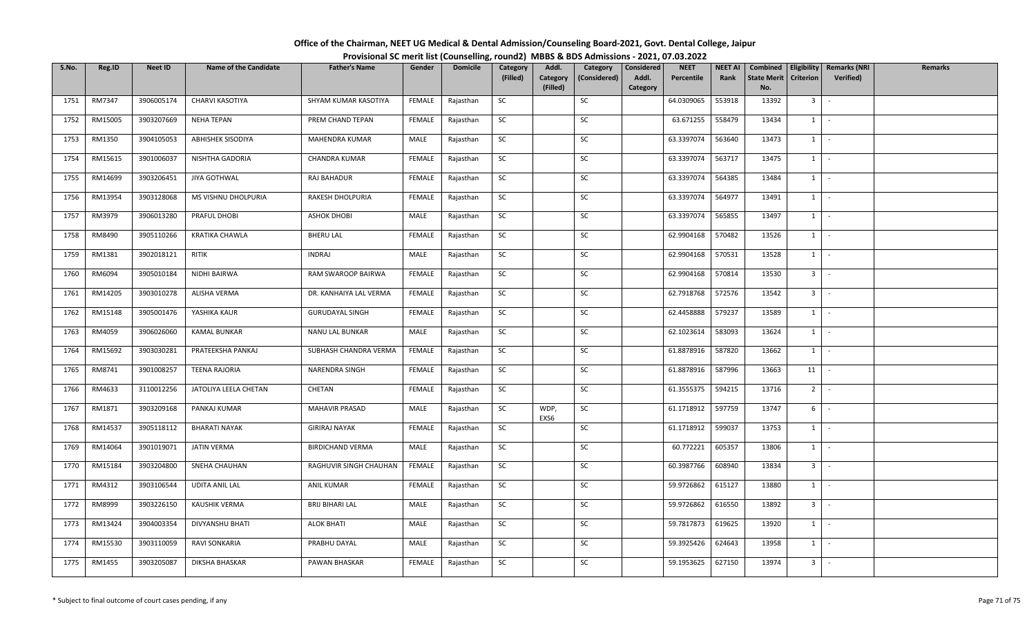| Office of the Chairman, NEET UG Medical & Dental Admission/Counseling Board-2021, Govt. Dental College, Jaipur |  |
|----------------------------------------------------------------------------------------------------------------|--|
| Provisional SC merit list (Counselling, round2) MBBS & BDS Admissions - 2021, 07.03.2022                       |  |

| S.No. | Reg.ID  | <b>Neet ID</b> | <b>Name of the Candidate</b> | <b>Father's Name</b>    | Gender        | <b>Domicile</b> | Category<br>(Filled) | Addl.<br>Category | Category<br>(Considered) | Considered<br>Addl. | <b>NEET</b><br>Percentile | <b>NEET AI</b><br>Rank | Combined<br><b>State Merit</b> | <b>Criterion</b>             | Eligibility   Remarks (NRI<br>Verified) | <b>Remarks</b> |
|-------|---------|----------------|------------------------------|-------------------------|---------------|-----------------|----------------------|-------------------|--------------------------|---------------------|---------------------------|------------------------|--------------------------------|------------------------------|-----------------------------------------|----------------|
|       |         |                |                              |                         |               |                 |                      | (Filled)          |                          | Category            |                           |                        | No.                            |                              |                                         |                |
| 1751  | RM7347  | 3906005174     | CHARVI KASOTIYA              | SHYAM KUMAR KASOTIYA    | FEMALE        | Rajasthan       | SC                   |                   | SC                       |                     | 64.0309065                | 553918                 | 13392                          | 3 <sup>1</sup>               | $\sim$                                  |                |
| 1752  | RM15005 | 3903207669     | <b>NEHA TEPAN</b>            | PREM CHAND TEPAN        | FEMALE        | Rajasthan       | SC                   |                   | SC                       |                     | 63.671255                 | 558479                 | 13434                          | $1$   -                      |                                         |                |
| 1753  | RM1350  | 3904105053     | <b>ABHISHEK SISODIYA</b>     | MAHENDRA KUMAR          | MALE          | Rajasthan       | SC                   |                   | SC                       |                     | 63.3397074                | 563640                 | 13473                          | $1$ $\cdot$                  |                                         |                |
| 1754  | RM15615 | 3901006037     | NISHTHA GADORIA              | CHANDRA KUMAR           | <b>FEMALE</b> | Rajasthan       | SC                   |                   | SC                       |                     | 63.3397074                | 563717                 | 13475                          | $1$ $\vert$                  |                                         |                |
| 1755  | RM14699 | 3903206451     | JIYA GOTHWAL                 | RAJ BAHADUR             | <b>FEMALE</b> | Rajasthan       | SC                   |                   | SC                       |                     | 63.3397074                | 564385                 | 13484                          | $1$ $\vert$                  |                                         |                |
| 1756  | RM13954 | 3903128068     | MS VISHNU DHOLPURIA          | RAKESH DHOLPURIA        | FEMALE        | Rajasthan       | SC                   |                   | SC                       |                     | 63.3397074                | 564977                 | 13491                          | $1$ $\cdot$                  |                                         |                |
| 1757  | RM3979  | 3906013280     | PRAFUL DHOBI                 | <b>ASHOK DHOBI</b>      | MALE          | Rajasthan       | SC                   |                   | SC                       |                     | 63.3397074                | 565855                 | 13497                          | $1 \quad$                    | $\sim$                                  |                |
| 1758  | RM8490  | 3905110266     | KRATIKA CHAWLA               | <b>BHERU LAL</b>        | FEMALE        | Rajasthan       | SC                   |                   | SC                       |                     | 62.9904168                | 570482                 | 13526                          | $1$ $\cdot$                  |                                         |                |
| 1759  | RM1381  | 3902018121     | RITIK                        | <b>INDRAJ</b>           | MALE          | Rajasthan       | SC                   |                   | SC                       |                     | 62.9904168                | 570531                 | 13528                          | $1 \mid$                     | $\sim$                                  |                |
| 1760  | RM6094  | 3905010184     | NIDHI BAIRWA                 | RAM SWAROOP BAIRWA      | FEMALE        | Rajasthan       | SC                   |                   | SC                       |                     | 62.9904168                | 570814                 | 13530                          | $3 -$                        |                                         |                |
| 1761  | RM14205 | 3903010278     | ALISHA VERMA                 | DR. KANHAIYA LAL VERMA  | FEMALE        | Rajasthan       | SC                   |                   | SC                       |                     | 62.7918768                | 572576                 | 13542                          | $3$ $\overline{\phantom{0}}$ |                                         |                |
| 1762  | RM15148 | 3905001476     | YASHIKA KAUR                 | <b>GURUDAYAL SINGH</b>  | <b>FEMALE</b> | Rajasthan       | SC                   |                   | SC                       |                     | 62.4458888                | 579237                 | 13589                          | $1 \mid$                     | $\sim$                                  |                |
| 1763  | RM4059  | 3906026060     | <b>KAMAL BUNKAR</b>          | NANU LAL BUNKAR         | MALE          | Rajasthan       | SC                   |                   | SC                       |                     | 62.1023614                | 583093                 | 13624                          | 1                            | $\sim$                                  |                |
| 1764  | RM15692 | 3903030281     | PRATEEKSHA PANKAJ            | SUBHASH CHANDRA VERMA   | FEMALE        | Rajasthan       | SC                   |                   | SC                       |                     | 61.8878916                | 587820                 | 13662                          | $1 \mid$                     | $\sim$                                  |                |
| 1765  | RM8741  | 3901008257     | TEENA RAJORIA                | NARENDRA SINGH          | FEMALE        | Rajasthan       | SC                   |                   | SC                       |                     | 61.8878916                | 587996                 | 13663                          | 11                           | $\sim$                                  |                |
| 1766  | RM4633  | 3110012256     | JATOLIYA LEELA CHETAN        | CHETAN                  | FEMALE        | Rajasthan       | SC                   |                   | SC                       |                     | 61.3555375                | 594215                 | 13716                          | $2$ -                        |                                         |                |
| 1767  | RM1871  | 3903209168     | PANKAJ KUMAR                 | MAHAVIR PRASAD          | MALE          | Rajasthan       | SC                   | WDP,<br>EXS6      | SC                       |                     | 61.1718912                | 597759                 | 13747                          | 6                            | $\sim$                                  |                |
| 1768  | RM14537 | 3905118112     | <b>BHARATI NAYAK</b>         | <b>GIRIRAJ NAYAK</b>    | <b>FEMALE</b> | Rajasthan       | SC                   |                   | SC                       |                     | 61.1718912                | 599037                 | 13753                          | 1                            | $\sim$                                  |                |
| 1769  | RM14064 | 3901019071     | <b>JATIN VERMA</b>           | <b>BIRDICHAND VERMA</b> | MALE          | Rajasthan       | SC                   |                   | SC                       |                     | 60.772221                 | 605357                 | 13806                          | $1$ $\cdot$                  |                                         |                |
| 1770  | RM15184 | 3903204800     | SNEHA CHAUHAN                | RAGHUVIR SINGH CHAUHAN  | FEMALE        | Rajasthan       | <b>SC</b>            |                   | SC                       |                     | 60.3987766                | 608940                 | 13834                          | $3$ $-$                      |                                         |                |
| 1771  | RM4312  | 3903106544     | <b>UDITA ANIL LAL</b>        | <b>ANIL KUMAR</b>       | FEMALE        | Rajasthan       | SC                   |                   | SC                       |                     | 59.9726862                | 615127                 | 13880                          | $1 \quad$                    | $\sim$                                  |                |
| 1772  | RM8999  | 3903226150     | <b>KAUSHIK VERMA</b>         | <b>BRIJ BIHARI LAL</b>  | MALE          | Rajasthan       | SC                   |                   | SC                       |                     | 59.9726862                | 616550                 | 13892                          | 3 <sup>1</sup>               | $\sim$                                  |                |
| 1773  | RM13424 | 3904003354     | DIVYANSHU BHATI              | <b>ALOK BHATI</b>       | MALE          | Rajasthan       | SC                   |                   | SC                       |                     | 59.7817873                | 619625                 | 13920                          | $1$ $-$                      |                                         |                |
| 1774  | RM15530 | 3903110059     | RAVI SONKARIA                | PRABHU DAYAL            | MALE          | Rajasthan       | SC                   |                   | SC                       |                     | 59.3925426                | 624643                 | 13958                          | $1$ $\cdot$                  |                                         |                |
| 1775  | RM1455  | 3903205087     | DIKSHA BHASKAR               | PAWAN BHASKAR           | <b>FEMALE</b> | Rajasthan       | SC                   |                   | SC                       |                     | 59.1953625                | 627150                 | 13974                          | 3 <sup>1</sup>               |                                         |                |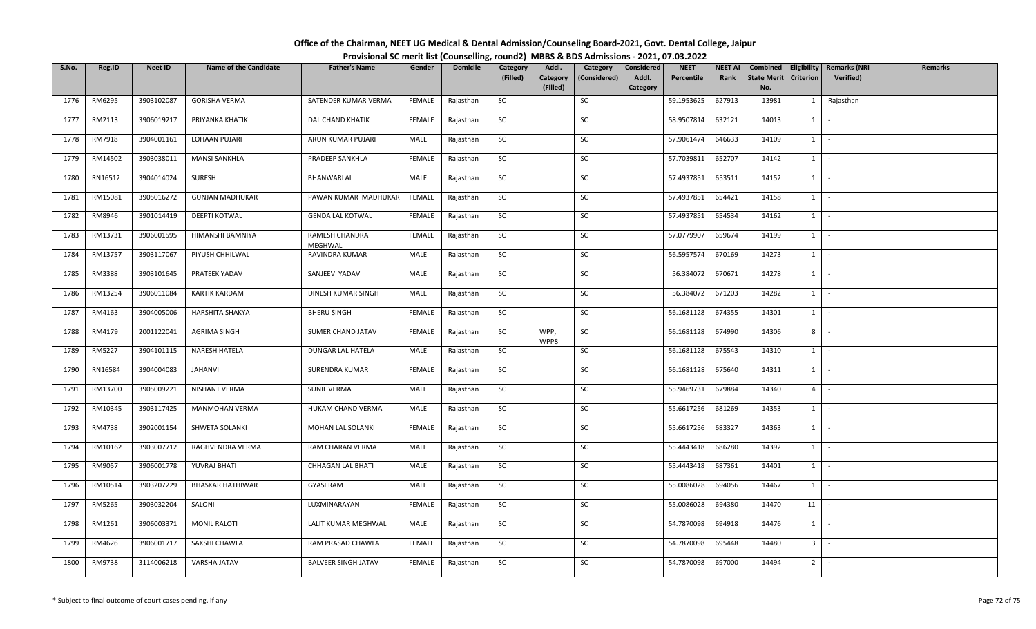| Office of the Chairman, NEET UG Medical & Dental Admission/Counseling Board-2021, Govt. Dental College, Jaipur |  |
|----------------------------------------------------------------------------------------------------------------|--|
| Provisional SC merit list (Counselling, round2) MBBS & BDS Admissions - 2021, 07.03.2022                       |  |

| S.No. | Reg.ID  | <b>Neet ID</b> | <b>Name of the Candidate</b> | <b>Father's Name</b>       | Gender        | <b>Domicile</b> | Category<br>(Filled) | Addl.<br>Category | Category<br>(Considered) | Considered<br>Addl. | <b>NEET</b><br>Percentile | <b>NEET AI</b><br>Rank | Combined<br><b>State Merit</b> | Criterion      | Eligibility   Remarks (NRI<br><b>Verified</b> ) | <b>Remarks</b> |
|-------|---------|----------------|------------------------------|----------------------------|---------------|-----------------|----------------------|-------------------|--------------------------|---------------------|---------------------------|------------------------|--------------------------------|----------------|-------------------------------------------------|----------------|
|       |         |                |                              |                            |               |                 |                      | (Filled)          |                          | Category            |                           |                        | No.                            |                |                                                 |                |
| 1776  | RM6295  | 3903102087     | <b>GORISHA VERMA</b>         | SATENDER KUMAR VERMA       | FEMALE        | Rajasthan       | SC                   |                   | SC                       |                     | 59.1953625                | 627913                 | 13981                          |                | 1 Rajasthan                                     |                |
| 1777  | RM2113  | 3906019217     | PRIYANKA KHATIK              | DAL CHAND KHATIK           | FEMALE        | Rajasthan       | SC                   |                   | SC                       |                     | 58.9507814                | 632121                 | 14013                          | 1              |                                                 |                |
| 1778  | RM7918  | 3904001161     | LOHAAN PUJARI                | ARUN KUMAR PUJARI          | MALE          | Rajasthan       | SC                   |                   | SC                       |                     | 57.9061474                | 646633                 | 14109                          | $1$ $\cdot$    |                                                 |                |
| 1779  | RM14502 | 3903038011     | <b>MANSI SANKHLA</b>         | PRADEEP SANKHLA            | FEMALE        | Rajasthan       | SC                   |                   | SC                       |                     | 57.7039811                | 652707                 | 14142                          | $1$ $\vert$    |                                                 |                |
| 1780  | RN16512 | 3904014024     | SURESH                       | BHANWARLAL                 | MALE          | Rajasthan       | SC                   |                   | SC                       |                     | 57.4937851                | 653511                 | 14152                          | $1$ $\vert$    |                                                 |                |
| 1781  | RM15081 | 3905016272     | <b>GUNJAN MADHUKAR</b>       | PAWAN KUMAR MADHUKAR       | FEMALE        | Rajasthan       | SC                   |                   | SC                       |                     | 57.4937851                | 654421                 | 14158                          | $1$ $\cdot$    |                                                 |                |
| 1782  | RM8946  | 3901014419     | DEEPTI KOTWAL                | <b>GENDA LAL KOTWAL</b>    | FEMALE        | Rajasthan       | SC                   |                   | SC                       |                     | 57.4937851                | 654534                 | 14162                          | $1 \quad$      | $\sim$                                          |                |
| 1783  | RM13731 | 3906001595     | HIMANSHI BAMNIYA             | RAMESH CHANDRA<br>MEGHWAL  | FEMALE        | Rajasthan       | SC                   |                   | SC                       |                     | 57.0779907                | 659674                 | 14199                          | $1 \mid$       | $\sim$                                          |                |
| 1784  | RM13757 | 3903117067     | PIYUSH CHHILWAL              | RAVINDRA KUMAR             | MALE          | Rajasthan       | SC                   |                   | SC                       |                     | 56.5957574                | 670169                 | 14273                          | 1              | $\sim$                                          |                |
| 1785  | RM3388  | 3903101645     | PRATEEK YADAV                | SANJEEV YADAV              | MALE          | Rajasthan       | SC                   |                   | SC                       |                     | 56.384072                 | 670671                 | 14278                          | $1 \cdot$      |                                                 |                |
| 1786  | RM13254 | 3906011084     | <b>KARTIK KARDAM</b>         | DINESH KUMAR SINGH         | MALE          | Rajasthan       | SC                   |                   | SC                       |                     | 56.384072                 | 671203                 | 14282                          | $1$ $\vert$    |                                                 |                |
| 1787  | RM4163  | 3904005006     | <b>HARSHITA SHAKYA</b>       | <b>BHERU SINGH</b>         | <b>FEMALE</b> | Rajasthan       | SC                   |                   | SC                       |                     | 56.1681128                | 674355                 | 14301                          | $1 \vert$      | $\sim$                                          |                |
| 1788  | RM4179  | 2001122041     | <b>AGRIMA SINGH</b>          | SUMER CHAND JATAV          | FEMALE        | Rajasthan       | SC                   | WPP,<br>WPP8      | SC                       |                     | 56.1681128                | 674990                 | 14306                          | 8              |                                                 |                |
| 1789  | RM5227  | 3904101115     | NARESH HATELA                | DUNGAR LAL HATELA          | MALE          | Rajasthan       | SC                   |                   | SC                       |                     | 56.1681128                | 675543                 | 14310                          | $1 \quad$      | $\sim$                                          |                |
| 1790  | RN16584 | 3904004083     | JAHANVI                      | SURENDRA KUMAR             | FEMALE        | Rajasthan       | SC                   |                   | SC                       |                     | 56.1681128                | 675640                 | 14311                          | $1 \mid$       | $\sim$                                          |                |
| 1791  | RM13700 | 3905009221     | NISHANT VERMA                | <b>SUNIL VERMA</b>         | MALE          | Rajasthan       | SC                   |                   | SC                       |                     | 55.9469731                | 679884                 | 14340                          | $\overline{4}$ | $\sim$                                          |                |
| 1792  | RM10345 | 3903117425     | <b>MANMOHAN VERMA</b>        | HUKAM CHAND VERMA          | MALE          | Rajasthan       | SC                   |                   | SC                       |                     | 55.6617256                | 681269                 | 14353                          | $1 \mid$       | $\sim$                                          |                |
| 1793  | RM4738  | 3902001154     | SHWETA SOLANKI               | MOHAN LAL SOLANKI          | FEMALE        | Rajasthan       | SC                   |                   | SC                       |                     | 55.6617256                | 683327                 | 14363                          | 1              | $\sim$                                          |                |
| 1794  | RM10162 | 3903007712     | RAGHVENDRA VERMA             | RAM CHARAN VERMA           | MALE          | Rajasthan       | SC                   |                   | SC                       |                     | 55.4443418                | 686280                 | 14392                          | $1$ $\cdot$    |                                                 |                |
| 1795  | RM9057  | 3906001778     | YUVRAJ BHATI                 | CHHAGAN LAL BHATI          | MALE          | Rajasthan       | <b>SC</b>            |                   | SC                       |                     | 55.4443418                | 687361                 | 14401                          | $1$ $\vert$ -  |                                                 |                |
| 1796  | RM10514 | 3903207229     | <b>BHASKAR HATHIWAR</b>      | <b>GYASI RAM</b>           | MALE          | Rajasthan       | SC                   |                   | SC                       |                     | 55.0086028                | 694056                 | 14467                          | $1 \quad$      | $\sim$                                          |                |
| 1797  | RM5265  | 3903032204     | SALONI                       | LUXMINARAYAN               | FEMALE        | Rajasthan       | SC                   |                   | SC                       |                     | 55.0086028                | 694380                 | 14470                          | 11             |                                                 |                |
| 1798  | RM1261  | 3906003371     | <b>MONIL RALOTI</b>          | LALIT KUMAR MEGHWAL        | MALE          | Rajasthan       | SC                   |                   | SC                       |                     | 54.7870098                | 694918                 | 14476                          | $1 \mid$       | $\sim$                                          |                |
| 1799  | RM4626  | 3906001717     | SAKSHI CHAWLA                | RAM PRASAD CHAWLA          | FEMALE        | Rajasthan       | SC                   |                   | SC                       |                     | 54.7870098                | 695448                 | 14480                          | 3 <sup>1</sup> | $\sim$                                          |                |
| 1800  | RM9738  | 3114006218     | VARSHA JATAV                 | <b>BALVEER SINGH JATAV</b> | FEMALE        | Rajasthan       | SC                   |                   | SC                       |                     | 54.7870098                | 697000                 | 14494                          | $2^{\prime}$   |                                                 |                |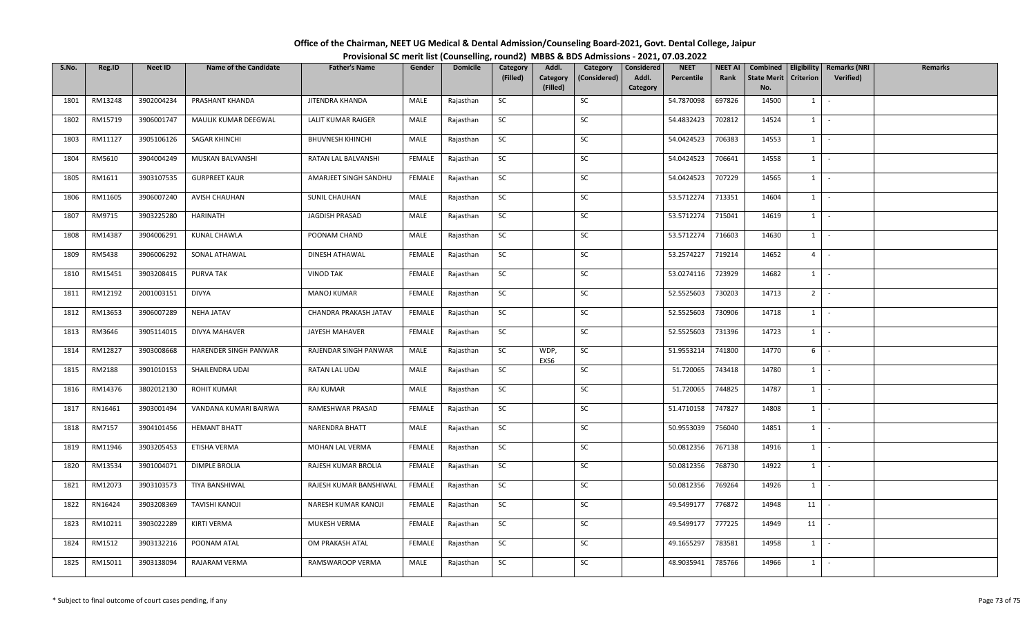| Office of the Chairman, NEET UG Medical & Dental Admission/Counseling Board-2021, Govt. Dental College, Jaipur |                                                                                          |
|----------------------------------------------------------------------------------------------------------------|------------------------------------------------------------------------------------------|
|                                                                                                                | Provisional SC merit list (Counselling, round2) MBBS & BDS Admissions - 2021, 07.03.2022 |

| S.No. | Reg.ID  | <b>Neet ID</b> | <b>Name of the Candidate</b> | <b>Father's Name</b>    | Gender        | <b>Domicile</b> | Category<br>(Filled) | Addl.<br>Category | Category<br>(Considered) | Considered<br>Addl. | <b>NEET</b><br>Percentile | <b>NEET AI</b><br>Rank | Combined<br><b>State Merit</b> | Criterion      | Eligibility   Remarks (NRI<br>Verified) | <b>Remarks</b> |
|-------|---------|----------------|------------------------------|-------------------------|---------------|-----------------|----------------------|-------------------|--------------------------|---------------------|---------------------------|------------------------|--------------------------------|----------------|-----------------------------------------|----------------|
|       |         |                |                              |                         |               |                 |                      | (Filled)          |                          | Category            |                           |                        | No.                            |                |                                         |                |
| 1801  | RM13248 | 3902004234     | PRASHANT KHANDA              | JITENDRA KHANDA         | MALE          | Rajasthan       | SC                   |                   | SC                       |                     | 54.7870098                | 697826                 | 14500                          | $1 \quad$      | $\sim$                                  |                |
| 1802  | RM15719 | 3906001747     | MAULIK KUMAR DEEGWAL         | LALIT KUMAR RAIGER      | MALE          | Rajasthan       | SC                   |                   | SC                       |                     | 54.4832423                | 702812                 | 14524                          | $1 \mid$       | $\sim$                                  |                |
| 1803  | RM11127 | 3905106126     | SAGAR KHINCHI                | <b>BHUVNESH KHINCHI</b> | MALE          | Rajasthan       | <b>SC</b>            |                   | SC                       |                     | 54.0424523                | 706383                 | 14553                          | $1$ $\cdot$    |                                         |                |
| 1804  | RM5610  | 3904004249     | MUSKAN BALVANSHI             | RATAN LAL BALVANSHI     | FEMALE        | Rajasthan       | SC                   |                   | SC                       |                     | 54.0424523                | 706641                 | 14558                          | $1 \cdot$      |                                         |                |
| 1805  | RM1611  | 3903107535     | <b>GURPREET KAUR</b>         | AMARJEET SINGH SANDHU   | <b>FEMALE</b> | Rajasthan       | SC                   |                   | SC                       |                     | 54.0424523                | 707229                 | 14565                          | $1$ $\vert$    |                                         |                |
| 1806  | RM11605 | 3906007240     | AVISH CHAUHAN                | SUNIL CHAUHAN           | MALE          | Rajasthan       | SC                   |                   | SC                       |                     | 53.5712274                | 713351                 | 14604                          | $1$ $\cdot$    |                                         |                |
| 1807  | RM9715  | 3903225280     | HARINATH                     | <b>JAGDISH PRASAD</b>   | MALE          | Rajasthan       | SC                   |                   | SC                       |                     | 53.5712274                | 715041                 | 14619                          | $1 \quad$      | $\sim$                                  |                |
| 1808  | RM14387 | 3904006291     | KUNAL CHAWLA                 | POONAM CHAND            | MALE          | Rajasthan       | SC                   |                   | SC                       |                     | 53.5712274                | 716603                 | 14630                          | $1$ $\vert$    |                                         |                |
| 1809  | RM5438  | 3906006292     | SONAL ATHAWAL                | DINESH ATHAWAL          | FEMALE        | Rajasthan       | SC                   |                   | SC                       |                     | 53.2574227                | 719214                 | 14652                          | 4 <sup>1</sup> | $\sim$                                  |                |
| 1810  | RM15451 | 3903208415     | PURVA TAK                    | <b>VINOD TAK</b>        | FEMALE        | Rajasthan       | SC                   |                   | SC                       |                     | 53.0274116                | 723929                 | 14682                          | $1 \cdot$      |                                         |                |
| 1811  | RM12192 | 2001003151     | <b>DIVYA</b>                 | <b>MANOJ KUMAR</b>      | FEMALE        | Rajasthan       | SC                   |                   | SC                       |                     | 52.5525603                | 730203                 | 14713                          | $2$ -          |                                         |                |
| 1812  | RM13653 | 3906007289     | <b>NEHA JATAV</b>            | CHANDRA PRAKASH JATAV   | <b>FEMALE</b> | Rajasthan       | SC                   |                   | SC                       |                     | 52.5525603                | 730906                 | 14718                          | $1 \mid$       | $\sim$                                  |                |
| 1813  | RM3646  | 3905114015     | DIVYA MAHAVER                | JAYESH MAHAVER          | FEMALE        | Rajasthan       | SC                   |                   | SC                       |                     | 52.5525603                | 731396                 | 14723                          | 1              | $\sim$                                  |                |
| 1814  | RM12827 | 3903008668     | HARENDER SINGH PANWAR        | RAJENDAR SINGH PANWAR   | MALE          | Rajasthan       | SC                   | WDP,<br>EXS6      | SC                       |                     | 51.9553214                | 741800                 | 14770                          | 6              | $\sim$                                  |                |
| 1815  | RM2188  | 3901010153     | SHAILENDRA UDAI              | RATAN LAL UDAI          | MALE          | Rajasthan       | SC                   |                   | SC                       |                     | 51.720065                 | 743418                 | 14780                          | $1$ $-$        |                                         |                |
| 1816  | RM14376 | 3802012130     | ROHIT KUMAR                  | RAJ KUMAR               | MALE          | Rajasthan       | SC                   |                   | SC                       |                     | 51.720065                 | 744825                 | 14787                          | $1$   -        |                                         |                |
| 1817  | RN16461 | 3903001494     | VANDANA KUMARI BAIRWA        | RAMESHWAR PRASAD        | <b>FEMALE</b> | Rajasthan       | SC                   |                   | SC                       |                     | 51.4710158                | 747827                 | 14808                          | $1 \mid$       | $\sim$                                  |                |
| 1818  | RM7157  | 3904101456     | <b>HEMANT BHATT</b>          | NARENDRA BHATT          | MALE          | Rajasthan       | SC                   |                   | SC                       |                     | 50.9553039                | 756040                 | 14851                          | 1              | $\sim$                                  |                |
| 1819  | RM11946 | 3903205453     | ETISHA VERMA                 | MOHAN LAL VERMA         | FEMALE        | Rajasthan       | SC                   |                   | SC                       |                     | 50.0812356                | 767138                 | 14916                          | $1$ $\cdot$    |                                         |                |
| 1820  | RM13534 | 3901004071     | <b>DIMPLE BROLIA</b>         | RAJESH KUMAR BROLIA     | FEMALE        | Rajasthan       | <b>SC</b>            |                   | SC                       |                     | 50.0812356                | 768730                 | 14922                          | $1$ $\vert$ -  |                                         |                |
| 1821  | RM12073 | 3903103573     | TIYA BANSHIWAL               | RAJESH KUMAR BANSHIWAL  | FEMALE        | Rajasthan       | SC                   |                   | SC                       |                     | 50.0812356                | 769264                 | 14926                          | $1 \quad$      | $\sim$                                  |                |
| 1822  | RN16424 | 3903208369     | <b>TAVISHI KANOJI</b>        | NARESH KUMAR KANOJI     | FEMALE        | Rajasthan       | SC                   |                   | SC                       |                     | 49.5499177                | 776872                 | 14948                          | 11             |                                         |                |
| 1823  | RM10211 | 3903022289     | KIRTI VERMA                  | MUKESH VERMA            | FEMALE        | Rajasthan       | SC                   |                   | SC                       |                     | 49.5499177                | 777225                 | 14949                          | 11             |                                         |                |
| 1824  | RM1512  | 3903132216     | POONAM ATAL                  | OM PRAKASH ATAL         | FEMALE        | Rajasthan       | SC                   |                   | SC                       |                     | 49.1655297                | 783581                 | 14958                          | $1$ $-$        |                                         |                |
| 1825  | RM15011 | 3903138094     | RAJARAM VERMA                | RAMSWAROOP VERMA        | MALE          | Rajasthan       | SC                   |                   | SC                       |                     | 48.9035941                | 785766                 | 14966                          | $1 \vert$      |                                         |                |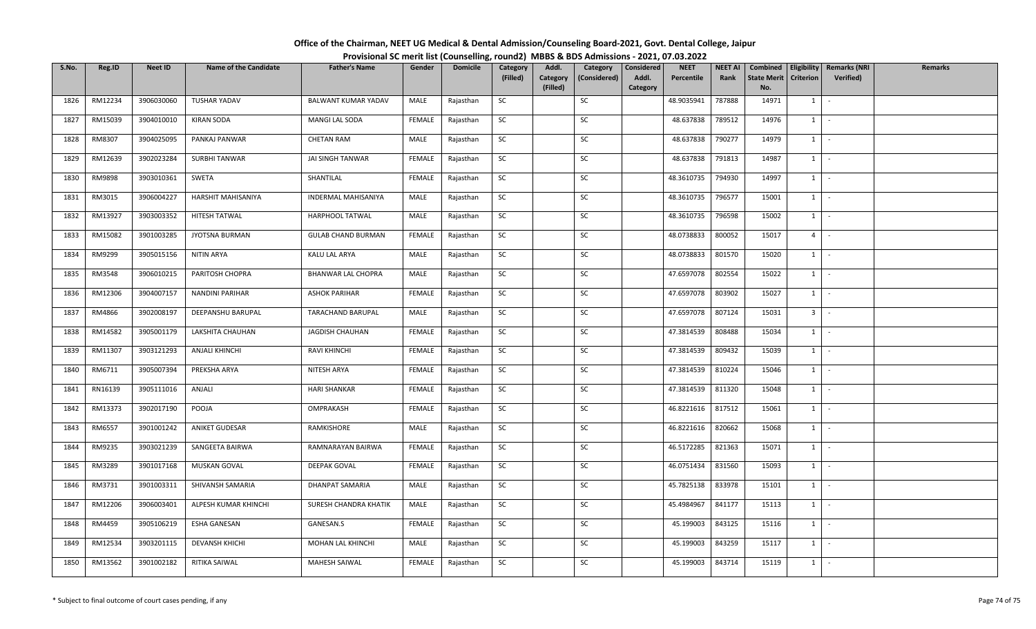| Office of the Chairman, NEET UG Medical & Dental Admission/Counseling Board-2021, Govt. Dental College, Jaipur |                                                                                          |
|----------------------------------------------------------------------------------------------------------------|------------------------------------------------------------------------------------------|
|                                                                                                                | Provisional SC merit list (Counselling, round2) MBBS & BDS Admissions - 2021, 07.03.2022 |

| S.No. | Reg.ID  | Neet ID    | <b>Name of the Candidate</b> | <b>Father's Name</b>       | Gender        | <b>Domicile</b> | Category<br>(Filled) | Addl.                | Category     | Considered<br>Addl. | <b>NEET</b><br>Percentile | <b>NEET AI</b><br>Rank | Combined<br><b>State Merit</b> |                     | Eligibility   Remarks (NRI | <b>Remarks</b> |
|-------|---------|------------|------------------------------|----------------------------|---------------|-----------------|----------------------|----------------------|--------------|---------------------|---------------------------|------------------------|--------------------------------|---------------------|----------------------------|----------------|
|       |         |            |                              |                            |               |                 |                      | Category<br>(Filled) | (Considered) | Category            |                           |                        | No.                            | <b>Criterion</b>    | <b>Verified</b> )          |                |
| 1826  | RM12234 | 3906030060 | <b>TUSHAR YADAV</b>          | <b>BALWANT KUMAR YADAV</b> | MALE          | Rajasthan       | SC                   |                      | SC           |                     | 48.9035941                | 787888                 | 14971                          | $1 \mid -$          |                            |                |
| 1827  | RM15039 | 3904010010 | <b>KIRAN SODA</b>            | MANGI LAL SODA             | <b>FEMALE</b> | Rajasthan       | SC                   |                      | SC           |                     | 48.637838                 | 789512                 | 14976                          | $1 \cdot$           |                            |                |
| 1828  | RM8307  | 3904025095 | PANKAJ PANWAR                | <b>CHETAN RAM</b>          | MALE          | Rajasthan       | SC                   |                      | SC           |                     | 48.637838                 | 790277                 | 14979                          | $1$ $\vert$ $\vert$ |                            |                |
| 1829  | RM12639 | 3902023284 | <b>SURBHI TANWAR</b>         | JAI SINGH TANWAR           | <b>FEMALE</b> | Rajasthan       | <b>SC</b>            |                      | SC           |                     | 48.637838                 | 791813                 | 14987                          | $1$ $-$             |                            |                |
| 1830  | RM9898  | 3903010361 | SWETA                        | SHANTILAL                  | FEMALE        | Rajasthan       | SC                   |                      | SC           |                     | 48.3610735                | 794930                 | 14997                          | $1$ $-$             |                            |                |
| 1831  | RM3015  | 3906004227 | HARSHIT MAHISANIYA           | <b>INDERMAL MAHISANIYA</b> | MALE          | Rajasthan       | SC                   |                      | SC           |                     | 48.3610735                | 796577                 | 15001                          | $1$ $\vert$ $\vert$ |                            |                |
| 1832  | RM13927 | 3903003352 | HITESH TATWAL                | HARPHOOL TATWAL            | MALE          | Rajasthan       | SC                   |                      | SC           |                     | 48.3610735                | 796598                 | 15002                          | $1 \mid$            | $\sim$                     |                |
| 1833  | RM15082 | 3901003285 | JYOTSNA BURMAN               | <b>GULAB CHAND BURMAN</b>  | <b>FEMALE</b> | Rajasthan       | SC                   |                      | SC           |                     | 48.0738833                | 800052                 | 15017                          | $4 \mid$            | $\sim$                     |                |
| 1834  | RM9299  | 3905015156 | NITIN ARYA                   | KALU LAL ARYA              | MALE          | Rajasthan       | <b>SC</b>            |                      | SC           |                     | 48.0738833                | 801570                 | 15020                          | $1$ $-$             |                            |                |
| 1835  | RM3548  | 3906010215 | PARITOSH CHOPRA              | BHANWAR LAL CHOPRA         | MALE          | Rajasthan       | SC                   |                      | SC           |                     | 47.6597078                | 802554                 | 15022                          | $1 \mid -$          |                            |                |
| 1836  | RM12306 | 3904007157 | NANDINI PARIHAR              | <b>ASHOK PARIHAR</b>       | FEMALE        | Rajasthan       | <b>SC</b>            |                      | SC           |                     | 47.6597078                | 803902                 | 15027                          | $1$ $\vert$ $\vert$ |                            |                |
| 1837  | RM4866  | 3902008197 | DEEPANSHU BARUPAL            | TARACHAND BARUPAL          | MALE          | Rajasthan       | SC                   |                      | SC           |                     | 47.6597078                | 807124                 | 15031                          | $3$ $-$             |                            |                |
| 1838  | RM14582 | 3905001179 | LAKSHITA CHAUHAN             | JAGDISH CHAUHAN            | FEMALE        | Rajasthan       | SC                   |                      | SC           |                     | 47.3814539                | 808488                 | 15034                          | $1 \mid$            | $\sim$                     |                |
| 1839  | RM11307 | 3903121293 | ANJALI KHINCHI               | <b>RAVI KHINCHI</b>        | FEMALE        | Rajasthan       | SC                   |                      | SC           |                     | 47.3814539                | 809432                 | 15039                          | $1 \cdot$           |                            |                |
| 1840  | RM6711  | 3905007394 | PREKSHA ARYA                 | NITESH ARYA                | FEMALE        | Rajasthan       | SC                   |                      | SC           |                     | 47.3814539                | 810224                 | 15046                          | $1 \cdot$           |                            |                |
| 1841  | RN16139 | 3905111016 | ANJALI                       | <b>HARI SHANKAR</b>        | FEMALE        | Rajasthan       | SC                   |                      | SC           |                     | 47.3814539                | 811320                 | 15048                          | $1$ $-$             |                            |                |
| 1842  | RM13373 | 3902017190 | POOJA                        | OMPRAKASH                  | <b>FEMALE</b> | Rajasthan       | <b>SC</b>            |                      | SC           |                     | 46.8221616                | 817512                 | 15061                          | $1$ $\vert$ $\vert$ |                            |                |
| 1843  | RM6557  | 3901001242 | ANIKET GUDESAR               | RAMKISHORE                 | MALE          | Rajasthan       | SC                   |                      | SC           |                     | 46.8221616                | 820662                 | 15068                          | $1 \cdot$           |                            |                |
| 1844  | RM9235  | 3903021239 | SANGEETA BAIRWA              | RAMNARAYAN BAIRWA          | FEMALE        | Rajasthan       | SC                   |                      | SC           |                     | 46.5172285                | 821363                 | 15071                          | $1$ $\vert$ $\vert$ |                            |                |
| 1845  | RM3289  | 3901017168 | MUSKAN GOVAL                 | <b>DEEPAK GOVAL</b>        | FEMALE        | Rajasthan       | SC                   |                      | SC           |                     | 46.0751434                | 831560                 | 15093                          | $1 \cdot$           |                            |                |
| 1846  | RM3731  | 3901003311 | SHIVANSH SAMARIA             | DHANPAT SAMARIA            | MALE          | Rajasthan       | SC                   |                      | SC           |                     | 45.7825138                | 833978                 | 15101                          | $1 \mid -$          |                            |                |
| 1847  | RM12206 | 3906003401 | ALPESH KUMAR KHINCHI         | SURESH CHANDRA KHATIK      | MALE          | Rajasthan       | SC                   |                      | SC           |                     | 45.4984967                | 841177                 | 15113                          | 1                   | $\sim$                     |                |
| 1848  | RM4459  | 3905106219 | <b>ESHA GANESAN</b>          | GANESAN.S                  | FEMALE        | Rajasthan       | SC                   |                      | SC           |                     | 45.199003                 | 843125                 | 15116                          | $1 \cdot$           |                            |                |
| 1849  | RM12534 | 3903201115 | <b>DEVANSH KHICHI</b>        | MOHAN LAL KHINCHI          | MALE          | Rajasthan       | SC                   |                      | SC           |                     | 45.199003                 | 843259                 | 15117                          | $1$ $\sim$          |                            |                |
| 1850  | RM13562 | 3901002182 | RITIKA SAIWAL                | <b>MAHESH SAIWAL</b>       | <b>FEMALE</b> | Rajasthan       | SC                   |                      | SC           |                     | 45.199003                 | 843714                 | 15119                          | $1 \mid$            |                            |                |